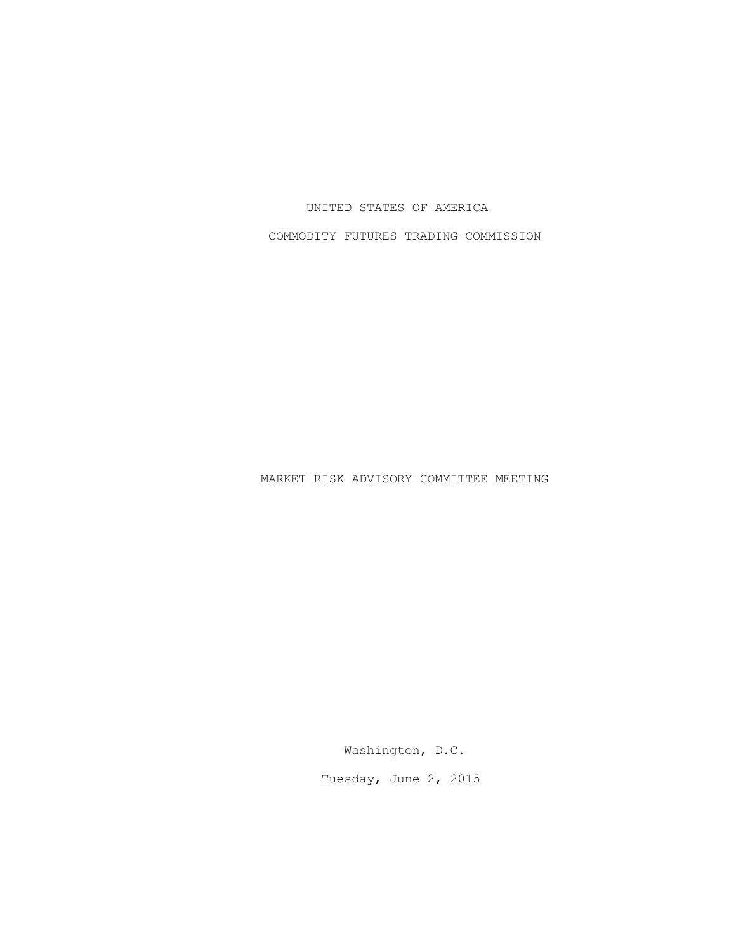## UNITED STATES OF AMERICA

COMMODITY FUTURES TRADING COMMISSION

MARKET RISK ADVISORY COMMITTEE MEETING

Washington, D.C.

Tuesday, June 2, 2015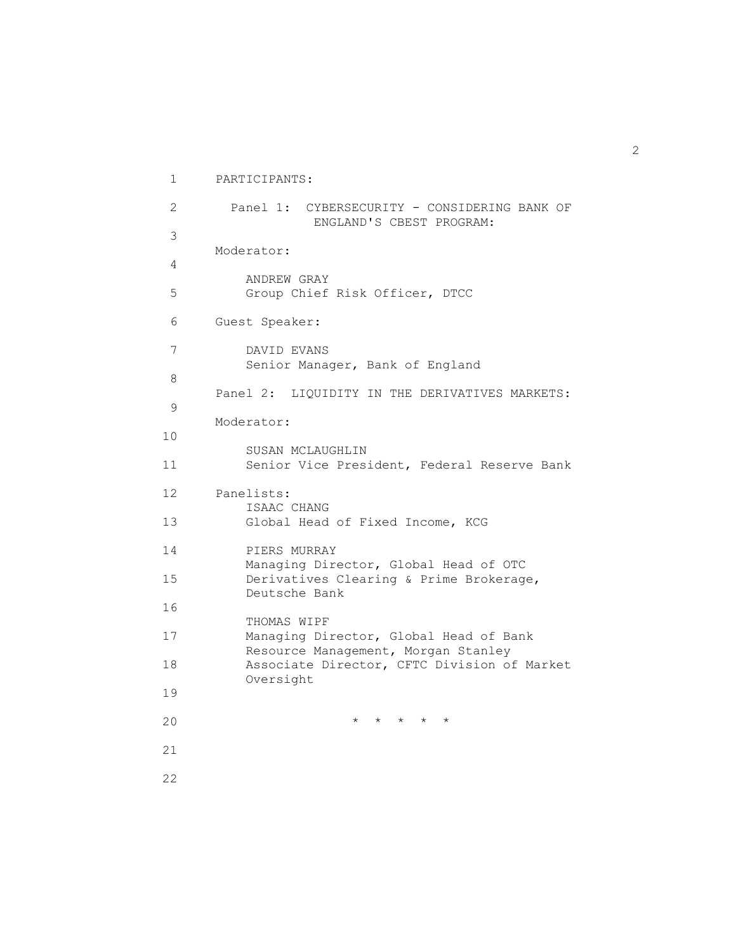```
1 PARTICIPANTS: 
 2 
 3 
 4 
 5 
         Panel 1: CYBERSECURITY - CONSIDERING BANK OF
                    ENGLAND'S CBEST PROGRAM: 
       Moderator: 
           ANDREW GRAY 
           Group Chief Risk Officer, DTCC 
 6 Guest Speaker: 
 7 
 8 
 9 
10 
11 
           DAVID EVANS 
           Senior Manager, Bank of England 
       Panel 2: LIQUIDITY IN THE DERIVATIVES MARKETS: 
       Moderator: 
           SUSAN MCLAUGHLIN 
           Senior Vice President, Federal Reserve Bank 
12 
13 
       Panelists: 
           ISAAC CHANG 
           Global Head of Fixed Income, KCG 
14 
15 
16 
17 
18 
19 
           PIERS MURRAY 
           Managing Director, Global Head of OTC 
           Derivatives Clearing & Prime Brokerage, 
           Deutsche Bank 
           THOMAS WIPF 
           Managing Director, Global Head of Bank 
           Resource Management, Morgan Stanley 
           Associate Director, CFTC Division of Market 
           Oversight 
20 * * * * * 
21 
22
```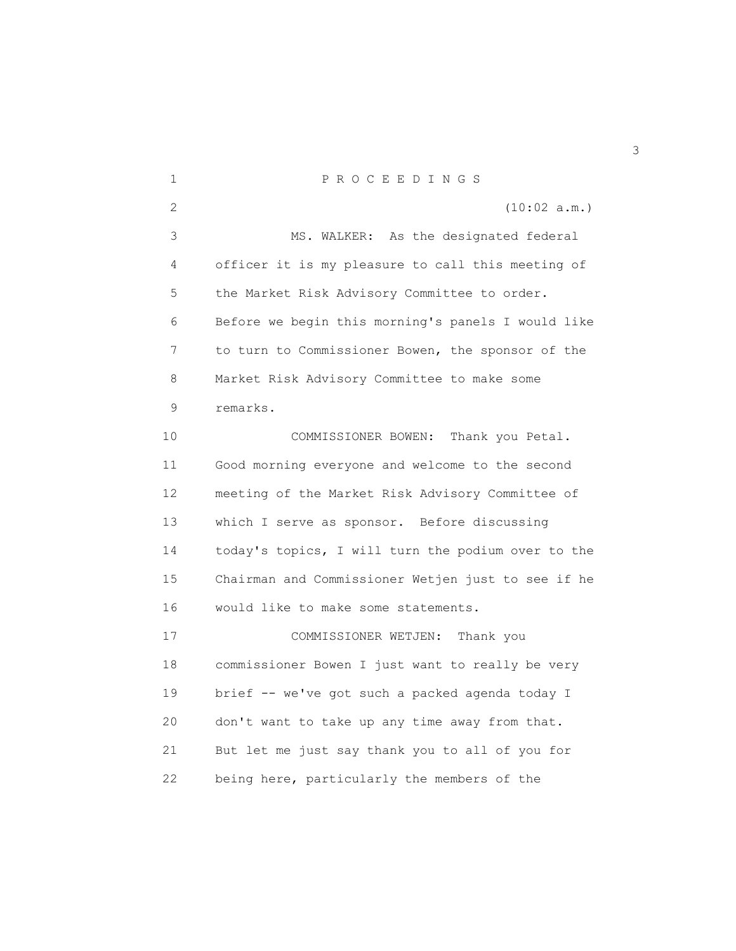1 P R O C E E D I N G S 2 (10:02 a.m.) 3 MS. WALKER: As the designated federal 4 officer it is my pleasure to call this meeting of 5 the Market Risk Advisory Committee to order. 6 Before we begin this morning's panels I would like 7 to turn to Commissioner Bowen, the sponsor of the 8 Market Risk Advisory Committee to make some 9 remarks. 10 COMMISSIONER BOWEN: Thank you Petal. 11 Good morning everyone and welcome to the second 12 meeting of the Market Risk Advisory Committee of 13 which I serve as sponsor. Before discussing 14 today's topics, I will turn the podium over to the 15 Chairman and Commissioner Wetjen just to see if he 16 would like to make some statements. 17 COMMISSIONER WETJEN: Thank you 18 commissioner Bowen I just want to really be very 19 brief -- we've got such a packed agenda today I 20 don't want to take up any time away from that. 21 But let me just say thank you to all of you for 22 being here, particularly the members of the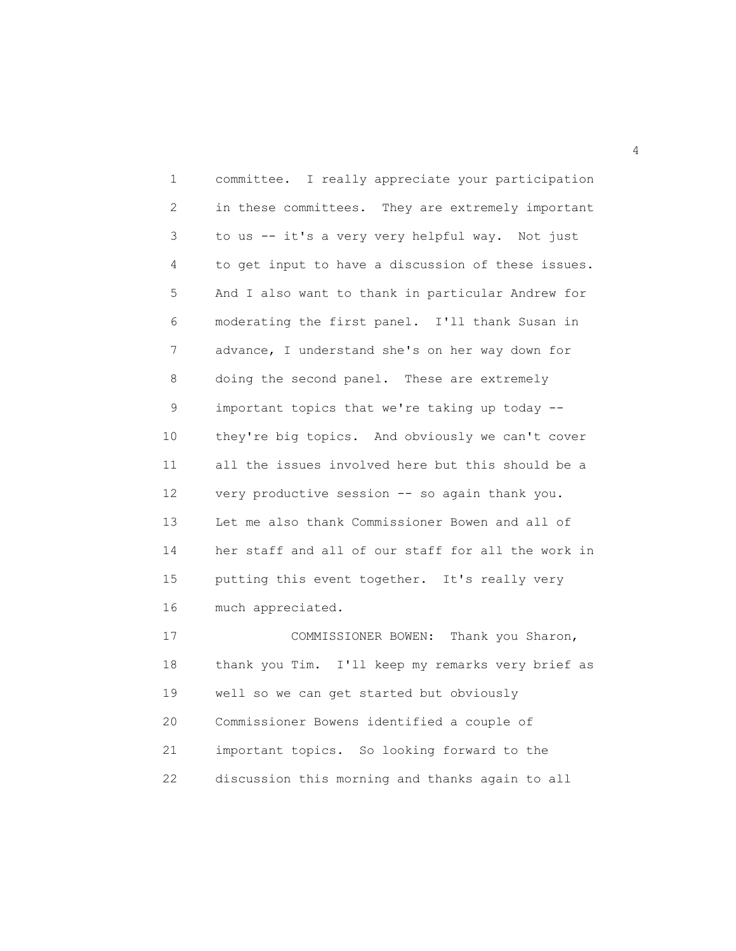1 committee. I really appreciate your participation 2 in these committees. They are extremely important 3 to us -- it's a very very helpful way. Not just 4 to get input to have a discussion of these issues. 5 And I also want to thank in particular Andrew for 6 moderating the first panel. I'll thank Susan in 7 advance, I understand she's on her way down for 8 doing the second panel. These are extremely 9 important topics that we're taking up today -- 10 they're big topics. And obviously we can't cover 11 all the issues involved here but this should be a 12 very productive session -- so again thank you. 13 Let me also thank Commissioner Bowen and all of 14 her staff and all of our staff for all the work in 15 putting this event together. It's really very 16 much appreciated. 17 COMMISSIONER BOWEN: Thank you Sharon,

18 thank you Tim. I'll keep my remarks very brief as 19 well so we can get started but obviously 20 Commissioner Bowens identified a couple of 21 important topics. So looking forward to the 22 discussion this morning and thanks again to all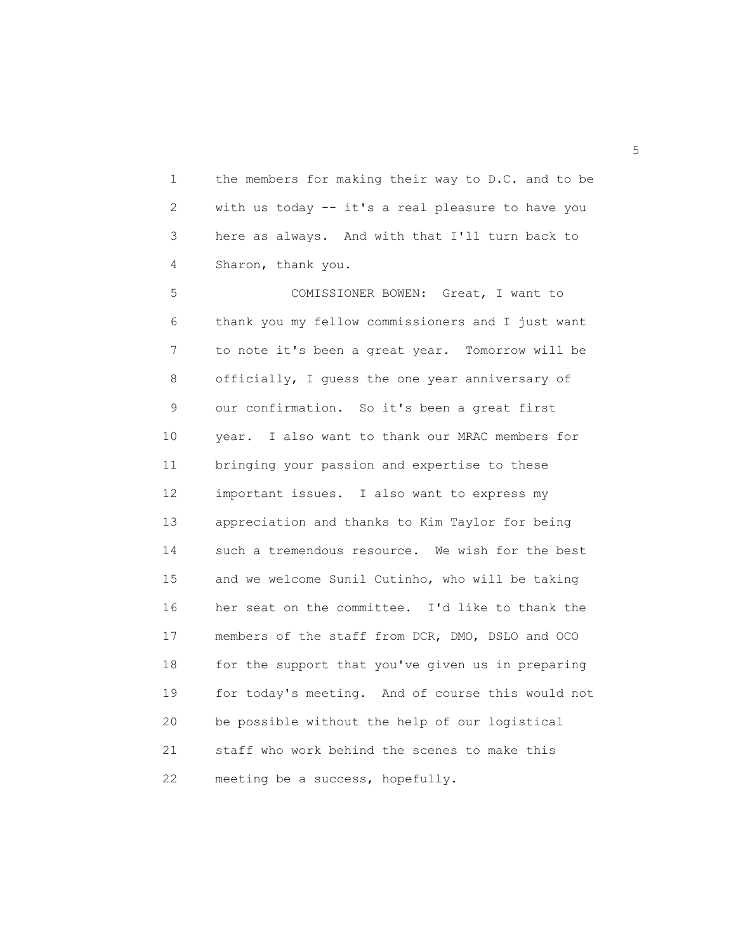1 the members for making their way to D.C. and to be 2 with us today -- it's a real pleasure to have you 3 here as always. And with that I'll turn back to 4 Sharon, thank you.

5 COMISSIONER BOWEN: Great, I want to 6 thank you my fellow commissioners and I just want 7 to note it's been a great year. Tomorrow will be 8 officially, I guess the one year anniversary of 9 our confirmation. So it's been a great first 10 year. I also want to thank our MRAC members for 11 bringing your passion and expertise to these 12 important issues. I also want to express my 13 appreciation and thanks to Kim Taylor for being 14 such a tremendous resource. We wish for the best 15 and we welcome Sunil Cutinho, who will be taking 16 her seat on the committee. I'd like to thank the 17 members of the staff from DCR, DMO, DSLO and OCO 18 for the support that you've given us in preparing 19 for today's meeting. And of course this would not 20 be possible without the help of our logistical 21 staff who work behind the scenes to make this 22 meeting be a success, hopefully.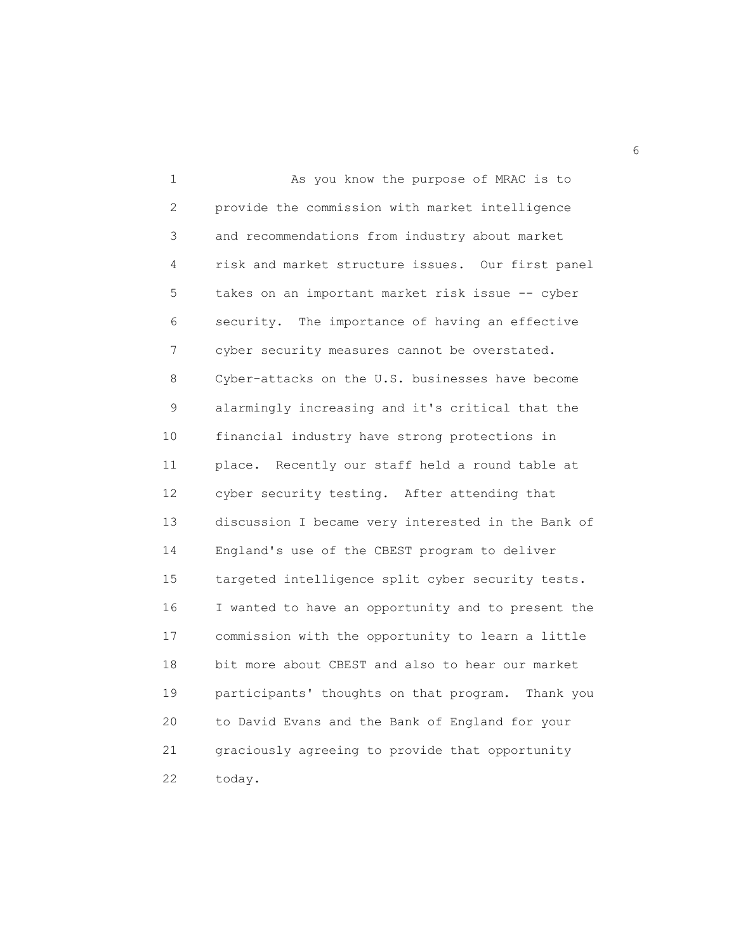1 As you know the purpose of MRAC is to 2 provide the commission with market intelligence 3 and recommendations from industry about market 4 risk and market structure issues. Our first panel 5 takes on an important market risk issue -- cyber 6 security. The importance of having an effective 7 cyber security measures cannot be overstated. 8 Cyber-attacks on the U.S. businesses have become 9 alarmingly increasing and it's critical that the 10 financial industry have strong protections in 11 place. Recently our staff held a round table at 12 cyber security testing. After attending that 13 discussion I became very interested in the Bank of 14 England's use of the CBEST program to deliver 15 targeted intelligence split cyber security tests. 16 I wanted to have an opportunity and to present the 17 commission with the opportunity to learn a little 18 bit more about CBEST and also to hear our market 19 participants' thoughts on that program. Thank you 20 to David Evans and the Bank of England for your 21 graciously agreeing to provide that opportunity 22 today.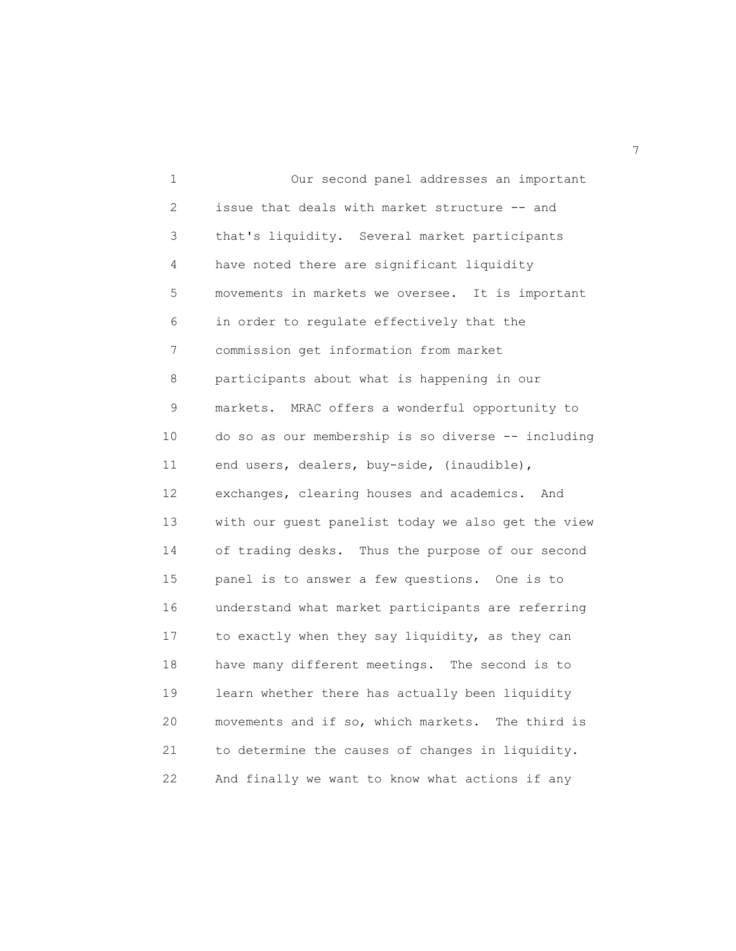1 Our second panel addresses an important 2 issue that deals with market structure -- and 3 that's liquidity. Several market participants 4 have noted there are significant liquidity 5 movements in markets we oversee. It is important 6 in order to regulate effectively that the 7 commission get information from market 8 participants about what is happening in our 9 markets. MRAC offers a wonderful opportunity to 10 do so as our membership is so diverse -- including 11 end users, dealers, buy-side, (inaudible), 12 exchanges, clearing houses and academics. And 13 with our guest panelist today we also get the view 14 of trading desks. Thus the purpose of our second 15 panel is to answer a few questions. One is to 16 understand what market participants are referring 17 to exactly when they say liquidity, as they can 18 have many different meetings. The second is to 19 learn whether there has actually been liquidity 20 movements and if so, which markets. The third is 21 to determine the causes of changes in liquidity. 22 And finally we want to know what actions if any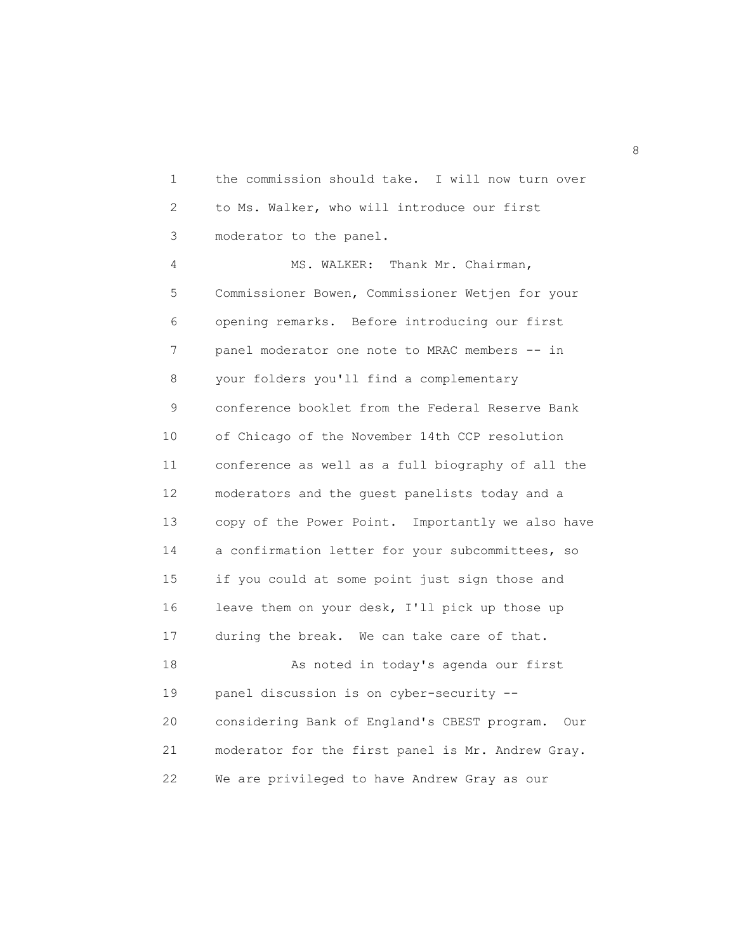1 the commission should take. I will now turn over 2 to Ms. Walker, who will introduce our first 3 moderator to the panel.

4 MS. WALKER: Thank Mr. Chairman, 5 Commissioner Bowen, Commissioner Wetjen for your 6 opening remarks. Before introducing our first 7 panel moderator one note to MRAC members -- in 8 your folders you'll find a complementary 9 conference booklet from the Federal Reserve Bank 10 of Chicago of the November 14th CCP resolution 11 conference as well as a full biography of all the 12 moderators and the guest panelists today and a 13 copy of the Power Point. Importantly we also have 14 a confirmation letter for your subcommittees, so 15 if you could at some point just sign those and 16 leave them on your desk, I'll pick up those up 17 during the break. We can take care of that. 18 As noted in today's agenda our first 19 panel discussion is on cyber-security -- 20 considering Bank of England's CBEST program. Our 21 moderator for the first panel is Mr. Andrew Gray.

22 We are privileged to have Andrew Gray as our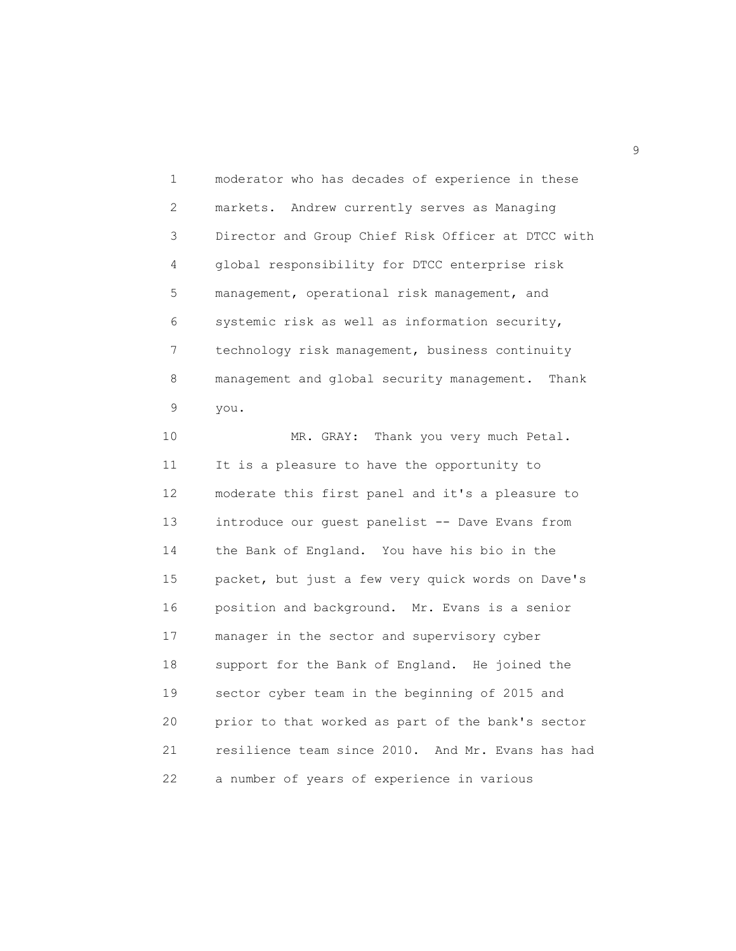1 moderator who has decades of experience in these 2 markets. Andrew currently serves as Managing 3 Director and Group Chief Risk Officer at DTCC with 4 global responsibility for DTCC enterprise risk 5 management, operational risk management, and 6 systemic risk as well as information security, 7 technology risk management, business continuity 8 management and global security management. Thank 9 you.

10 MR. GRAY: Thank you very much Petal. 11 It is a pleasure to have the opportunity to 12 moderate this first panel and it's a pleasure to 13 introduce our guest panelist -- Dave Evans from 14 the Bank of England. You have his bio in the 15 packet, but just a few very quick words on Dave's 16 position and background. Mr. Evans is a senior 17 manager in the sector and supervisory cyber 18 support for the Bank of England. He joined the 19 sector cyber team in the beginning of 2015 and 20 prior to that worked as part of the bank's sector 21 resilience team since 2010. And Mr. Evans has had 22 a number of years of experience in various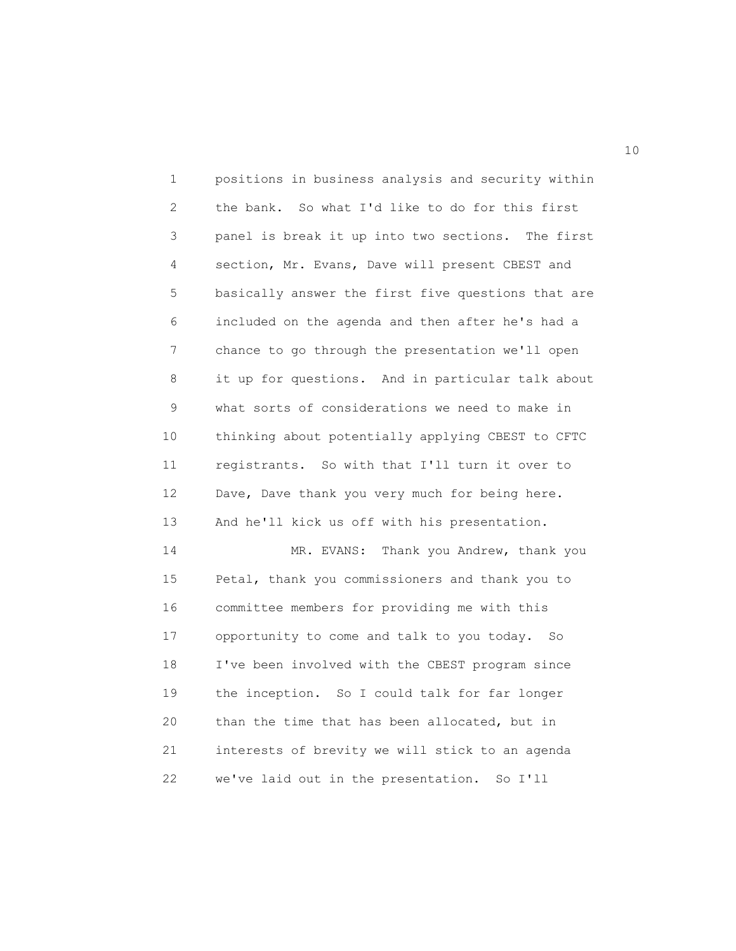1 positions in business analysis and security within 2 the bank. So what I'd like to do for this first 3 panel is break it up into two sections. The first 4 section, Mr. Evans, Dave will present CBEST and 5 basically answer the first five questions that are 6 included on the agenda and then after he's had a 7 chance to go through the presentation we'll open 8 it up for questions. And in particular talk about 9 what sorts of considerations we need to make in 10 thinking about potentially applying CBEST to CFTC 11 registrants. So with that I'll turn it over to 12 Dave, Dave thank you very much for being here. 13 And he'll kick us off with his presentation. 14 MR. EVANS: Thank you Andrew, thank you 15 Petal, thank you commissioners and thank you to 16 committee members for providing me with this 17 opportunity to come and talk to you today. So 18 I've been involved with the CBEST program since 19 the inception. So I could talk for far longer 20 than the time that has been allocated, but in 21 interests of brevity we will stick to an agenda 22 we've laid out in the presentation. So I'll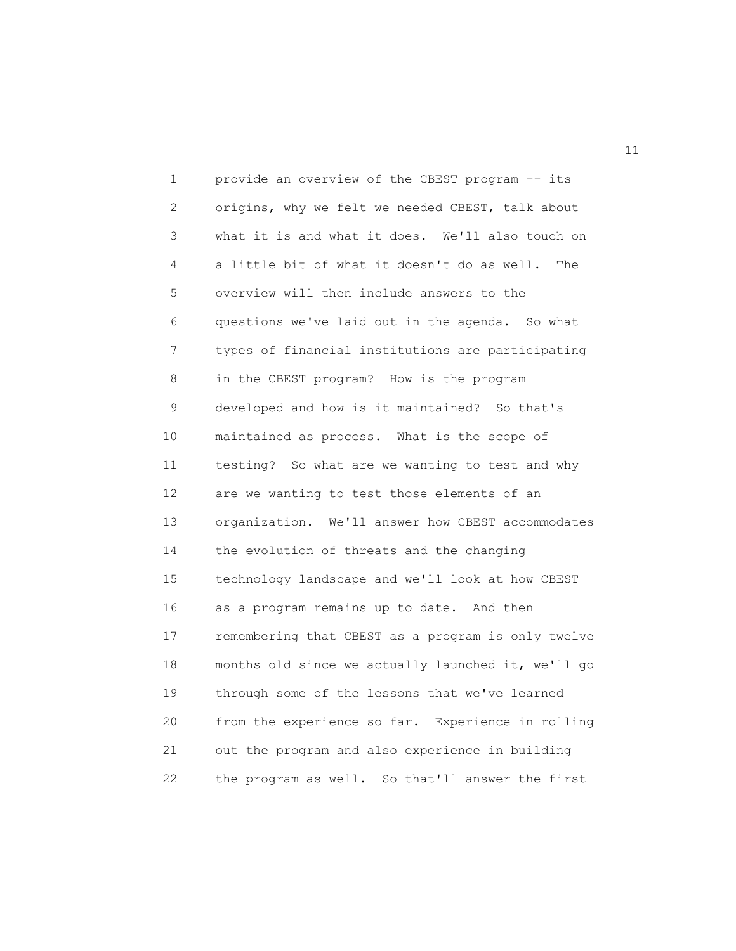1 provide an overview of the CBEST program -- its 2 origins, why we felt we needed CBEST, talk about 3 what it is and what it does. We'll also touch on 4 a little bit of what it doesn't do as well. The 5 overview will then include answers to the 6 questions we've laid out in the agenda. So what 7 types of financial institutions are participating 8 in the CBEST program? How is the program 9 developed and how is it maintained? So that's 10 maintained as process. What is the scope of 11 testing? So what are we wanting to test and why 12 are we wanting to test those elements of an 13 organization. We'll answer how CBEST accommodates 14 the evolution of threats and the changing 15 technology landscape and we'll look at how CBEST 16 as a program remains up to date. And then 17 remembering that CBEST as a program is only twelve 18 months old since we actually launched it, we'll go 19 through some of the lessons that we've learned 20 from the experience so far. Experience in rolling 21 out the program and also experience in building 22 the program as well. So that'll answer the first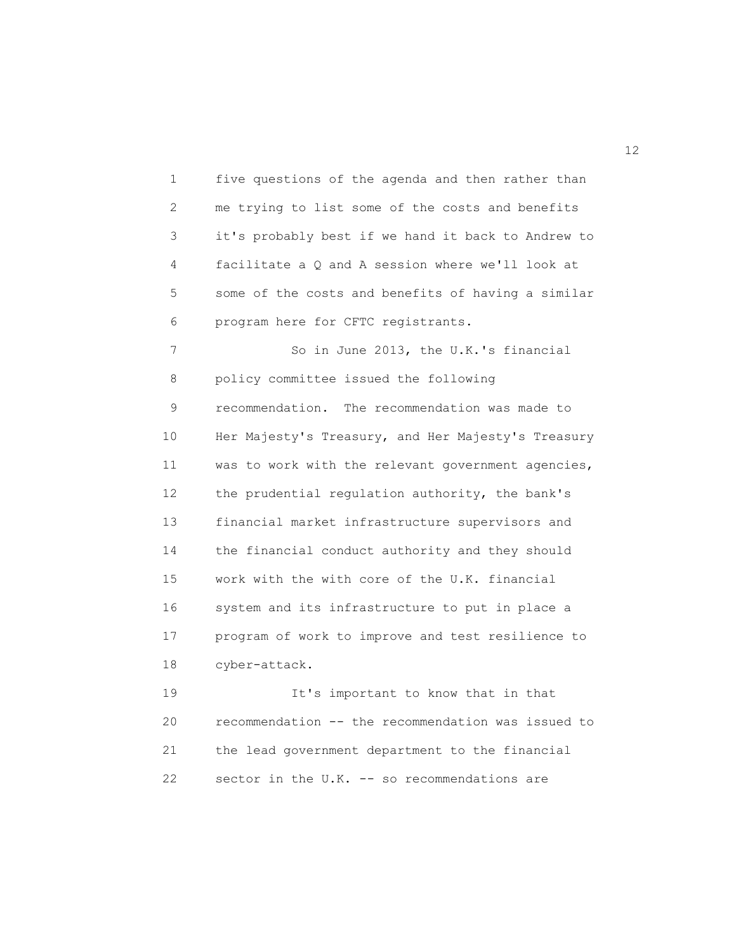1 five questions of the agenda and then rather than 2 me trying to list some of the costs and benefits 3 it's probably best if we hand it back to Andrew to 4 facilitate a Q and A session where we'll look at 5 some of the costs and benefits of having a similar 6 program here for CFTC registrants. 7 So in June 2013, the U.K.'s financial 8 policy committee issued the following 9 recommendation. The recommendation was made to 10 Her Majesty's Treasury, and Her Majesty's Treasury 11 was to work with the relevant government agencies, 12 the prudential regulation authority, the bank's 13 financial market infrastructure supervisors and 14 the financial conduct authority and they should 15 work with the with core of the U.K. financial 16 system and its infrastructure to put in place a 17 program of work to improve and test resilience to 18 cyber-attack. 19 It's important to know that in that 20 recommendation -- the recommendation was issued to

21 the lead government department to the financial 22 sector in the U.K. -- so recommendations are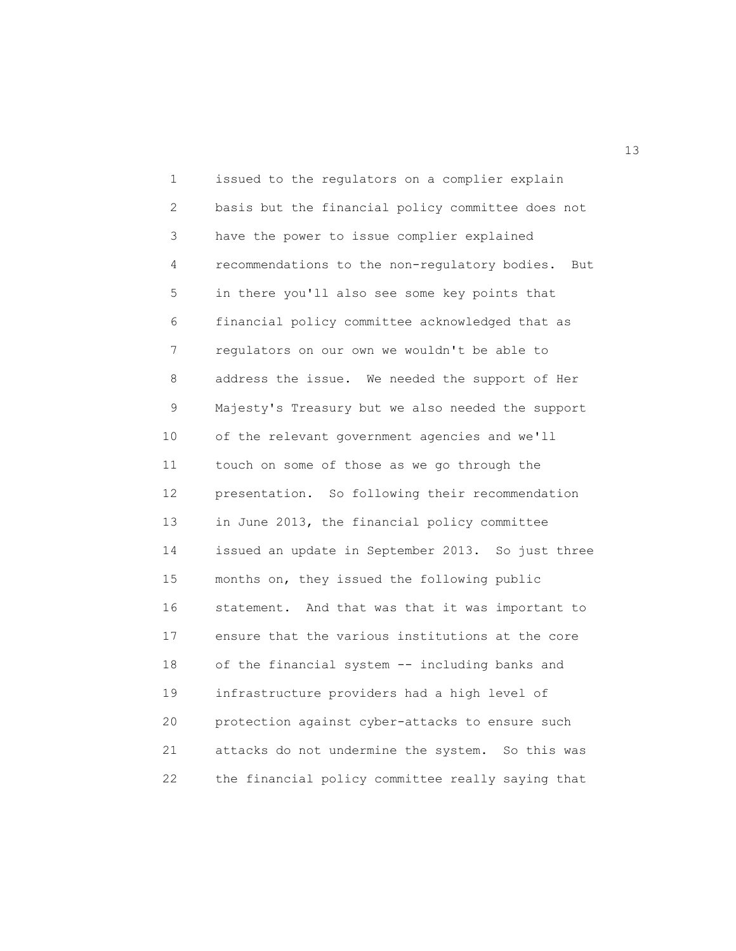1 issued to the regulators on a complier explain 2 basis but the financial policy committee does not 3 have the power to issue complier explained 4 recommendations to the non-regulatory bodies. But 5 in there you'll also see some key points that 6 financial policy committee acknowledged that as 7 regulators on our own we wouldn't be able to 8 address the issue. We needed the support of Her 9 Majesty's Treasury but we also needed the support 10 of the relevant government agencies and we'll 11 touch on some of those as we go through the 12 presentation. So following their recommendation 13 in June 2013, the financial policy committee 14 issued an update in September 2013. So just three 15 months on, they issued the following public 16 statement. And that was that it was important to 17 ensure that the various institutions at the core 18 of the financial system -- including banks and 19 infrastructure providers had a high level of 20 protection against cyber-attacks to ensure such 21 attacks do not undermine the system. So this was 22 the financial policy committee really saying that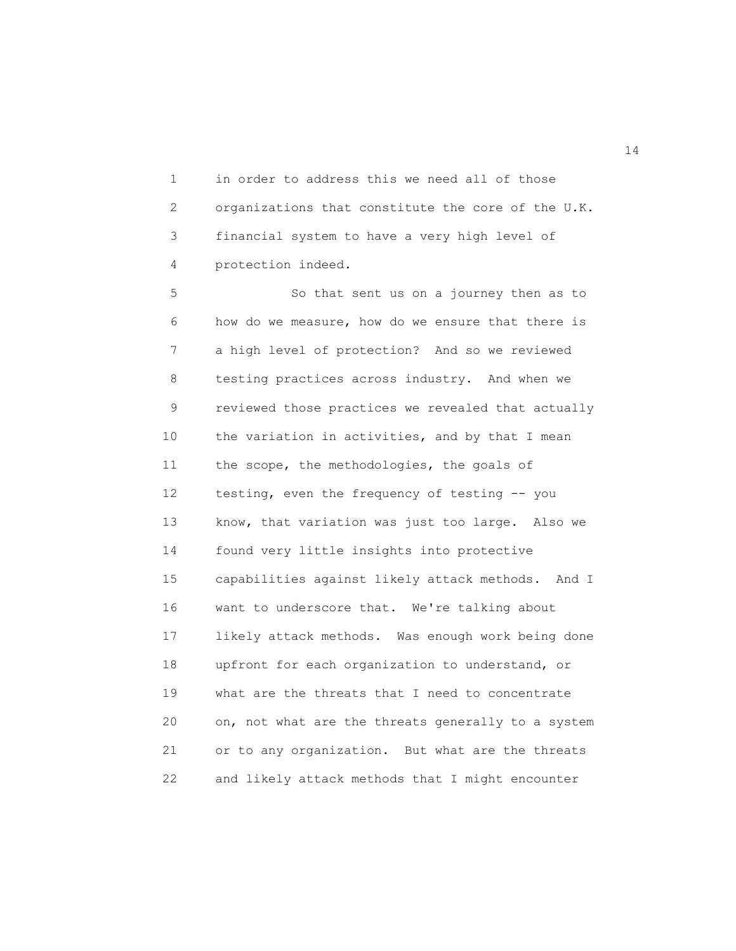1 in order to address this we need all of those 2 organizations that constitute the core of the U.K. 3 financial system to have a very high level of 4 protection indeed.

5 So that sent us on a journey then as to 6 how do we measure, how do we ensure that there is 7 a high level of protection? And so we reviewed 8 testing practices across industry. And when we 9 reviewed those practices we revealed that actually 10 the variation in activities, and by that I mean 11 the scope, the methodologies, the goals of 12 testing, even the frequency of testing -- you 13 know, that variation was just too large. Also we 14 found very little insights into protective 15 capabilities against likely attack methods. And I 16 want to underscore that. We're talking about 17 likely attack methods. Was enough work being done 18 upfront for each organization to understand, or 19 what are the threats that I need to concentrate 20 on, not what are the threats generally to a system 21 or to any organization. But what are the threats 22 and likely attack methods that I might encounter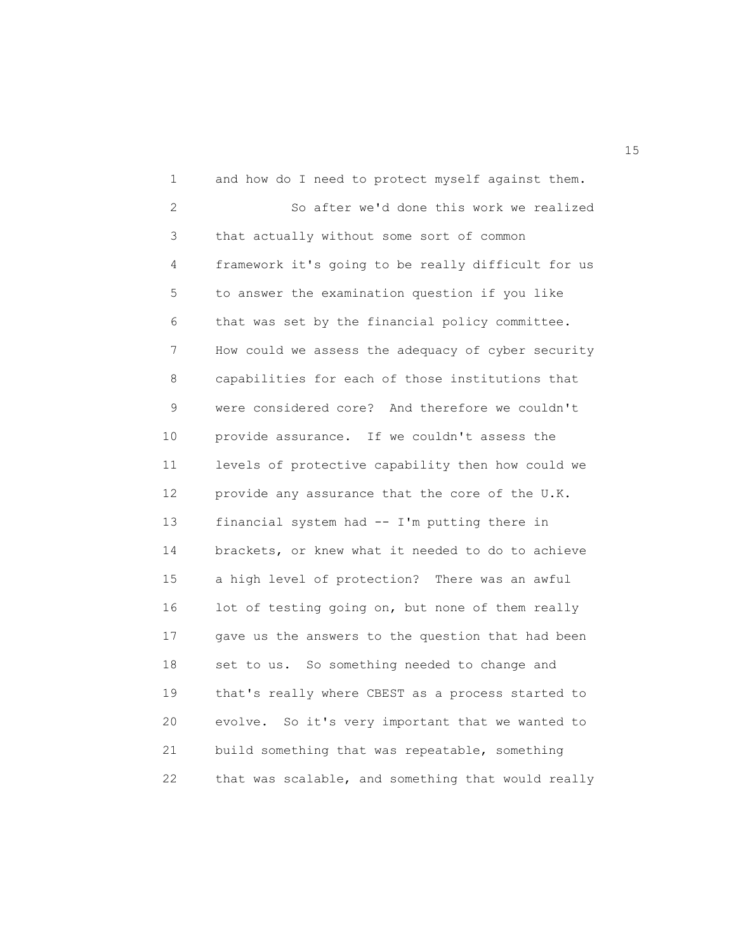1 and how do I need to protect myself against them. 2 So after we'd done this work we realized 3 that actually without some sort of common 4 framework it's going to be really difficult for us 5 to answer the examination question if you like 6 that was set by the financial policy committee. 7 How could we assess the adequacy of cyber security 8 capabilities for each of those institutions that 9 were considered core? And therefore we couldn't 10 provide assurance. If we couldn't assess the 11 levels of protective capability then how could we 12 provide any assurance that the core of the U.K. 13 financial system had -- I'm putting there in 14 brackets, or knew what it needed to do to achieve 15 a high level of protection? There was an awful 16 lot of testing going on, but none of them really 17 gave us the answers to the question that had been 18 set to us. So something needed to change and 19 that's really where CBEST as a process started to 20 evolve. So it's very important that we wanted to 21 build something that was repeatable, something 22 that was scalable, and something that would really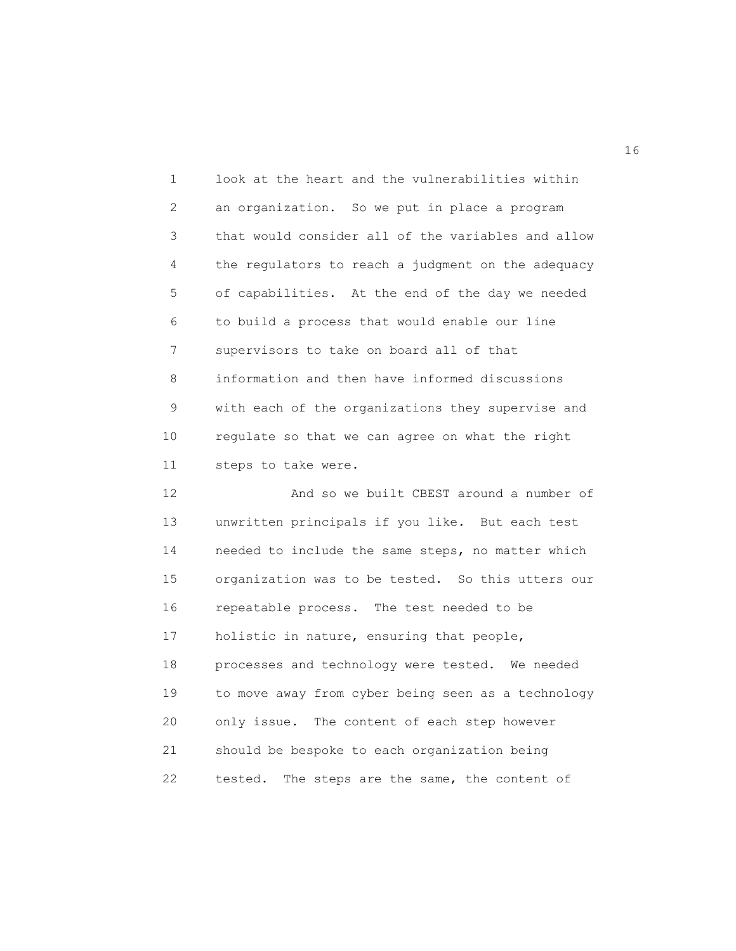1 look at the heart and the vulnerabilities within 2 an organization. So we put in place a program 3 that would consider all of the variables and allow 4 the regulators to reach a judgment on the adequacy 5 of capabilities. At the end of the day we needed 6 to build a process that would enable our line 7 supervisors to take on board all of that 8 information and then have informed discussions 9 with each of the organizations they supervise and 10 regulate so that we can agree on what the right 11 steps to take were.

12 And so we built CBEST around a number of 13 unwritten principals if you like. But each test 14 needed to include the same steps, no matter which 15 organization was to be tested. So this utters our 16 repeatable process. The test needed to be 17 holistic in nature, ensuring that people, 18 processes and technology were tested. We needed 19 to move away from cyber being seen as a technology 20 only issue. The content of each step however 21 should be bespoke to each organization being 22 tested. The steps are the same, the content of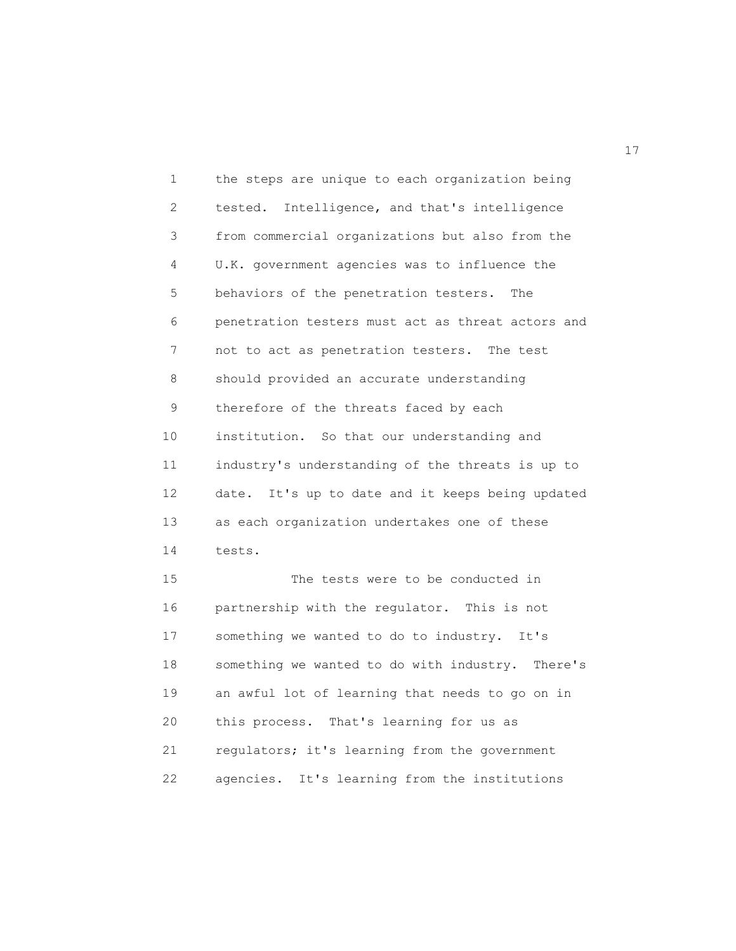1 the steps are unique to each organization being 2 tested. Intelligence, and that's intelligence 3 from commercial organizations but also from the 4 U.K. government agencies was to influence the 5 behaviors of the penetration testers. The 6 penetration testers must act as threat actors and 7 not to act as penetration testers. The test 8 should provided an accurate understanding 9 therefore of the threats faced by each 10 institution. So that our understanding and 11 industry's understanding of the threats is up to 12 date. It's up to date and it keeps being updated 13 as each organization undertakes one of these 14 tests. 15 The tests were to be conducted in 16 partnership with the regulator. This is not 17 something we wanted to do to industry. It's 18 something we wanted to do with industry. There's

19 an awful lot of learning that needs to go on in 20 this process. That's learning for us as 21 regulators; it's learning from the government 22 agencies. It's learning from the institutions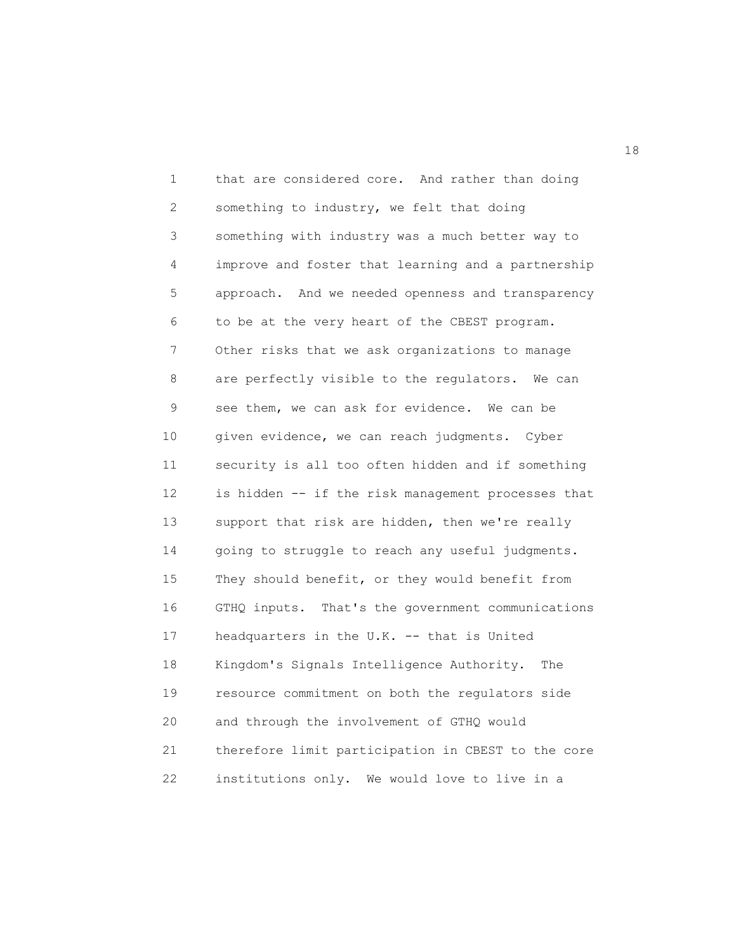1 that are considered core. And rather than doing 2 something to industry, we felt that doing 3 something with industry was a much better way to 4 improve and foster that learning and a partnership 5 approach. And we needed openness and transparency 6 to be at the very heart of the CBEST program. 7 Other risks that we ask organizations to manage 8 are perfectly visible to the regulators. We can 9 see them, we can ask for evidence. We can be 10 given evidence, we can reach judgments. Cyber 11 security is all too often hidden and if something 12 is hidden -- if the risk management processes that 13 support that risk are hidden, then we're really 14 going to struggle to reach any useful judgments. 15 They should benefit, or they would benefit from 16 GTHQ inputs. That's the government communications 17 headquarters in the U.K. -- that is United 18 Kingdom's Signals Intelligence Authority. The 19 resource commitment on both the regulators side 20 and through the involvement of GTHQ would 21 therefore limit participation in CBEST to the core 22 institutions only. We would love to live in a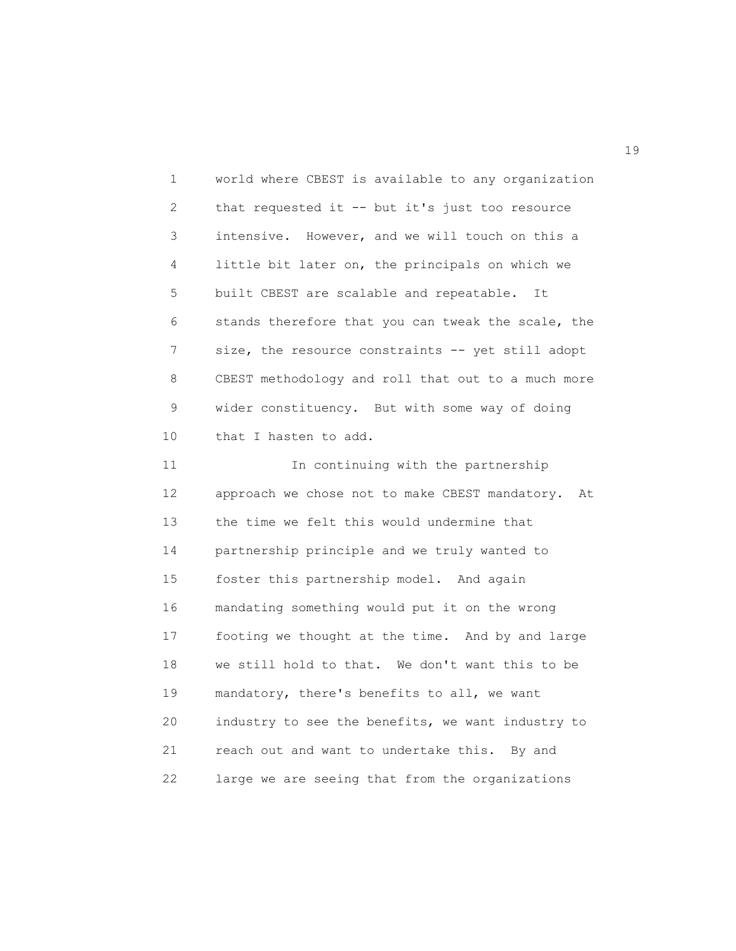1 world where CBEST is available to any organization 2 that requested it -- but it's just too resource 3 intensive. However, and we will touch on this a 4 little bit later on, the principals on which we 5 built CBEST are scalable and repeatable. It 6 stands therefore that you can tweak the scale, the 7 size, the resource constraints -- yet still adopt 8 CBEST methodology and roll that out to a much more 9 wider constituency. But with some way of doing 10 that I hasten to add. 11 In continuing with the partnership 12 approach we chose not to make CBEST mandatory. At 13 the time we felt this would undermine that 14 partnership principle and we truly wanted to 15 foster this partnership model. And again 16 mandating something would put it on the wrong 17 footing we thought at the time. And by and large 18 we still hold to that. We don't want this to be 19 mandatory, there's benefits to all, we want

20 industry to see the benefits, we want industry to 21 reach out and want to undertake this. By and 22 large we are seeing that from the organizations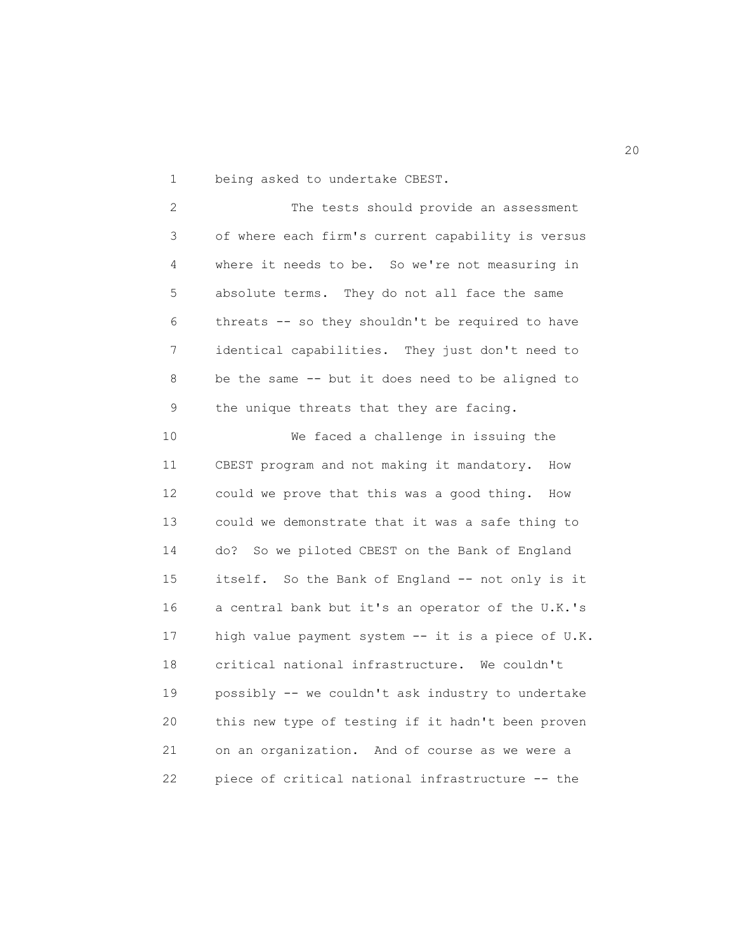1 being asked to undertake CBEST.

2 The tests should provide an assessment 3 of where each firm's current capability is versus 4 where it needs to be. So we're not measuring in 5 absolute terms. They do not all face the same 6 threats -- so they shouldn't be required to have 7 identical capabilities. They just don't need to 8 be the same -- but it does need to be aligned to 9 the unique threats that they are facing.

10 We faced a challenge in issuing the 11 CBEST program and not making it mandatory. How 12 could we prove that this was a good thing. How 13 could we demonstrate that it was a safe thing to 14 do? So we piloted CBEST on the Bank of England 15 itself. So the Bank of England -- not only is it 16 a central bank but it's an operator of the U.K.'s 17 high value payment system -- it is a piece of U.K. 18 critical national infrastructure. We couldn't 19 possibly -- we couldn't ask industry to undertake 20 this new type of testing if it hadn't been proven 21 on an organization. And of course as we were a 22 piece of critical national infrastructure -- the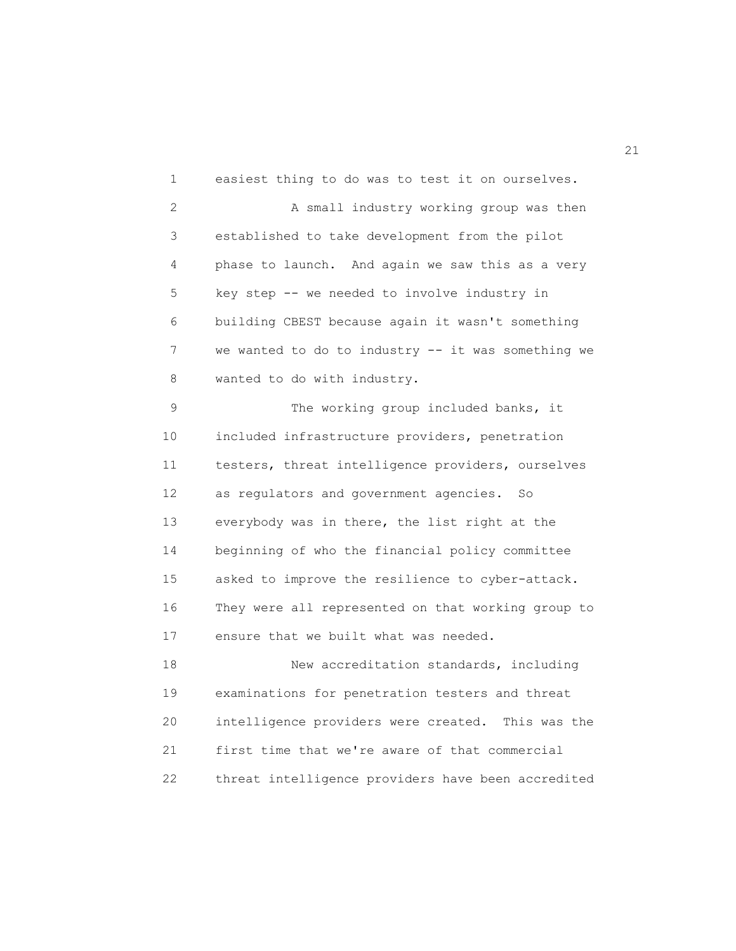1 easiest thing to do was to test it on ourselves. 2 A small industry working group was then 3 established to take development from the pilot 4 phase to launch. And again we saw this as a very 5 key step -- we needed to involve industry in 6 building CBEST because again it wasn't something 7 we wanted to do to industry -- it was something we 8 wanted to do with industry. 9 The working group included banks, it 10 included infrastructure providers, penetration

11 testers, threat intelligence providers, ourselves 12 as regulators and government agencies. So 13 everybody was in there, the list right at the 14 beginning of who the financial policy committee 15 asked to improve the resilience to cyber-attack. 16 They were all represented on that working group to 17 ensure that we built what was needed.

18 New accreditation standards, including 19 examinations for penetration testers and threat 20 intelligence providers were created. This was the 21 first time that we're aware of that commercial 22 threat intelligence providers have been accredited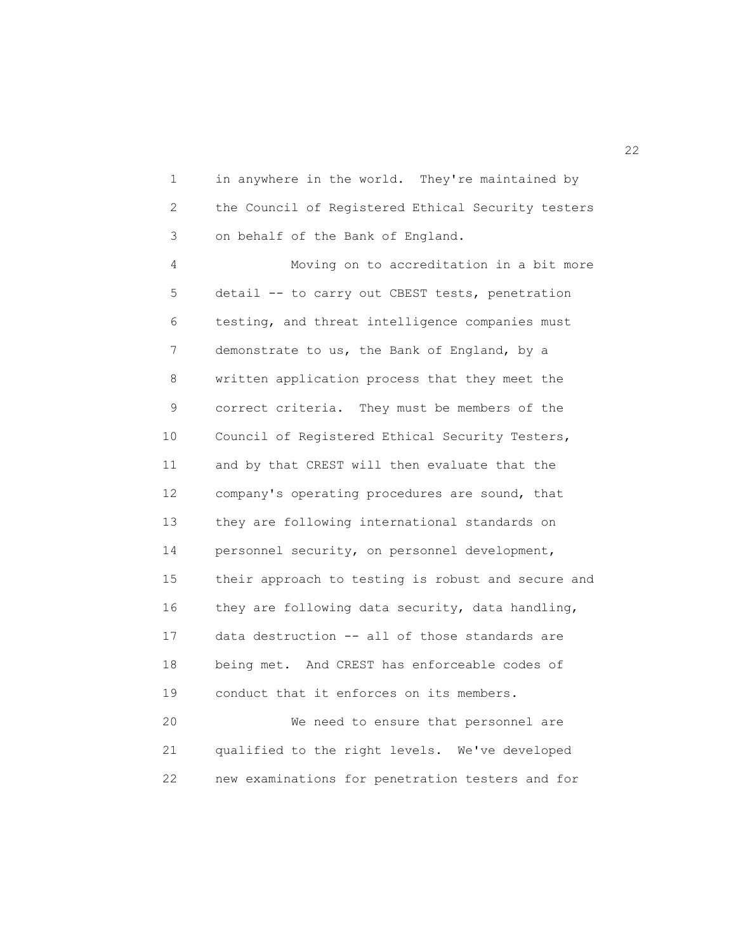1 in anywhere in the world. They're maintained by 2 the Council of Registered Ethical Security testers 3 on behalf of the Bank of England.

4 Moving on to accreditation in a bit more 5 detail -- to carry out CBEST tests, penetration 6 testing, and threat intelligence companies must 7 demonstrate to us, the Bank of England, by a 8 written application process that they meet the 9 correct criteria. They must be members of the 10 Council of Registered Ethical Security Testers, 11 and by that CREST will then evaluate that the 12 company's operating procedures are sound, that 13 they are following international standards on 14 personnel security, on personnel development, 15 their approach to testing is robust and secure and 16 they are following data security, data handling, 17 data destruction -- all of those standards are 18 being met. And CREST has enforceable codes of 19 conduct that it enforces on its members. 20 We need to ensure that personnel are

21 qualified to the right levels. We've developed 22 new examinations for penetration testers and for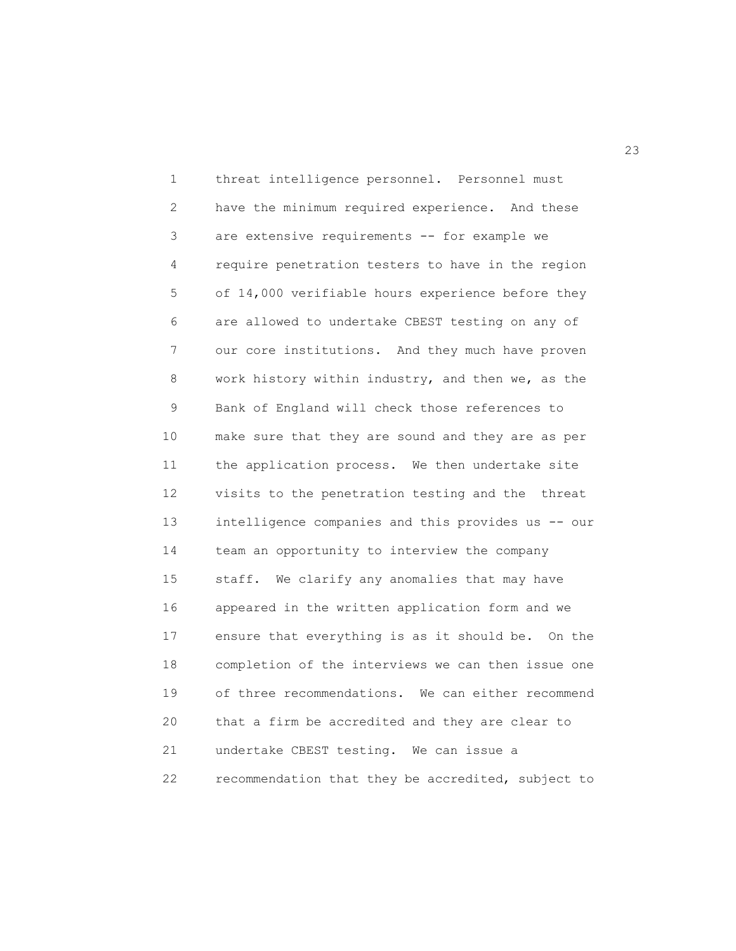1 threat intelligence personnel. Personnel must 2 have the minimum required experience. And these 3 are extensive requirements -- for example we 4 require penetration testers to have in the region 5 of 14,000 verifiable hours experience before they 6 are allowed to undertake CBEST testing on any of 7 our core institutions. And they much have proven 8 work history within industry, and then we, as the 9 Bank of England will check those references to 10 make sure that they are sound and they are as per 11 the application process. We then undertake site 12 visits to the penetration testing and the threat 13 intelligence companies and this provides us -- our 14 team an opportunity to interview the company 15 staff. We clarify any anomalies that may have 16 appeared in the written application form and we 17 ensure that everything is as it should be. On the 18 completion of the interviews we can then issue one 19 of three recommendations. We can either recommend 20 that a firm be accredited and they are clear to 21 undertake CBEST testing. We can issue a 22 recommendation that they be accredited, subject to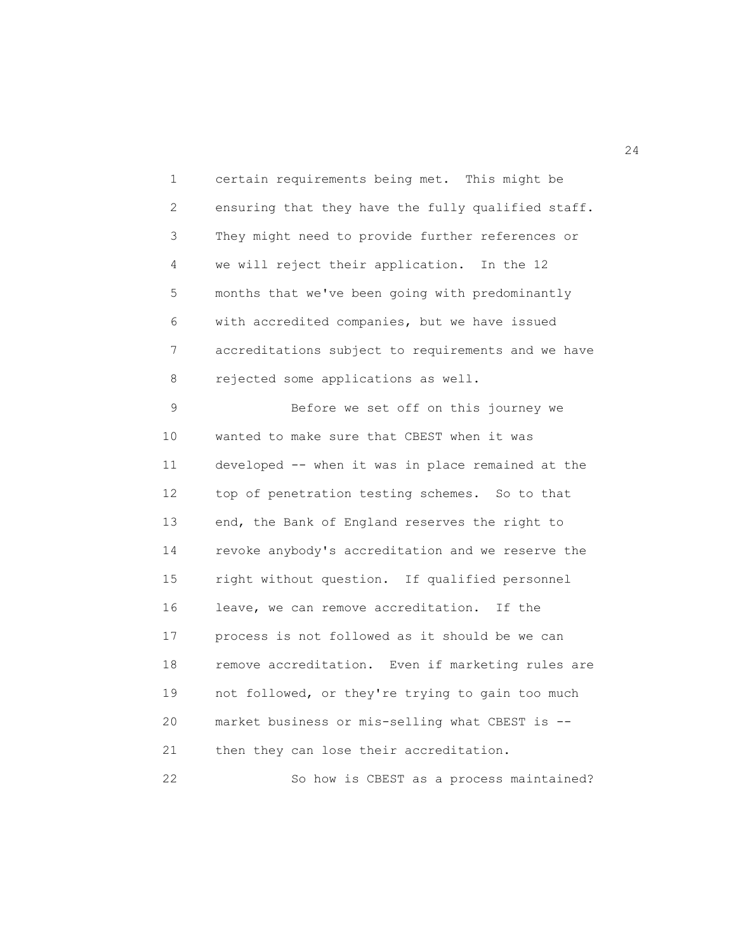1 certain requirements being met. This might be 2 ensuring that they have the fully qualified staff. 3 They might need to provide further references or 4 we will reject their application. In the 12 5 months that we've been going with predominantly 6 with accredited companies, but we have issued 7 accreditations subject to requirements and we have 8 rejected some applications as well.

9 Before we set off on this journey we 10 wanted to make sure that CBEST when it was 11 developed -- when it was in place remained at the 12 top of penetration testing schemes. So to that 13 end, the Bank of England reserves the right to 14 revoke anybody's accreditation and we reserve the 15 right without question. If qualified personnel 16 leave, we can remove accreditation. If the 17 process is not followed as it should be we can 18 remove accreditation. Even if marketing rules are 19 not followed, or they're trying to gain too much 20 market business or mis-selling what CBEST is -- 21 then they can lose their accreditation. 22 So how is CBEST as a process maintained?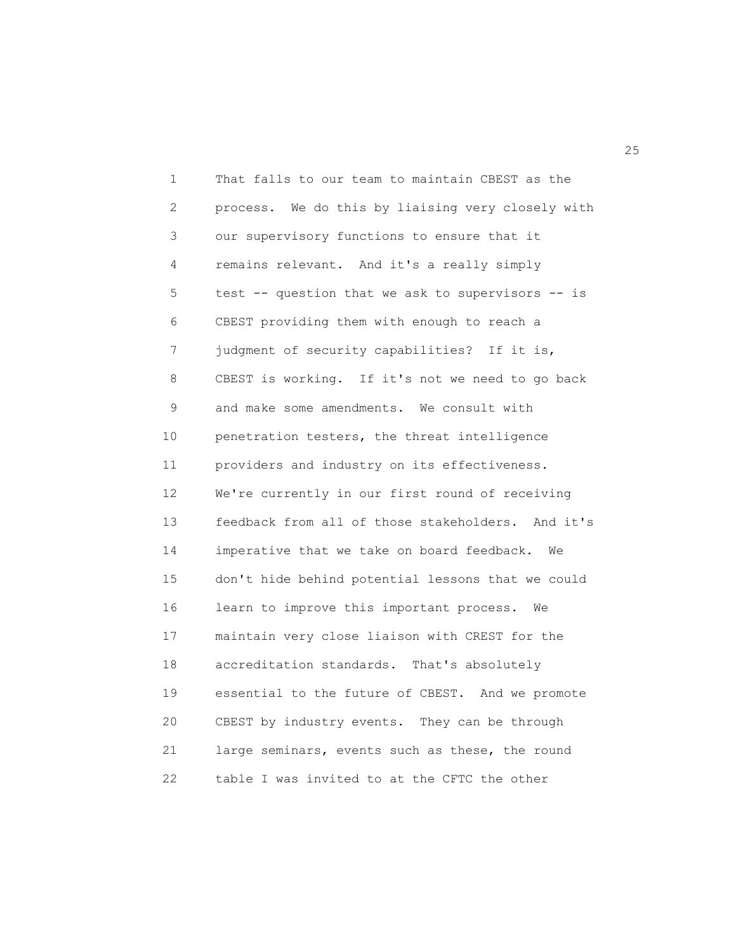1 That falls to our team to maintain CBEST as the 2 process. We do this by liaising very closely with 3 our supervisory functions to ensure that it 4 remains relevant. And it's a really simply 5 test -- question that we ask to supervisors -- is 6 CBEST providing them with enough to reach a 7 judgment of security capabilities? If it is, 8 CBEST is working. If it's not we need to go back 9 and make some amendments. We consult with 10 penetration testers, the threat intelligence 11 providers and industry on its effectiveness. 12 We're currently in our first round of receiving 13 feedback from all of those stakeholders. And it's 14 imperative that we take on board feedback. We 15 don't hide behind potential lessons that we could 16 learn to improve this important process. We 17 maintain very close liaison with CREST for the 18 accreditation standards. That's absolutely 19 essential to the future of CBEST. And we promote 20 CBEST by industry events. They can be through 21 large seminars, events such as these, the round 22 table I was invited to at the CFTC the other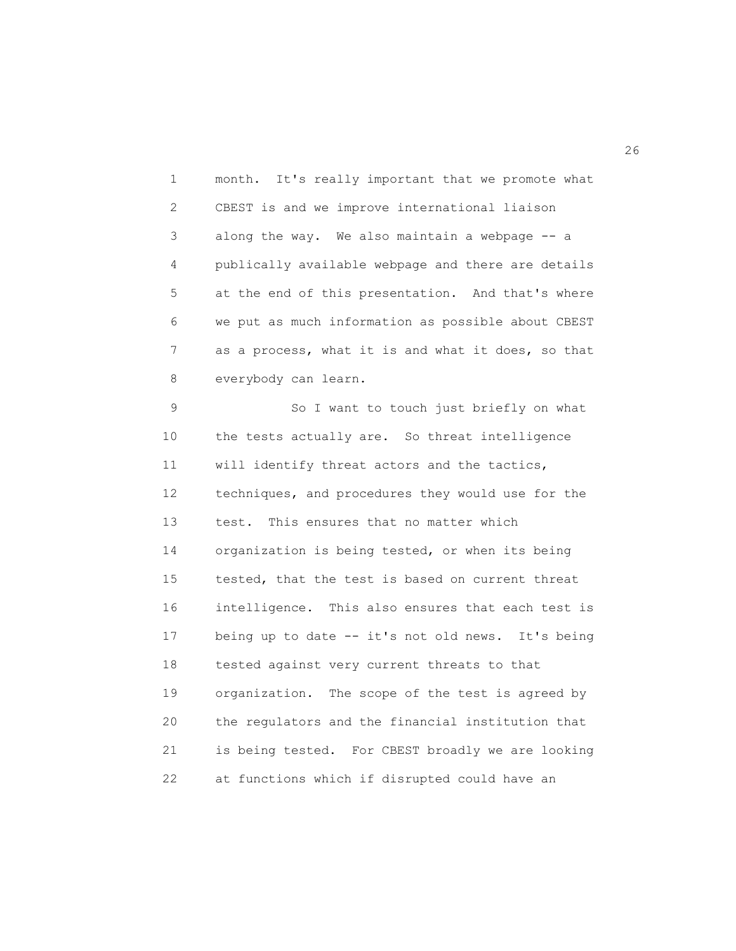| 1              | month. It's really important that we promote what  |
|----------------|----------------------------------------------------|
| $\mathbf{2}$   | CBEST is and we improve international liaison      |
| 3              | along the way. We also maintain a webpage -- a     |
| 4              | publically available webpage and there are details |
| 5              | at the end of this presentation. And that's where  |
| 6              | we put as much information as possible about CBEST |
| $\overline{7}$ | as a process, what it is and what it does, so that |
| 8              | everybody can learn.                               |
| 9              | So I want to touch just briefly on what            |
| 10             | the tests actually are. So threat intelligence     |
| 11             | will identify threat actors and the tactics,       |
| 12             | techniques, and procedures they would use for the  |
| 13             | test. This ensures that no matter which            |
| 14             | organization is being tested, or when its being    |
| 15             | tested, that the test is based on current threat   |
| 16             | intelligence. This also ensures that each test is  |
| 17             | being up to date -- it's not old news. It's being  |
| 18             | tested against very current threats to that        |
| 19             | organization. The scope of the test is agreed by   |
| 20             | the regulators and the financial institution that  |

21 is being tested. For CBEST broadly we are looking

22 at functions which if disrupted could have an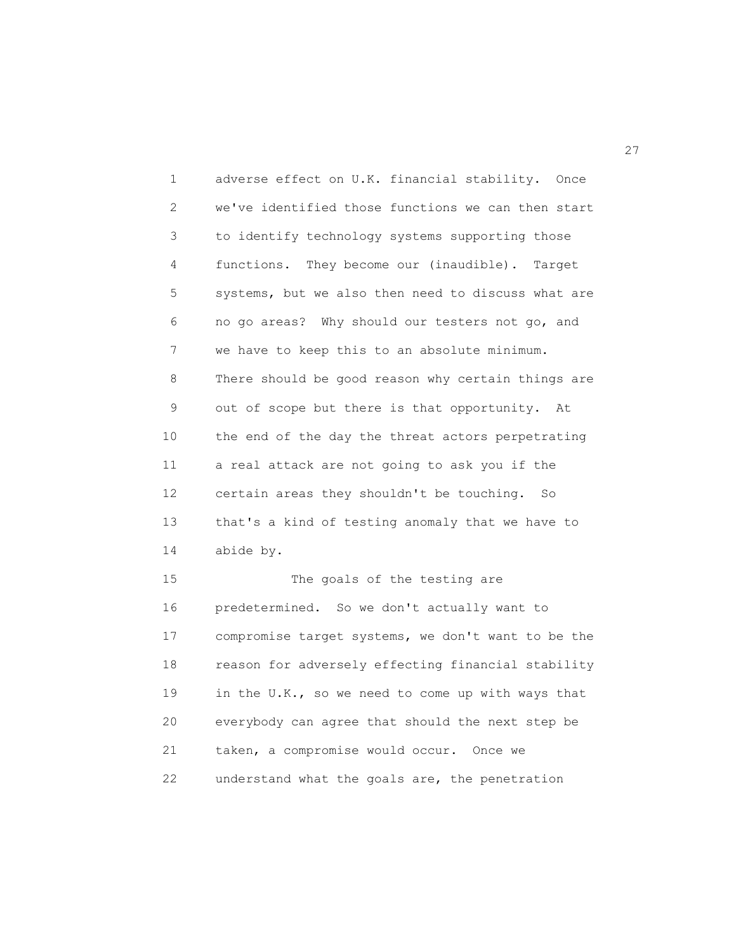1 adverse effect on U.K. financial stability. Once 2 we've identified those functions we can then start 3 to identify technology systems supporting those 4 functions. They become our (inaudible). Target 5 systems, but we also then need to discuss what are 6 no go areas? Why should our testers not go, and 7 we have to keep this to an absolute minimum. 8 There should be good reason why certain things are 9 out of scope but there is that opportunity. At 10 the end of the day the threat actors perpetrating 11 a real attack are not going to ask you if the 12 certain areas they shouldn't be touching. So 13 that's a kind of testing anomaly that we have to 14 abide by. 15 The goals of the testing are 16 predetermined. So we don't actually want to 17 compromise target systems, we don't want to be the 18 reason for adversely effecting financial stability

19 in the U.K., so we need to come up with ways that

20 everybody can agree that should the next step be

22 understand what the goals are, the penetration

21 taken, a compromise would occur. Once we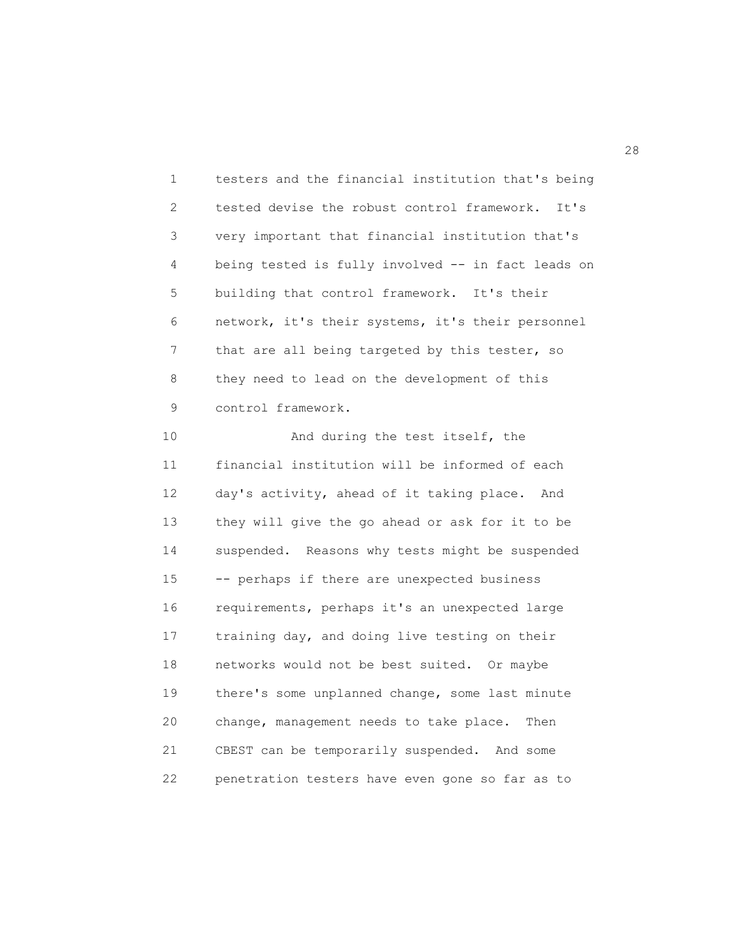1 testers and the financial institution that's being 2 tested devise the robust control framework. It's 3 very important that financial institution that's 4 being tested is fully involved -- in fact leads on 5 building that control framework. It's their 6 network, it's their systems, it's their personnel 7 that are all being targeted by this tester, so 8 they need to lead on the development of this 9 control framework.

10 And during the test itself, the 11 financial institution will be informed of each 12 day's activity, ahead of it taking place. And 13 they will give the go ahead or ask for it to be 14 suspended. Reasons why tests might be suspended 15 -- perhaps if there are unexpected business 16 requirements, perhaps it's an unexpected large 17 training day, and doing live testing on their 18 networks would not be best suited. Or maybe 19 there's some unplanned change, some last minute 20 change, management needs to take place. Then 21 CBEST can be temporarily suspended. And some 22 penetration testers have even gone so far as to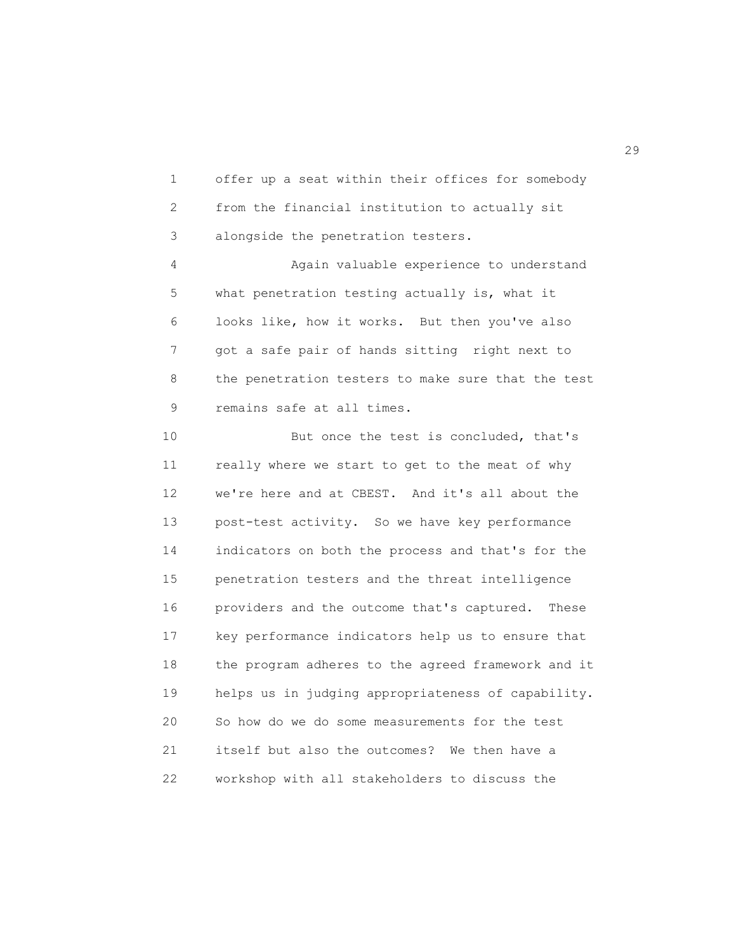1 offer up a seat within their offices for somebody 2 from the financial institution to actually sit 3 alongside the penetration testers.

4 Again valuable experience to understand 5 what penetration testing actually is, what it 6 looks like, how it works. But then you've also 7 got a safe pair of hands sitting right next to 8 the penetration testers to make sure that the test 9 remains safe at all times.

10 But once the test is concluded, that's 11 really where we start to get to the meat of why 12 we're here and at CBEST. And it's all about the 13 post-test activity. So we have key performance 14 indicators on both the process and that's for the 15 penetration testers and the threat intelligence 16 providers and the outcome that's captured. These 17 key performance indicators help us to ensure that 18 the program adheres to the agreed framework and it 19 helps us in judging appropriateness of capability. 20 So how do we do some measurements for the test 21 itself but also the outcomes? We then have a 22 workshop with all stakeholders to discuss the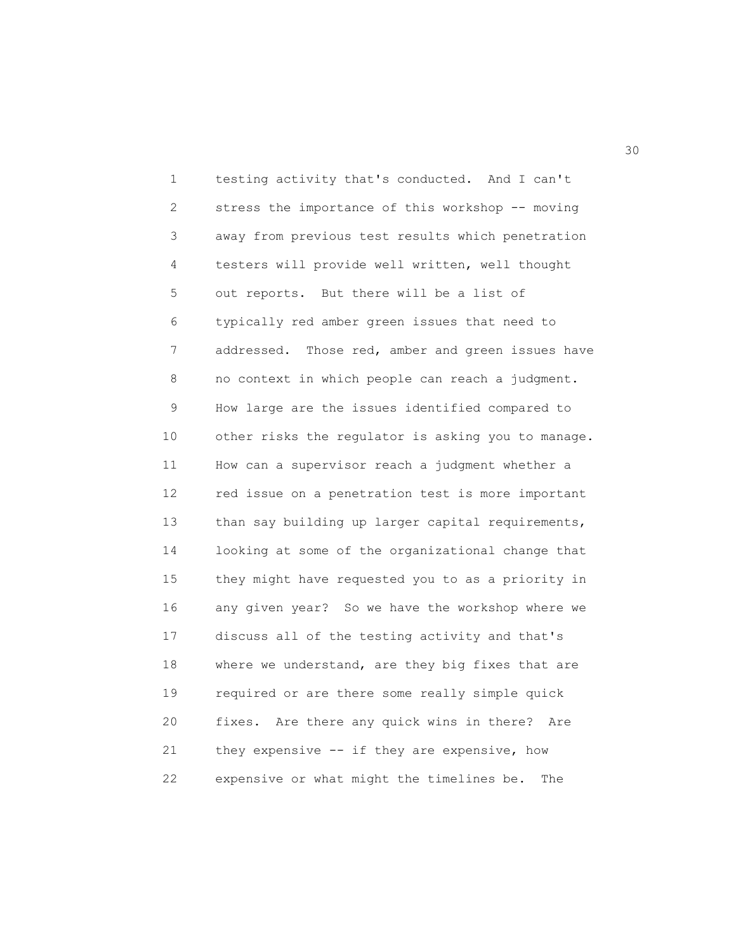1 testing activity that's conducted. And I can't 2 stress the importance of this workshop -- moving 3 away from previous test results which penetration 4 testers will provide well written, well thought 5 out reports. But there will be a list of 6 typically red amber green issues that need to 7 addressed. Those red, amber and green issues have 8 no context in which people can reach a judgment. 9 How large are the issues identified compared to 10 other risks the regulator is asking you to manage. 11 How can a supervisor reach a judgment whether a 12 red issue on a penetration test is more important 13 than say building up larger capital requirements, 14 looking at some of the organizational change that 15 they might have requested you to as a priority in 16 any given year? So we have the workshop where we 17 discuss all of the testing activity and that's 18 where we understand, are they big fixes that are 19 required or are there some really simple quick 20 fixes. Are there any quick wins in there? Are 21 they expensive -- if they are expensive, how 22 expensive or what might the timelines be. The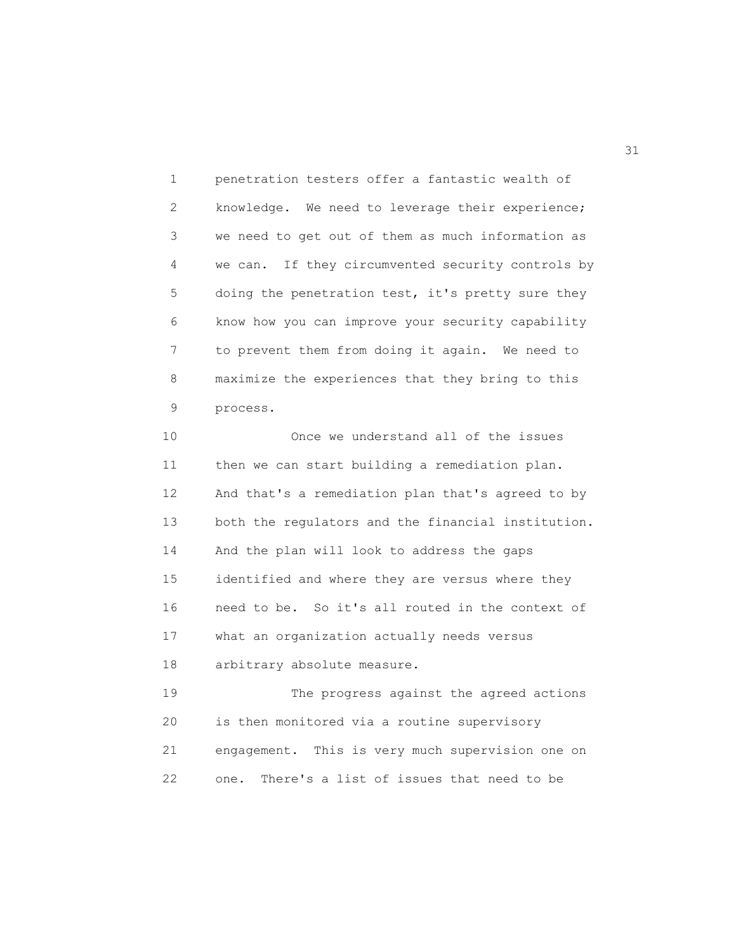1 penetration testers offer a fantastic wealth of 2 knowledge. We need to leverage their experience; 3 we need to get out of them as much information as 4 we can. If they circumvented security controls by 5 doing the penetration test, it's pretty sure they 6 know how you can improve your security capability 7 to prevent them from doing it again. We need to 8 maximize the experiences that they bring to this 9 process.

10 Once we understand all of the issues 11 then we can start building a remediation plan. 12 And that's a remediation plan that's agreed to by 13 both the regulators and the financial institution. 14 And the plan will look to address the gaps 15 identified and where they are versus where they 16 need to be. So it's all routed in the context of 17 what an organization actually needs versus 18 arbitrary absolute measure.

19 The progress against the agreed actions 20 is then monitored via a routine supervisory 21 engagement. This is very much supervision one on 22 one. There's a list of issues that need to be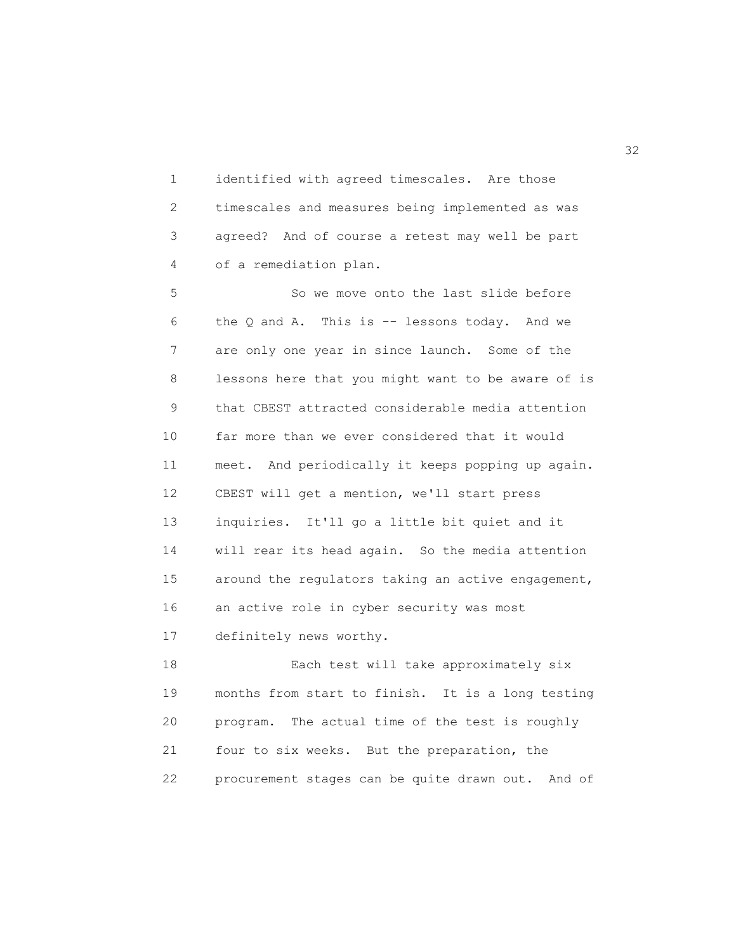1 identified with agreed timescales. Are those 2 timescales and measures being implemented as was 3 agreed? And of course a retest may well be part 4 of a remediation plan.

5 So we move onto the last slide before 6 the Q and A. This is -- lessons today. And we 7 are only one year in since launch. Some of the 8 lessons here that you might want to be aware of is 9 that CBEST attracted considerable media attention 10 far more than we ever considered that it would 11 meet. And periodically it keeps popping up again. 12 CBEST will get a mention, we'll start press 13 inquiries. It'll go a little bit quiet and it 14 will rear its head again. So the media attention 15 around the regulators taking an active engagement, 16 an active role in cyber security was most 17 definitely news worthy.

18 Each test will take approximately six 19 months from start to finish. It is a long testing 20 program. The actual time of the test is roughly 21 four to six weeks. But the preparation, the 22 procurement stages can be quite drawn out. And of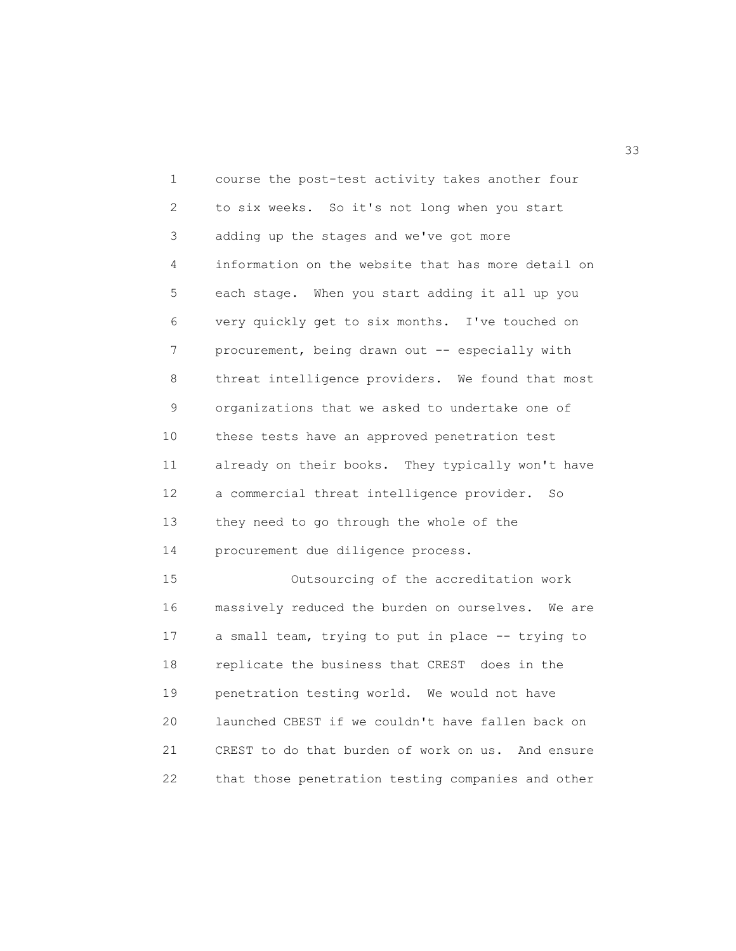1 course the post-test activity takes another four 2 to six weeks. So it's not long when you start 3 adding up the stages and we've got more 4 information on the website that has more detail on 5 each stage. When you start adding it all up you 6 very quickly get to six months. I've touched on 7 procurement, being drawn out -- especially with 8 threat intelligence providers. We found that most 9 organizations that we asked to undertake one of 10 these tests have an approved penetration test 11 already on their books. They typically won't have 12 a commercial threat intelligence provider. So 13 they need to go through the whole of the 14 procurement due diligence process. 15 Outsourcing of the accreditation work 16 massively reduced the burden on ourselves. We are 17 a small team, trying to put in place -- trying to 18 replicate the business that CREST does in the 19 penetration testing world. We would not have 20 launched CBEST if we couldn't have fallen back on 21 CREST to do that burden of work on us. And ensure

22 that those penetration testing companies and other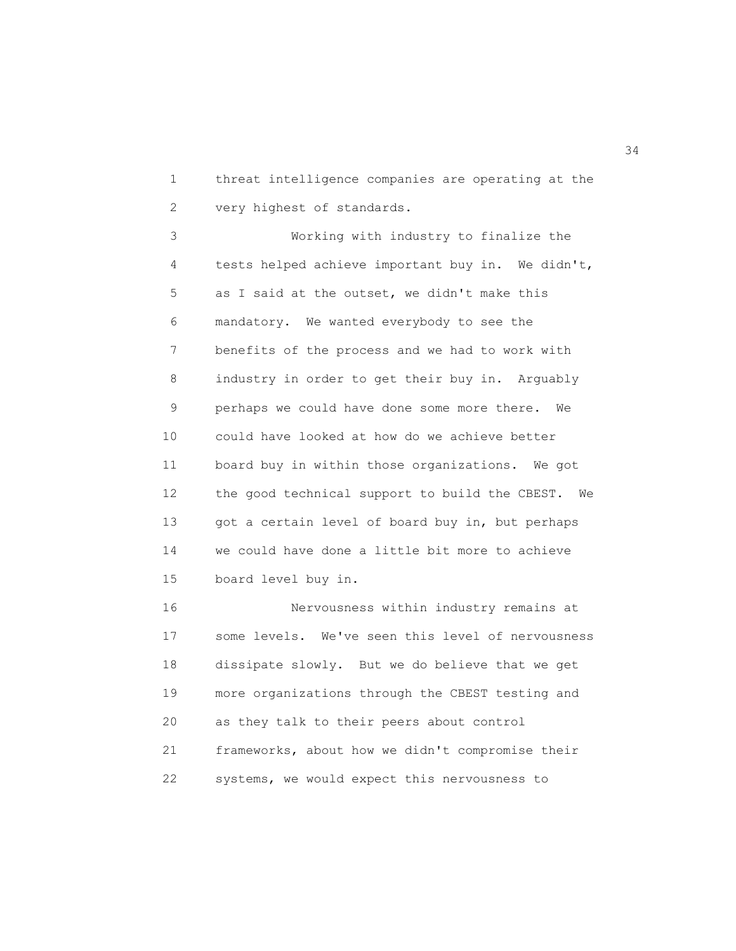1 threat intelligence companies are operating at the 2 very highest of standards.

3 Working with industry to finalize the 4 tests helped achieve important buy in. We didn't, 5 as I said at the outset, we didn't make this 6 mandatory. We wanted everybody to see the 7 benefits of the process and we had to work with 8 industry in order to get their buy in. Arguably 9 perhaps we could have done some more there. We 10 could have looked at how do we achieve better 11 board buy in within those organizations. We got 12 the good technical support to build the CBEST. We 13 got a certain level of board buy in, but perhaps 14 we could have done a little bit more to achieve 15 board level buy in.

16 Nervousness within industry remains at 17 some levels. We've seen this level of nervousness 18 dissipate slowly. But we do believe that we get 19 more organizations through the CBEST testing and 20 as they talk to their peers about control 21 frameworks, about how we didn't compromise their 22 systems, we would expect this nervousness to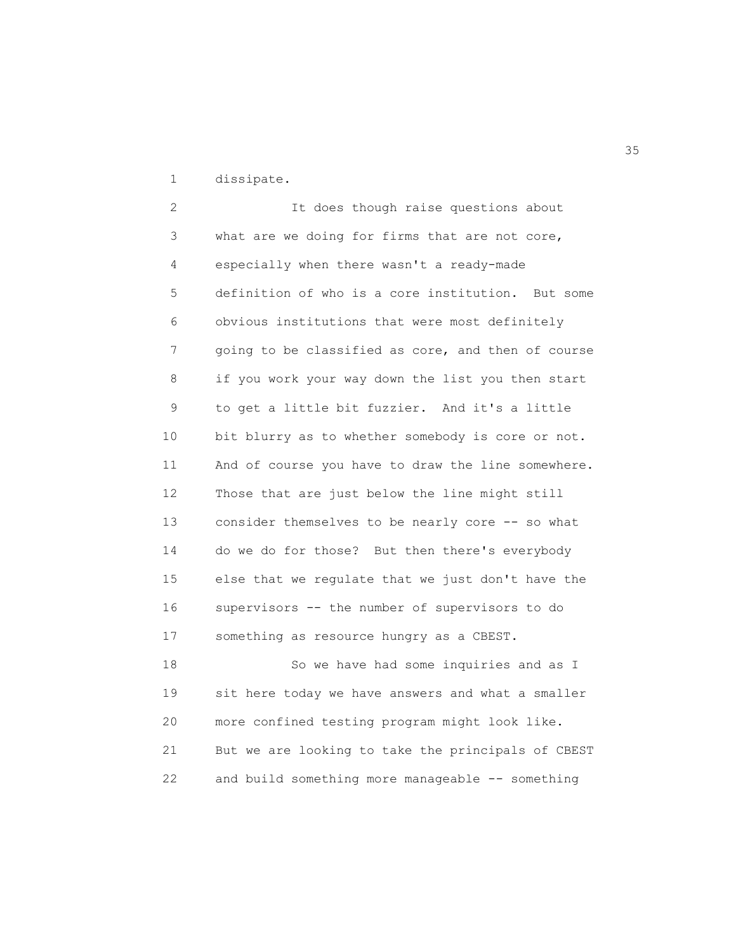1 dissipate.

2 It does though raise questions about 3 what are we doing for firms that are not core, 4 especially when there wasn't a ready-made 5 definition of who is a core institution. But some 6 obvious institutions that were most definitely 7 going to be classified as core, and then of course 8 if you work your way down the list you then start 9 to get a little bit fuzzier. And it's a little 10 bit blurry as to whether somebody is core or not. 11 And of course you have to draw the line somewhere. 12 Those that are just below the line might still 13 consider themselves to be nearly core -- so what 14 do we do for those? But then there's everybody 15 else that we regulate that we just don't have the 16 supervisors -- the number of supervisors to do 17 something as resource hungry as a CBEST. 18 So we have had some inquiries and as I

19 sit here today we have answers and what a smaller 20 more confined testing program might look like. 21 But we are looking to take the principals of CBEST 22 and build something more manageable -- something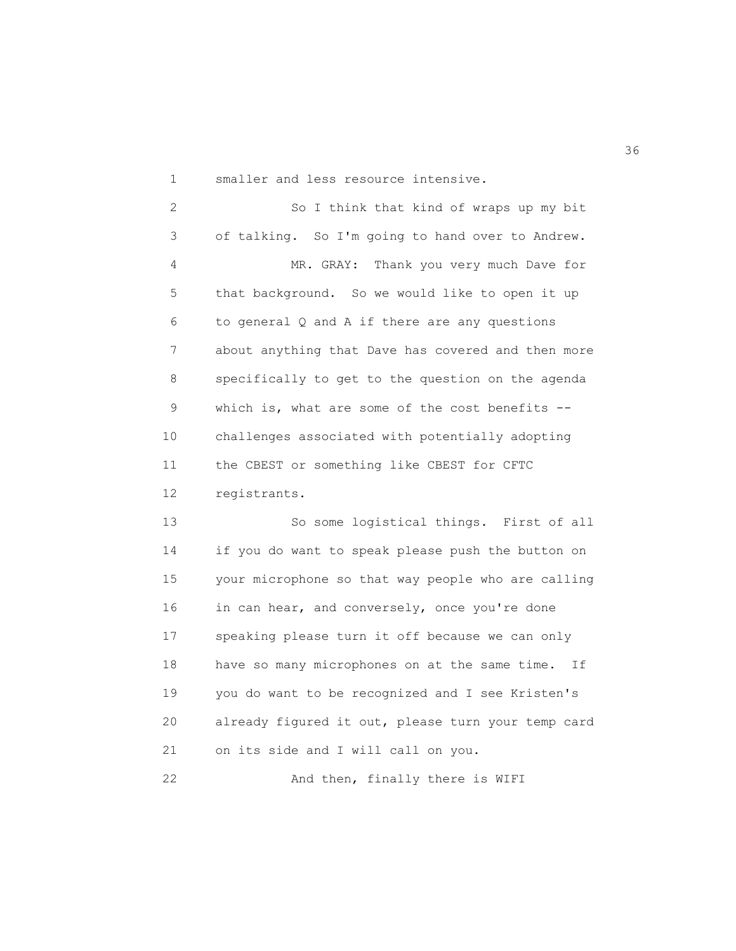1 smaller and less resource intensive.

2 So I think that kind of wraps up my bit 3 of talking. So I'm going to hand over to Andrew. 4 MR. GRAY: Thank you very much Dave for 5 that background. So we would like to open it up 6 to general Q and A if there are any questions 7 about anything that Dave has covered and then more 8 specifically to get to the question on the agenda 9 which is, what are some of the cost benefits -- 10 challenges associated with potentially adopting 11 the CBEST or something like CBEST for CFTC 12 registrants.

13 So some logistical things. First of all 14 if you do want to speak please push the button on 15 your microphone so that way people who are calling 16 in can hear, and conversely, once you're done 17 speaking please turn it off because we can only 18 have so many microphones on at the same time. If 19 you do want to be recognized and I see Kristen's 20 already figured it out, please turn your temp card 21 on its side and I will call on you.

22 And then, finally there is WIFI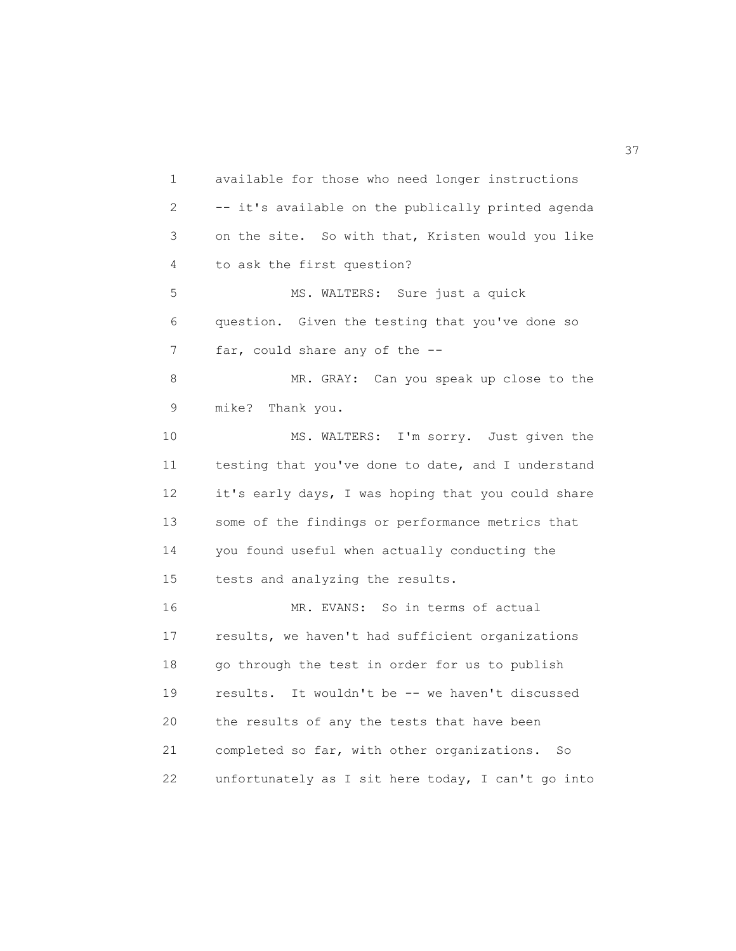1 available for those who need longer instructions 2 -- it's available on the publically printed agenda 3 on the site. So with that, Kristen would you like 4 to ask the first question? 5 MS. WALTERS: Sure just a quick 6 question. Given the testing that you've done so 7 far, could share any of the --8 MR. GRAY: Can you speak up close to the 9 mike? Thank you. 10 MS. WALTERS: I'm sorry. Just given the 11 testing that you've done to date, and I understand 12 it's early days, I was hoping that you could share 13 some of the findings or performance metrics that 14 you found useful when actually conducting the 15 tests and analyzing the results. 16 MR. EVANS: So in terms of actual 17 results, we haven't had sufficient organizations 18 go through the test in order for us to publish 19 results. It wouldn't be -- we haven't discussed 20 the results of any the tests that have been 21 completed so far, with other organizations. So 22 unfortunately as I sit here today, I can't go into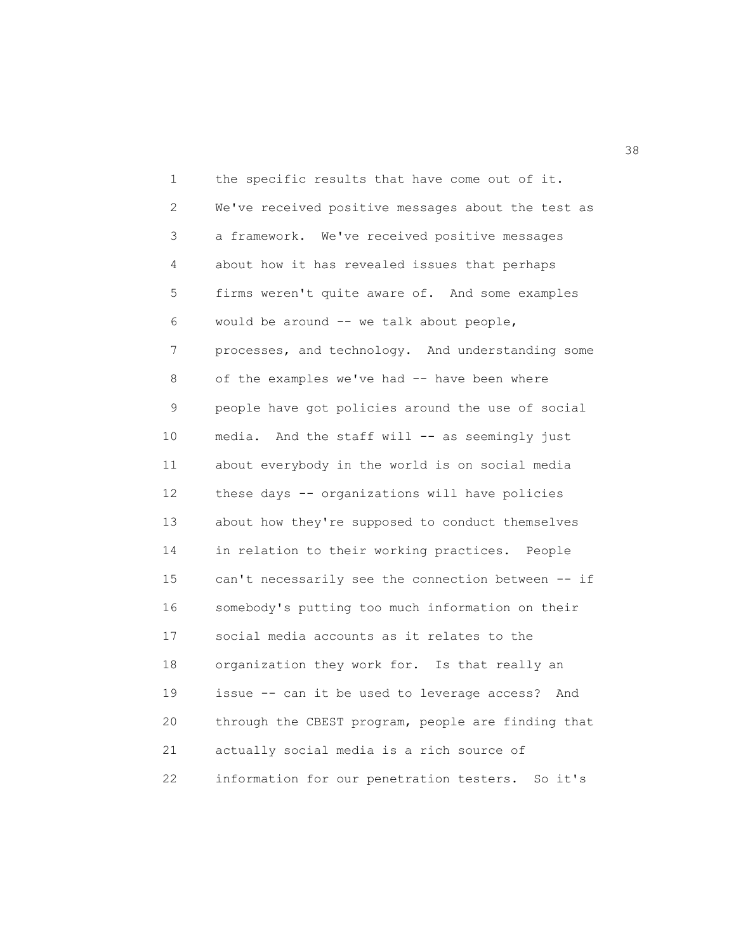1 the specific results that have come out of it. 2 We've received positive messages about the test as 3 a framework. We've received positive messages 4 about how it has revealed issues that perhaps 5 firms weren't quite aware of. And some examples 6 would be around -- we talk about people, 7 processes, and technology. And understanding some 8 of the examples we've had -- have been where 9 people have got policies around the use of social 10 media. And the staff will -- as seemingly just 11 about everybody in the world is on social media 12 these days -- organizations will have policies 13 about how they're supposed to conduct themselves 14 in relation to their working practices. People 15 can't necessarily see the connection between -- if 16 somebody's putting too much information on their 17 social media accounts as it relates to the 18 organization they work for. Is that really an 19 issue -- can it be used to leverage access? And 20 through the CBEST program, people are finding that 21 actually social media is a rich source of 22 information for our penetration testers. So it's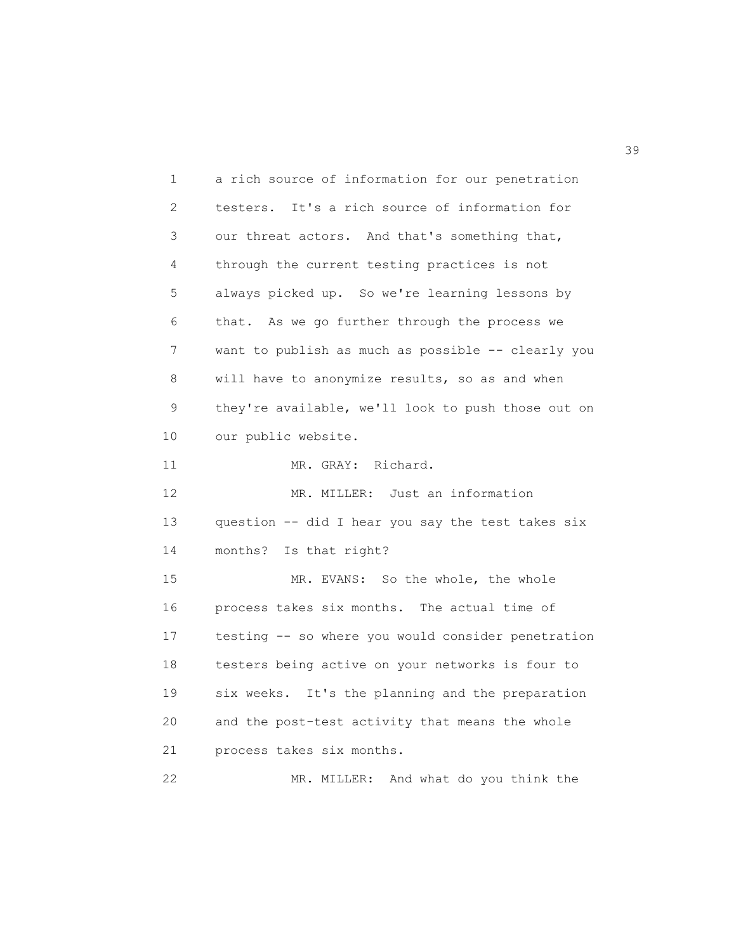1 a rich source of information for our penetration 2 testers. It's a rich source of information for 3 our threat actors. And that's something that, 4 through the current testing practices is not 5 always picked up. So we're learning lessons by 6 that. As we go further through the process we 7 want to publish as much as possible -- clearly you 8 will have to anonymize results, so as and when 9 they're available, we'll look to push those out on 10 our public website. 11 MR. GRAY: Richard. 12 MR. MILLER: Just an information 13 question -- did I hear you say the test takes six 14 months? Is that right? 15 MR. EVANS: So the whole, the whole 16 process takes six months. The actual time of 17 testing -- so where you would consider penetration 18 testers being active on your networks is four to 19 six weeks. It's the planning and the preparation 20 and the post-test activity that means the whole 21 process takes six months. 22 MR. MILLER: And what do you think the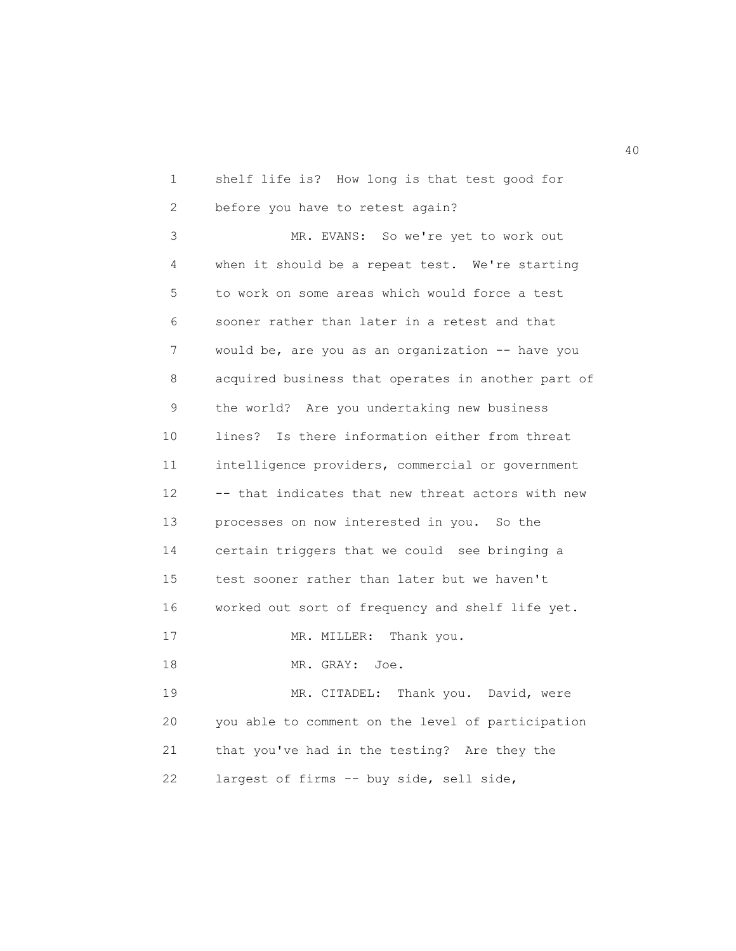1 shelf life is? How long is that test good for 2 before you have to retest again?

3 MR. EVANS: So we're yet to work out 4 when it should be a repeat test. We're starting 5 to work on some areas which would force a test 6 sooner rather than later in a retest and that 7 would be, are you as an organization -- have you 8 acquired business that operates in another part of 9 the world? Are you undertaking new business 10 lines? Is there information either from threat 11 intelligence providers, commercial or government 12 -- that indicates that new threat actors with new 13 processes on now interested in you. So the 14 certain triggers that we could see bringing a 15 test sooner rather than later but we haven't 16 worked out sort of frequency and shelf life yet. 17 MR. MILLER: Thank you. 18 MR. GRAY: Joe. 19 MR. CITADEL: Thank you. David, were 20 you able to comment on the level of participation

21 that you've had in the testing? Are they the

22 largest of firms -- buy side, sell side,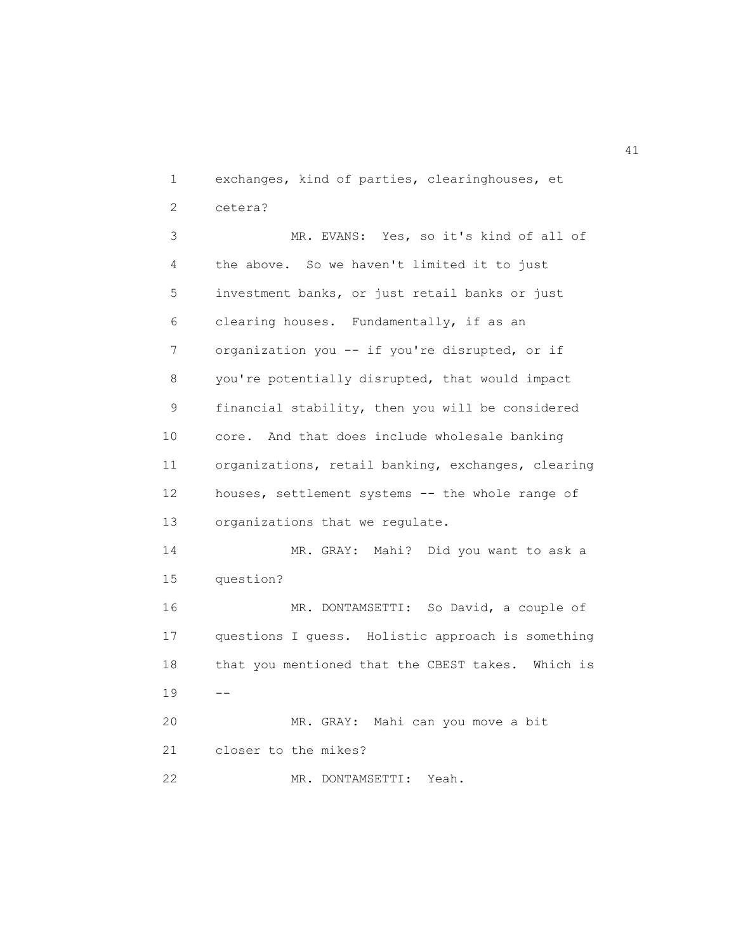1 exchanges, kind of parties, clearinghouses, et 2 cetera?

3 MR. EVANS: Yes, so it's kind of all of 4 the above. So we haven't limited it to just 5 investment banks, or just retail banks or just 6 clearing houses. Fundamentally, if as an 7 organization you -- if you're disrupted, or if 8 you're potentially disrupted, that would impact 9 financial stability, then you will be considered 10 core. And that does include wholesale banking 11 organizations, retail banking, exchanges, clearing 12 houses, settlement systems -- the whole range of 13 organizations that we regulate. 14 MR. GRAY: Mahi? Did you want to ask a 15 question? 16 MR. DONTAMSETTI: So David, a couple of 17 questions I guess. Holistic approach is something 18 that you mentioned that the CBEST takes. Which is  $19 - -$ 20 MR. GRAY: Mahi can you move a bit 21 closer to the mikes? 22 MR. DONTAMSETTI: Yeah.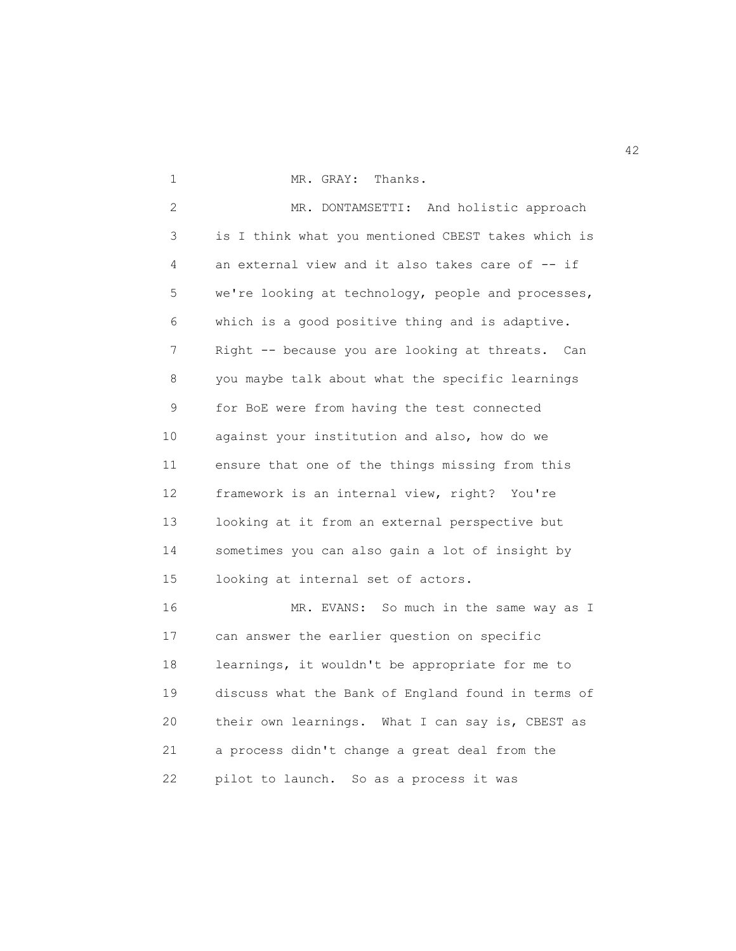1 MR. GRAY: Thanks.

2 MR. DONTAMSETTI: And holistic approach 3 is I think what you mentioned CBEST takes which is 4 an external view and it also takes care of -- if 5 we're looking at technology, people and processes, 6 which is a good positive thing and is adaptive. 7 Right -- because you are looking at threats. Can 8 you maybe talk about what the specific learnings 9 for BoE were from having the test connected 10 against your institution and also, how do we 11 ensure that one of the things missing from this 12 framework is an internal view, right? You're 13 looking at it from an external perspective but 14 sometimes you can also gain a lot of insight by 15 looking at internal set of actors.

16 MR. EVANS: So much in the same way as I 17 can answer the earlier question on specific 18 learnings, it wouldn't be appropriate for me to 19 discuss what the Bank of England found in terms of 20 their own learnings. What I can say is, CBEST as 21 a process didn't change a great deal from the 22 pilot to launch. So as a process it was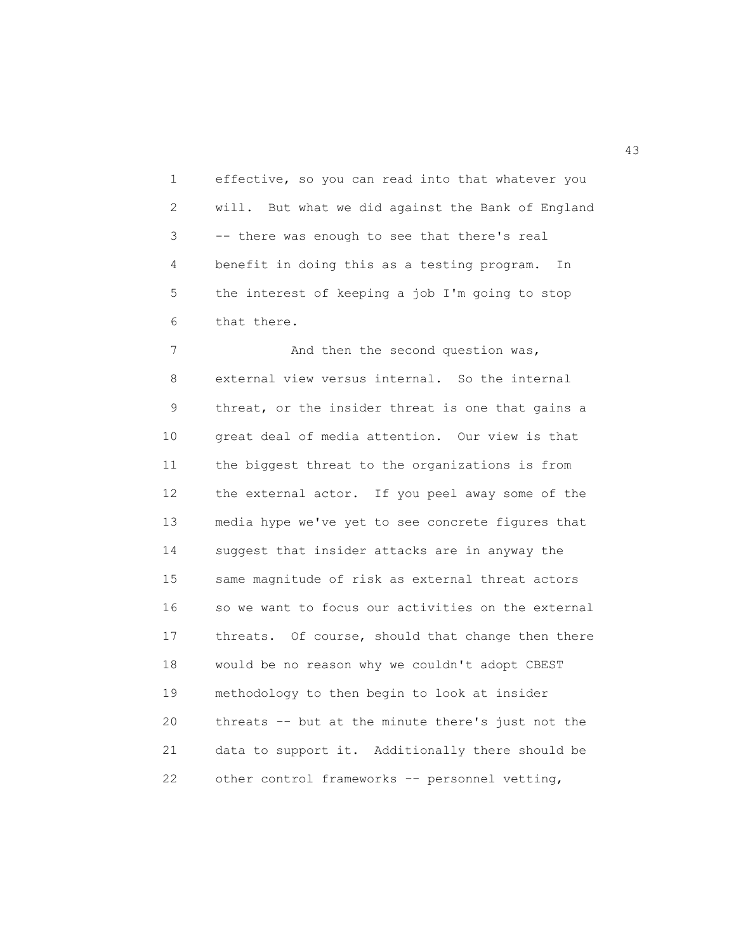1 effective, so you can read into that whatever you 2 will. But what we did against the Bank of England 3 -- there was enough to see that there's real 4 benefit in doing this as a testing program. In 5 the interest of keeping a job I'm going to stop 6 that there.

7 And then the second question was, 8 external view versus internal. So the internal 9 threat, or the insider threat is one that gains a 10 great deal of media attention. Our view is that 11 the biggest threat to the organizations is from 12 the external actor. If you peel away some of the 13 media hype we've yet to see concrete figures that 14 suggest that insider attacks are in anyway the 15 same magnitude of risk as external threat actors 16 so we want to focus our activities on the external 17 threats. Of course, should that change then there 18 would be no reason why we couldn't adopt CBEST 19 methodology to then begin to look at insider 20 threats -- but at the minute there's just not the 21 data to support it. Additionally there should be 22 other control frameworks -- personnel vetting,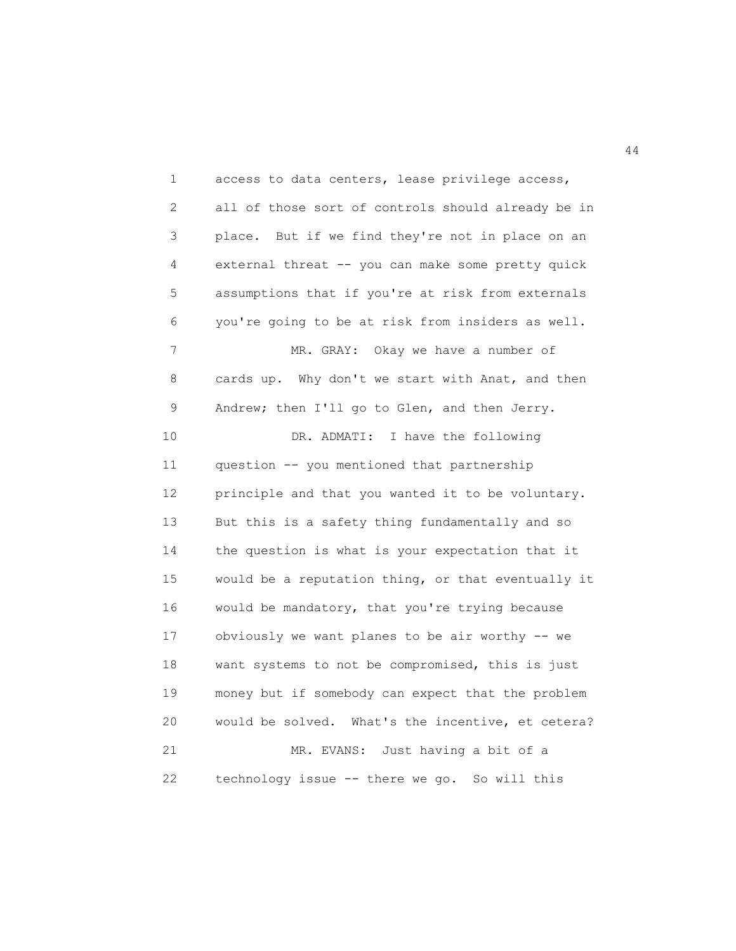1 access to data centers, lease privilege access, 2 all of those sort of controls should already be in 3 place. But if we find they're not in place on an 4 external threat -- you can make some pretty quick 5 assumptions that if you're at risk from externals 6 you're going to be at risk from insiders as well. 7 MR. GRAY: Okay we have a number of 8 cards up. Why don't we start with Anat, and then 9 Andrew; then I'll go to Glen, and then Jerry. 10 DR. ADMATI: I have the following 11 question -- you mentioned that partnership 12 principle and that you wanted it to be voluntary. 13 But this is a safety thing fundamentally and so 14 the question is what is your expectation that it 15 would be a reputation thing, or that eventually it 16 would be mandatory, that you're trying because 17 obviously we want planes to be air worthy -- we 18 want systems to not be compromised, this is just 19 money but if somebody can expect that the problem 20 would be solved. What's the incentive, et cetera? 21 MR. EVANS: Just having a bit of a 22 technology issue -- there we go. So will this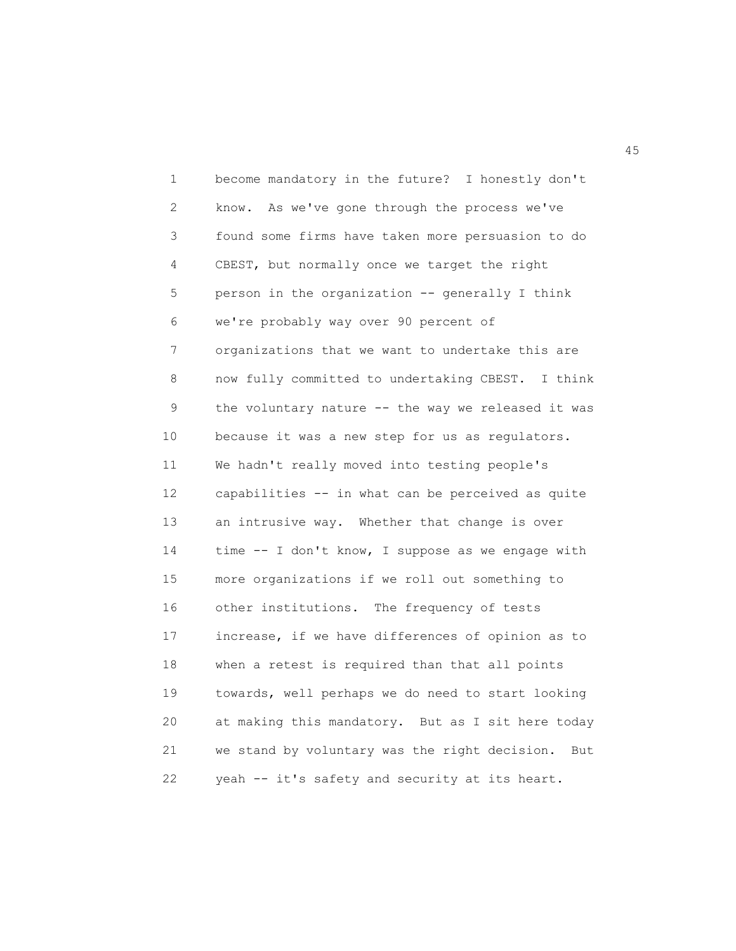1 become mandatory in the future? I honestly don't 2 know. As we've gone through the process we've 3 found some firms have taken more persuasion to do 4 CBEST, but normally once we target the right 5 person in the organization -- generally I think 6 we're probably way over 90 percent of 7 organizations that we want to undertake this are 8 now fully committed to undertaking CBEST. I think 9 the voluntary nature -- the way we released it was 10 because it was a new step for us as regulators. 11 We hadn't really moved into testing people's 12 capabilities -- in what can be perceived as quite 13 an intrusive way. Whether that change is over 14 time -- I don't know, I suppose as we engage with 15 more organizations if we roll out something to 16 other institutions. The frequency of tests 17 increase, if we have differences of opinion as to 18 when a retest is required than that all points 19 towards, well perhaps we do need to start looking 20 at making this mandatory. But as I sit here today 21 we stand by voluntary was the right decision. But 22 yeah -- it's safety and security at its heart.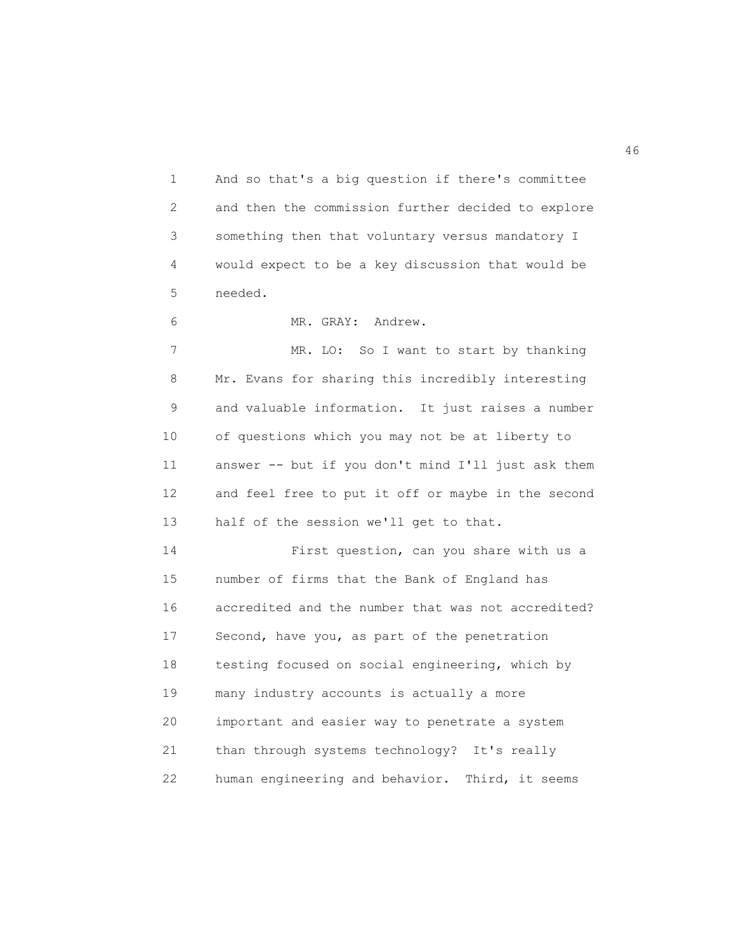1 And so that's a big question if there's committee 2 and then the commission further decided to explore 3 something then that voluntary versus mandatory I 4 would expect to be a key discussion that would be 5 needed.

6 MR. GRAY: Andrew.

7 MR. LO: So I want to start by thanking 8 Mr. Evans for sharing this incredibly interesting 9 and valuable information. It just raises a number 10 of questions which you may not be at liberty to 11 answer -- but if you don't mind I'll just ask them 12 and feel free to put it off or maybe in the second 13 half of the session we'll get to that.

14 First question, can you share with us a 15 number of firms that the Bank of England has 16 accredited and the number that was not accredited? 17 Second, have you, as part of the penetration 18 testing focused on social engineering, which by 19 many industry accounts is actually a more 20 important and easier way to penetrate a system 21 than through systems technology? It's really 22 human engineering and behavior. Third, it seems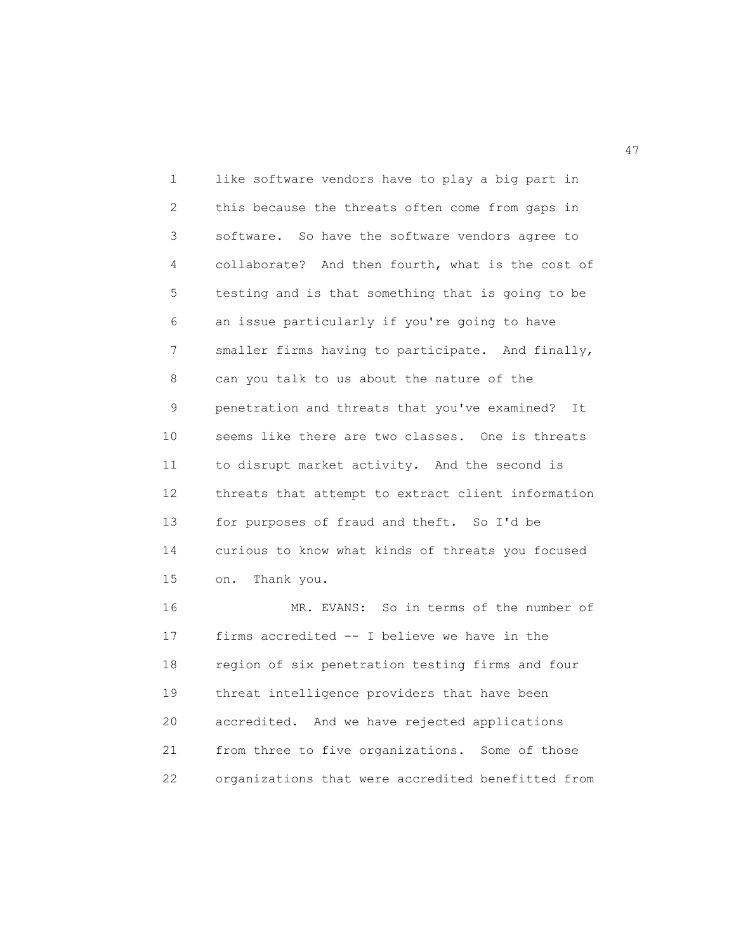1 like software vendors have to play a big part in 2 this because the threats often come from gaps in 3 software. So have the software vendors agree to 4 collaborate? And then fourth, what is the cost of 5 testing and is that something that is going to be 6 an issue particularly if you're going to have 7 smaller firms having to participate. And finally, 8 can you talk to us about the nature of the 9 penetration and threats that you've examined? It 10 seems like there are two classes. One is threats 11 to disrupt market activity. And the second is 12 threats that attempt to extract client information 13 for purposes of fraud and theft. So I'd be 14 curious to know what kinds of threats you focused 15 on. Thank you. 16 MR. EVANS: So in terms of the number of 17 firms accredited -- I believe we have in the 18 region of six penetration testing firms and four 19 threat intelligence providers that have been

20 accredited. And we have rejected applications 21 from three to five organizations. Some of those 22 organizations that were accredited benefitted from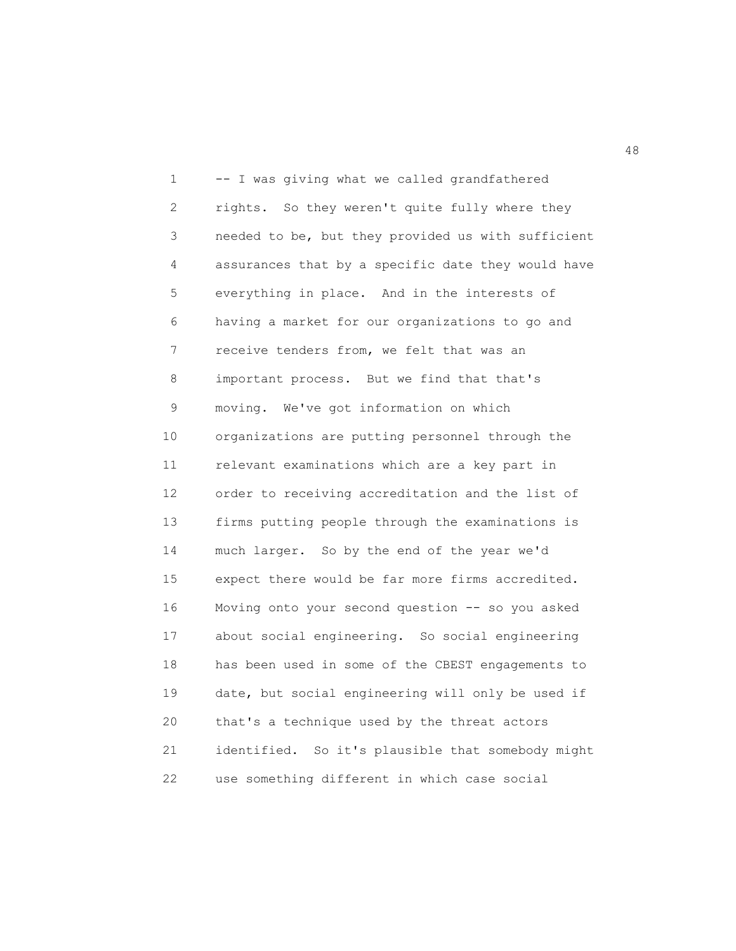1 -- I was giving what we called grandfathered 2 rights. So they weren't quite fully where they 3 needed to be, but they provided us with sufficient 4 assurances that by a specific date they would have 5 everything in place. And in the interests of 6 having a market for our organizations to go and 7 receive tenders from, we felt that was an 8 important process. But we find that that's 9 moving. We've got information on which 10 organizations are putting personnel through the 11 relevant examinations which are a key part in 12 order to receiving accreditation and the list of 13 firms putting people through the examinations is 14 much larger. So by the end of the year we'd 15 expect there would be far more firms accredited. 16 Moving onto your second question -- so you asked 17 about social engineering. So social engineering 18 has been used in some of the CBEST engagements to 19 date, but social engineering will only be used if 20 that's a technique used by the threat actors 21 identified. So it's plausible that somebody might 22 use something different in which case social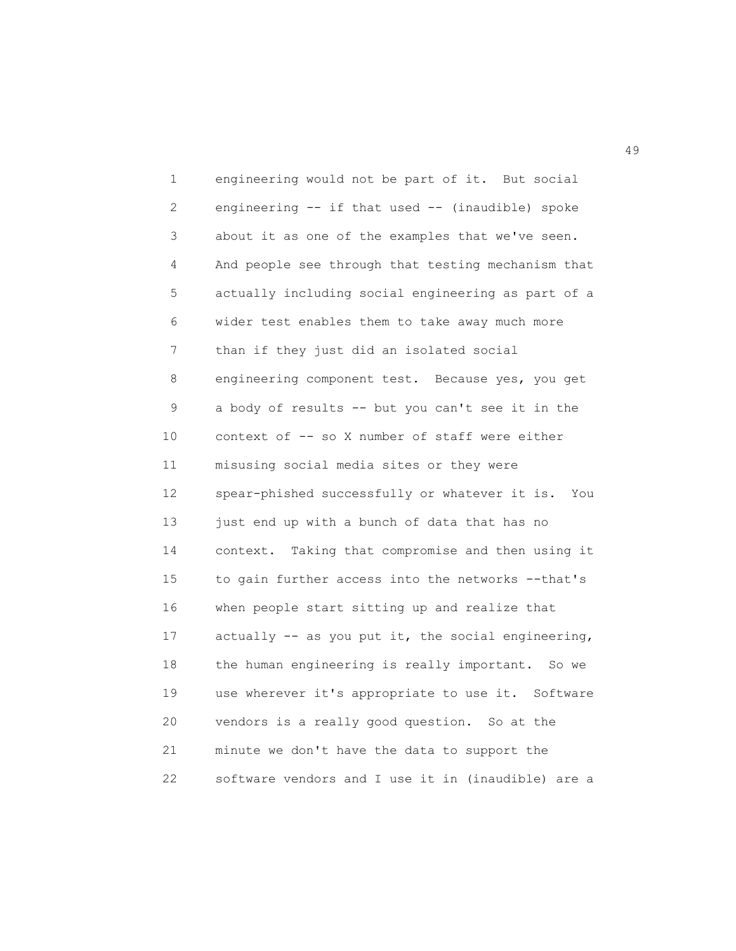1 engineering would not be part of it. But social 2 engineering -- if that used -- (inaudible) spoke 3 about it as one of the examples that we've seen. 4 And people see through that testing mechanism that 5 actually including social engineering as part of a 6 wider test enables them to take away much more 7 than if they just did an isolated social 8 engineering component test. Because yes, you get 9 a body of results -- but you can't see it in the 10 context of -- so X number of staff were either 11 misusing social media sites or they were 12 spear-phished successfully or whatever it is. You 13 just end up with a bunch of data that has no 14 context. Taking that compromise and then using it 15 to gain further access into the networks --that's 16 when people start sitting up and realize that 17 actually -- as you put it, the social engineering, 18 the human engineering is really important. So we 19 use wherever it's appropriate to use it. Software 20 vendors is a really good question. So at the 21 minute we don't have the data to support the 22 software vendors and I use it in (inaudible) are a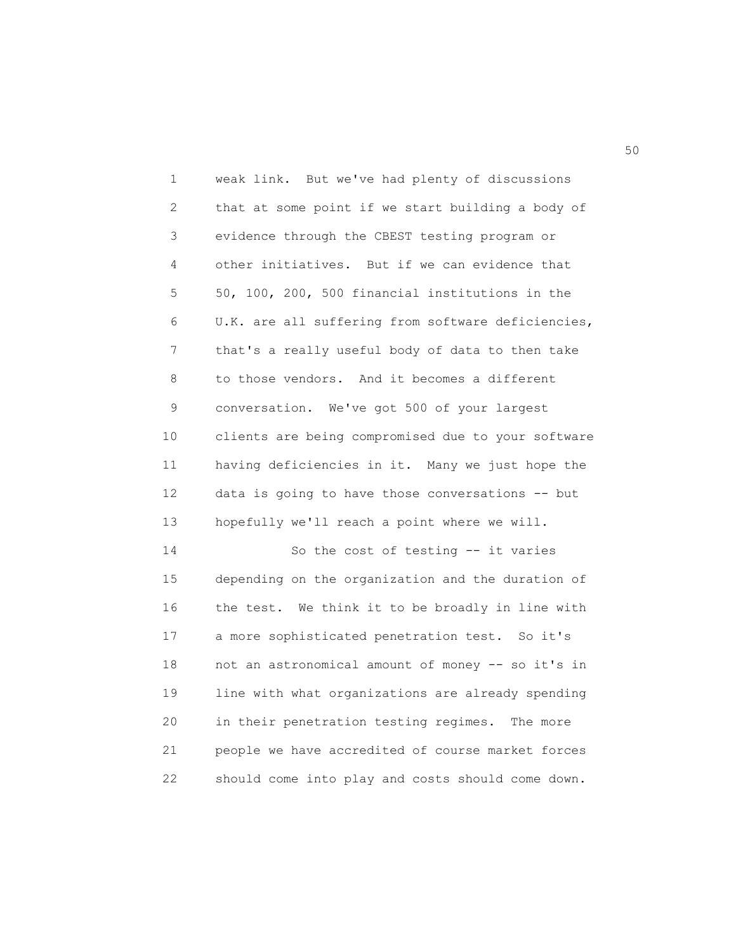1 weak link. But we've had plenty of discussions 2 that at some point if we start building a body of 3 evidence through the CBEST testing program or 4 other initiatives. But if we can evidence that 5 50, 100, 200, 500 financial institutions in the 6 U.K. are all suffering from software deficiencies, 7 that's a really useful body of data to then take 8 to those vendors. And it becomes a different 9 conversation. We've got 500 of your largest 10 clients are being compromised due to your software 11 having deficiencies in it. Many we just hope the 12 data is going to have those conversations -- but 13 hopefully we'll reach a point where we will. 14 So the cost of testing -- it varies 15 depending on the organization and the duration of 16 the test. We think it to be broadly in line with 17 a more sophisticated penetration test. So it's 18 not an astronomical amount of money -- so it's in 19 line with what organizations are already spending 20 in their penetration testing regimes. The more 21 people we have accredited of course market forces

22 should come into play and costs should come down.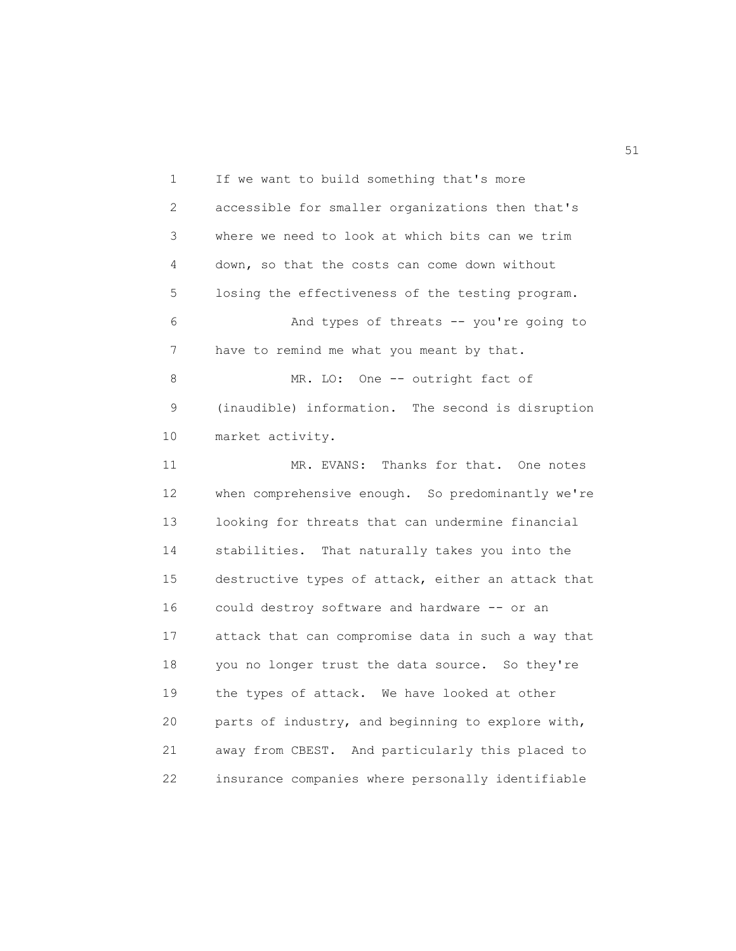1 If we want to build something that's more 2 accessible for smaller organizations then that's 3 where we need to look at which bits can we trim 4 down, so that the costs can come down without 5 losing the effectiveness of the testing program. 6 And types of threats -- you're going to 7 have to remind me what you meant by that. 8 MR. LO: One -- outright fact of 9 (inaudible) information. The second is disruption 10 market activity. 11 MR. EVANS: Thanks for that. One notes 12 when comprehensive enough. So predominantly we're 13 looking for threats that can undermine financial 14 stabilities. That naturally takes you into the 15 destructive types of attack, either an attack that 16 could destroy software and hardware -- or an 17 attack that can compromise data in such a way that 18 you no longer trust the data source. So they're 19 the types of attack. We have looked at other 20 parts of industry, and beginning to explore with, 21 away from CBEST. And particularly this placed to 22 insurance companies where personally identifiable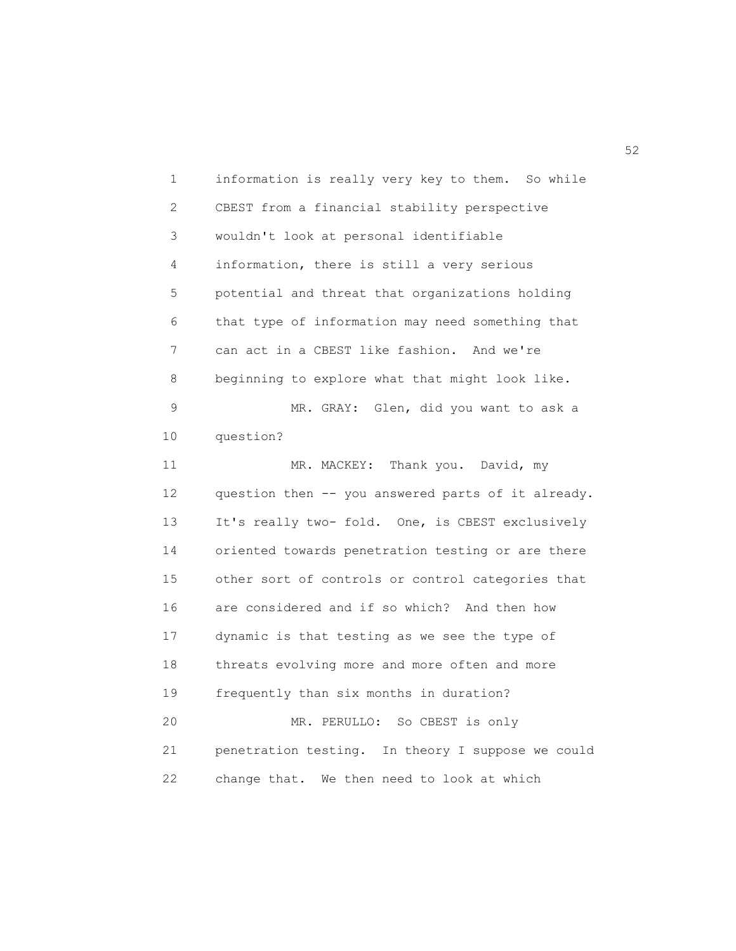1 information is really very key to them. So while 2 CBEST from a financial stability perspective 3 wouldn't look at personal identifiable 4 information, there is still a very serious 5 potential and threat that organizations holding 6 that type of information may need something that 7 can act in a CBEST like fashion. And we're 8 beginning to explore what that might look like. 9 MR. GRAY: Glen, did you want to ask a 10 question? 11 MR. MACKEY: Thank you. David, my 12 question then -- you answered parts of it already. 13 It's really two- fold. One, is CBEST exclusively 14 oriented towards penetration testing or are there 15 other sort of controls or control categories that 16 are considered and if so which? And then how 17 dynamic is that testing as we see the type of 18 threats evolving more and more often and more 19 frequently than six months in duration? 20 MR. PERULLO: So CBEST is only 21 penetration testing. In theory I suppose we could 22 change that. We then need to look at which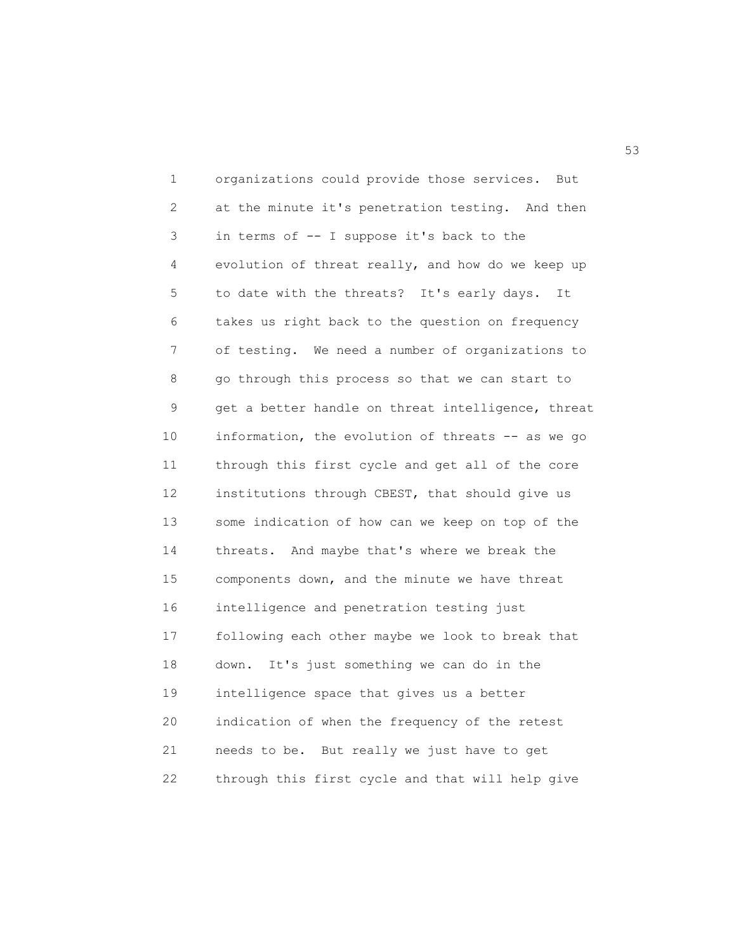1 organizations could provide those services. But 2 at the minute it's penetration testing. And then 3 in terms of -- I suppose it's back to the 4 evolution of threat really, and how do we keep up 5 to date with the threats? It's early days. It 6 takes us right back to the question on frequency 7 of testing. We need a number of organizations to 8 go through this process so that we can start to 9 get a better handle on threat intelligence, threat 10 information, the evolution of threats -- as we go 11 through this first cycle and get all of the core 12 institutions through CBEST, that should give us 13 some indication of how can we keep on top of the 14 threats. And maybe that's where we break the 15 components down, and the minute we have threat 16 intelligence and penetration testing just 17 following each other maybe we look to break that 18 down. It's just something we can do in the 19 intelligence space that gives us a better 20 indication of when the frequency of the retest 21 needs to be. But really we just have to get 22 through this first cycle and that will help give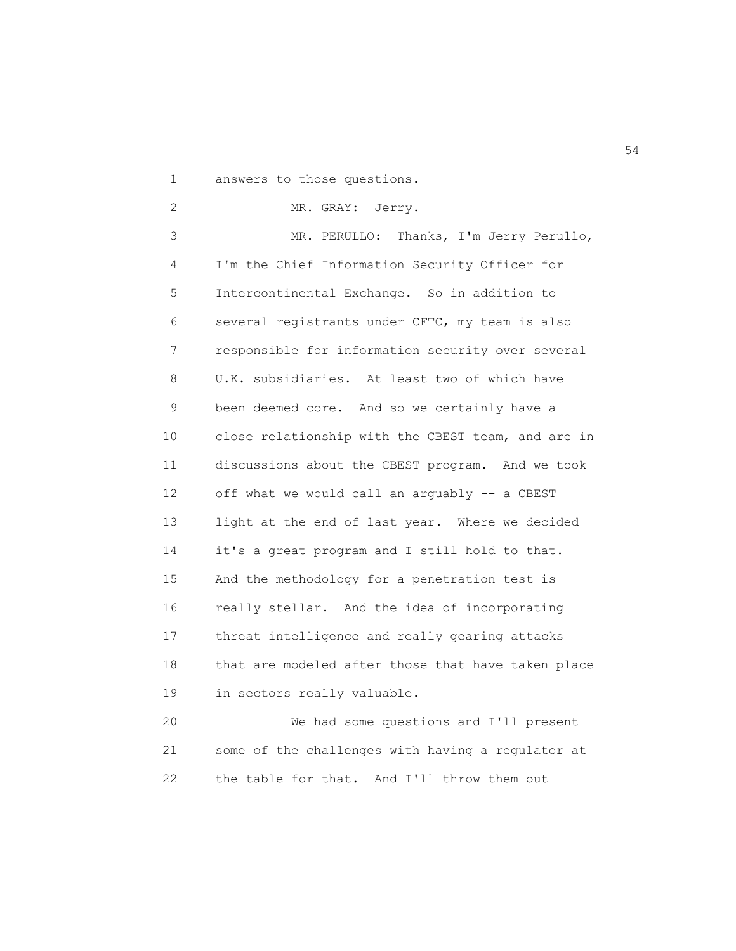1 answers to those questions.

2 MR. GRAY: Jerry.

3 MR. PERULLO: Thanks, I'm Jerry Perullo, 4 I'm the Chief Information Security Officer for 5 Intercontinental Exchange. So in addition to 6 several registrants under CFTC, my team is also 7 responsible for information security over several 8 U.K. subsidiaries. At least two of which have 9 been deemed core. And so we certainly have a 10 close relationship with the CBEST team, and are in 11 discussions about the CBEST program. And we took 12 off what we would call an arguably -- a CBEST 13 light at the end of last year. Where we decided 14 it's a great program and I still hold to that. 15 And the methodology for a penetration test is 16 really stellar. And the idea of incorporating 17 threat intelligence and really gearing attacks 18 that are modeled after those that have taken place 19 in sectors really valuable.

20 We had some questions and I'll present 21 some of the challenges with having a regulator at 22 the table for that. And I'll throw them out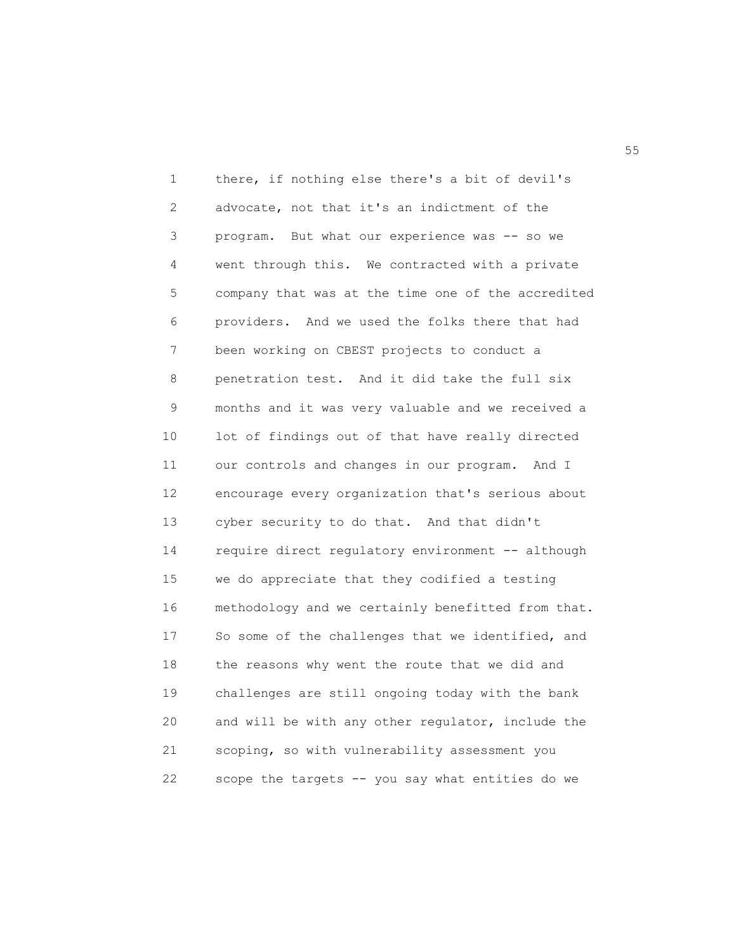1 there, if nothing else there's a bit of devil's 2 advocate, not that it's an indictment of the 3 program. But what our experience was -- so we 4 went through this. We contracted with a private 5 company that was at the time one of the accredited 6 providers. And we used the folks there that had 7 been working on CBEST projects to conduct a 8 penetration test. And it did take the full six 9 months and it was very valuable and we received a 10 lot of findings out of that have really directed 11 our controls and changes in our program. And I 12 encourage every organization that's serious about 13 cyber security to do that. And that didn't 14 require direct regulatory environment -- although 15 we do appreciate that they codified a testing 16 methodology and we certainly benefitted from that. 17 So some of the challenges that we identified, and 18 the reasons why went the route that we did and 19 challenges are still ongoing today with the bank 20 and will be with any other regulator, include the 21 scoping, so with vulnerability assessment you 22 scope the targets -- you say what entities do we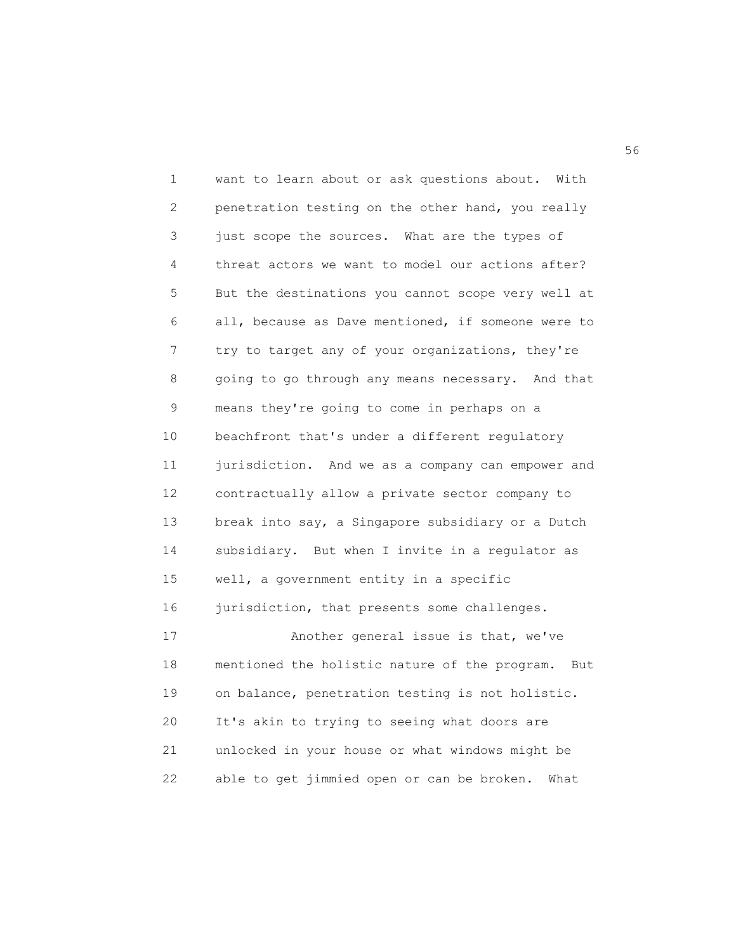1 want to learn about or ask questions about. With 2 penetration testing on the other hand, you really 3 just scope the sources. What are the types of 4 threat actors we want to model our actions after? 5 But the destinations you cannot scope very well at 6 all, because as Dave mentioned, if someone were to 7 try to target any of your organizations, they're 8 going to go through any means necessary. And that 9 means they're going to come in perhaps on a 10 beachfront that's under a different regulatory 11 jurisdiction. And we as a company can empower and 12 contractually allow a private sector company to 13 break into say, a Singapore subsidiary or a Dutch 14 subsidiary. But when I invite in a regulator as 15 well, a government entity in a specific 16 jurisdiction, that presents some challenges. 17 Another general issue is that, we've 18 mentioned the holistic nature of the program. But 19 on balance, penetration testing is not holistic. 20 It's akin to trying to seeing what doors are 21 unlocked in your house or what windows might be 22 able to get jimmied open or can be broken. What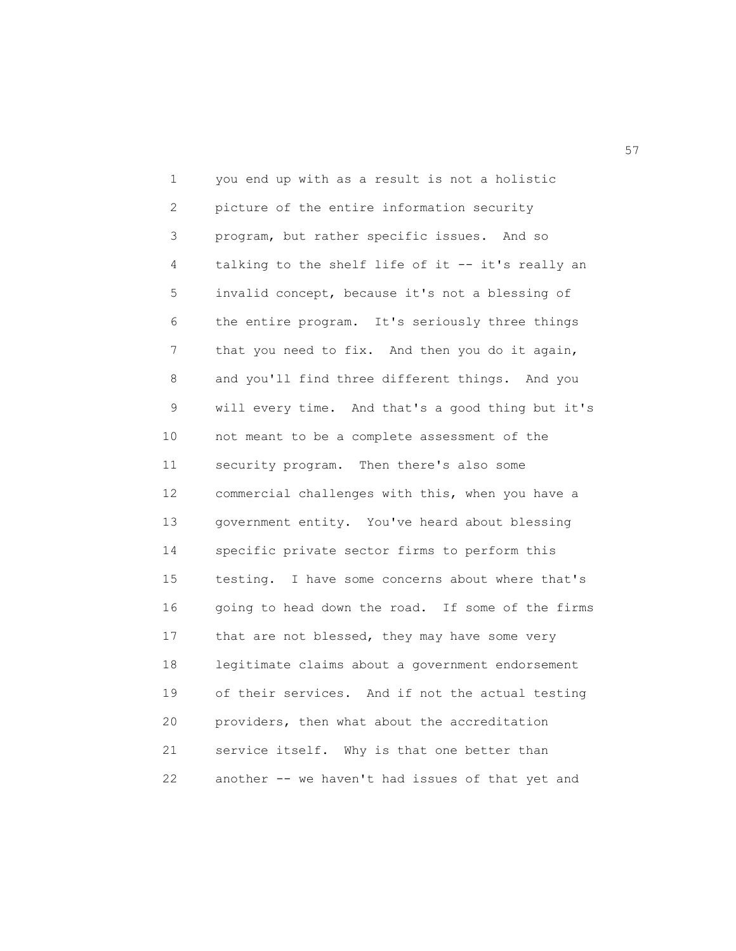1 you end up with as a result is not a holistic 2 picture of the entire information security 3 program, but rather specific issues. And so 4 talking to the shelf life of it -- it's really an 5 invalid concept, because it's not a blessing of 6 the entire program. It's seriously three things 7 that you need to fix. And then you do it again, 8 and you'll find three different things. And you 9 will every time. And that's a good thing but it's 10 not meant to be a complete assessment of the 11 security program. Then there's also some 12 commercial challenges with this, when you have a 13 government entity. You've heard about blessing 14 specific private sector firms to perform this 15 testing. I have some concerns about where that's 16 going to head down the road. If some of the firms 17 that are not blessed, they may have some very 18 legitimate claims about a government endorsement 19 of their services. And if not the actual testing 20 providers, then what about the accreditation 21 service itself. Why is that one better than 22 another -- we haven't had issues of that yet and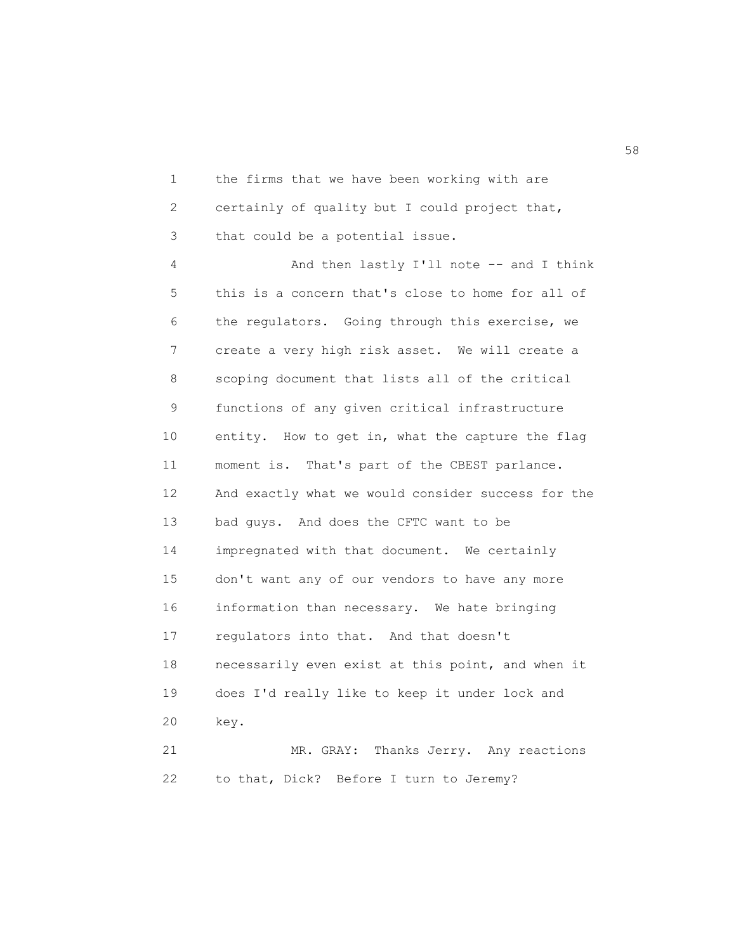1 the firms that we have been working with are 2 certainly of quality but I could project that, 3 that could be a potential issue.

4 And then lastly I'll note -- and I think 5 this is a concern that's close to home for all of 6 the regulators. Going through this exercise, we 7 create a very high risk asset. We will create a 8 scoping document that lists all of the critical 9 functions of any given critical infrastructure 10 entity. How to get in, what the capture the flag 11 moment is. That's part of the CBEST parlance. 12 And exactly what we would consider success for the 13 bad guys. And does the CFTC want to be 14 impregnated with that document. We certainly 15 don't want any of our vendors to have any more 16 information than necessary. We hate bringing 17 regulators into that. And that doesn't 18 necessarily even exist at this point, and when it 19 does I'd really like to keep it under lock and 20 key. 21 MR. GRAY: Thanks Jerry. Any reactions

22 to that, Dick? Before I turn to Jeremy?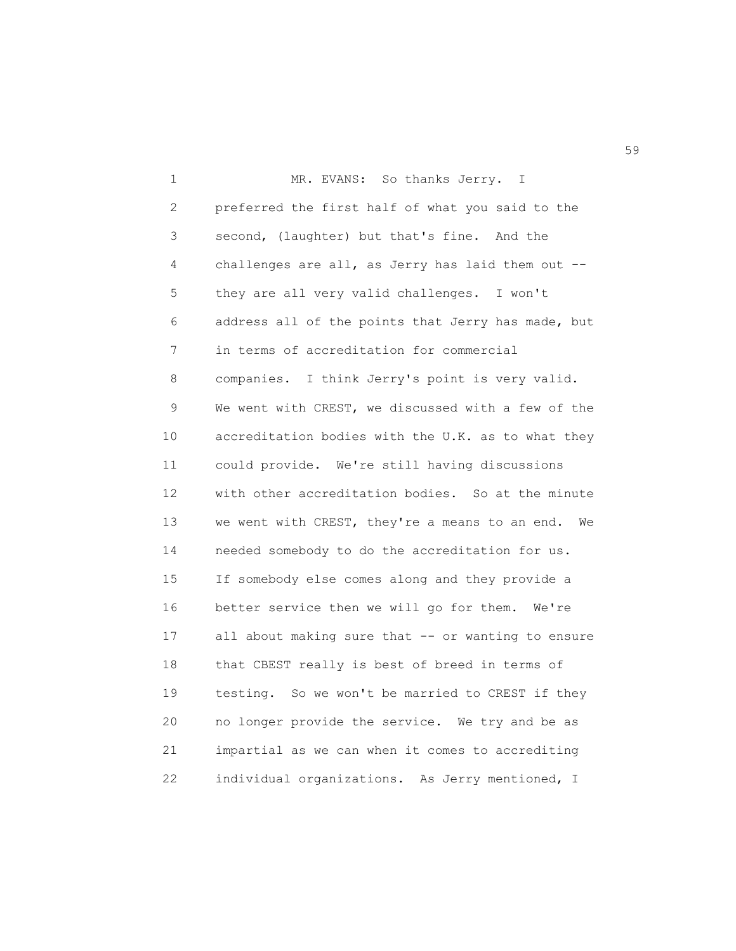1 MR. EVANS: So thanks Jerry. I 2 preferred the first half of what you said to the 3 second, (laughter) but that's fine. And the 4 challenges are all, as Jerry has laid them out -- 5 they are all very valid challenges. I won't 6 address all of the points that Jerry has made, but 7 in terms of accreditation for commercial 8 companies. I think Jerry's point is very valid. 9 We went with CREST, we discussed with a few of the 10 accreditation bodies with the U.K. as to what they 11 could provide. We're still having discussions 12 with other accreditation bodies. So at the minute 13 we went with CREST, they're a means to an end. We 14 needed somebody to do the accreditation for us. 15 If somebody else comes along and they provide a 16 better service then we will go for them. We're 17 all about making sure that -- or wanting to ensure 18 that CBEST really is best of breed in terms of 19 testing. So we won't be married to CREST if they 20 no longer provide the service. We try and be as 21 impartial as we can when it comes to accrediting 22 individual organizations. As Jerry mentioned, I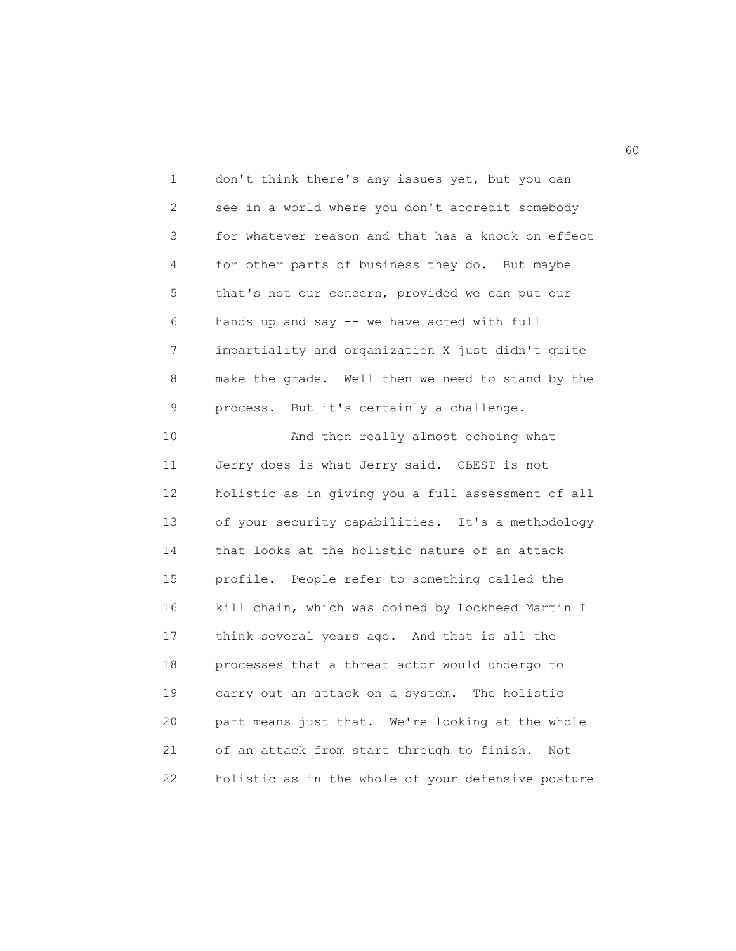1 don't think there's any issues yet, but you can 2 see in a world where you don't accredit somebody 3 for whatever reason and that has a knock on effect 4 for other parts of business they do. But maybe 5 that's not our concern, provided we can put our 6 hands up and say -- we have acted with full 7 impartiality and organization X just didn't quite 8 make the grade. Well then we need to stand by the 9 process. But it's certainly a challenge.

10 And then really almost echoing what 11 Jerry does is what Jerry said. CBEST is not 12 holistic as in giving you a full assessment of all 13 of your security capabilities. It's a methodology 14 that looks at the holistic nature of an attack 15 profile. People refer to something called the 16 kill chain, which was coined by Lockheed Martin I 17 think several years ago. And that is all the 18 processes that a threat actor would undergo to 19 carry out an attack on a system. The holistic 20 part means just that. We're looking at the whole 21 of an attack from start through to finish. Not 22 holistic as in the whole of your defensive posture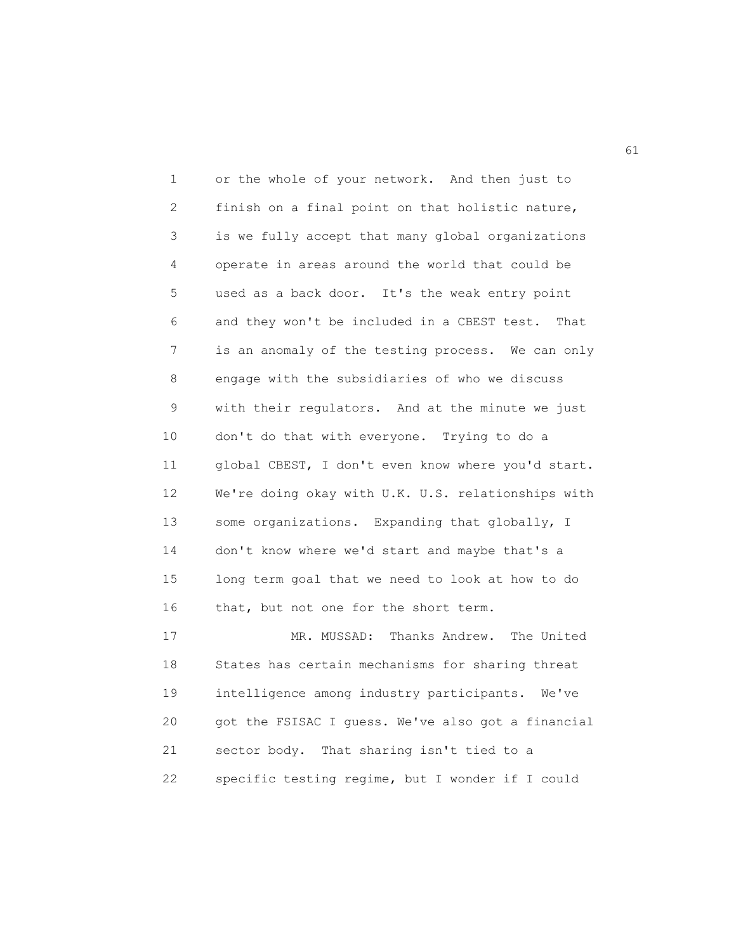1 or the whole of your network. And then just to 2 finish on a final point on that holistic nature, 3 is we fully accept that many global organizations 4 operate in areas around the world that could be 5 used as a back door. It's the weak entry point 6 and they won't be included in a CBEST test. That 7 is an anomaly of the testing process. We can only 8 engage with the subsidiaries of who we discuss 9 with their regulators. And at the minute we just 10 don't do that with everyone. Trying to do a 11 global CBEST, I don't even know where you'd start. 12 We're doing okay with U.K. U.S. relationships with 13 some organizations. Expanding that globally, I 14 don't know where we'd start and maybe that's a 15 long term goal that we need to look at how to do 16 that, but not one for the short term. 17 MR. MUSSAD: Thanks Andrew. The United 18 States has certain mechanisms for sharing threat 19 intelligence among industry participants. We've 20 got the FSISAC I guess. We've also got a financial

21 sector body. That sharing isn't tied to a 22 specific testing regime, but I wonder if I could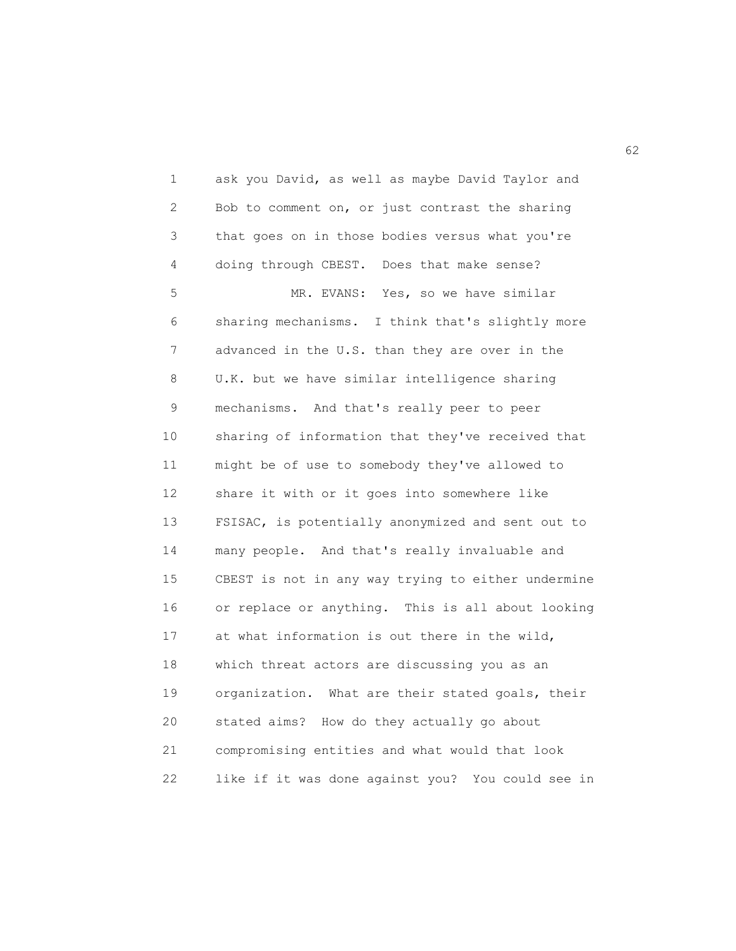1 ask you David, as well as maybe David Taylor and 2 Bob to comment on, or just contrast the sharing 3 that goes on in those bodies versus what you're 4 doing through CBEST. Does that make sense? 5 MR. EVANS: Yes, so we have similar 6 sharing mechanisms. I think that's slightly more 7 advanced in the U.S. than they are over in the 8 U.K. but we have similar intelligence sharing 9 mechanisms. And that's really peer to peer 10 sharing of information that they've received that 11 might be of use to somebody they've allowed to 12 share it with or it goes into somewhere like 13 FSISAC, is potentially anonymized and sent out to 14 many people. And that's really invaluable and 15 CBEST is not in any way trying to either undermine 16 or replace or anything. This is all about looking 17 at what information is out there in the wild, 18 which threat actors are discussing you as an 19 organization. What are their stated goals, their 20 stated aims? How do they actually go about 21 compromising entities and what would that look 22 like if it was done against you? You could see in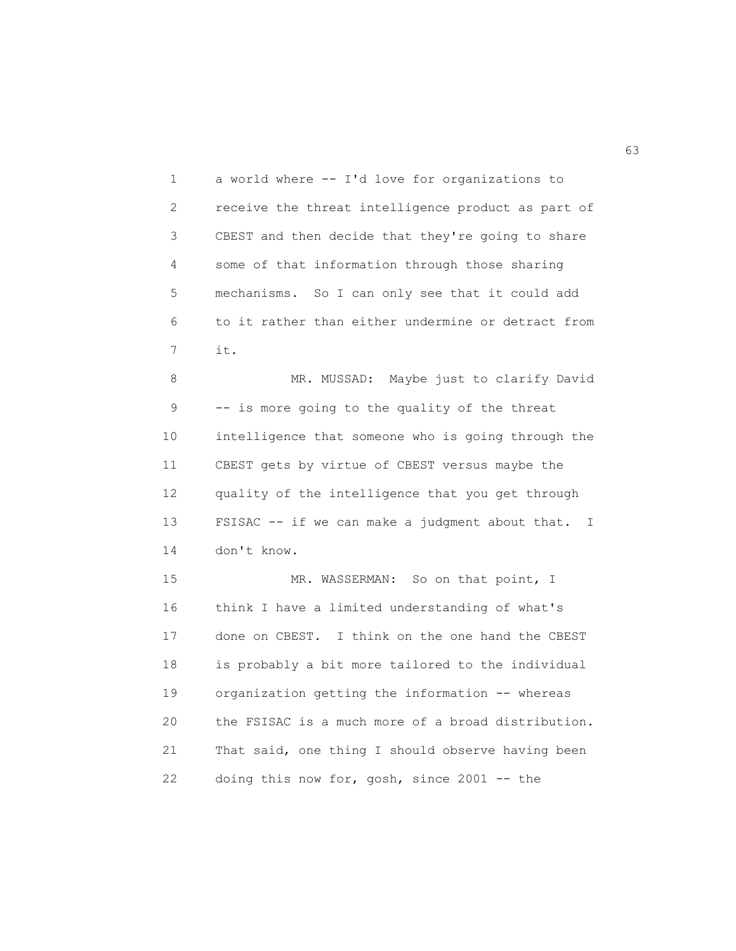1 a world where -- I'd love for organizations to 2 receive the threat intelligence product as part of 3 CBEST and then decide that they're going to share 4 some of that information through those sharing 5 mechanisms. So I can only see that it could add 6 to it rather than either undermine or detract from 7 it.

8 MR. MUSSAD: Maybe just to clarify David 9 -- is more going to the quality of the threat 10 intelligence that someone who is going through the 11 CBEST gets by virtue of CBEST versus maybe the 12 quality of the intelligence that you get through 13 FSISAC -- if we can make a judgment about that. I 14 don't know.

15 MR. WASSERMAN: So on that point, I 16 think I have a limited understanding of what's 17 done on CBEST. I think on the one hand the CBEST 18 is probably a bit more tailored to the individual 19 organization getting the information -- whereas 20 the FSISAC is a much more of a broad distribution. 21 That said, one thing I should observe having been 22 doing this now for, gosh, since 2001 -- the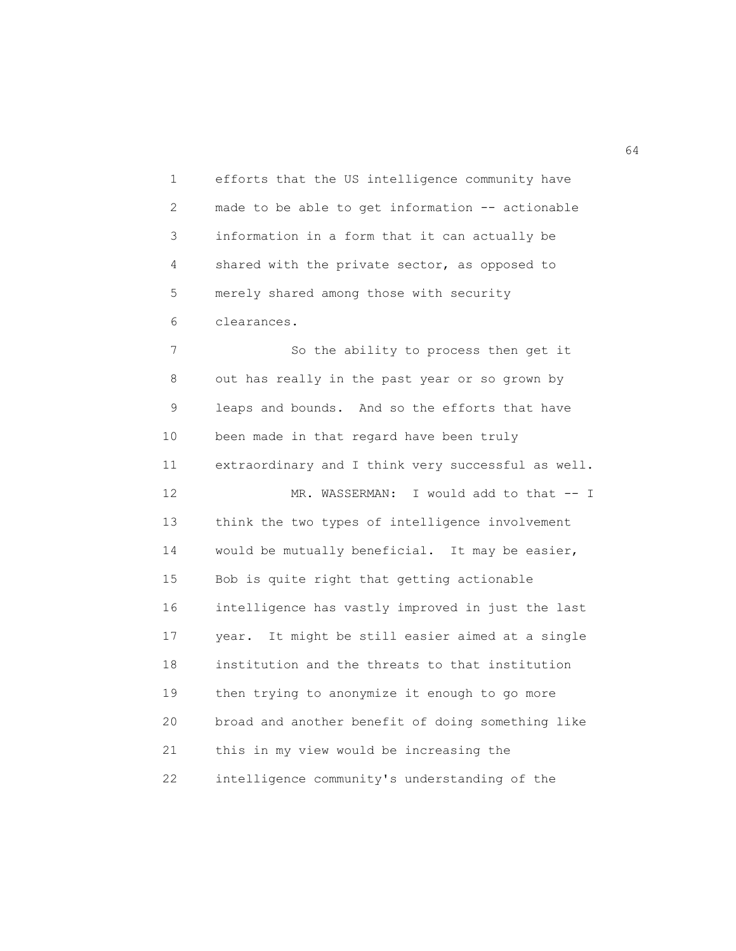1 efforts that the US intelligence community have 2 made to be able to get information -- actionable 3 information in a form that it can actually be 4 shared with the private sector, as opposed to 5 merely shared among those with security 6 clearances.

7 So the ability to process then get it 8 out has really in the past year or so grown by 9 leaps and bounds. And so the efforts that have 10 been made in that regard have been truly 11 extraordinary and I think very successful as well. 12 MR. WASSERMAN: I would add to that -- I 13 think the two types of intelligence involvement 14 would be mutually beneficial. It may be easier, 15 Bob is quite right that getting actionable 16 intelligence has vastly improved in just the last 17 year. It might be still easier aimed at a single 18 institution and the threats to that institution 19 then trying to anonymize it enough to go more 20 broad and another benefit of doing something like 21 this in my view would be increasing the 22 intelligence community's understanding of the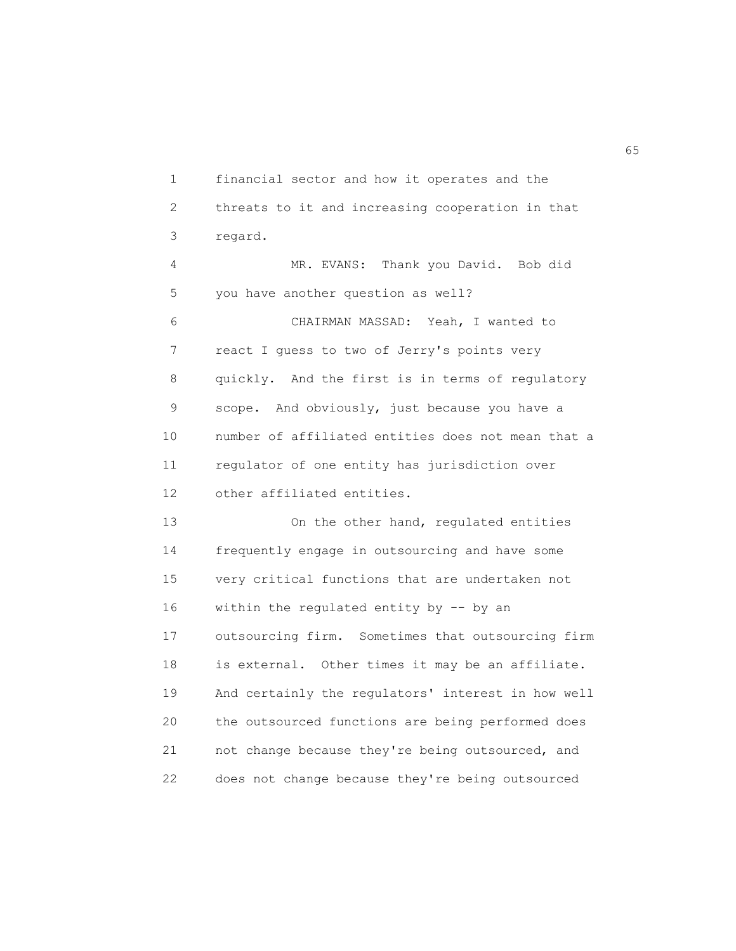1 financial sector and how it operates and the 2 threats to it and increasing cooperation in that 3 regard. 4 MR. EVANS: Thank you David. Bob did 5 you have another question as well? 6 CHAIRMAN MASSAD: Yeah, I wanted to 7 react I guess to two of Jerry's points very 8 quickly. And the first is in terms of regulatory 9 scope. And obviously, just because you have a 10 number of affiliated entities does not mean that a 11 regulator of one entity has jurisdiction over 12 other affiliated entities. 13 On the other hand, regulated entities 14 frequently engage in outsourcing and have some 15 very critical functions that are undertaken not 16 within the regulated entity by -- by an 17 outsourcing firm. Sometimes that outsourcing firm 18 is external. Other times it may be an affiliate. 19 And certainly the regulators' interest in how well 20 the outsourced functions are being performed does 21 not change because they're being outsourced, and 22 does not change because they're being outsourced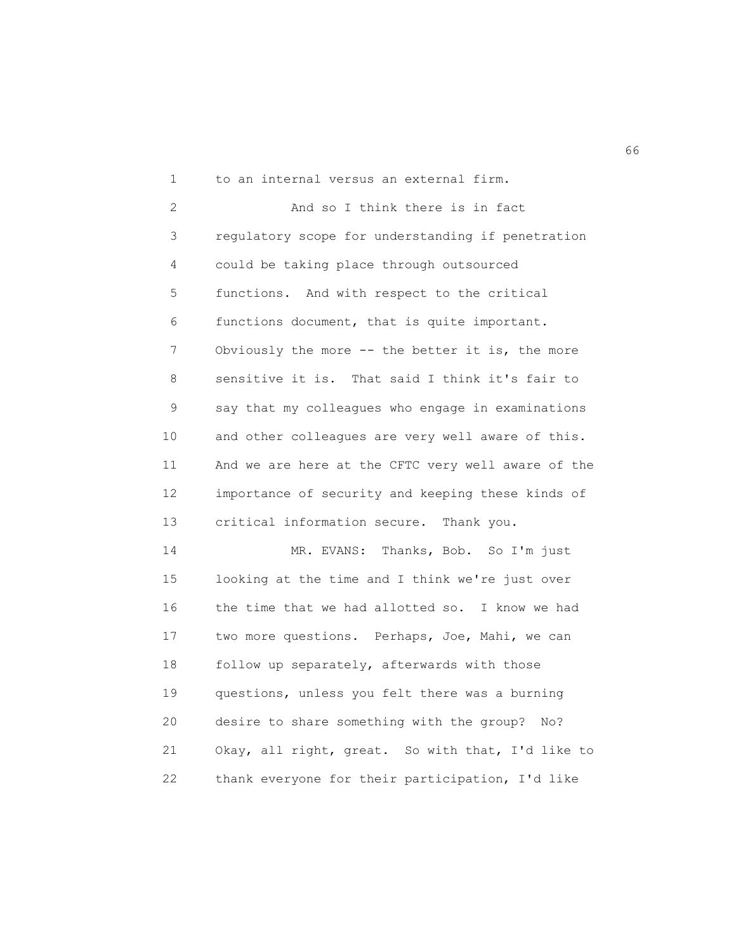1 to an internal versus an external firm. 2 And so I think there is in fact 3 regulatory scope for understanding if penetration 4 could be taking place through outsourced 5 functions. And with respect to the critical 6 functions document, that is quite important. 7 Obviously the more -- the better it is, the more 8 sensitive it is. That said I think it's fair to 9 say that my colleagues who engage in examinations 10 and other colleagues are very well aware of this. 11 And we are here at the CFTC very well aware of the 12 importance of security and keeping these kinds of 13 critical information secure. Thank you. 14 MR. EVANS: Thanks, Bob. So I'm just 15 looking at the time and I think we're just over 16 the time that we had allotted so. I know we had 17 two more questions. Perhaps, Joe, Mahi, we can 18 follow up separately, afterwards with those 19 questions, unless you felt there was a burning 20 desire to share something with the group? No? 21 Okay, all right, great. So with that, I'd like to

22 thank everyone for their participation, I'd like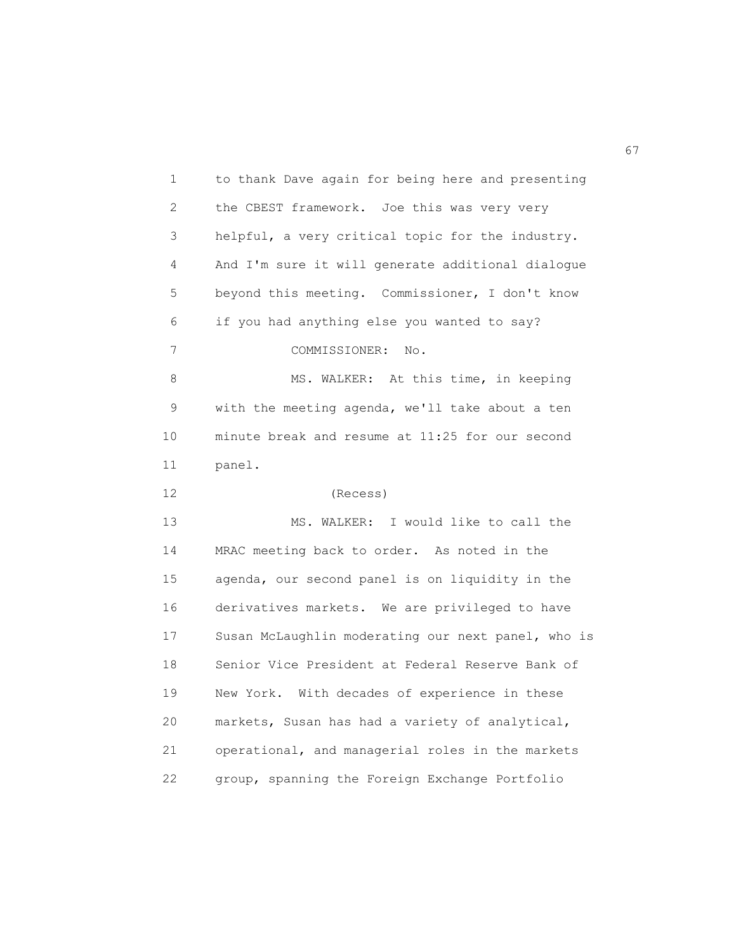1 to thank Dave again for being here and presenting 2 the CBEST framework. Joe this was very very 3 helpful, a very critical topic for the industry. 4 And I'm sure it will generate additional dialogue 5 beyond this meeting. Commissioner, I don't know 6 if you had anything else you wanted to say? 7 COMMISSIONER: No. 8 MS. WALKER: At this time, in keeping 9 with the meeting agenda, we'll take about a ten 10 minute break and resume at 11:25 for our second 11 panel. 12 (Recess) 13 MS. WALKER: I would like to call the 14 MRAC meeting back to order. As noted in the 15 agenda, our second panel is on liquidity in the 16 derivatives markets. We are privileged to have 17 Susan McLaughlin moderating our next panel, who is 18 Senior Vice President at Federal Reserve Bank of 19 New York. With decades of experience in these 20 markets, Susan has had a variety of analytical, 21 operational, and managerial roles in the markets 22 group, spanning the Foreign Exchange Portfolio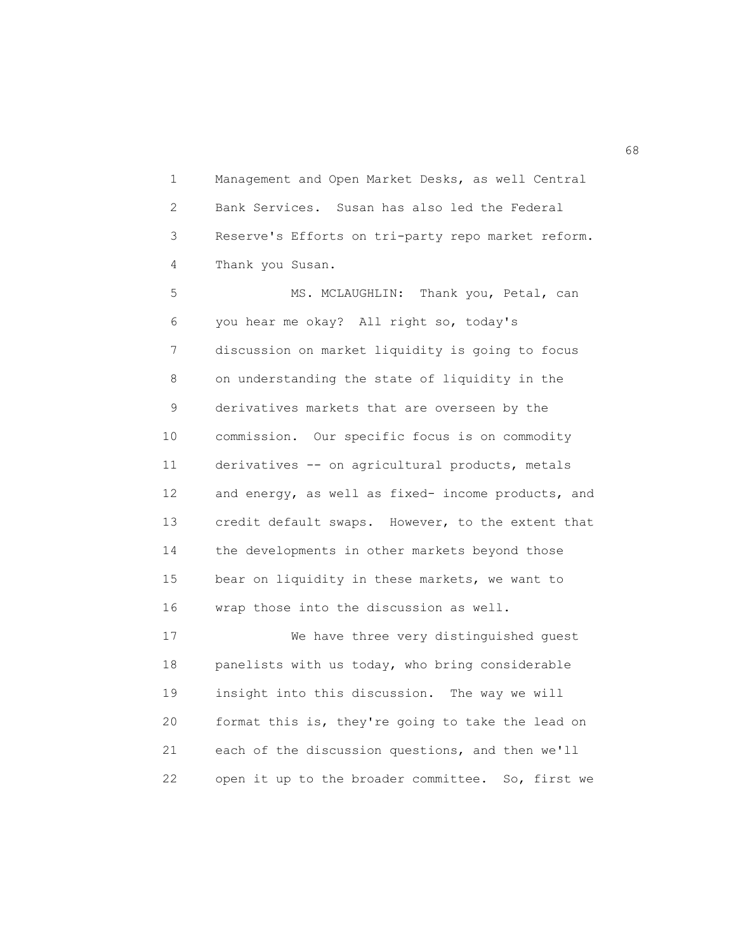1 Management and Open Market Desks, as well Central 2 Bank Services. Susan has also led the Federal 3 Reserve's Efforts on tri-party repo market reform. 4 Thank you Susan.

5 MS. MCLAUGHLIN: Thank you, Petal, can 6 you hear me okay? All right so, today's 7 discussion on market liquidity is going to focus 8 on understanding the state of liquidity in the 9 derivatives markets that are overseen by the 10 commission. Our specific focus is on commodity 11 derivatives -- on agricultural products, metals 12 and energy, as well as fixed- income products, and 13 credit default swaps. However, to the extent that 14 the developments in other markets beyond those 15 bear on liquidity in these markets, we want to 16 wrap those into the discussion as well.

17 We have three very distinguished guest 18 panelists with us today, who bring considerable 19 insight into this discussion. The way we will 20 format this is, they're going to take the lead on 21 each of the discussion questions, and then we'll 22 open it up to the broader committee. So, first we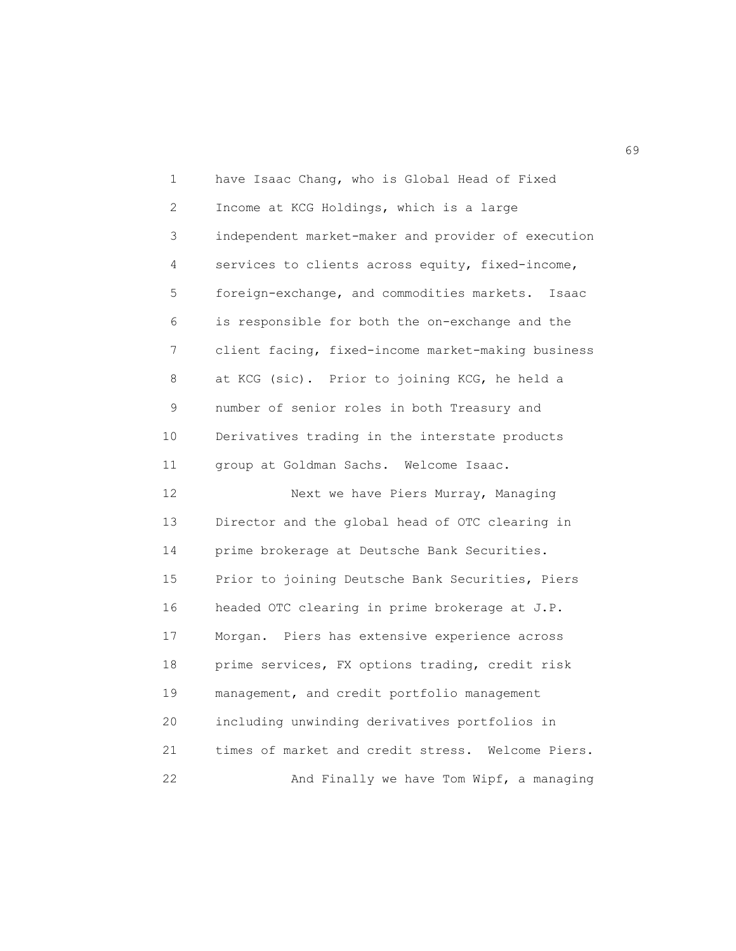1 have Isaac Chang, who is Global Head of Fixed 2 Income at KCG Holdings, which is a large 3 independent market-maker and provider of execution 4 services to clients across equity, fixed-income, 5 foreign-exchange, and commodities markets. Isaac 6 is responsible for both the on-exchange and the 7 client facing, fixed-income market-making business 8 at KCG (sic). Prior to joining KCG, he held a 9 number of senior roles in both Treasury and 10 Derivatives trading in the interstate products 11 group at Goldman Sachs. Welcome Isaac. 12 Next we have Piers Murray, Managing 13 Director and the global head of OTC clearing in 14 prime brokerage at Deutsche Bank Securities. 15 Prior to joining Deutsche Bank Securities, Piers 16 headed OTC clearing in prime brokerage at J.P. 17 Morgan. Piers has extensive experience across 18 prime services, FX options trading, credit risk 19 management, and credit portfolio management 20 including unwinding derivatives portfolios in

22 And Finally we have Tom Wipf, a managing

21 times of market and credit stress. Welcome Piers.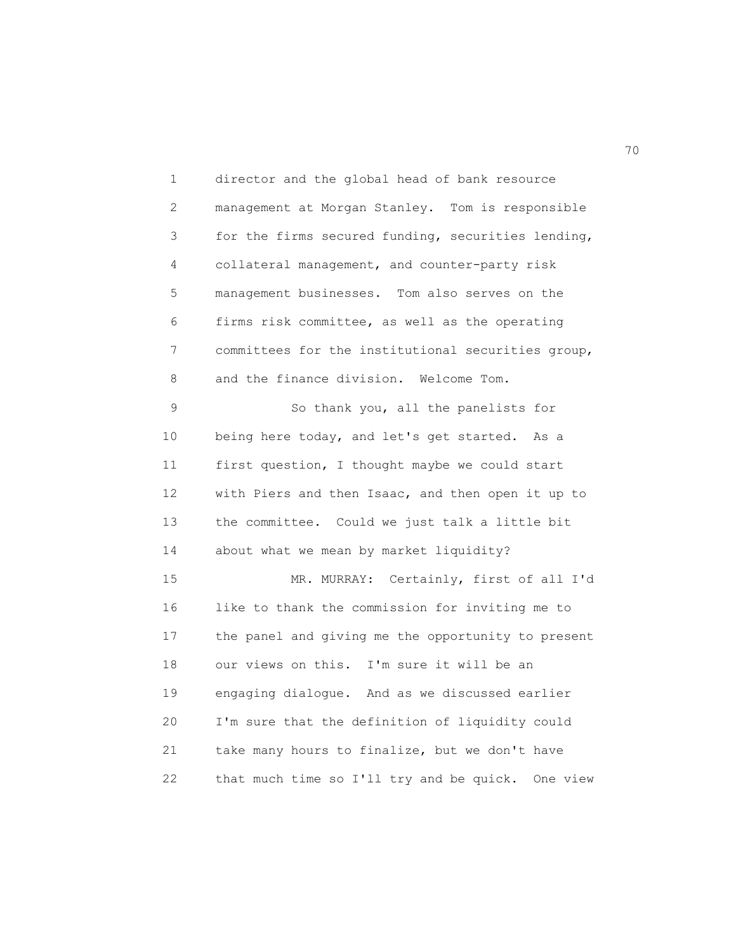1 director and the global head of bank resource 2 management at Morgan Stanley. Tom is responsible 3 for the firms secured funding, securities lending, 4 collateral management, and counter-party risk 5 management businesses. Tom also serves on the 6 firms risk committee, as well as the operating 7 committees for the institutional securities group, 8 and the finance division. Welcome Tom. 9 So thank you, all the panelists for 10 being here today, and let's get started. As a 11 first question, I thought maybe we could start 12 with Piers and then Isaac, and then open it up to 13 the committee. Could we just talk a little bit 14 about what we mean by market liquidity? 15 MR. MURRAY: Certainly, first of all I'd 16 like to thank the commission for inviting me to 17 the panel and giving me the opportunity to present 18 our views on this. I'm sure it will be an 19 engaging dialogue. And as we discussed earlier 20 I'm sure that the definition of liquidity could 21 take many hours to finalize, but we don't have 22 that much time so I'll try and be quick. One view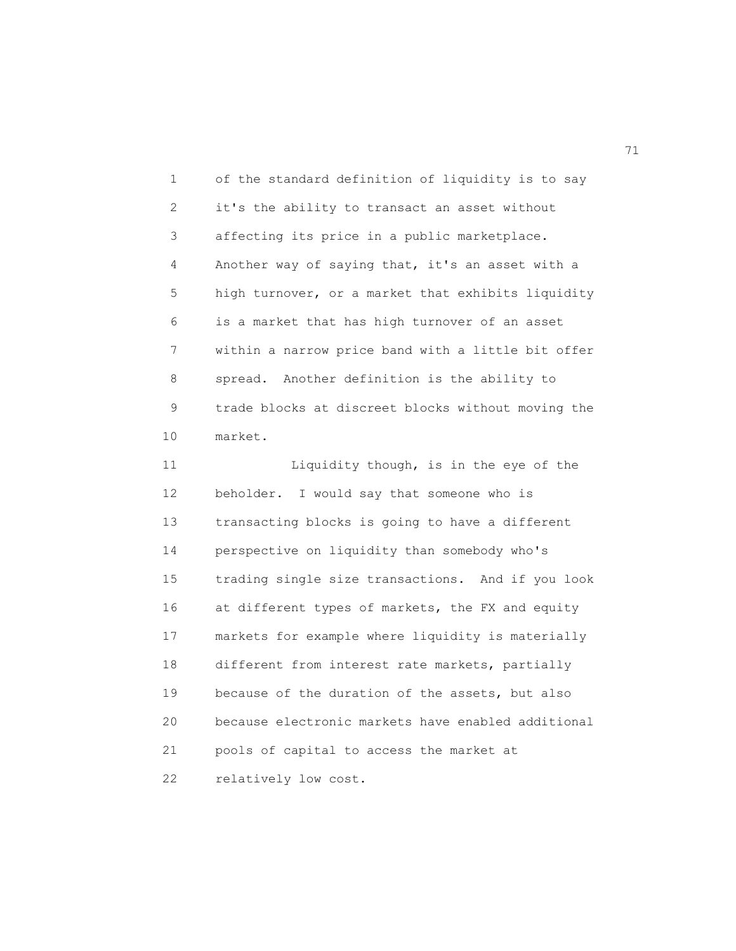1 of the standard definition of liquidity is to say 2 it's the ability to transact an asset without 3 affecting its price in a public marketplace. 4 Another way of saying that, it's an asset with a 5 high turnover, or a market that exhibits liquidity 6 is a market that has high turnover of an asset 7 within a narrow price band with a little bit offer 8 spread. Another definition is the ability to 9 trade blocks at discreet blocks without moving the 10 market.

11 Liquidity though, is in the eye of the 12 beholder. I would say that someone who is 13 transacting blocks is going to have a different 14 perspective on liquidity than somebody who's 15 trading single size transactions. And if you look 16 at different types of markets, the FX and equity 17 markets for example where liquidity is materially 18 different from interest rate markets, partially 19 because of the duration of the assets, but also 20 because electronic markets have enabled additional 21 pools of capital to access the market at 22 relatively low cost.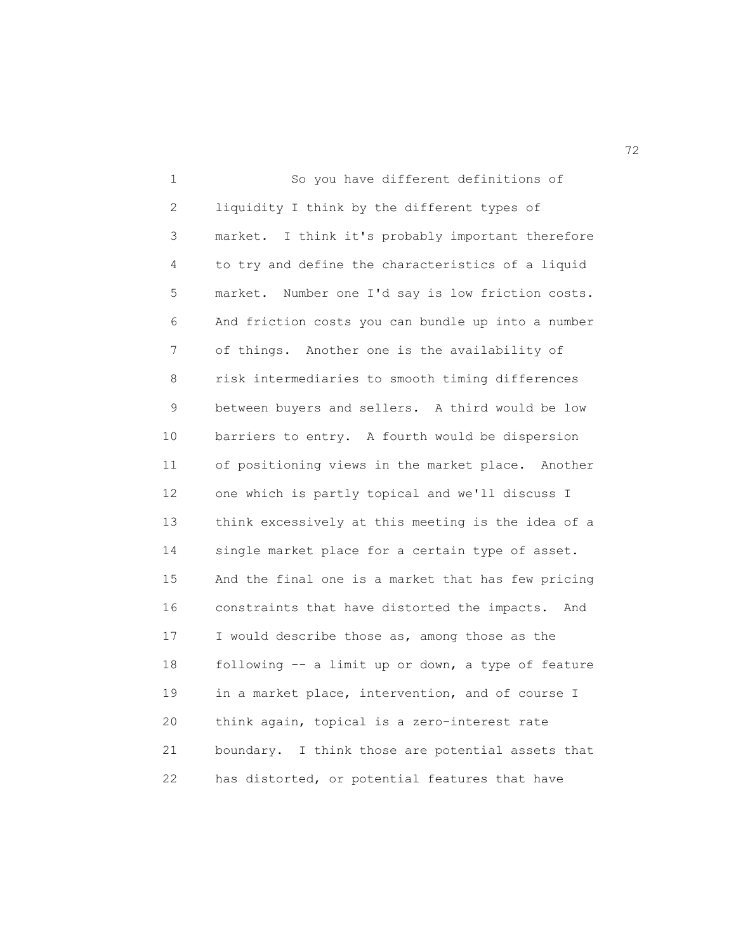1 So you have different definitions of 2 liquidity I think by the different types of 3 market. I think it's probably important therefore 4 to try and define the characteristics of a liquid 5 market. Number one I'd say is low friction costs. 6 And friction costs you can bundle up into a number 7 of things. Another one is the availability of 8 risk intermediaries to smooth timing differences 9 between buyers and sellers. A third would be low 10 barriers to entry. A fourth would be dispersion 11 of positioning views in the market place. Another 12 one which is partly topical and we'll discuss I 13 think excessively at this meeting is the idea of a 14 single market place for a certain type of asset. 15 And the final one is a market that has few pricing 16 constraints that have distorted the impacts. And 17 I would describe those as, among those as the 18 following -- a limit up or down, a type of feature 19 in a market place, intervention, and of course I 20 think again, topical is a zero-interest rate 21 boundary. I think those are potential assets that 22 has distorted, or potential features that have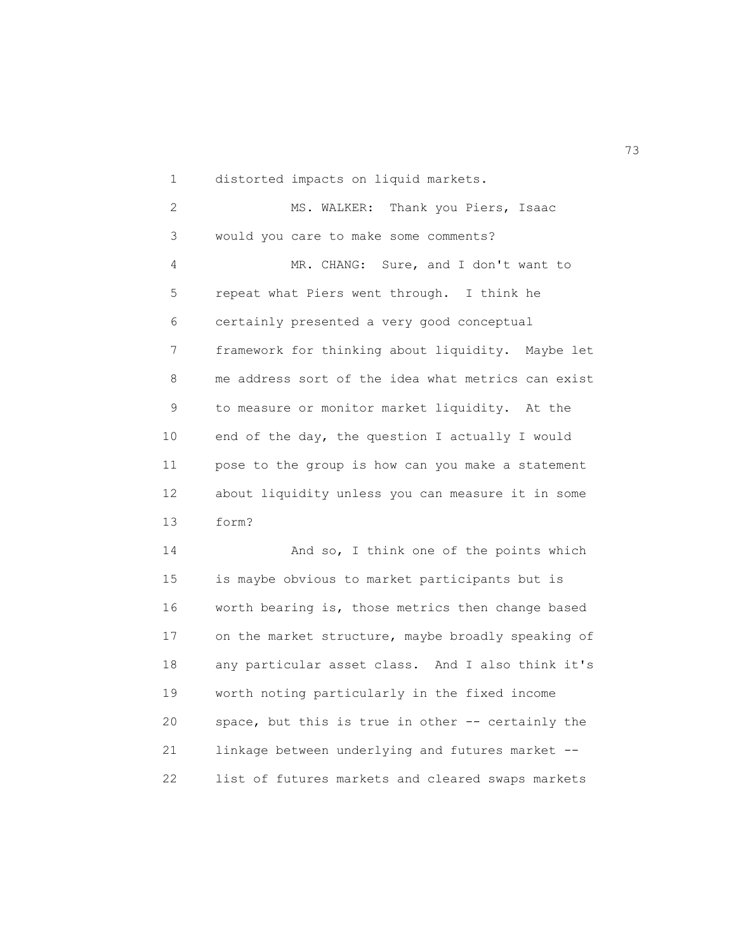1 distorted impacts on liquid markets.

2 MS. WALKER: Thank you Piers, Isaac 3 would you care to make some comments? 4 MR. CHANG: Sure, and I don't want to 5 repeat what Piers went through. I think he 6 certainly presented a very good conceptual 7 framework for thinking about liquidity. Maybe let 8 me address sort of the idea what metrics can exist 9 to measure or monitor market liquidity. At the 10 end of the day, the question I actually I would 11 pose to the group is how can you make a statement 12 about liquidity unless you can measure it in some 13 form? 14 And so, I think one of the points which 15 is maybe obvious to market participants but is

16 worth bearing is, those metrics then change based 17 on the market structure, maybe broadly speaking of 18 any particular asset class. And I also think it's 19 worth noting particularly in the fixed income 20 space, but this is true in other -- certainly the 21 linkage between underlying and futures market -- 22 list of futures markets and cleared swaps markets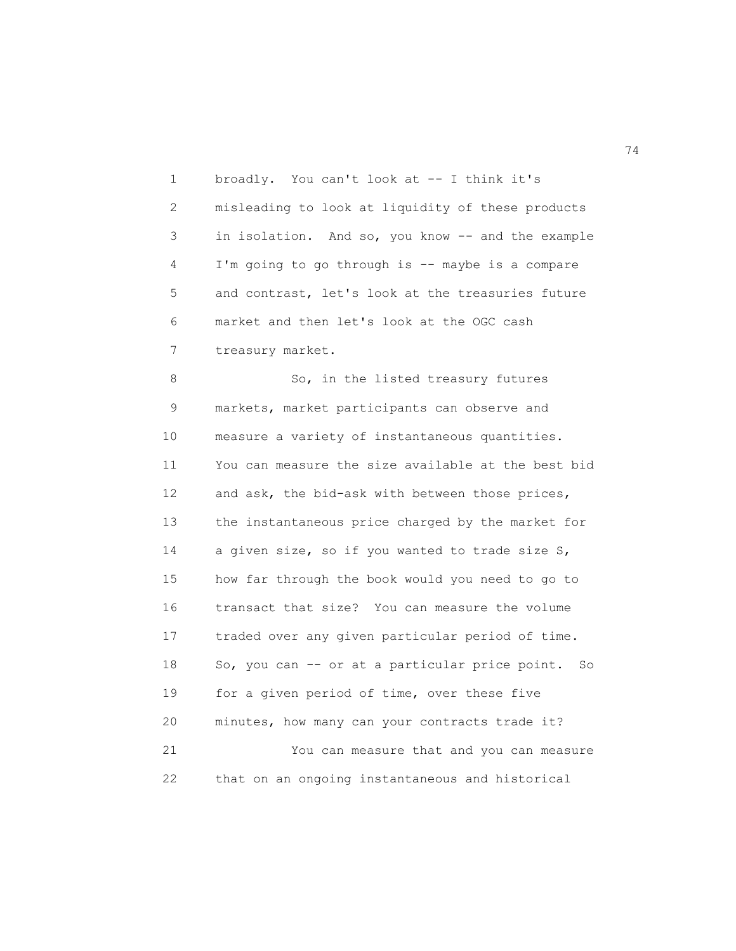1 broadly. You can't look at -- I think it's 2 misleading to look at liquidity of these products 3 in isolation. And so, you know -- and the example 4 I'm going to go through is -- maybe is a compare 5 and contrast, let's look at the treasuries future 6 market and then let's look at the OGC cash 7 treasury market.

8 So, in the listed treasury futures 9 markets, market participants can observe and 10 measure a variety of instantaneous quantities. 11 You can measure the size available at the best bid 12 and ask, the bid-ask with between those prices, 13 the instantaneous price charged by the market for 14 a given size, so if you wanted to trade size S, 15 how far through the book would you need to go to 16 transact that size? You can measure the volume 17 traded over any given particular period of time. 18 So, you can -- or at a particular price point. So 19 for a given period of time, over these five 20 minutes, how many can your contracts trade it? 21 You can measure that and you can measure 22 that on an ongoing instantaneous and historical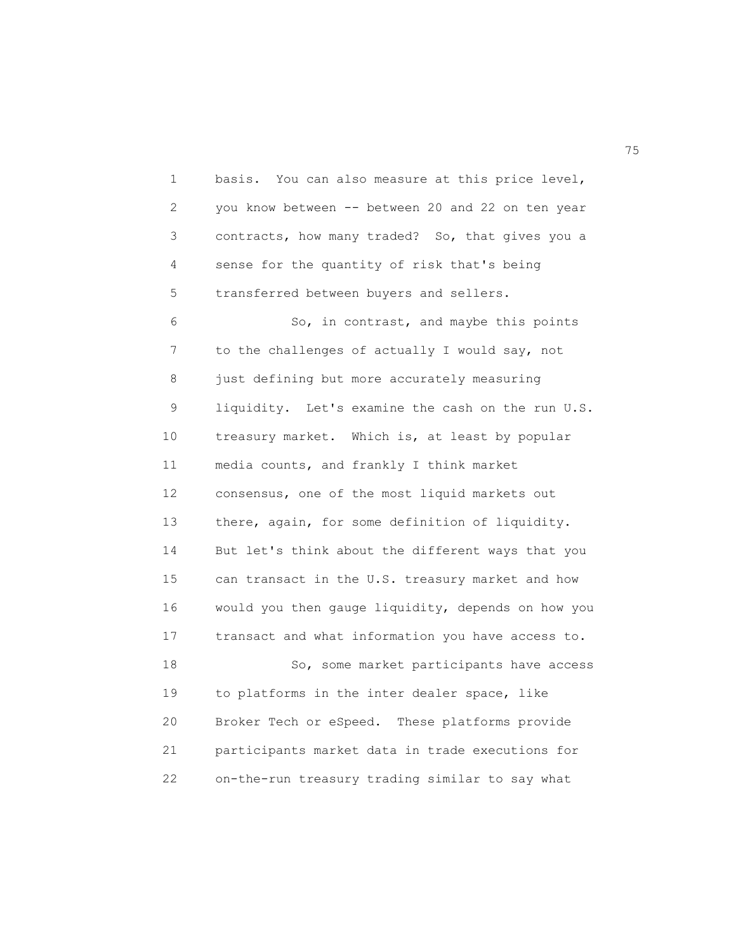1 basis. You can also measure at this price level, 2 you know between -- between 20 and 22 on ten year 3 contracts, how many traded? So, that gives you a 4 sense for the quantity of risk that's being 5 transferred between buyers and sellers. 6 So, in contrast, and maybe this points 7 to the challenges of actually I would say, not 8 just defining but more accurately measuring 9 liquidity. Let's examine the cash on the run U.S. 10 treasury market. Which is, at least by popular 11 media counts, and frankly I think market 12 consensus, one of the most liquid markets out 13 there, again, for some definition of liquidity. 14 But let's think about the different ways that you 15 can transact in the U.S. treasury market and how 16 would you then gauge liquidity, depends on how you 17 transact and what information you have access to. 18 So, some market participants have access 19 to platforms in the inter dealer space, like 20 Broker Tech or eSpeed. These platforms provide 21 participants market data in trade executions for

22 on-the-run treasury trading similar to say what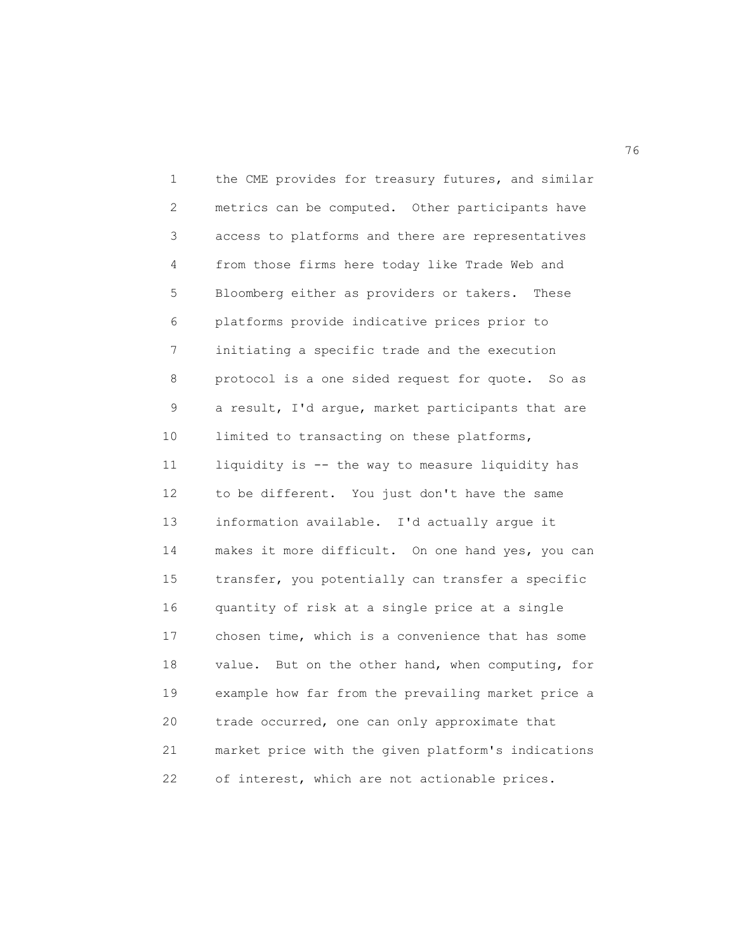1 the CME provides for treasury futures, and similar 2 metrics can be computed. Other participants have 3 access to platforms and there are representatives 4 from those firms here today like Trade Web and 5 Bloomberg either as providers or takers. These 6 platforms provide indicative prices prior to 7 initiating a specific trade and the execution 8 protocol is a one sided request for quote. So as 9 a result, I'd argue, market participants that are 10 limited to transacting on these platforms, 11 liquidity is -- the way to measure liquidity has 12 to be different. You just don't have the same 13 information available. I'd actually argue it 14 makes it more difficult. On one hand yes, you can 15 transfer, you potentially can transfer a specific 16 quantity of risk at a single price at a single 17 chosen time, which is a convenience that has some 18 value. But on the other hand, when computing, for 19 example how far from the prevailing market price a 20 trade occurred, one can only approximate that 21 market price with the given platform's indications 22 of interest, which are not actionable prices.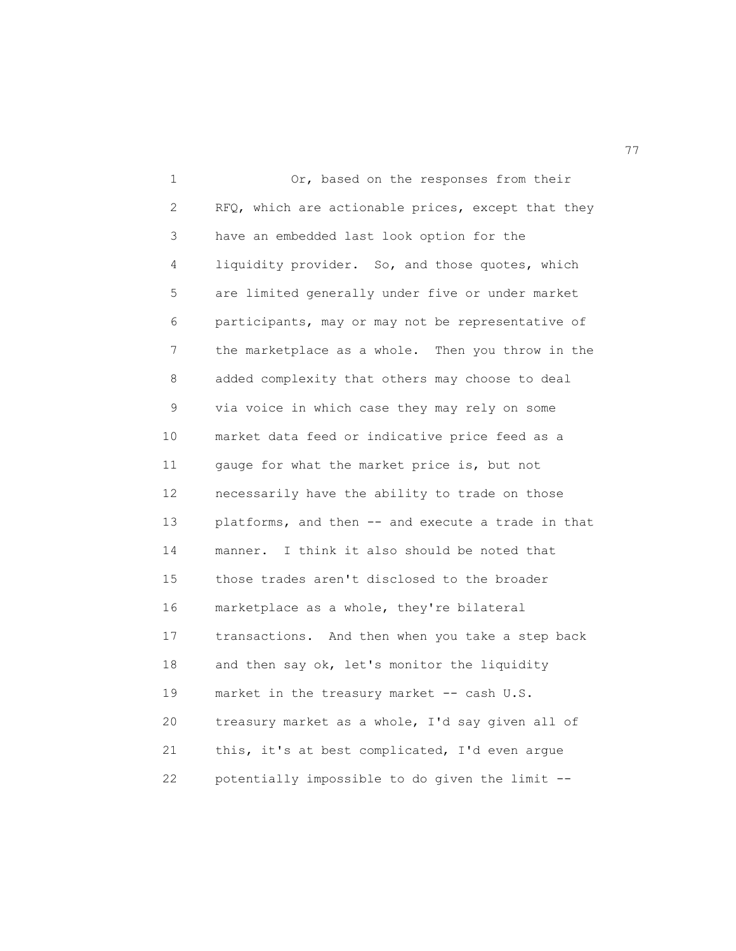1 Or, based on the responses from their 2 RFQ, which are actionable prices, except that they 3 have an embedded last look option for the 4 liquidity provider. So, and those quotes, which 5 are limited generally under five or under market 6 participants, may or may not be representative of 7 the marketplace as a whole. Then you throw in the 8 added complexity that others may choose to deal 9 via voice in which case they may rely on some 10 market data feed or indicative price feed as a 11 gauge for what the market price is, but not 12 necessarily have the ability to trade on those 13 platforms, and then -- and execute a trade in that 14 manner. I think it also should be noted that 15 those trades aren't disclosed to the broader 16 marketplace as a whole, they're bilateral 17 transactions. And then when you take a step back 18 and then say ok, let's monitor the liquidity 19 market in the treasury market -- cash U.S. 20 treasury market as a whole, I'd say given all of 21 this, it's at best complicated, I'd even argue 22 potentially impossible to do given the limit --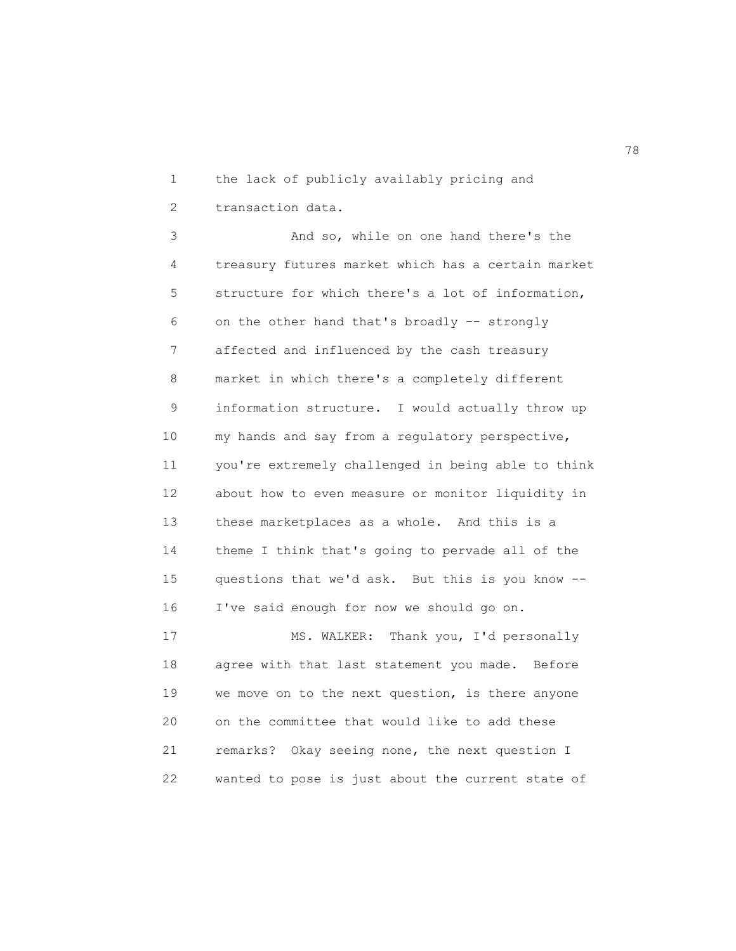1 the lack of publicly availably pricing and 2 transaction data.

3 And so, while on one hand there's the 4 treasury futures market which has a certain market 5 structure for which there's a lot of information, 6 on the other hand that's broadly -- strongly 7 affected and influenced by the cash treasury 8 market in which there's a completely different 9 information structure. I would actually throw up 10 my hands and say from a regulatory perspective, 11 you're extremely challenged in being able to think 12 about how to even measure or monitor liquidity in 13 these marketplaces as a whole. And this is a 14 theme I think that's going to pervade all of the 15 questions that we'd ask. But this is you know -- 16 I've said enough for now we should go on.

17 MS. WALKER: Thank you, I'd personally 18 agree with that last statement you made. Before 19 we move on to the next question, is there anyone 20 on the committee that would like to add these 21 remarks? Okay seeing none, the next question I 22 wanted to pose is just about the current state of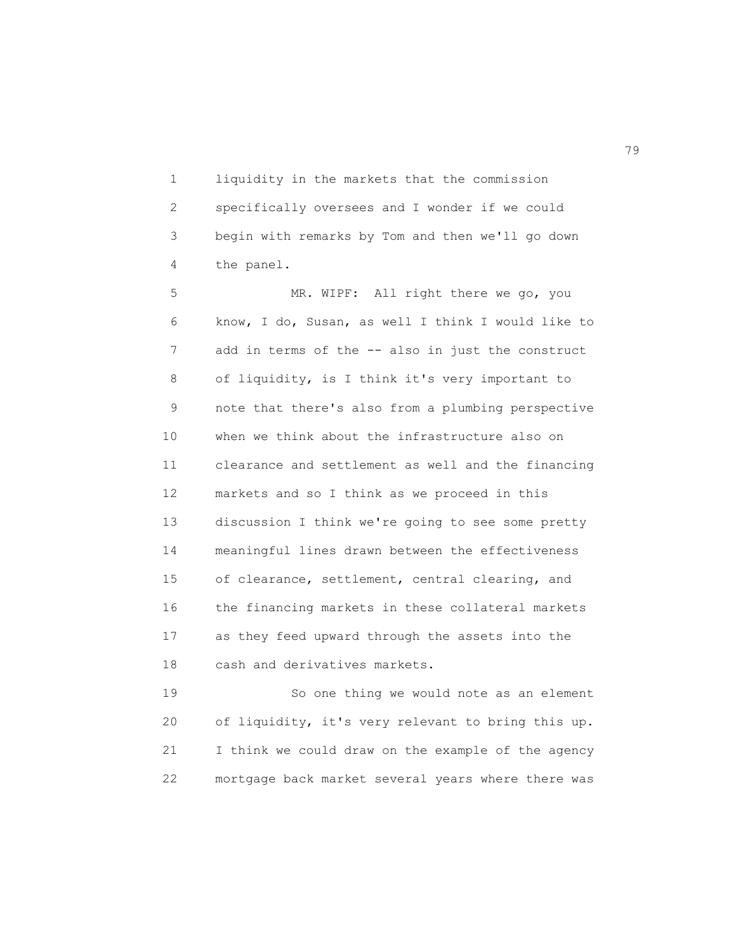1 liquidity in the markets that the commission 2 specifically oversees and I wonder if we could 3 begin with remarks by Tom and then we'll go down 4 the panel.

5 MR. WIPF: All right there we go, you 6 know, I do, Susan, as well I think I would like to 7 add in terms of the -- also in just the construct 8 of liquidity, is I think it's very important to 9 note that there's also from a plumbing perspective 10 when we think about the infrastructure also on 11 clearance and settlement as well and the financing 12 markets and so I think as we proceed in this 13 discussion I think we're going to see some pretty 14 meaningful lines drawn between the effectiveness 15 of clearance, settlement, central clearing, and 16 the financing markets in these collateral markets 17 as they feed upward through the assets into the 18 cash and derivatives markets.

19 So one thing we would note as an element 20 of liquidity, it's very relevant to bring this up. 21 I think we could draw on the example of the agency 22 mortgage back market several years where there was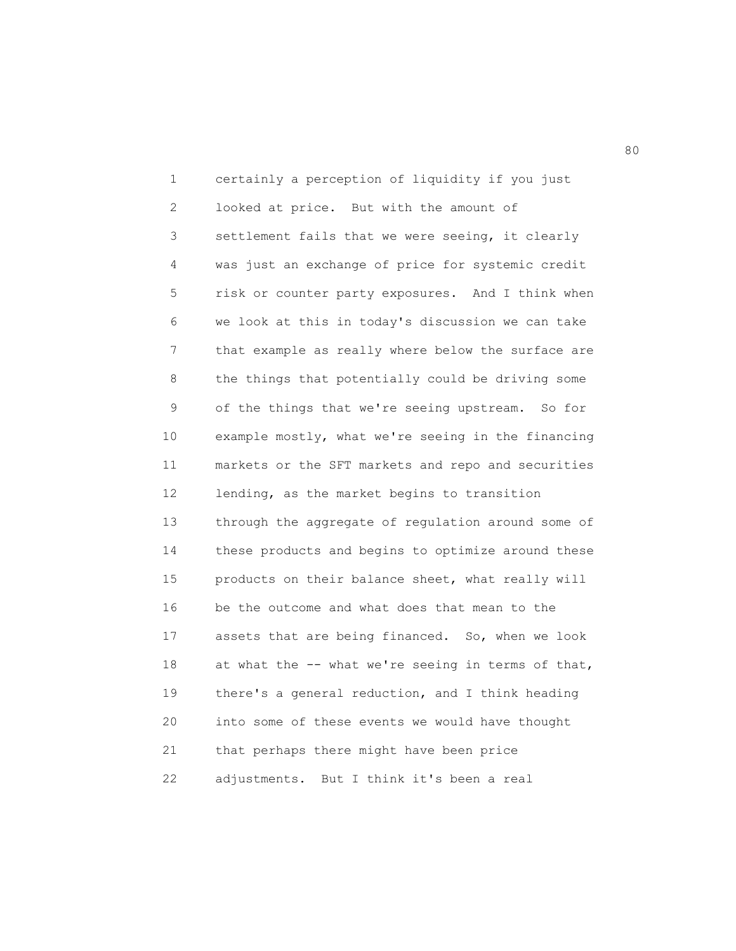1 certainly a perception of liquidity if you just 2 looked at price. But with the amount of 3 settlement fails that we were seeing, it clearly 4 was just an exchange of price for systemic credit 5 risk or counter party exposures. And I think when 6 we look at this in today's discussion we can take 7 that example as really where below the surface are 8 the things that potentially could be driving some 9 of the things that we're seeing upstream. So for 10 example mostly, what we're seeing in the financing 11 markets or the SFT markets and repo and securities 12 lending, as the market begins to transition 13 through the aggregate of regulation around some of 14 these products and begins to optimize around these 15 products on their balance sheet, what really will 16 be the outcome and what does that mean to the 17 assets that are being financed. So, when we look 18 at what the -- what we're seeing in terms of that, 19 there's a general reduction, and I think heading 20 into some of these events we would have thought 21 that perhaps there might have been price 22 adjustments. But I think it's been a real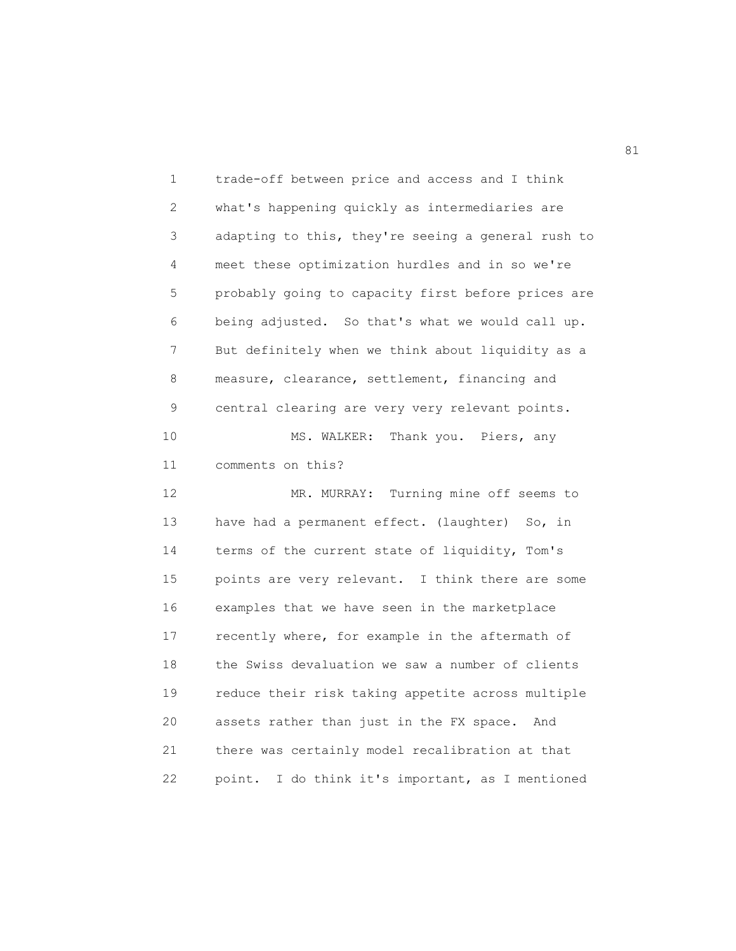1 trade-off between price and access and I think 2 what's happening quickly as intermediaries are 3 adapting to this, they're seeing a general rush to 4 meet these optimization hurdles and in so we're 5 probably going to capacity first before prices are 6 being adjusted. So that's what we would call up. 7 But definitely when we think about liquidity as a 8 measure, clearance, settlement, financing and 9 central clearing are very very relevant points. 10 MS. WALKER: Thank you. Piers, any 11 comments on this? 12 MR. MURRAY: Turning mine off seems to 13 have had a permanent effect. (laughter) So, in 14 terms of the current state of liquidity, Tom's 15 points are very relevant. I think there are some 16 examples that we have seen in the marketplace 17 recently where, for example in the aftermath of 18 the Swiss devaluation we saw a number of clients 19 reduce their risk taking appetite across multiple 20 assets rather than just in the FX space. And 21 there was certainly model recalibration at that 22 point. I do think it's important, as I mentioned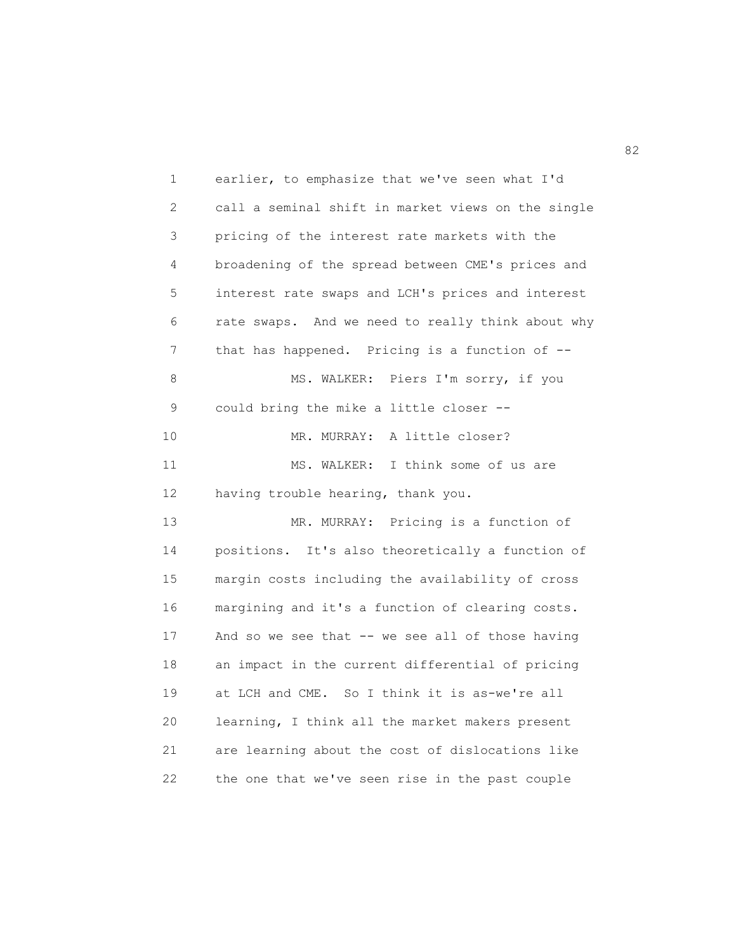1 earlier, to emphasize that we've seen what I'd 2 call a seminal shift in market views on the single 3 pricing of the interest rate markets with the 4 broadening of the spread between CME's prices and 5 interest rate swaps and LCH's prices and interest 6 rate swaps. And we need to really think about why 7 that has happened. Pricing is a function of --8 MS. WALKER: Piers I'm sorry, if you 9 could bring the mike a little closer -- 10 MR. MURRAY: A little closer? 11 MS. WALKER: I think some of us are 12 having trouble hearing, thank you. 13 MR. MURRAY: Pricing is a function of 14 positions. It's also theoretically a function of 15 margin costs including the availability of cross 16 margining and it's a function of clearing costs. 17 And so we see that -- we see all of those having 18 an impact in the current differential of pricing 19 at LCH and CME. So I think it is as-we're all 20 learning, I think all the market makers present 21 are learning about the cost of dislocations like 22 the one that we've seen rise in the past couple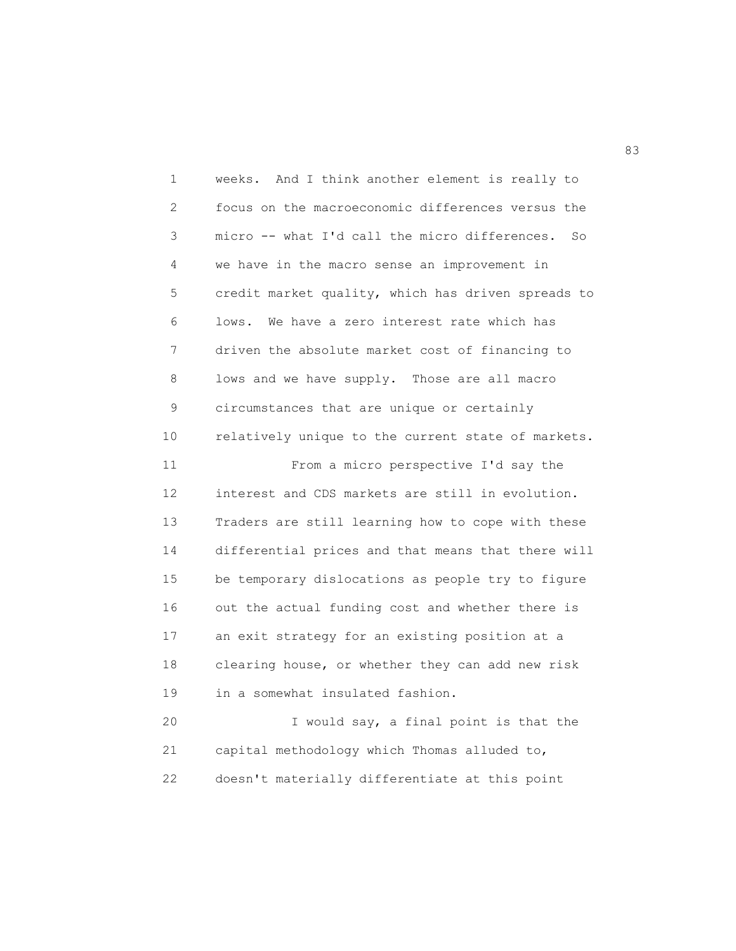1 weeks. And I think another element is really to 2 focus on the macroeconomic differences versus the 3 micro -- what I'd call the micro differences. So 4 we have in the macro sense an improvement in 5 credit market quality, which has driven spreads to 6 lows. We have a zero interest rate which has 7 driven the absolute market cost of financing to 8 lows and we have supply. Those are all macro 9 circumstances that are unique or certainly 10 relatively unique to the current state of markets. 11 From a micro perspective I'd say the 12 interest and CDS markets are still in evolution. 13 Traders are still learning how to cope with these 14 differential prices and that means that there will 15 be temporary dislocations as people try to figure 16 out the actual funding cost and whether there is 17 an exit strategy for an existing position at a 18 clearing house, or whether they can add new risk 19 in a somewhat insulated fashion. 20 I would say, a final point is that the 21 capital methodology which Thomas alluded to, 22 doesn't materially differentiate at this point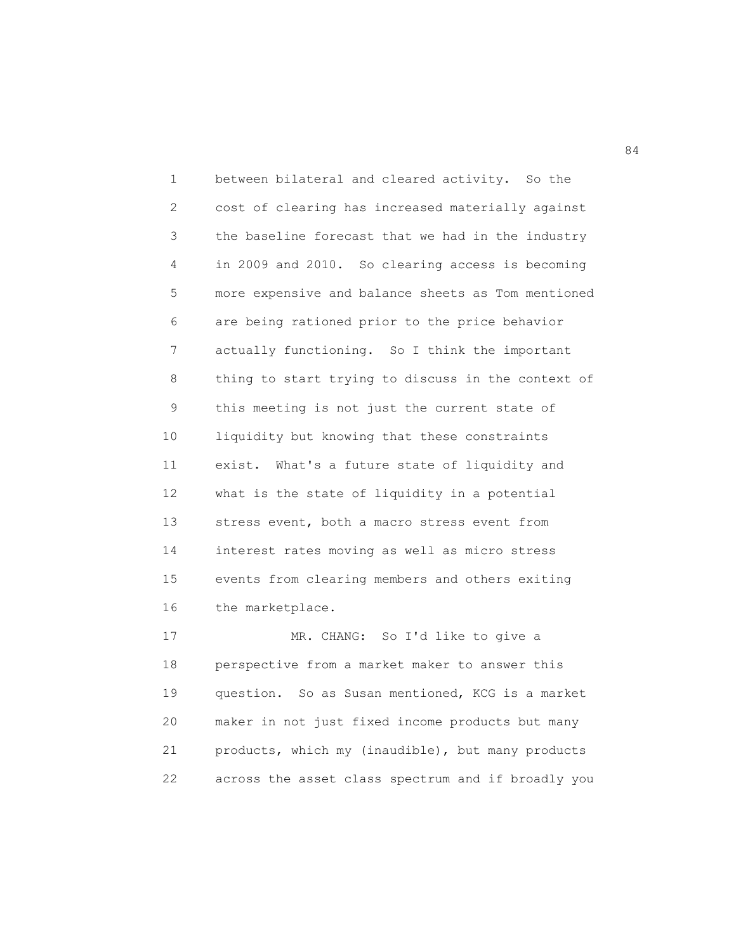1 between bilateral and cleared activity. So the 2 cost of clearing has increased materially against 3 the baseline forecast that we had in the industry 4 in 2009 and 2010. So clearing access is becoming 5 more expensive and balance sheets as Tom mentioned 6 are being rationed prior to the price behavior 7 actually functioning. So I think the important 8 thing to start trying to discuss in the context of 9 this meeting is not just the current state of 10 liquidity but knowing that these constraints 11 exist. What's a future state of liquidity and 12 what is the state of liquidity in a potential 13 stress event, both a macro stress event from 14 interest rates moving as well as micro stress 15 events from clearing members and others exiting 16 the marketplace.

17 MR. CHANG: So I'd like to give a 18 perspective from a market maker to answer this 19 question. So as Susan mentioned, KCG is a market 20 maker in not just fixed income products but many 21 products, which my (inaudible), but many products 22 across the asset class spectrum and if broadly you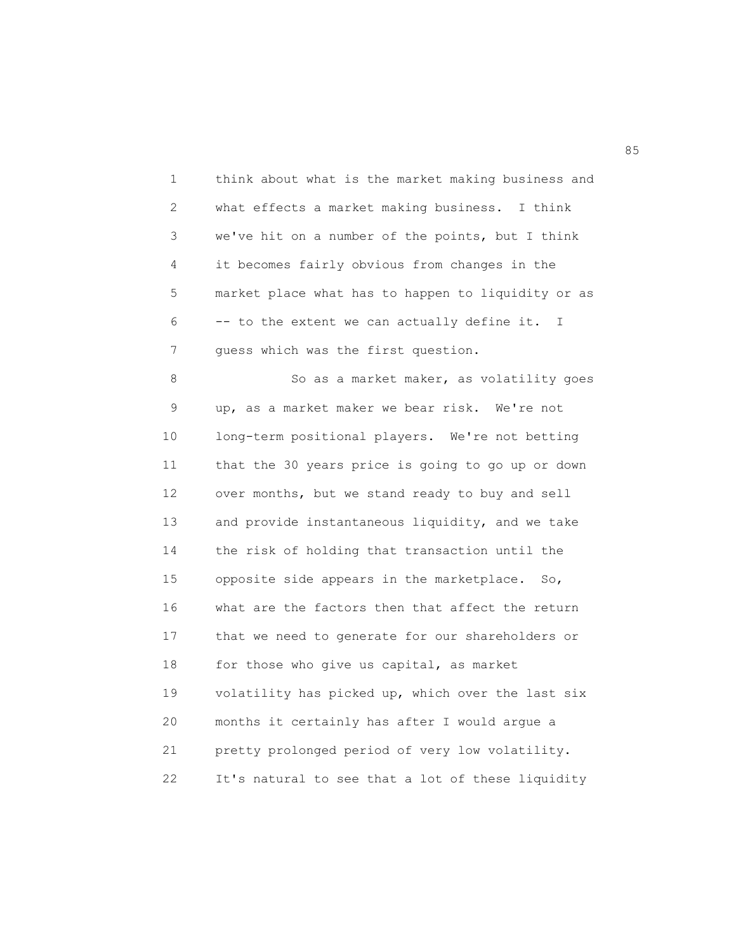1 think about what is the market making business and 2 what effects a market making business. I think 3 we've hit on a number of the points, but I think 4 it becomes fairly obvious from changes in the 5 market place what has to happen to liquidity or as 6 -- to the extent we can actually define it. I 7 guess which was the first question. 8 So as a market maker, as volatility goes 9 up, as a market maker we bear risk. We're not 10 long-term positional players. We're not betting 11 that the 30 years price is going to go up or down 12 over months, but we stand ready to buy and sell 13 and provide instantaneous liquidity, and we take 14 the risk of holding that transaction until the 15 opposite side appears in the marketplace. So, 16 what are the factors then that affect the return 17 that we need to generate for our shareholders or 18 for those who give us capital, as market 19 volatility has picked up, which over the last six 20 months it certainly has after I would argue a 21 pretty prolonged period of very low volatility. 22 It's natural to see that a lot of these liquidity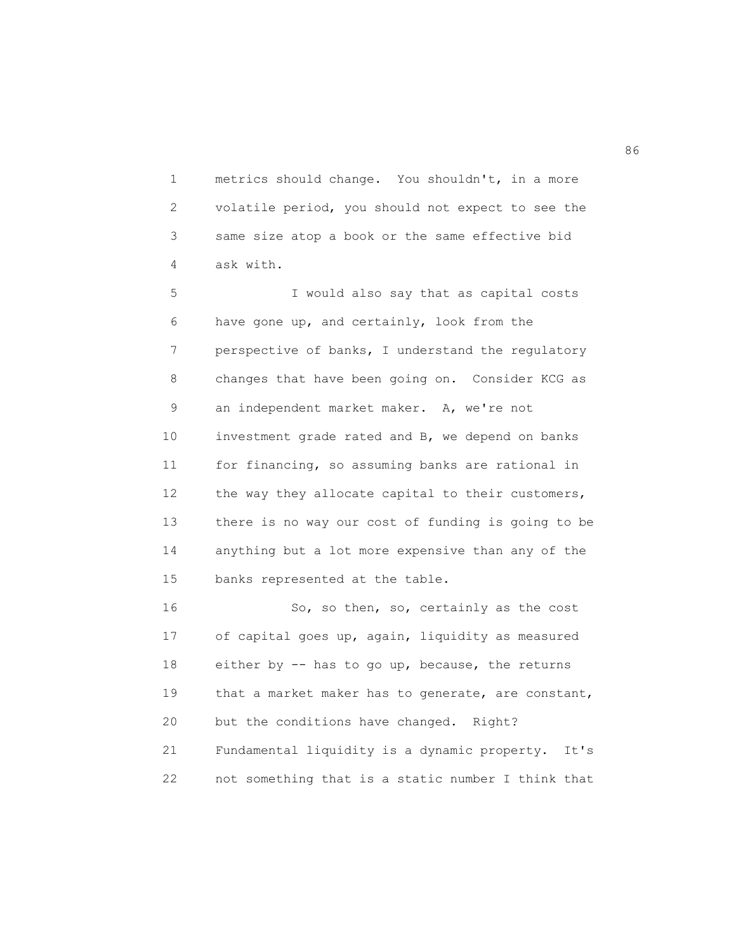1 metrics should change. You shouldn't, in a more 2 volatile period, you should not expect to see the 3 same size atop a book or the same effective bid 4 ask with.

5 I would also say that as capital costs 6 have gone up, and certainly, look from the 7 perspective of banks, I understand the regulatory 8 changes that have been going on. Consider KCG as 9 an independent market maker. A, we're not 10 investment grade rated and B, we depend on banks 11 for financing, so assuming banks are rational in 12 the way they allocate capital to their customers, 13 there is no way our cost of funding is going to be 14 anything but a lot more expensive than any of the 15 banks represented at the table.

16 So, so then, so, certainly as the cost 17 of capital goes up, again, liquidity as measured 18 either by -- has to go up, because, the returns 19 that a market maker has to generate, are constant, 20 but the conditions have changed. Right? 21 Fundamental liquidity is a dynamic property. It's 22 not something that is a static number I think that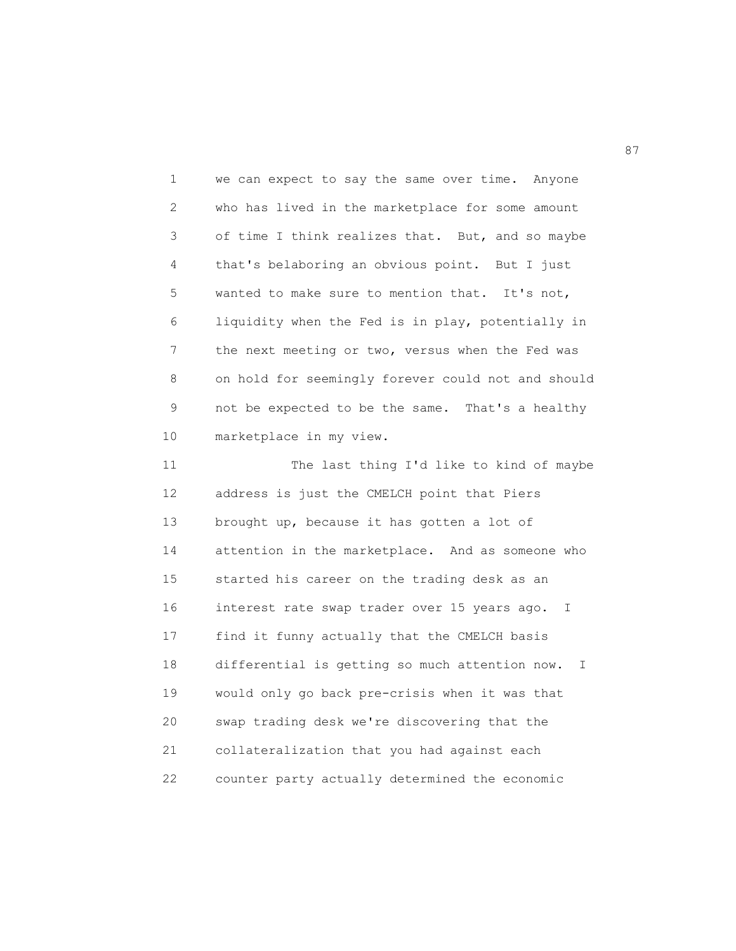1 we can expect to say the same over time. Anyone 2 who has lived in the marketplace for some amount 3 of time I think realizes that. But, and so maybe 4 that's belaboring an obvious point. But I just 5 wanted to make sure to mention that. It's not, 6 liquidity when the Fed is in play, potentially in 7 the next meeting or two, versus when the Fed was 8 on hold for seemingly forever could not and should 9 not be expected to be the same. That's a healthy 10 marketplace in my view.

11 The last thing I'd like to kind of maybe 12 address is just the CMELCH point that Piers 13 brought up, because it has gotten a lot of 14 attention in the marketplace. And as someone who 15 started his career on the trading desk as an 16 interest rate swap trader over 15 years ago. I 17 find it funny actually that the CMELCH basis 18 differential is getting so much attention now. I 19 would only go back pre-crisis when it was that 20 swap trading desk we're discovering that the 21 collateralization that you had against each 22 counter party actually determined the economic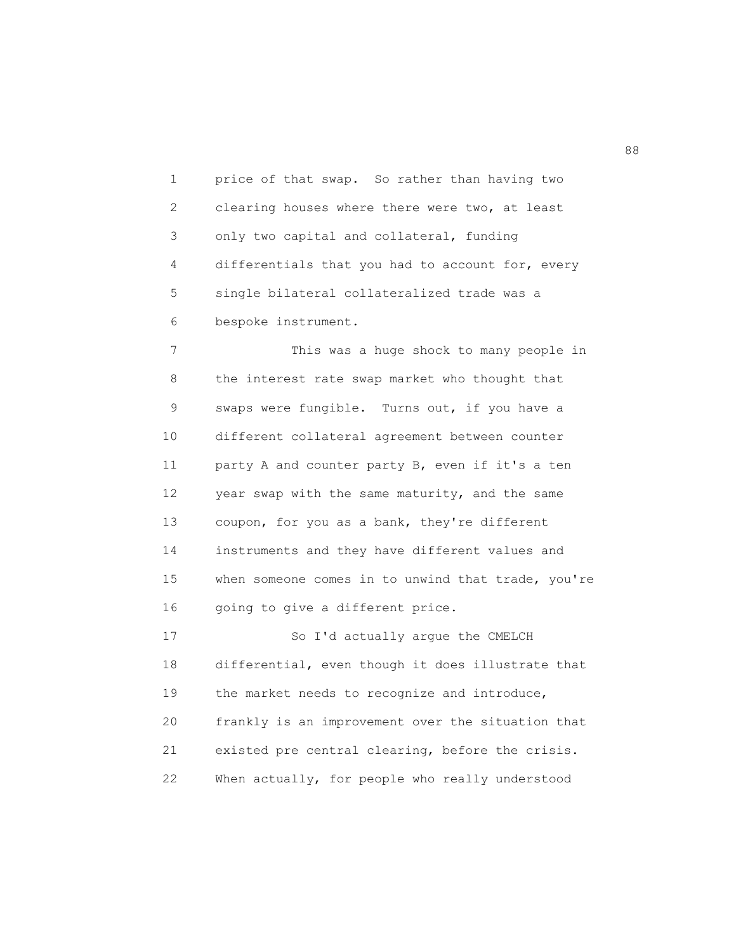1 price of that swap. So rather than having two 2 clearing houses where there were two, at least 3 only two capital and collateral, funding 4 differentials that you had to account for, every 5 single bilateral collateralized trade was a 6 bespoke instrument.

7 This was a huge shock to many people in 8 the interest rate swap market who thought that 9 swaps were fungible. Turns out, if you have a 10 different collateral agreement between counter 11 party A and counter party B, even if it's a ten 12 year swap with the same maturity, and the same 13 coupon, for you as a bank, they're different 14 instruments and they have different values and 15 when someone comes in to unwind that trade, you're 16 going to give a different price.

17 So I'd actually argue the CMELCH 18 differential, even though it does illustrate that 19 the market needs to recognize and introduce, 20 frankly is an improvement over the situation that 21 existed pre central clearing, before the crisis. 22 When actually, for people who really understood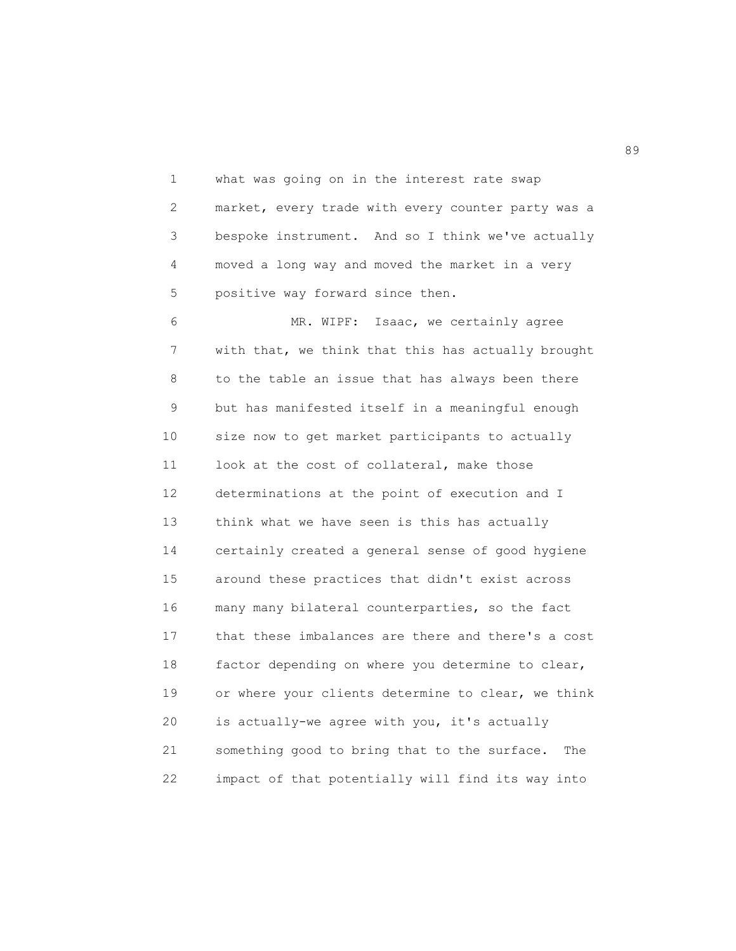1 what was going on in the interest rate swap 2 market, every trade with every counter party was a 3 bespoke instrument. And so I think we've actually 4 moved a long way and moved the market in a very 5 positive way forward since then.

6 MR. WIPF: Isaac, we certainly agree 7 with that, we think that this has actually brought 8 to the table an issue that has always been there 9 but has manifested itself in a meaningful enough 10 size now to get market participants to actually 11 look at the cost of collateral, make those 12 determinations at the point of execution and I 13 think what we have seen is this has actually 14 certainly created a general sense of good hygiene 15 around these practices that didn't exist across 16 many many bilateral counterparties, so the fact 17 that these imbalances are there and there's a cost 18 factor depending on where you determine to clear, 19 or where your clients determine to clear, we think 20 is actually-we agree with you, it's actually 21 something good to bring that to the surface. The 22 impact of that potentially will find its way into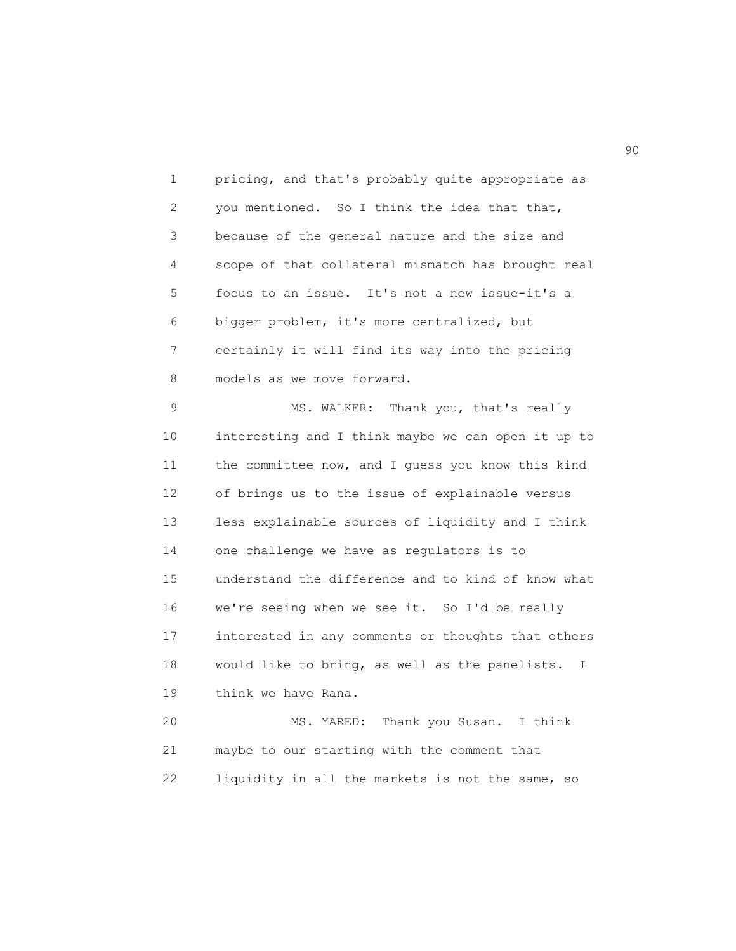1 pricing, and that's probably quite appropriate as 2 you mentioned. So I think the idea that that, 3 because of the general nature and the size and 4 scope of that collateral mismatch has brought real 5 focus to an issue. It's not a new issue-it's a 6 bigger problem, it's more centralized, but 7 certainly it will find its way into the pricing 8 models as we move forward.

9 MS. WALKER: Thank you, that's really 10 interesting and I think maybe we can open it up to 11 the committee now, and I guess you know this kind 12 of brings us to the issue of explainable versus 13 less explainable sources of liquidity and I think 14 one challenge we have as regulators is to 15 understand the difference and to kind of know what 16 we're seeing when we see it. So I'd be really 17 interested in any comments or thoughts that others 18 would like to bring, as well as the panelists. I 19 think we have Rana. 20 MS. YARED: Thank you Susan. I think

21 maybe to our starting with the comment that 22 liquidity in all the markets is not the same, so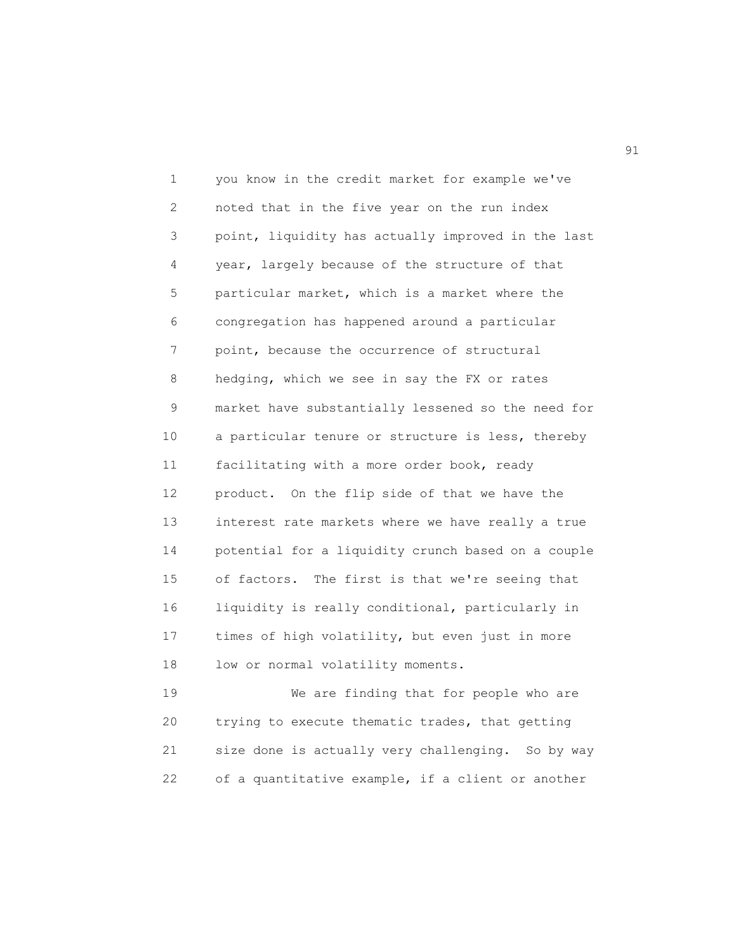1 you know in the credit market for example we've 2 noted that in the five year on the run index 3 point, liquidity has actually improved in the last 4 year, largely because of the structure of that 5 particular market, which is a market where the 6 congregation has happened around a particular 7 point, because the occurrence of structural 8 hedging, which we see in say the FX or rates 9 market have substantially lessened so the need for 10 a particular tenure or structure is less, thereby 11 facilitating with a more order book, ready 12 product. On the flip side of that we have the 13 interest rate markets where we have really a true 14 potential for a liquidity crunch based on a couple 15 of factors. The first is that we're seeing that 16 liquidity is really conditional, particularly in 17 times of high volatility, but even just in more 18 low or normal volatility moments.

19 We are finding that for people who are 20 trying to execute thematic trades, that getting 21 size done is actually very challenging. So by way 22 of a quantitative example, if a client or another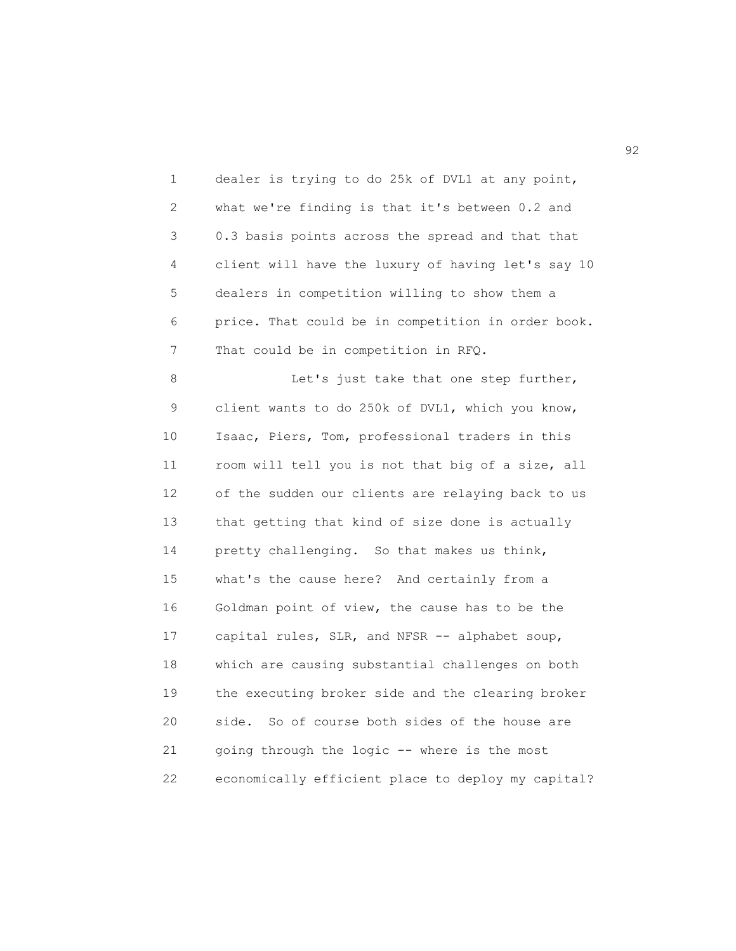1 dealer is trying to do 25k of DVL1 at any point, 2 what we're finding is that it's between 0.2 and 3 0.3 basis points across the spread and that that 4 client will have the luxury of having let's say 10 5 dealers in competition willing to show them a 6 price. That could be in competition in order book. 7 That could be in competition in RFQ.

8 Let's just take that one step further, 9 client wants to do 250k of DVL1, which you know, 10 Isaac, Piers, Tom, professional traders in this 11 room will tell you is not that big of a size, all 12 of the sudden our clients are relaying back to us 13 that getting that kind of size done is actually 14 pretty challenging. So that makes us think, 15 what's the cause here? And certainly from a 16 Goldman point of view, the cause has to be the 17 capital rules, SLR, and NFSR -- alphabet soup, 18 which are causing substantial challenges on both 19 the executing broker side and the clearing broker 20 side. So of course both sides of the house are 21 going through the logic -- where is the most 22 economically efficient place to deploy my capital?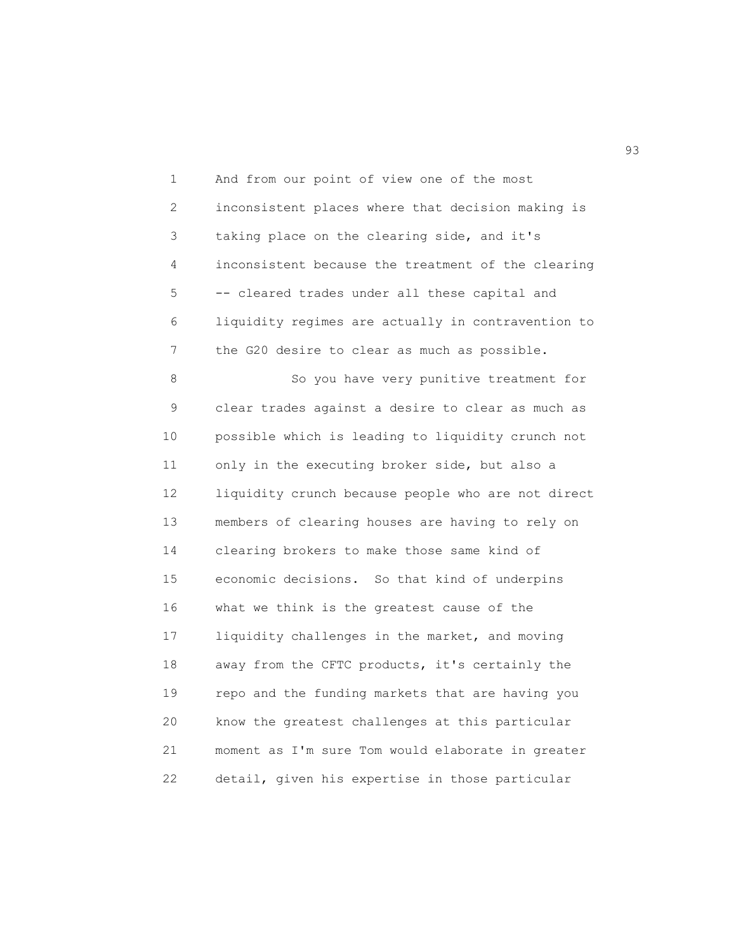1 And from our point of view one of the most 2 inconsistent places where that decision making is 3 taking place on the clearing side, and it's 4 inconsistent because the treatment of the clearing 5 -- cleared trades under all these capital and 6 liquidity regimes are actually in contravention to 7 the G20 desire to clear as much as possible.

8 So you have very punitive treatment for 9 clear trades against a desire to clear as much as 10 possible which is leading to liquidity crunch not 11 only in the executing broker side, but also a 12 liquidity crunch because people who are not direct 13 members of clearing houses are having to rely on 14 clearing brokers to make those same kind of 15 economic decisions. So that kind of underpins 16 what we think is the greatest cause of the 17 liquidity challenges in the market, and moving 18 away from the CFTC products, it's certainly the 19 repo and the funding markets that are having you 20 know the greatest challenges at this particular 21 moment as I'm sure Tom would elaborate in greater 22 detail, given his expertise in those particular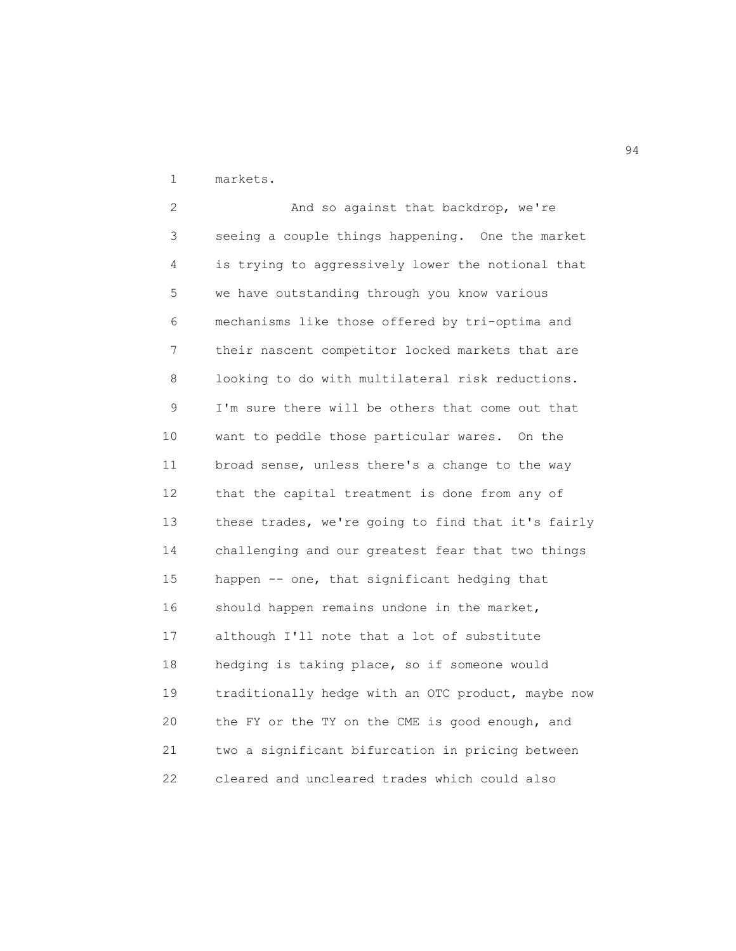1 markets.

2 And so against that backdrop, we're 3 seeing a couple things happening. One the market 4 is trying to aggressively lower the notional that 5 we have outstanding through you know various 6 mechanisms like those offered by tri-optima and 7 their nascent competitor locked markets that are 8 looking to do with multilateral risk reductions. 9 I'm sure there will be others that come out that 10 want to peddle those particular wares. On the 11 broad sense, unless there's a change to the way 12 that the capital treatment is done from any of 13 these trades, we're going to find that it's fairly 14 challenging and our greatest fear that two things 15 happen -- one, that significant hedging that 16 should happen remains undone in the market, 17 although I'll note that a lot of substitute 18 hedging is taking place, so if someone would 19 traditionally hedge with an OTC product, maybe now 20 the FY or the TY on the CME is good enough, and 21 two a significant bifurcation in pricing between 22 cleared and uncleared trades which could also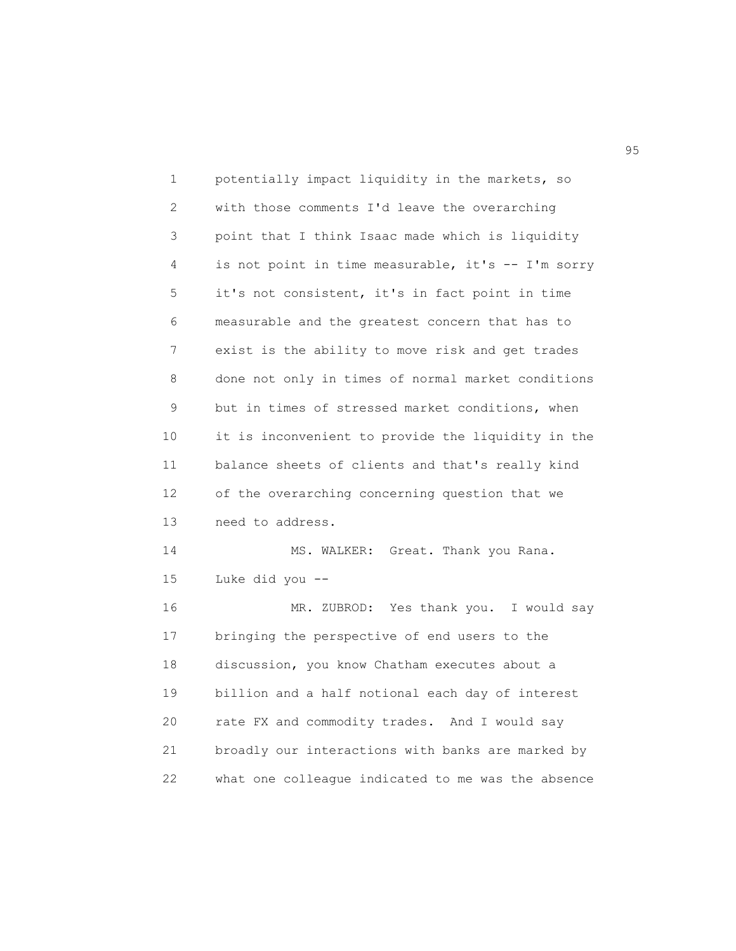| 1  | potentially impact liquidity in the markets, so    |
|----|----------------------------------------------------|
| 2  | with those comments I'd leave the overarching      |
| 3  | point that I think Isaac made which is liquidity   |
| 4  | is not point in time measurable, it's -- I'm sorry |
| 5  | it's not consistent, it's in fact point in time    |
| 6  | measurable and the greatest concern that has to    |
| 7  | exist is the ability to move risk and get trades   |
| 8  | done not only in times of normal market conditions |
| 9  | but in times of stressed market conditions, when   |
| 10 | it is inconvenient to provide the liquidity in the |
| 11 | balance sheets of clients and that's really kind   |
| 12 | of the overarching concerning question that we     |
| 13 | need to address.                                   |
| 14 | MS. WALKER: Great. Thank you Rana.                 |
| 15 | Luke did you --                                    |
| 16 | MR. ZUBROD: Yes thank you. I would say             |
| 17 | bringing the perspective of end users to the       |
| 18 | discussion, you know Chatham executes about a      |
| 19 | billion and a half notional each day of interest   |
| 20 | rate FX and commodity trades. And I would say      |
| 21 | broadly our interactions with banks are marked by  |
| 22 | what one colleague indicated to me was the absence |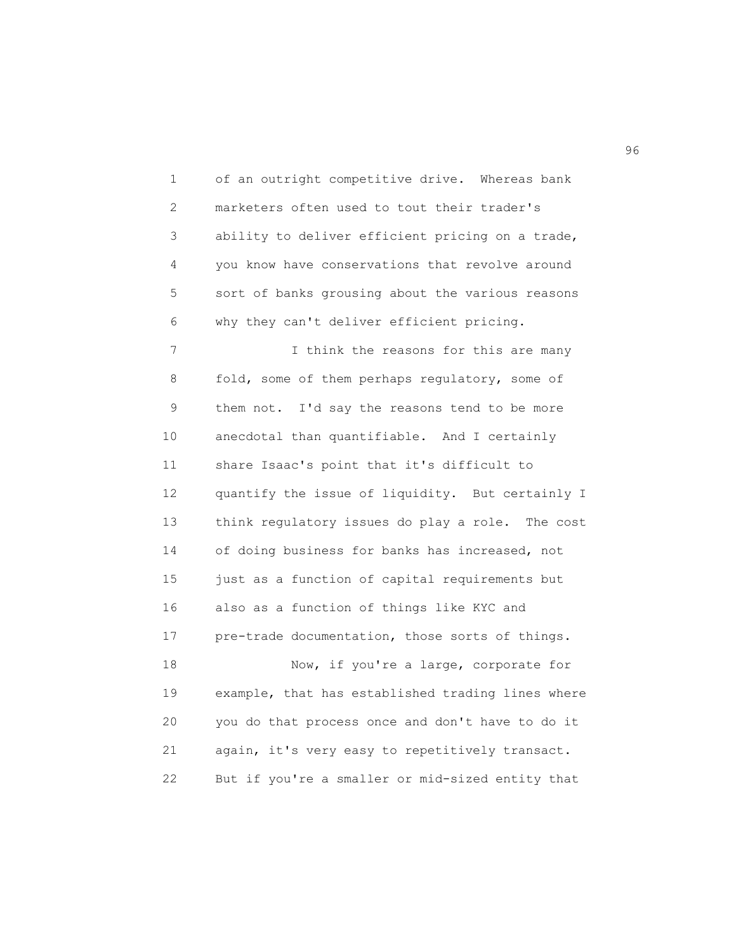| 1          | of an outright competitive drive. Whereas bank    |
|------------|---------------------------------------------------|
| $\sqrt{2}$ | marketers often used to tout their trader's       |
| 3          | ability to deliver efficient pricing on a trade,  |
| 4          | you know have conservations that revolve around   |
| 5          | sort of banks grousing about the various reasons  |
| 6          | why they can't deliver efficient pricing.         |
| 7          | I think the reasons for this are many             |
| 8          | fold, some of them perhaps regulatory, some of    |
| 9          | them not. I'd say the reasons tend to be more     |
| $10$       | anecdotal than quantifiable. And I certainly      |
| 11         | share Isaac's point that it's difficult to        |
| 12         | quantify the issue of liquidity. But certainly I  |
| 13         | think regulatory issues do play a role. The cost  |
| 14         | of doing business for banks has increased, not    |
| 15         | just as a function of capital requirements but    |
| 16         | also as a function of things like KYC and         |
| 17         | pre-trade documentation, those sorts of things.   |
| 18         | Now, if you're a large, corporate for             |
| 19         | example, that has established trading lines where |
| 20         | you do that process once and don't have to do it  |
| 21         | again, it's very easy to repetitively transact.   |
| 22         | But if you're a smaller or mid-sized entity that  |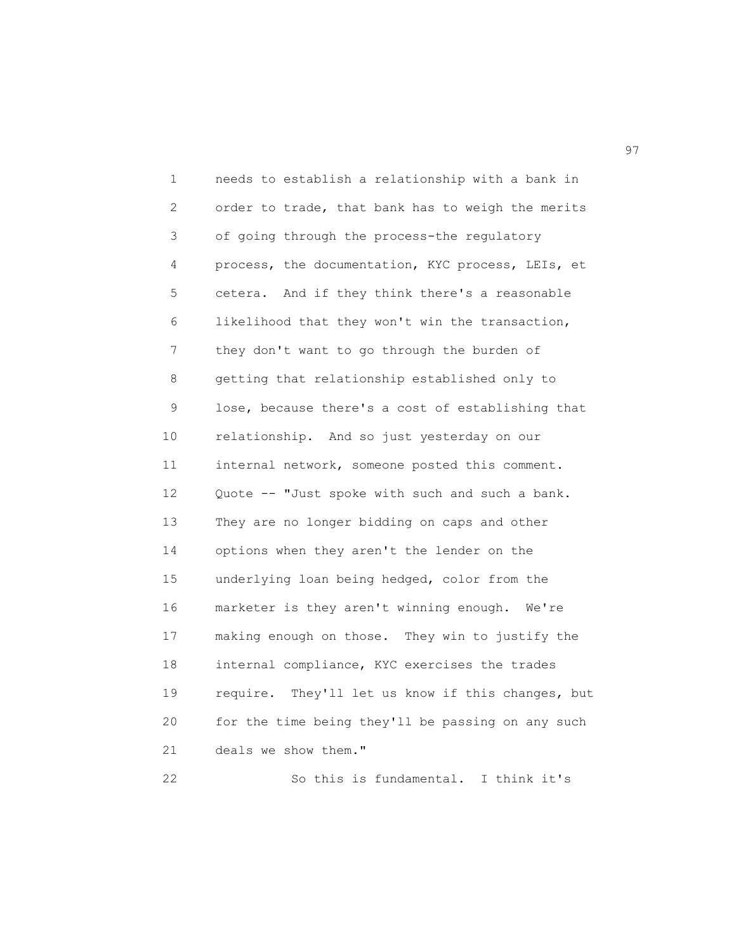1 needs to establish a relationship with a bank in 2 order to trade, that bank has to weigh the merits 3 of going through the process-the regulatory 4 process, the documentation, KYC process, LEIs, et 5 cetera. And if they think there's a reasonable 6 likelihood that they won't win the transaction, 7 they don't want to go through the burden of 8 getting that relationship established only to 9 lose, because there's a cost of establishing that 10 relationship. And so just yesterday on our 11 internal network, someone posted this comment. 12 Quote -- "Just spoke with such and such a bank. 13 They are no longer bidding on caps and other 14 options when they aren't the lender on the 15 underlying loan being hedged, color from the 16 marketer is they aren't winning enough. We're 17 making enough on those. They win to justify the 18 internal compliance, KYC exercises the trades 19 require. They'll let us know if this changes, but 20 for the time being they'll be passing on any such 21 deals we show them."

22 So this is fundamental. I think it's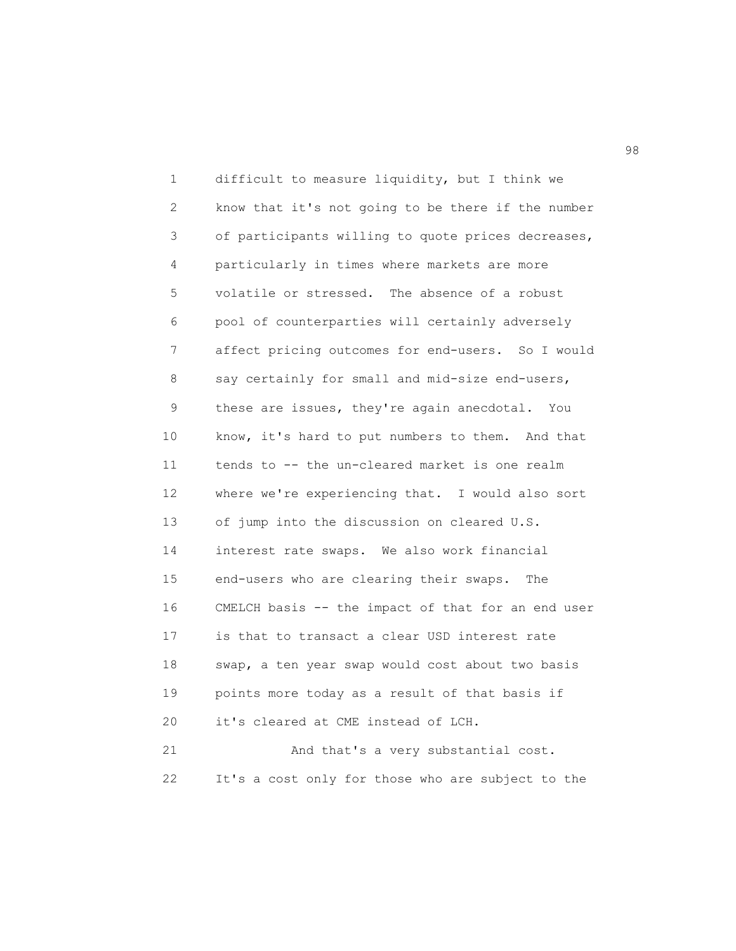1 difficult to measure liquidity, but I think we 2 know that it's not going to be there if the number 3 of participants willing to quote prices decreases, 4 particularly in times where markets are more 5 volatile or stressed. The absence of a robust 6 pool of counterparties will certainly adversely 7 affect pricing outcomes for end-users. So I would 8 say certainly for small and mid-size end-users, 9 these are issues, they're again anecdotal. You 10 know, it's hard to put numbers to them. And that 11 tends to -- the un-cleared market is one realm 12 where we're experiencing that. I would also sort 13 of jump into the discussion on cleared U.S. 14 interest rate swaps. We also work financial 15 end-users who are clearing their swaps. The 16 CMELCH basis -- the impact of that for an end user 17 is that to transact a clear USD interest rate 18 swap, a ten year swap would cost about two basis 19 points more today as a result of that basis if 20 it's cleared at CME instead of LCH. 21 And that's a very substantial cost.

22 It's a cost only for those who are subject to the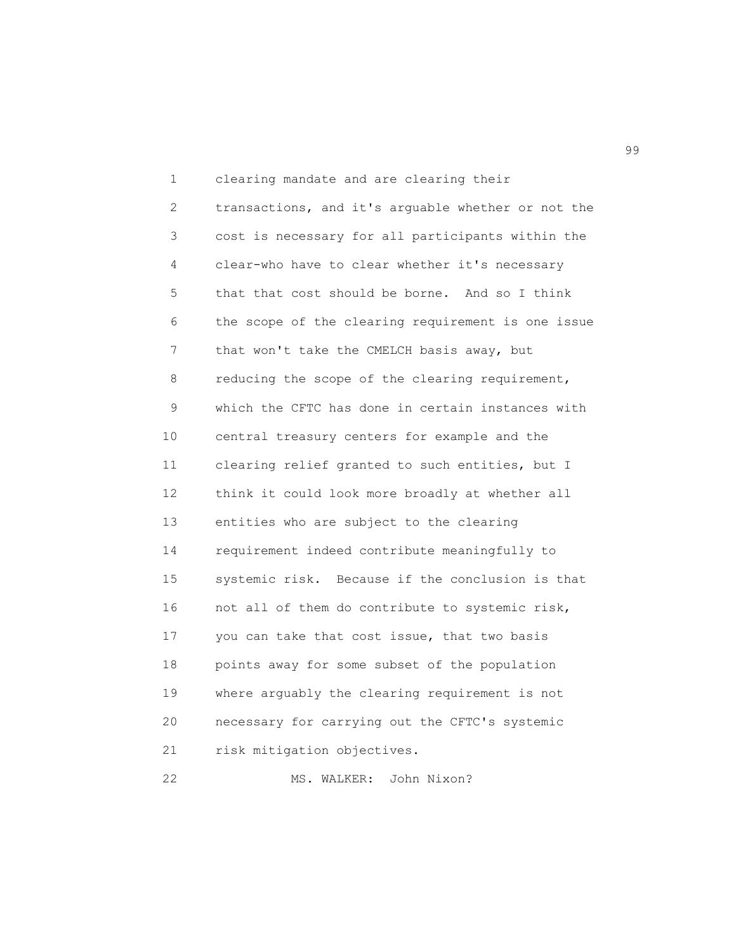1 clearing mandate and are clearing their 2 transactions, and it's arguable whether or not the 3 cost is necessary for all participants within the 4 clear-who have to clear whether it's necessary 5 that that cost should be borne. And so I think 6 the scope of the clearing requirement is one issue 7 that won't take the CMELCH basis away, but 8 reducing the scope of the clearing requirement, 9 which the CFTC has done in certain instances with 10 central treasury centers for example and the 11 clearing relief granted to such entities, but I 12 think it could look more broadly at whether all 13 entities who are subject to the clearing 14 requirement indeed contribute meaningfully to 15 systemic risk. Because if the conclusion is that 16 not all of them do contribute to systemic risk, 17 you can take that cost issue, that two basis 18 points away for some subset of the population 19 where arguably the clearing requirement is not 20 necessary for carrying out the CFTC's systemic 21 risk mitigation objectives.

```
22 MS. WALKER: John Nixon?
```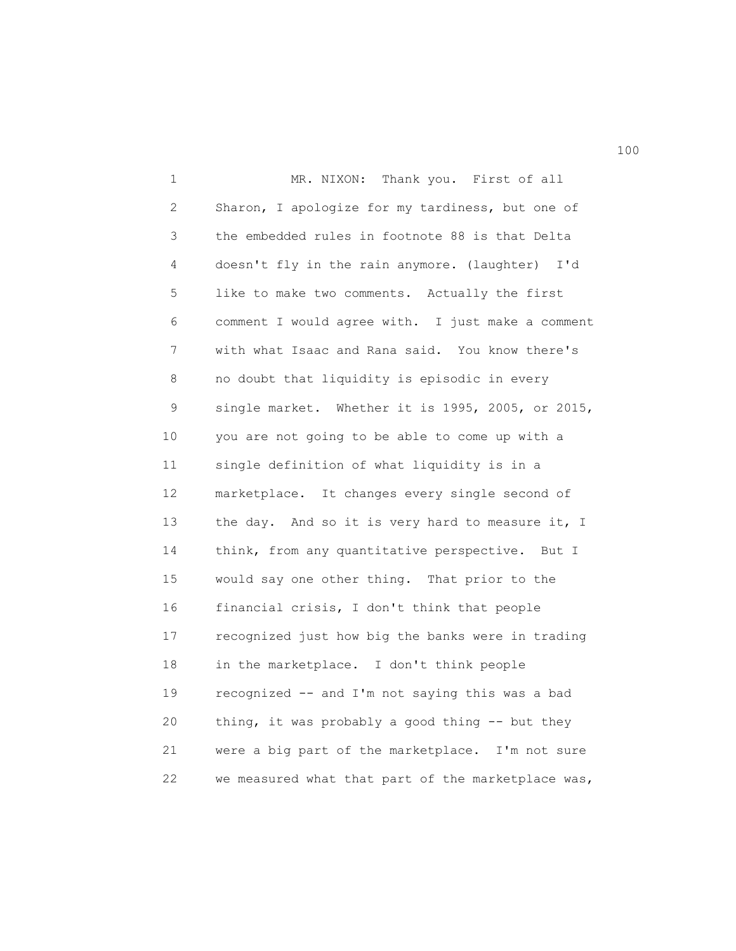1 MR. NIXON: Thank you. First of all 2 Sharon, I apologize for my tardiness, but one of 3 the embedded rules in footnote 88 is that Delta 4 doesn't fly in the rain anymore. (laughter) I'd 5 like to make two comments. Actually the first 6 comment I would agree with. I just make a comment 7 with what Isaac and Rana said. You know there's 8 no doubt that liquidity is episodic in every 9 single market. Whether it is 1995, 2005, or 2015, 10 you are not going to be able to come up with a 11 single definition of what liquidity is in a 12 marketplace. It changes every single second of 13 the day. And so it is very hard to measure it, I 14 think, from any quantitative perspective. But I 15 would say one other thing. That prior to the 16 financial crisis, I don't think that people 17 recognized just how big the banks were in trading 18 in the marketplace. I don't think people 19 recognized -- and I'm not saying this was a bad 20 thing, it was probably a good thing -- but they 21 were a big part of the marketplace. I'm not sure 22 we measured what that part of the marketplace was,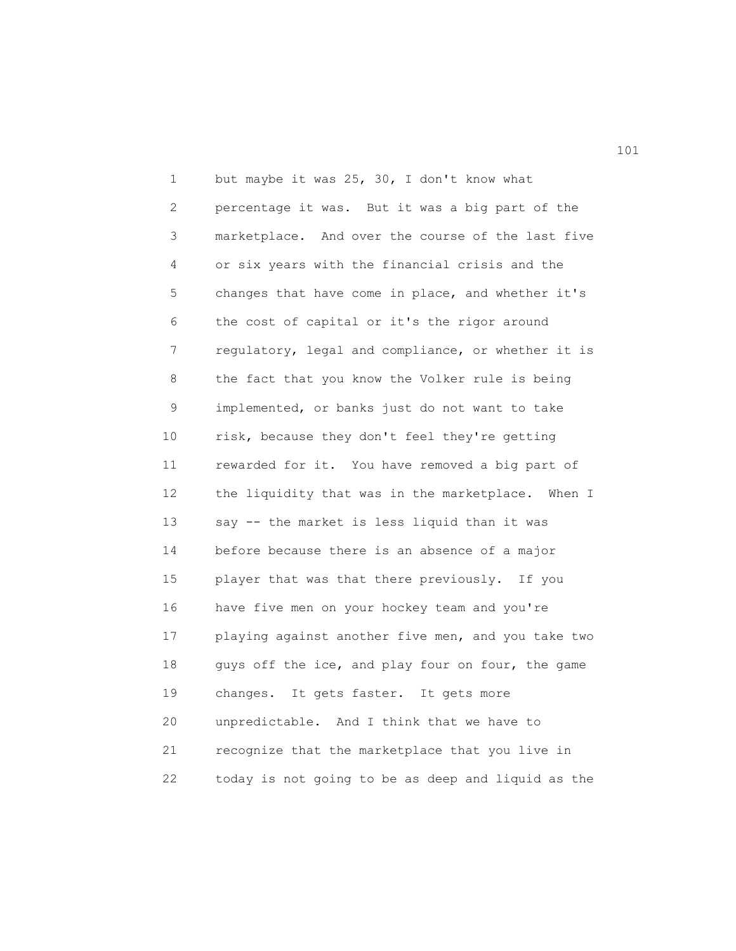1 but maybe it was 25, 30, I don't know what 2 percentage it was. But it was a big part of the 3 marketplace. And over the course of the last five 4 or six years with the financial crisis and the 5 changes that have come in place, and whether it's 6 the cost of capital or it's the rigor around 7 regulatory, legal and compliance, or whether it is 8 the fact that you know the Volker rule is being 9 implemented, or banks just do not want to take 10 risk, because they don't feel they're getting 11 rewarded for it. You have removed a big part of 12 the liquidity that was in the marketplace. When I 13 say -- the market is less liquid than it was 14 before because there is an absence of a major 15 player that was that there previously. If you 16 have five men on your hockey team and you're 17 playing against another five men, and you take two 18 guys off the ice, and play four on four, the game 19 changes. It gets faster. It gets more 20 unpredictable. And I think that we have to 21 recognize that the marketplace that you live in 22 today is not going to be as deep and liquid as the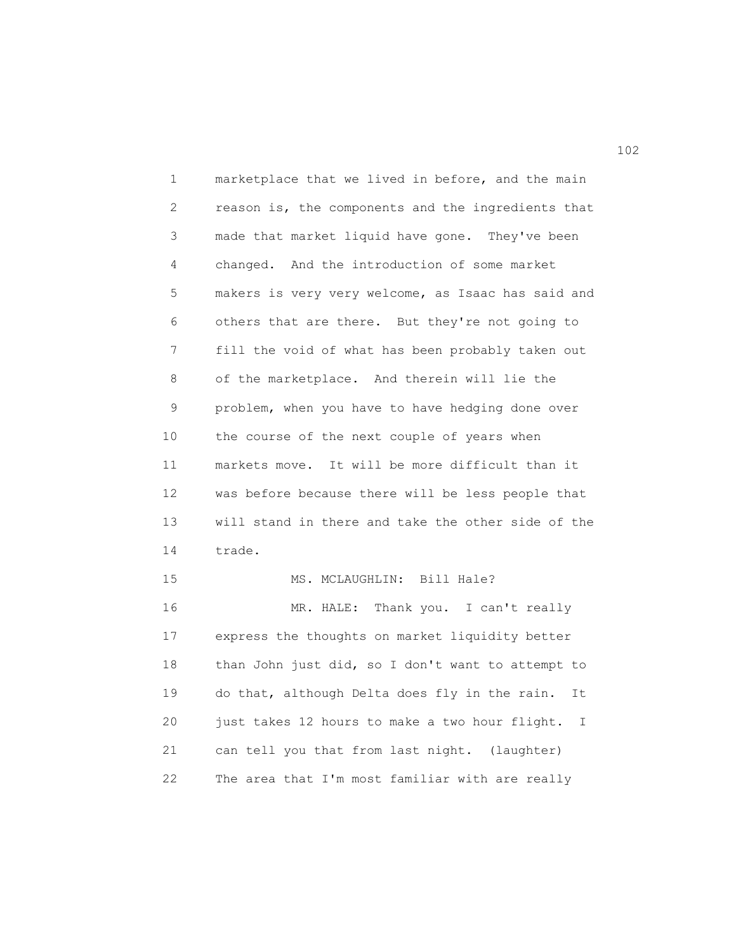1 marketplace that we lived in before, and the main 2 reason is, the components and the ingredients that 3 made that market liquid have gone. They've been 4 changed. And the introduction of some market 5 makers is very very welcome, as Isaac has said and 6 others that are there. But they're not going to 7 fill the void of what has been probably taken out 8 of the marketplace. And therein will lie the 9 problem, when you have to have hedging done over 10 the course of the next couple of years when 11 markets move. It will be more difficult than it 12 was before because there will be less people that 13 will stand in there and take the other side of the 14 trade. 15 MS. MCLAUGHLIN: Bill Hale? 16 MR. HALE: Thank you. I can't really 17 express the thoughts on market liquidity better 18 than John just did, so I don't want to attempt to 19 do that, although Delta does fly in the rain. It

20 just takes 12 hours to make a two hour flight. I 21 can tell you that from last night. (laughter) 22 The area that I'm most familiar with are really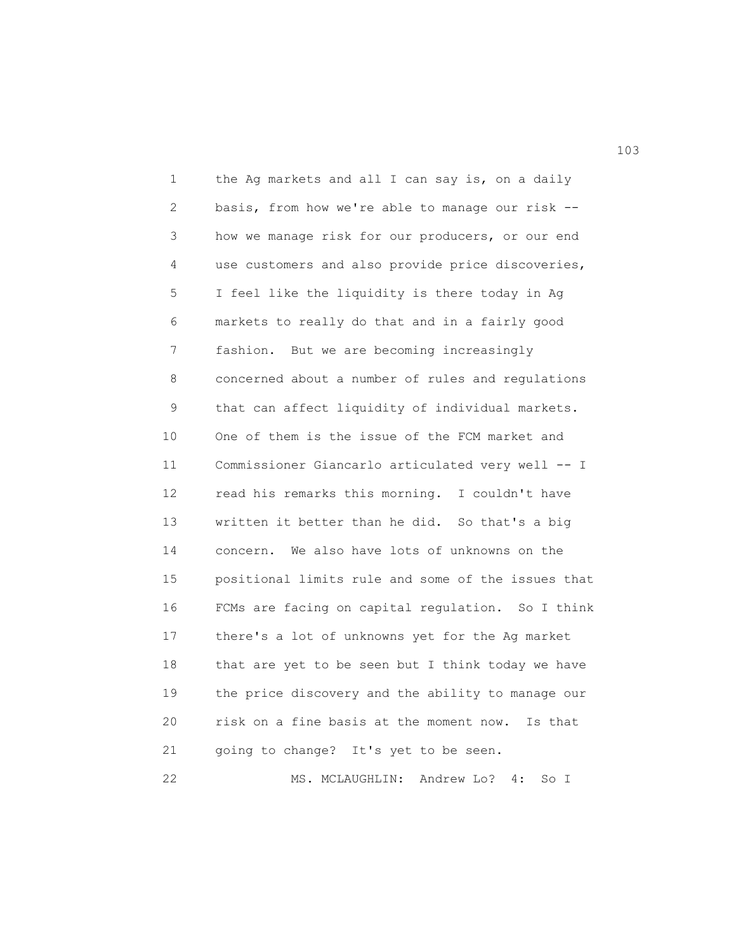1 the Ag markets and all I can say is, on a daily 2 basis, from how we're able to manage our risk -- 3 how we manage risk for our producers, or our end 4 use customers and also provide price discoveries, 5 I feel like the liquidity is there today in Ag 6 markets to really do that and in a fairly good 7 fashion. But we are becoming increasingly 8 concerned about a number of rules and regulations 9 that can affect liquidity of individual markets. 10 One of them is the issue of the FCM market and 11 Commissioner Giancarlo articulated very well -- I 12 read his remarks this morning. I couldn't have 13 written it better than he did. So that's a big 14 concern. We also have lots of unknowns on the 15 positional limits rule and some of the issues that 16 FCMs are facing on capital regulation. So I think 17 there's a lot of unknowns yet for the Ag market 18 that are yet to be seen but I think today we have 19 the price discovery and the ability to manage our 20 risk on a fine basis at the moment now. Is that 21 going to change? It's yet to be seen.

22 MS. MCLAUGHLIN: Andrew Lo? 4: So I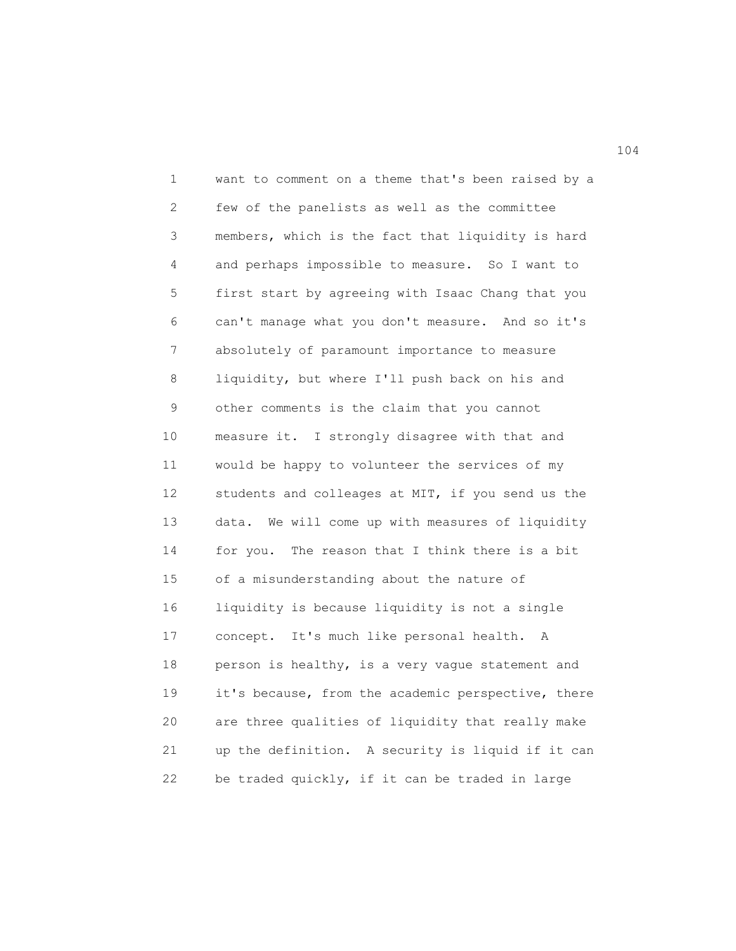1 want to comment on a theme that's been raised by a 2 few of the panelists as well as the committee 3 members, which is the fact that liquidity is hard 4 and perhaps impossible to measure. So I want to 5 first start by agreeing with Isaac Chang that you 6 can't manage what you don't measure. And so it's 7 absolutely of paramount importance to measure 8 liquidity, but where I'll push back on his and 9 other comments is the claim that you cannot 10 measure it. I strongly disagree with that and 11 would be happy to volunteer the services of my 12 students and colleages at MIT, if you send us the 13 data. We will come up with measures of liquidity 14 for you. The reason that I think there is a bit 15 of a misunderstanding about the nature of 16 liquidity is because liquidity is not a single 17 concept. It's much like personal health. A 18 person is healthy, is a very vague statement and 19 it's because, from the academic perspective, there 20 are three qualities of liquidity that really make 21 up the definition. A security is liquid if it can 22 be traded quickly, if it can be traded in large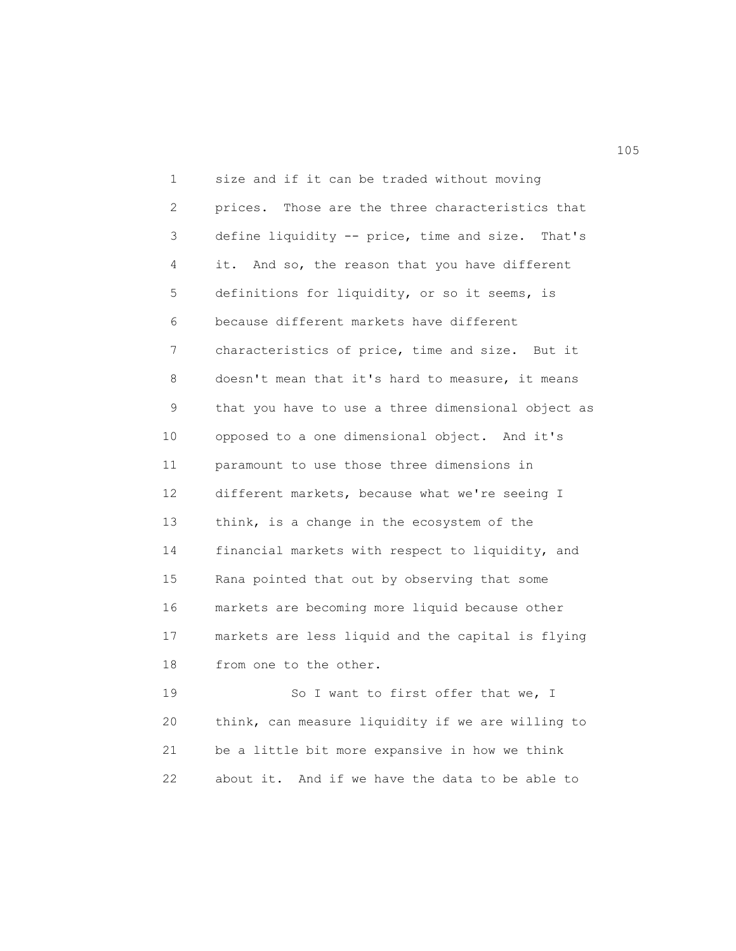1 size and if it can be traded without moving 2 prices. Those are the three characteristics that 3 define liquidity -- price, time and size. That's 4 it. And so, the reason that you have different 5 definitions for liquidity, or so it seems, is 6 because different markets have different 7 characteristics of price, time and size. But it 8 doesn't mean that it's hard to measure, it means 9 that you have to use a three dimensional object as 10 opposed to a one dimensional object. And it's 11 paramount to use those three dimensions in 12 different markets, because what we're seeing I 13 think, is a change in the ecosystem of the 14 financial markets with respect to liquidity, and 15 Rana pointed that out by observing that some 16 markets are becoming more liquid because other 17 markets are less liquid and the capital is flying 18 from one to the other.

19 So I want to first offer that we, I 20 think, can measure liquidity if we are willing to 21 be a little bit more expansive in how we think 22 about it. And if we have the data to be able to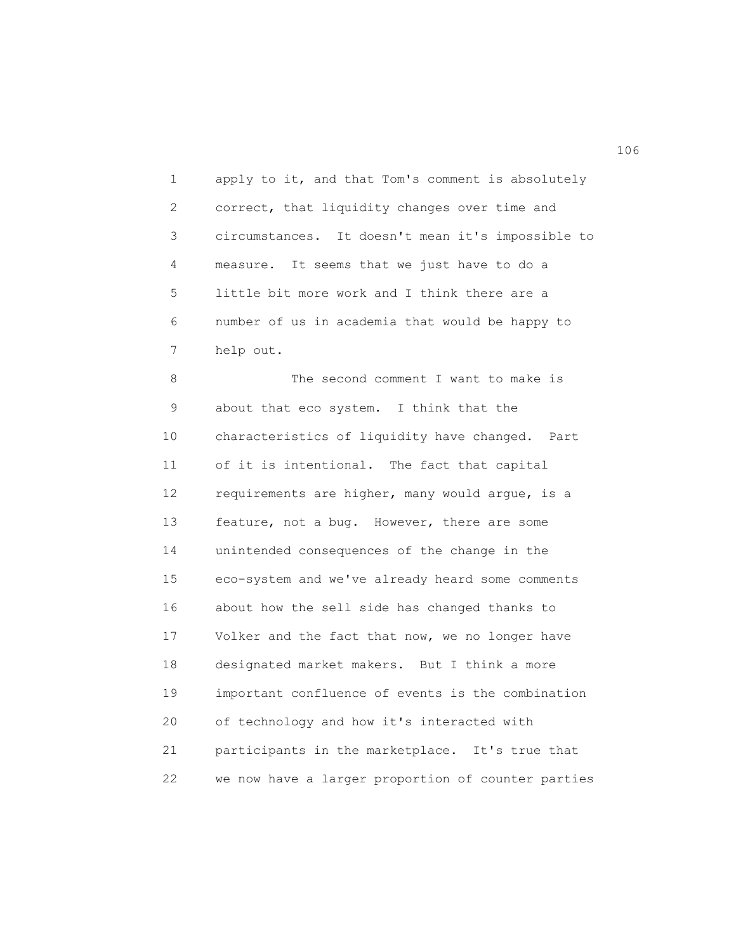1 apply to it, and that Tom's comment is absolutely 2 correct, that liquidity changes over time and 3 circumstances. It doesn't mean it's impossible to 4 measure. It seems that we just have to do a 5 little bit more work and I think there are a 6 number of us in academia that would be happy to 7 help out.

8 The second comment I want to make is 9 about that eco system. I think that the 10 characteristics of liquidity have changed. Part 11 of it is intentional. The fact that capital 12 requirements are higher, many would argue, is a 13 feature, not a bug. However, there are some 14 unintended consequences of the change in the 15 eco-system and we've already heard some comments 16 about how the sell side has changed thanks to 17 Volker and the fact that now, we no longer have 18 designated market makers. But I think a more 19 important confluence of events is the combination 20 of technology and how it's interacted with 21 participants in the marketplace. It's true that 22 we now have a larger proportion of counter parties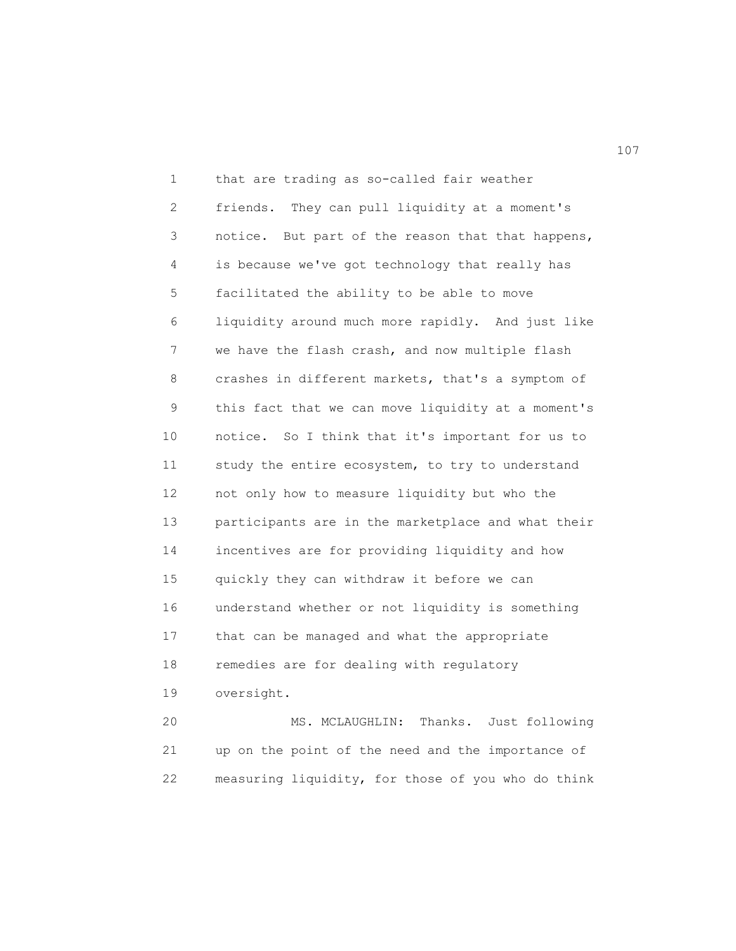1 that are trading as so-called fair weather 2 friends. They can pull liquidity at a moment's 3 notice. But part of the reason that that happens, 4 is because we've got technology that really has 5 facilitated the ability to be able to move 6 liquidity around much more rapidly. And just like 7 we have the flash crash, and now multiple flash 8 crashes in different markets, that's a symptom of 9 this fact that we can move liquidity at a moment's 10 notice. So I think that it's important for us to 11 study the entire ecosystem, to try to understand 12 not only how to measure liquidity but who the 13 participants are in the marketplace and what their 14 incentives are for providing liquidity and how 15 quickly they can withdraw it before we can 16 understand whether or not liquidity is something 17 that can be managed and what the appropriate 18 remedies are for dealing with regulatory 19 oversight. 20 MS. MCLAUGHLIN: Thanks. Just following

21 up on the point of the need and the importance of 22 measuring liquidity, for those of you who do think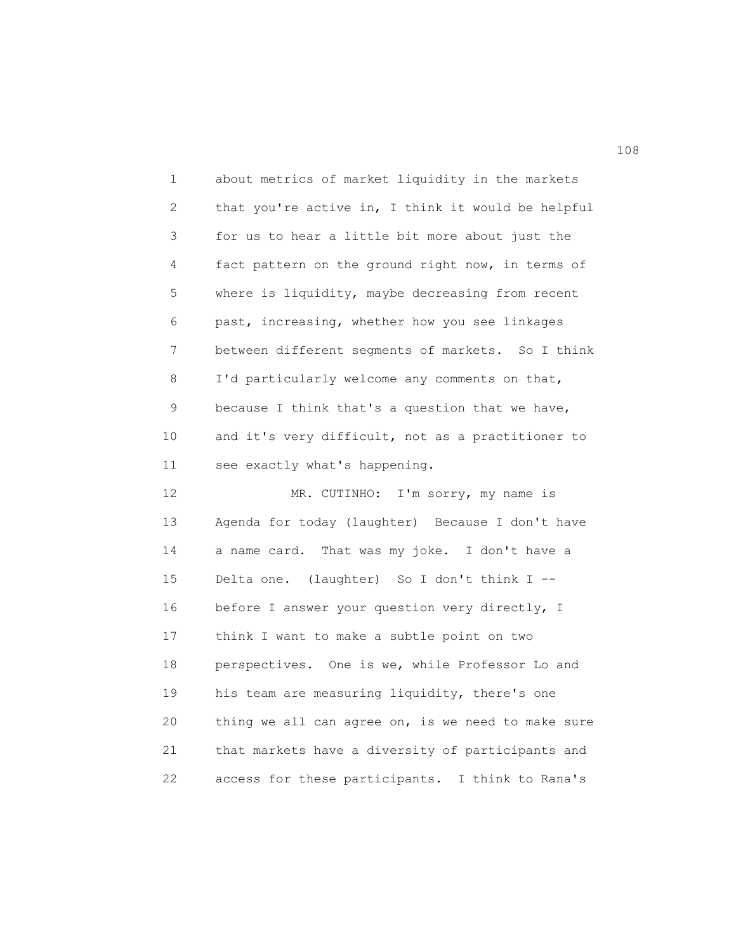1 about metrics of market liquidity in the markets 2 that you're active in, I think it would be helpful 3 for us to hear a little bit more about just the 4 fact pattern on the ground right now, in terms of 5 where is liquidity, maybe decreasing from recent 6 past, increasing, whether how you see linkages 7 between different segments of markets. So I think 8 I'd particularly welcome any comments on that, 9 because I think that's a question that we have, 10 and it's very difficult, not as a practitioner to 11 see exactly what's happening. 12 MR. CUTINHO: I'm sorry, my name is 13 Agenda for today (laughter) Because I don't have 14 a name card. That was my joke. I don't have a 15 Delta one. (laughter) So I don't think I -- 16 before I answer your question very directly, I 17 think I want to make a subtle point on two 18 perspectives. One is we, while Professor Lo and 19 his team are measuring liquidity, there's one

20 thing we all can agree on, is we need to make sure 21 that markets have a diversity of participants and 22 access for these participants. I think to Rana's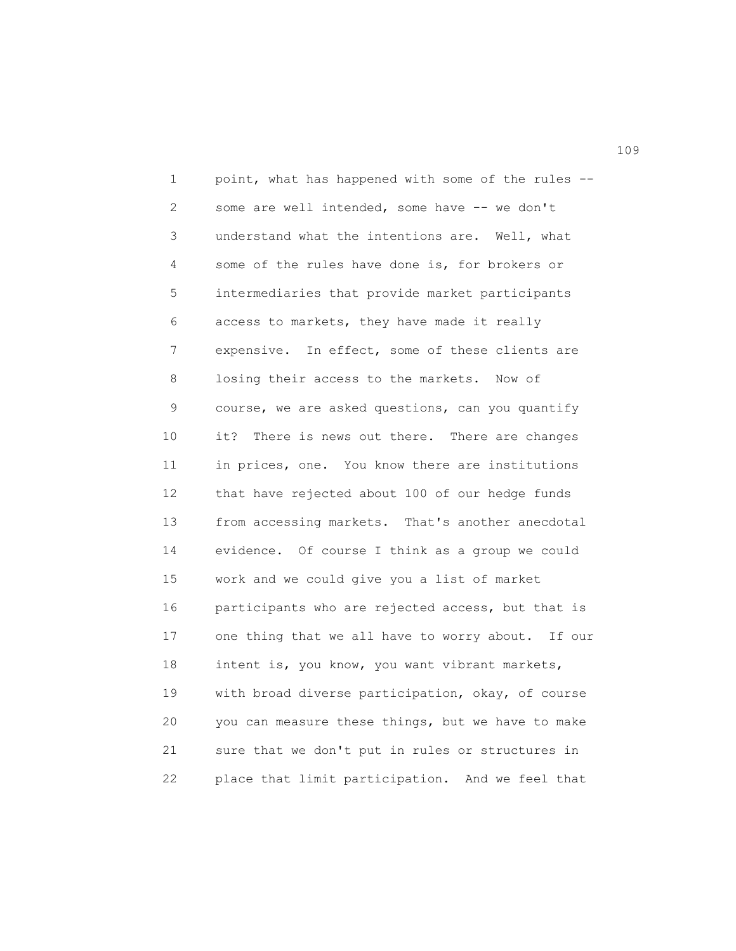1 point, what has happened with some of the rules -- 2 some are well intended, some have -- we don't 3 understand what the intentions are. Well, what 4 some of the rules have done is, for brokers or 5 intermediaries that provide market participants 6 access to markets, they have made it really 7 expensive. In effect, some of these clients are 8 losing their access to the markets. Now of 9 course, we are asked questions, can you quantify 10 it? There is news out there. There are changes 11 in prices, one. You know there are institutions 12 that have rejected about 100 of our hedge funds 13 from accessing markets. That's another anecdotal 14 evidence. Of course I think as a group we could 15 work and we could give you a list of market 16 participants who are rejected access, but that is 17 one thing that we all have to worry about. If our 18 intent is, you know, you want vibrant markets, 19 with broad diverse participation, okay, of course 20 you can measure these things, but we have to make 21 sure that we don't put in rules or structures in 22 place that limit participation. And we feel that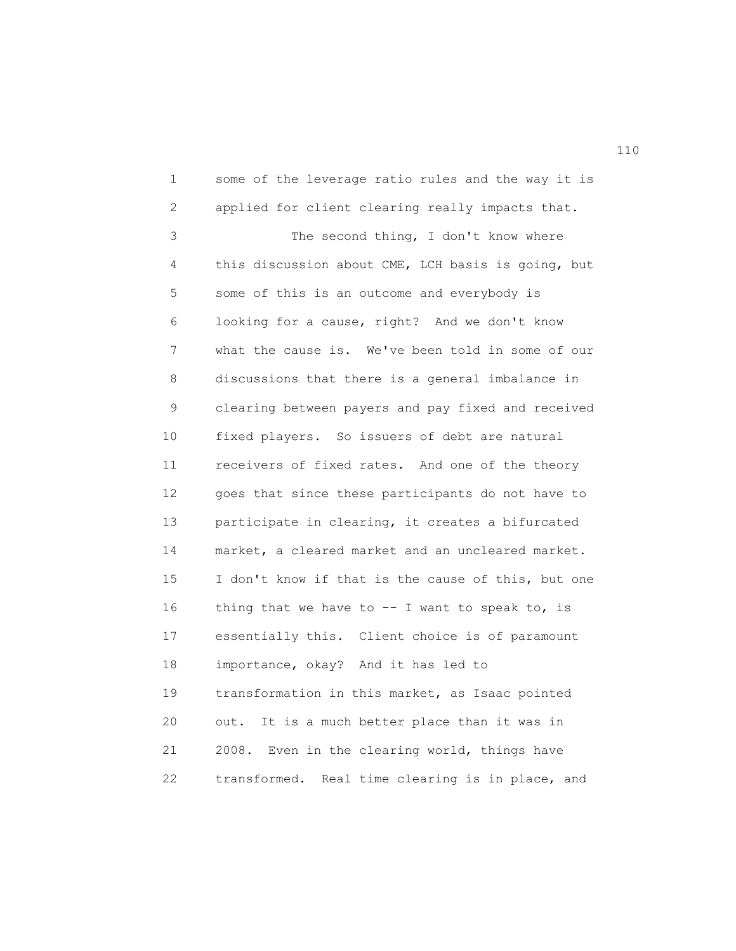1 some of the leverage ratio rules and the way it is 2 applied for client clearing really impacts that. 3 The second thing, I don't know where 4 this discussion about CME, LCH basis is going, but 5 some of this is an outcome and everybody is 6 looking for a cause, right? And we don't know 7 what the cause is. We've been told in some of our 8 discussions that there is a general imbalance in 9 clearing between payers and pay fixed and received 10 fixed players. So issuers of debt are natural 11 receivers of fixed rates. And one of the theory 12 goes that since these participants do not have to 13 participate in clearing, it creates a bifurcated 14 market, a cleared market and an uncleared market. 15 I don't know if that is the cause of this, but one 16 thing that we have to  $-$ - I want to speak to, is 17 essentially this. Client choice is of paramount 18 importance, okay? And it has led to 19 transformation in this market, as Isaac pointed 20 out. It is a much better place than it was in 21 2008. Even in the clearing world, things have 22 transformed. Real time clearing is in place, and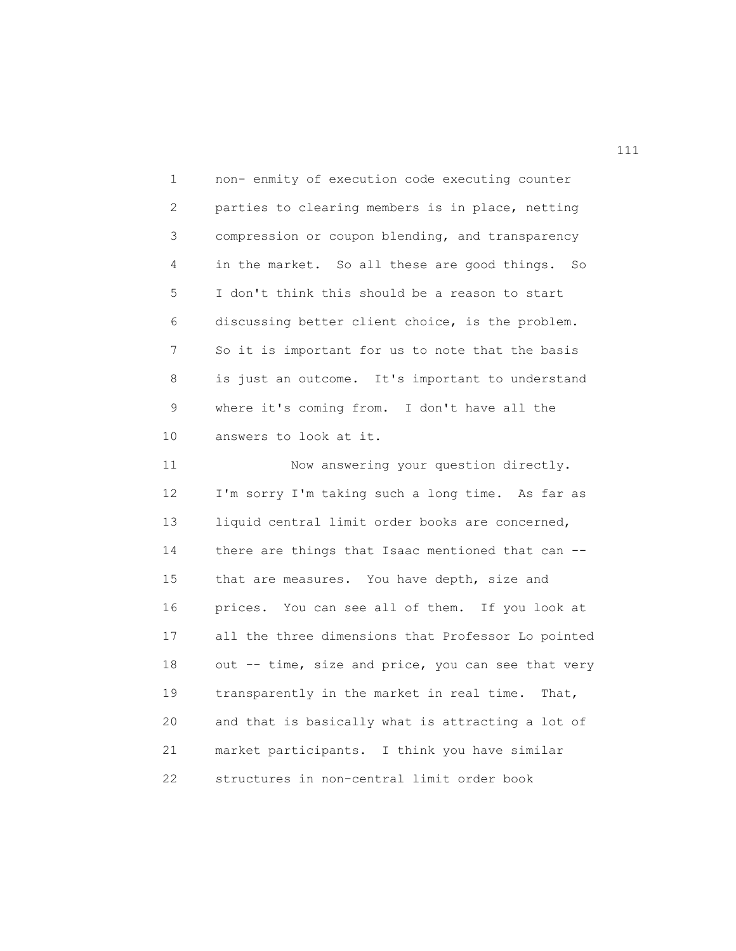1 non- enmity of execution code executing counter 2 parties to clearing members is in place, netting 3 compression or coupon blending, and transparency 4 in the market. So all these are good things. So 5 I don't think this should be a reason to start 6 discussing better client choice, is the problem. 7 So it is important for us to note that the basis 8 is just an outcome. It's important to understand 9 where it's coming from. I don't have all the 10 answers to look at it.

11 Now answering your question directly. 12 I'm sorry I'm taking such a long time. As far as 13 liquid central limit order books are concerned, 14 there are things that Isaac mentioned that can -- 15 that are measures. You have depth, size and 16 prices. You can see all of them. If you look at 17 all the three dimensions that Professor Lo pointed 18 out -- time, size and price, you can see that very 19 transparently in the market in real time. That, 20 and that is basically what is attracting a lot of 21 market participants. I think you have similar 22 structures in non-central limit order book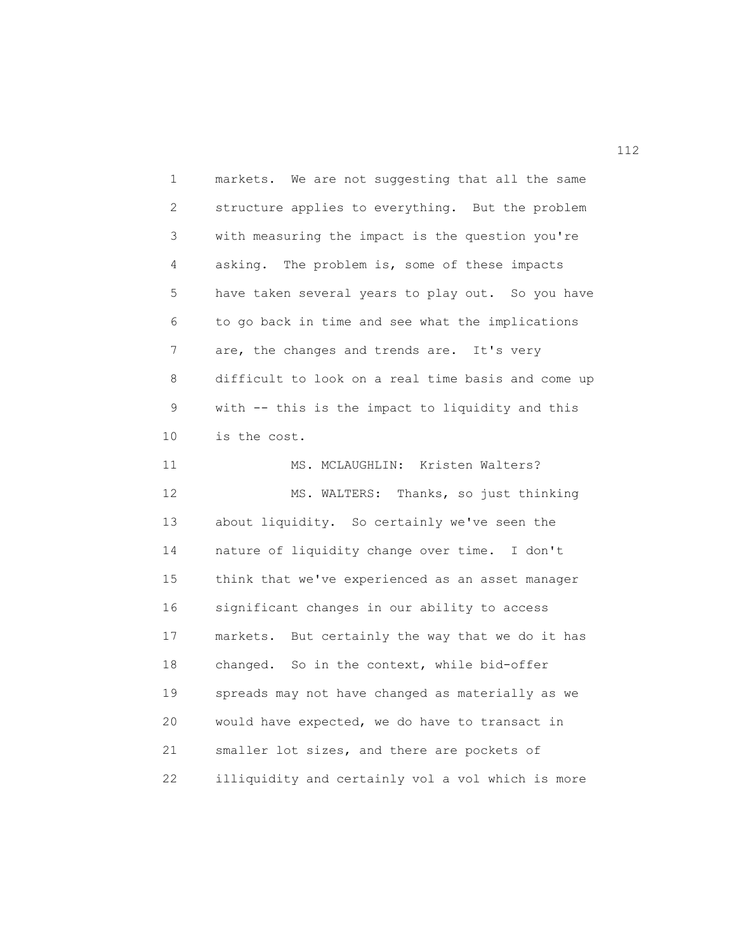1 markets. We are not suggesting that all the same 2 structure applies to everything. But the problem 3 with measuring the impact is the question you're 4 asking. The problem is, some of these impacts 5 have taken several years to play out. So you have 6 to go back in time and see what the implications 7 are, the changes and trends are. It's very 8 difficult to look on a real time basis and come up 9 with -- this is the impact to liquidity and this 10 is the cost. 11 MS. MCLAUGHLIN: Kristen Walters? 12 MS. WALTERS: Thanks, so just thinking 13 about liquidity. So certainly we've seen the 14 nature of liquidity change over time. I don't 15 think that we've experienced as an asset manager 16 significant changes in our ability to access 17 markets. But certainly the way that we do it has 18 changed. So in the context, while bid-offer 19 spreads may not have changed as materially as we 20 would have expected, we do have to transact in 21 smaller lot sizes, and there are pockets of 22 illiquidity and certainly vol a vol which is more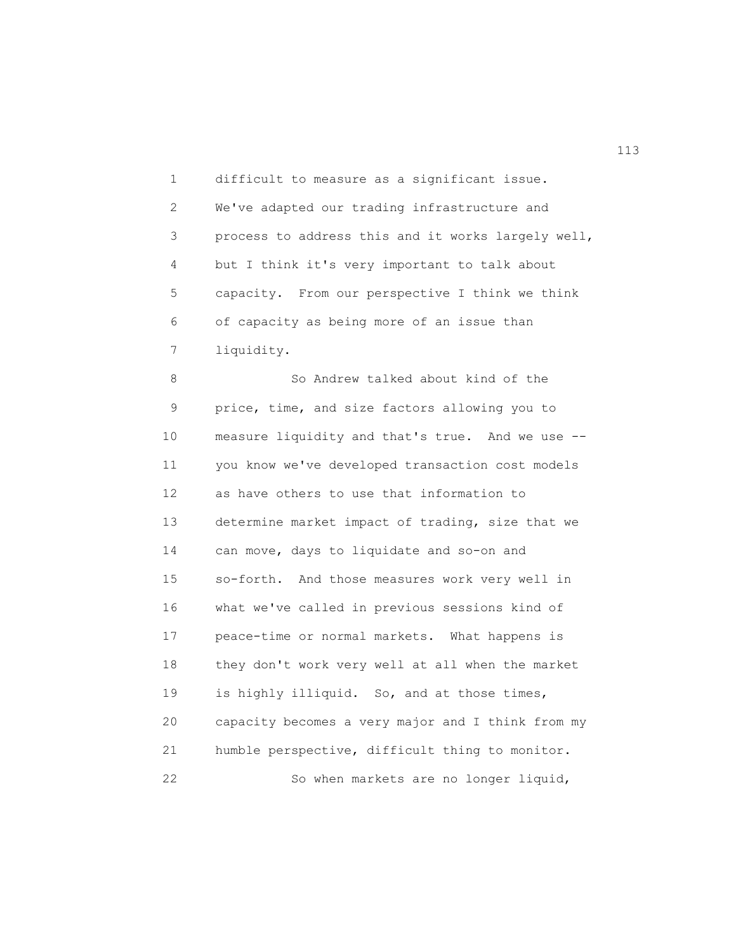1 difficult to measure as a significant issue. 2 We've adapted our trading infrastructure and 3 process to address this and it works largely well, 4 but I think it's very important to talk about 5 capacity. From our perspective I think we think 6 of capacity as being more of an issue than 7 liquidity.

8 So Andrew talked about kind of the 9 price, time, and size factors allowing you to 10 measure liquidity and that's true. And we use -- 11 you know we've developed transaction cost models 12 as have others to use that information to 13 determine market impact of trading, size that we 14 can move, days to liquidate and so-on and 15 so-forth. And those measures work very well in 16 what we've called in previous sessions kind of 17 peace-time or normal markets. What happens is 18 they don't work very well at all when the market 19 is highly illiquid. So, and at those times, 20 capacity becomes a very major and I think from my 21 humble perspective, difficult thing to monitor. 22 So when markets are no longer liquid,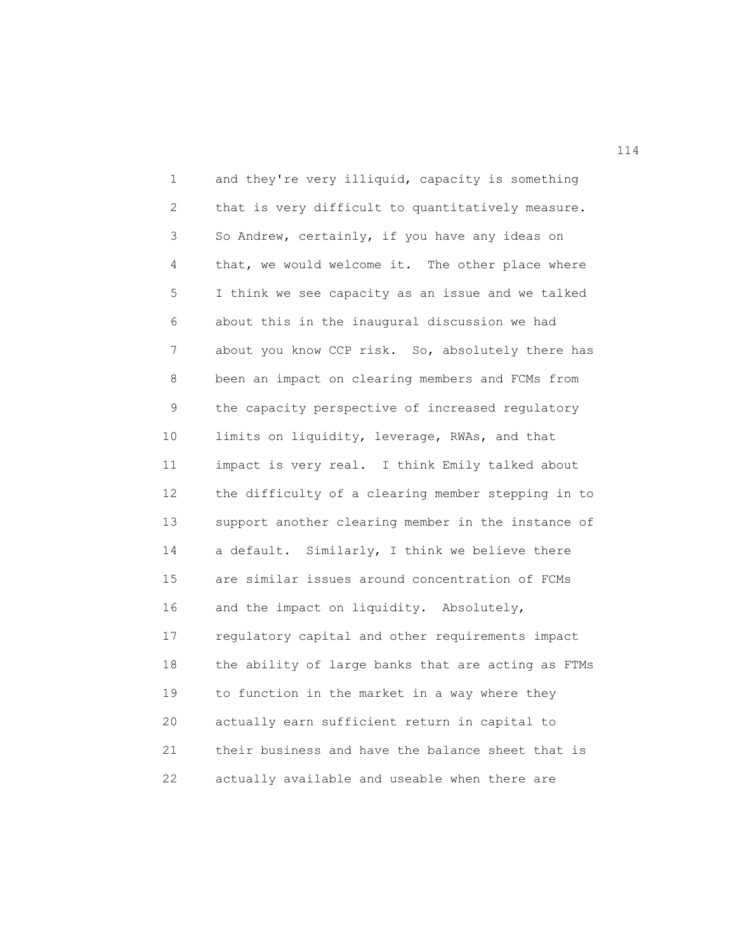1 and they're very illiquid, capacity is something 2 that is very difficult to quantitatively measure. 3 So Andrew, certainly, if you have any ideas on 4 that, we would welcome it. The other place where 5 I think we see capacity as an issue and we talked 6 about this in the inaugural discussion we had 7 about you know CCP risk. So, absolutely there has 8 been an impact on clearing members and FCMs from 9 the capacity perspective of increased regulatory 10 limits on liquidity, leverage, RWAs, and that 11 impact is very real. I think Emily talked about 12 the difficulty of a clearing member stepping in to 13 support another clearing member in the instance of 14 a default. Similarly, I think we believe there 15 are similar issues around concentration of FCMs 16 and the impact on liquidity. Absolutely, 17 regulatory capital and other requirements impact 18 the ability of large banks that are acting as FTMs 19 to function in the market in a way where they 20 actually earn sufficient return in capital to 21 their business and have the balance sheet that is 22 actually available and useable when there are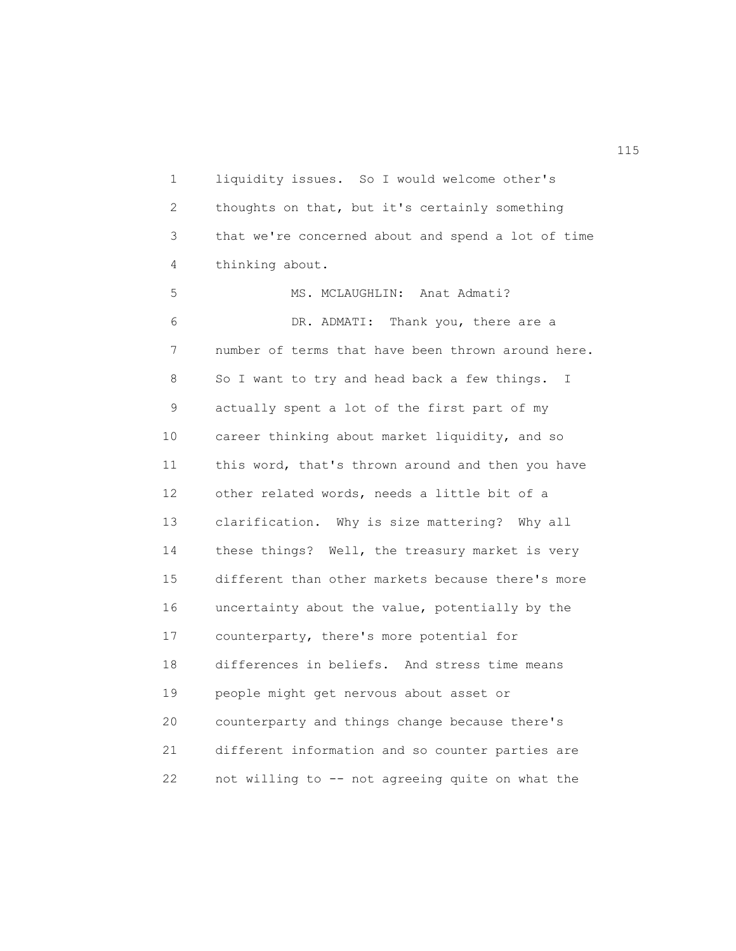1 liquidity issues. So I would welcome other's 2 thoughts on that, but it's certainly something 3 that we're concerned about and spend a lot of time 4 thinking about.

5 MS. MCLAUGHLIN: Anat Admati? 6 DR. ADMATI: Thank you, there are a 7 number of terms that have been thrown around here. 8 So I want to try and head back a few things. I 9 actually spent a lot of the first part of my 10 career thinking about market liquidity, and so 11 this word, that's thrown around and then you have 12 other related words, needs a little bit of a 13 clarification. Why is size mattering? Why all 14 these things? Well, the treasury market is very 15 different than other markets because there's more 16 uncertainty about the value, potentially by the 17 counterparty, there's more potential for 18 differences in beliefs. And stress time means 19 people might get nervous about asset or 20 counterparty and things change because there's 21 different information and so counter parties are 22 not willing to -- not agreeing quite on what the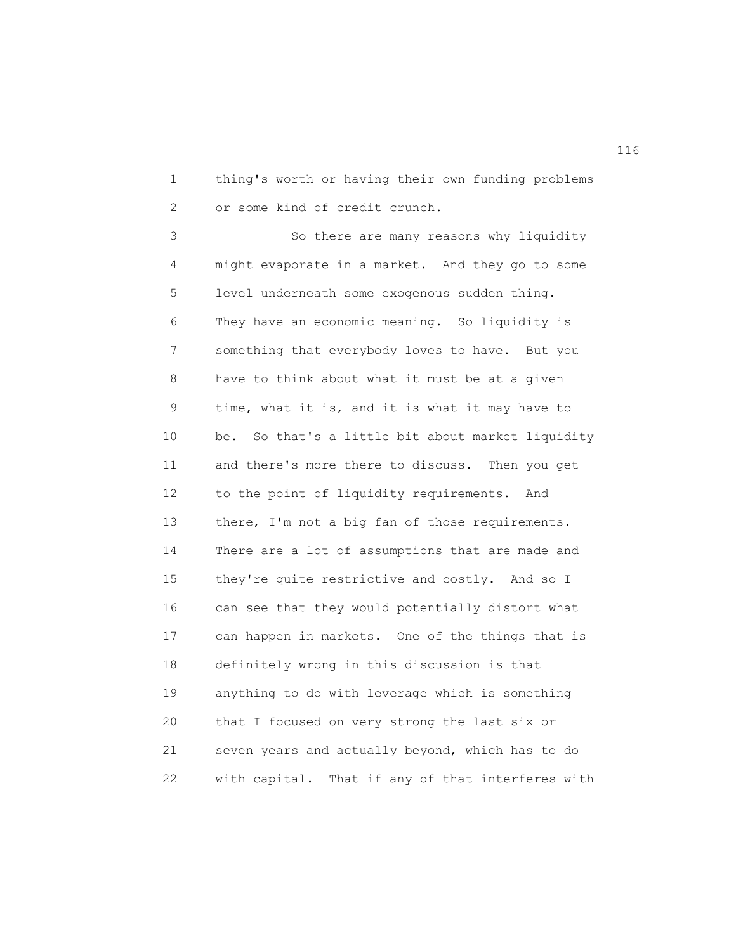1 thing's worth or having their own funding problems 2 or some kind of credit crunch.

3 So there are many reasons why liquidity 4 might evaporate in a market. And they go to some 5 level underneath some exogenous sudden thing. 6 They have an economic meaning. So liquidity is 7 something that everybody loves to have. But you 8 have to think about what it must be at a given 9 time, what it is, and it is what it may have to 10 be. So that's a little bit about market liquidity 11 and there's more there to discuss. Then you get 12 to the point of liquidity requirements. And 13 there, I'm not a big fan of those requirements. 14 There are a lot of assumptions that are made and 15 they're quite restrictive and costly. And so I 16 can see that they would potentially distort what 17 can happen in markets. One of the things that is 18 definitely wrong in this discussion is that 19 anything to do with leverage which is something 20 that I focused on very strong the last six or 21 seven years and actually beyond, which has to do 22 with capital. That if any of that interferes with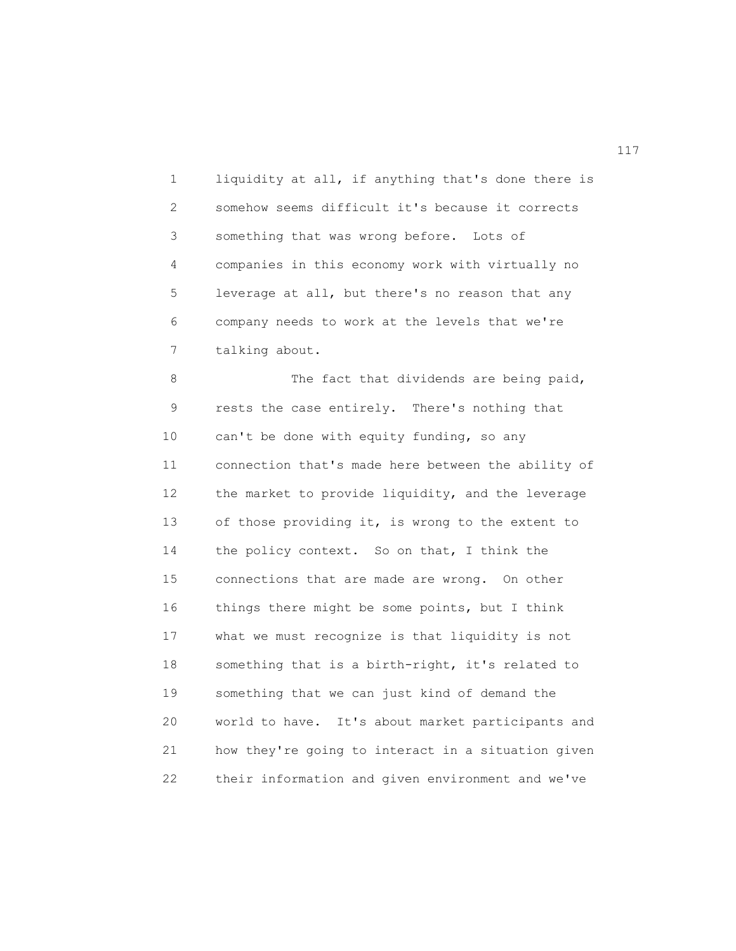1 liquidity at all, if anything that's done there is 2 somehow seems difficult it's because it corrects 3 something that was wrong before. Lots of 4 companies in this economy work with virtually no 5 leverage at all, but there's no reason that any 6 company needs to work at the levels that we're 7 talking about.

8 The fact that dividends are being paid, 9 rests the case entirely. There's nothing that 10 can't be done with equity funding, so any 11 connection that's made here between the ability of 12 the market to provide liquidity, and the leverage 13 of those providing it, is wrong to the extent to 14 the policy context. So on that, I think the 15 connections that are made are wrong. On other 16 things there might be some points, but I think 17 what we must recognize is that liquidity is not 18 something that is a birth-right, it's related to 19 something that we can just kind of demand the 20 world to have. It's about market participants and 21 how they're going to interact in a situation given 22 their information and given environment and we've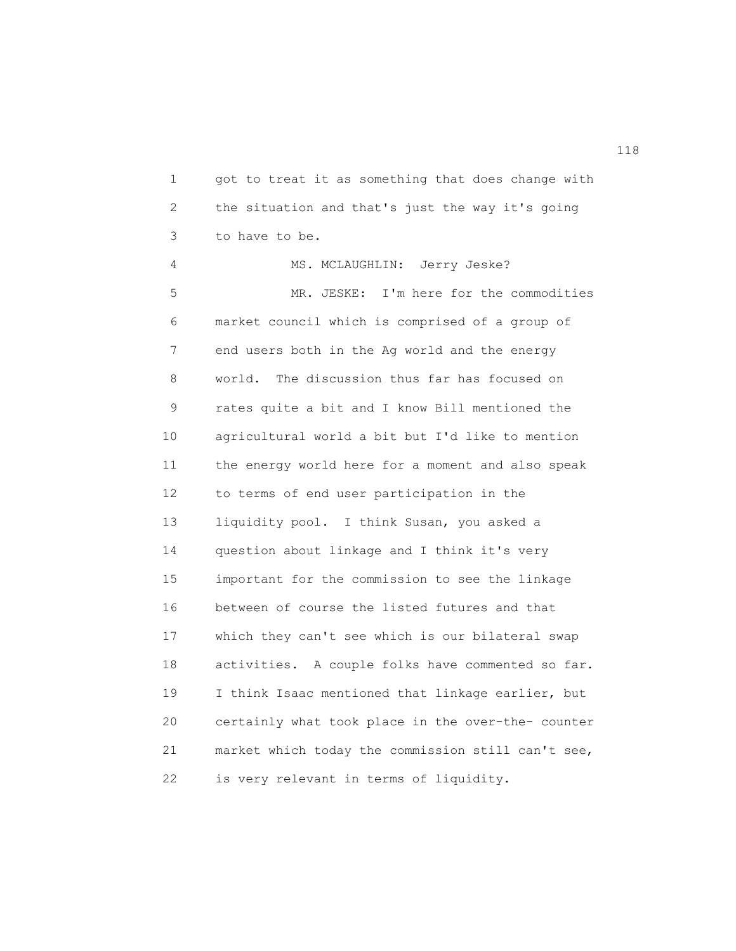1 got to treat it as something that does change with 2 the situation and that's just the way it's going 3 to have to be. 4 MS. MCLAUGHLIN: Jerry Jeske? 5 MR. JESKE: I'm here for the commodities 6 market council which is comprised of a group of 7 end users both in the Ag world and the energy 8 world. The discussion thus far has focused on 9 rates quite a bit and I know Bill mentioned the 10 agricultural world a bit but I'd like to mention 11 the energy world here for a moment and also speak 12 to terms of end user participation in the 13 liquidity pool. I think Susan, you asked a 14 question about linkage and I think it's very 15 important for the commission to see the linkage 16 between of course the listed futures and that 17 which they can't see which is our bilateral swap 18 activities. A couple folks have commented so far. 19 I think Isaac mentioned that linkage earlier, but 20 certainly what took place in the over-the- counter 21 market which today the commission still can't see, 22 is very relevant in terms of liquidity.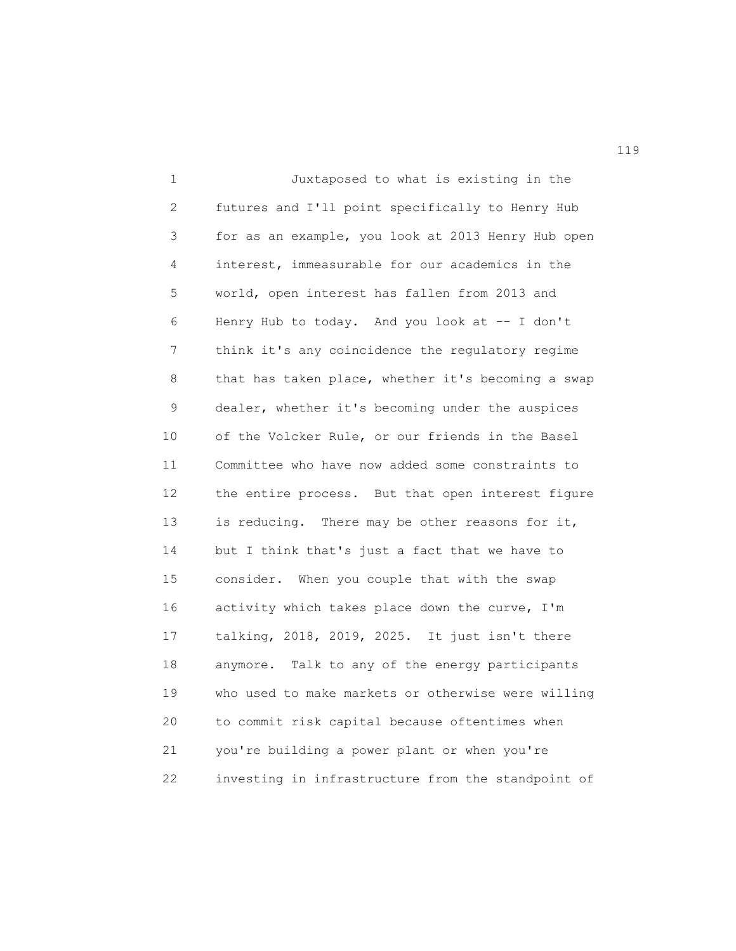1 Juxtaposed to what is existing in the 2 futures and I'll point specifically to Henry Hub 3 for as an example, you look at 2013 Henry Hub open 4 interest, immeasurable for our academics in the 5 world, open interest has fallen from 2013 and 6 Henry Hub to today. And you look at -- I don't 7 think it's any coincidence the regulatory regime 8 that has taken place, whether it's becoming a swap 9 dealer, whether it's becoming under the auspices 10 of the Volcker Rule, or our friends in the Basel 11 Committee who have now added some constraints to 12 the entire process. But that open interest figure 13 is reducing. There may be other reasons for it, 14 but I think that's just a fact that we have to 15 consider. When you couple that with the swap 16 activity which takes place down the curve, I'm 17 talking, 2018, 2019, 2025. It just isn't there 18 anymore. Talk to any of the energy participants 19 who used to make markets or otherwise were willing 20 to commit risk capital because oftentimes when 21 you're building a power plant or when you're 22 investing in infrastructure from the standpoint of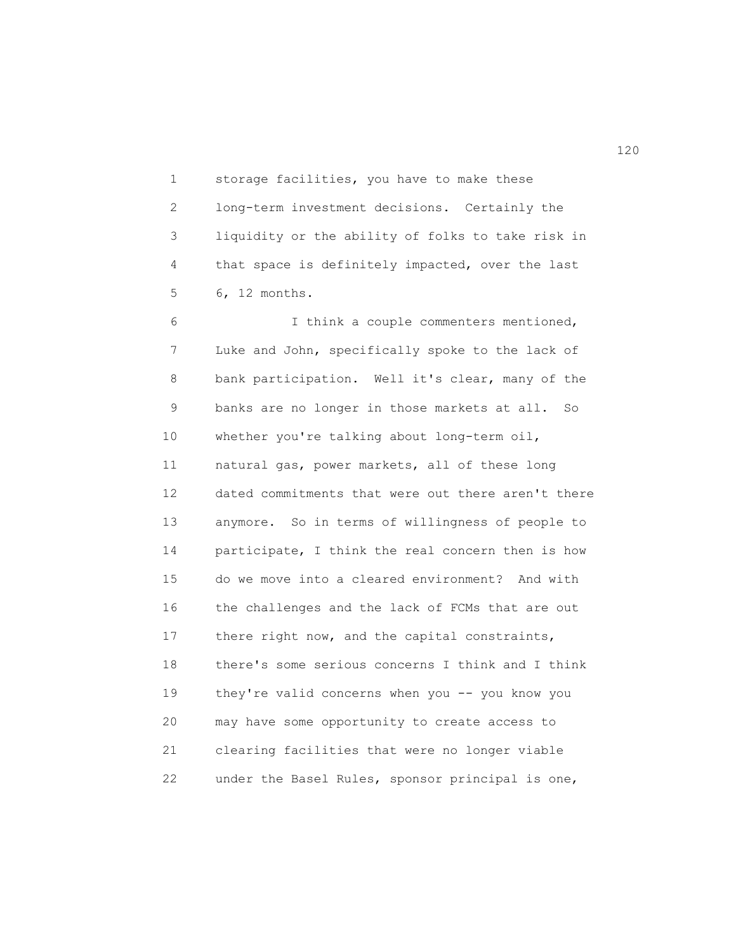1 storage facilities, you have to make these 2 long-term investment decisions. Certainly the 3 liquidity or the ability of folks to take risk in 4 that space is definitely impacted, over the last 5 6, 12 months.

6 I think a couple commenters mentioned, 7 Luke and John, specifically spoke to the lack of 8 bank participation. Well it's clear, many of the 9 banks are no longer in those markets at all. So 10 whether you're talking about long-term oil, 11 natural gas, power markets, all of these long 12 dated commitments that were out there aren't there 13 anymore. So in terms of willingness of people to 14 participate, I think the real concern then is how 15 do we move into a cleared environment? And with 16 the challenges and the lack of FCMs that are out 17 there right now, and the capital constraints, 18 there's some serious concerns I think and I think 19 they're valid concerns when you -- you know you 20 may have some opportunity to create access to 21 clearing facilities that were no longer viable 22 under the Basel Rules, sponsor principal is one,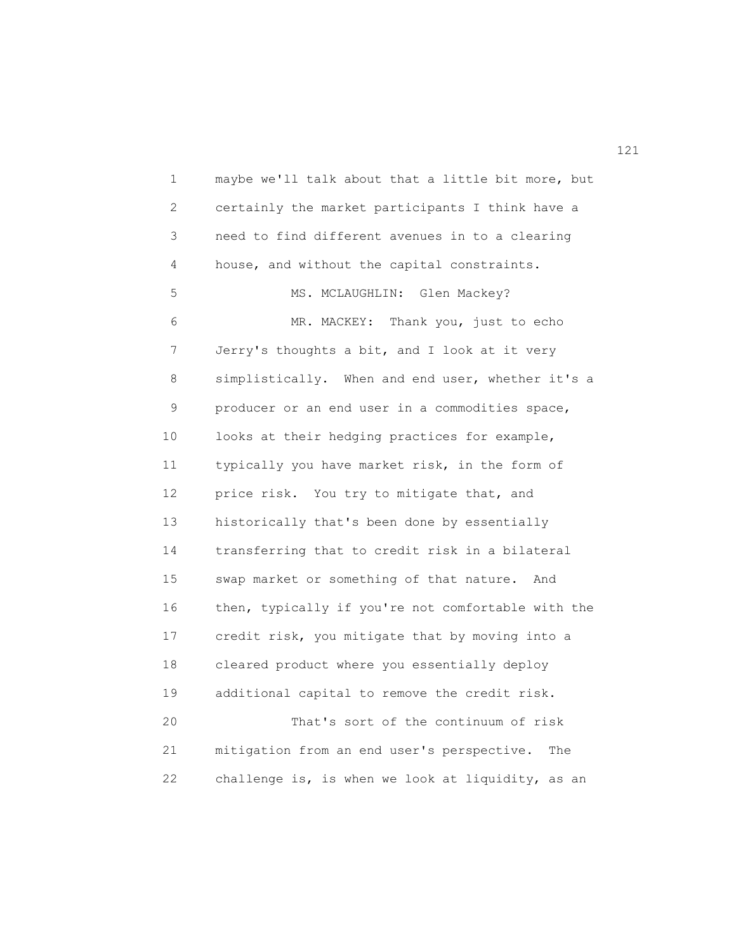1 maybe we'll talk about that a little bit more, but 2 certainly the market participants I think have a 3 need to find different avenues in to a clearing 4 house, and without the capital constraints. 5 MS. MCLAUGHLIN: Glen Mackey? 6 MR. MACKEY: Thank you, just to echo 7 Jerry's thoughts a bit, and I look at it very 8 simplistically. When and end user, whether it's a 9 producer or an end user in a commodities space, 10 looks at their hedging practices for example, 11 typically you have market risk, in the form of 12 price risk. You try to mitigate that, and 13 historically that's been done by essentially 14 transferring that to credit risk in a bilateral 15 swap market or something of that nature. And 16 then, typically if you're not comfortable with the 17 credit risk, you mitigate that by moving into a 18 cleared product where you essentially deploy 19 additional capital to remove the credit risk. 20 That's sort of the continuum of risk 21 mitigation from an end user's perspective. The 22 challenge is, is when we look at liquidity, as an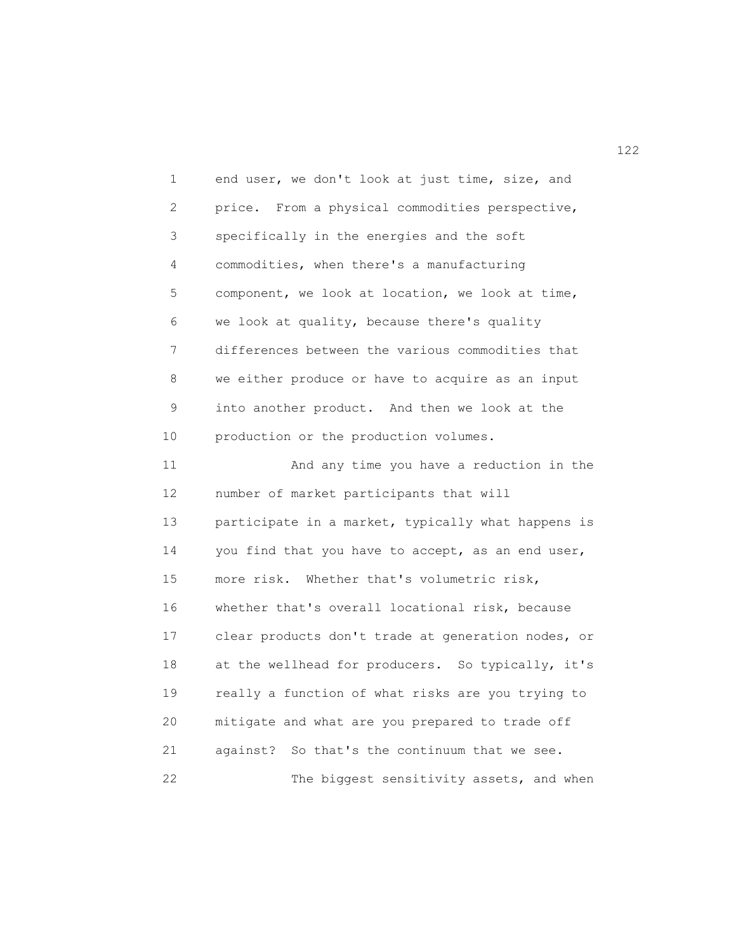1 end user, we don't look at just time, size, and 2 price. From a physical commodities perspective, 3 specifically in the energies and the soft 4 commodities, when there's a manufacturing 5 component, we look at location, we look at time, 6 we look at quality, because there's quality 7 differences between the various commodities that 8 we either produce or have to acquire as an input 9 into another product. And then we look at the 10 production or the production volumes. 11 And any time you have a reduction in the 12 number of market participants that will 13 participate in a market, typically what happens is 14 you find that you have to accept, as an end user, 15 more risk. Whether that's volumetric risk, 16 whether that's overall locational risk, because 17 clear products don't trade at generation nodes, or 18 at the wellhead for producers. So typically, it's 19 really a function of what risks are you trying to 20 mitigate and what are you prepared to trade off 21 against? So that's the continuum that we see. 22 The biggest sensitivity assets, and when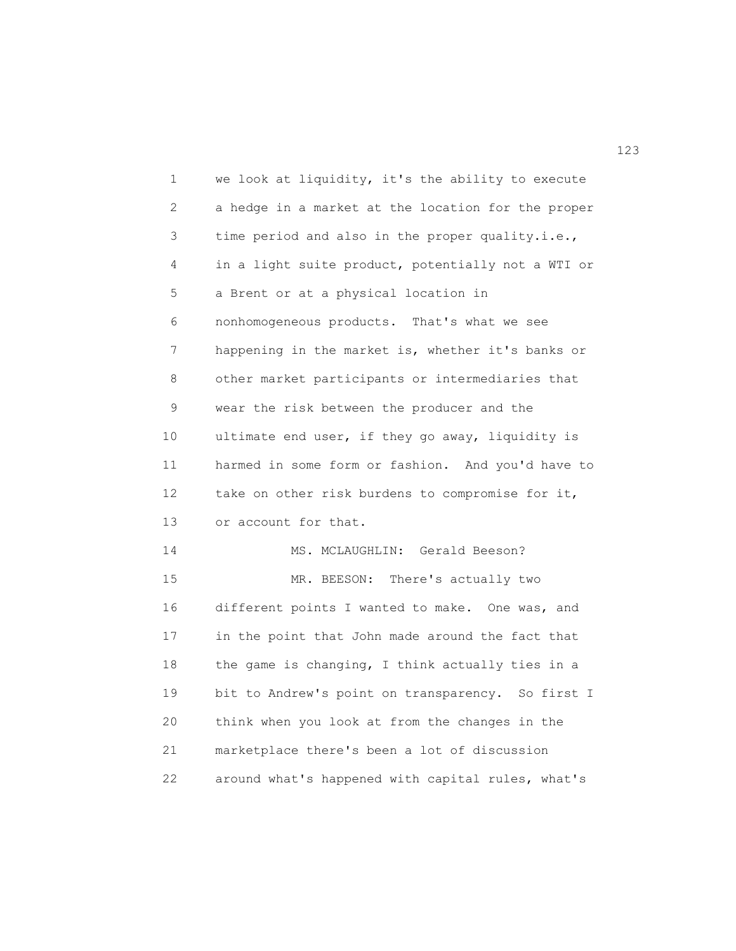1 we look at liquidity, it's the ability to execute 2 a hedge in a market at the location for the proper 3 time period and also in the proper quality.i.e., 4 in a light suite product, potentially not a WTI or 5 a Brent or at a physical location in 6 nonhomogeneous products. That's what we see 7 happening in the market is, whether it's banks or 8 other market participants or intermediaries that 9 wear the risk between the producer and the 10 ultimate end user, if they go away, liquidity is 11 harmed in some form or fashion. And you'd have to 12 take on other risk burdens to compromise for it, 13 or account for that. 14 MS. MCLAUGHLIN: Gerald Beeson? 15 MR. BEESON: There's actually two 16 different points I wanted to make. One was, and 17 in the point that John made around the fact that 18 the game is changing, I think actually ties in a 19 bit to Andrew's point on transparency. So first I 20 think when you look at from the changes in the 21 marketplace there's been a lot of discussion 22 around what's happened with capital rules, what's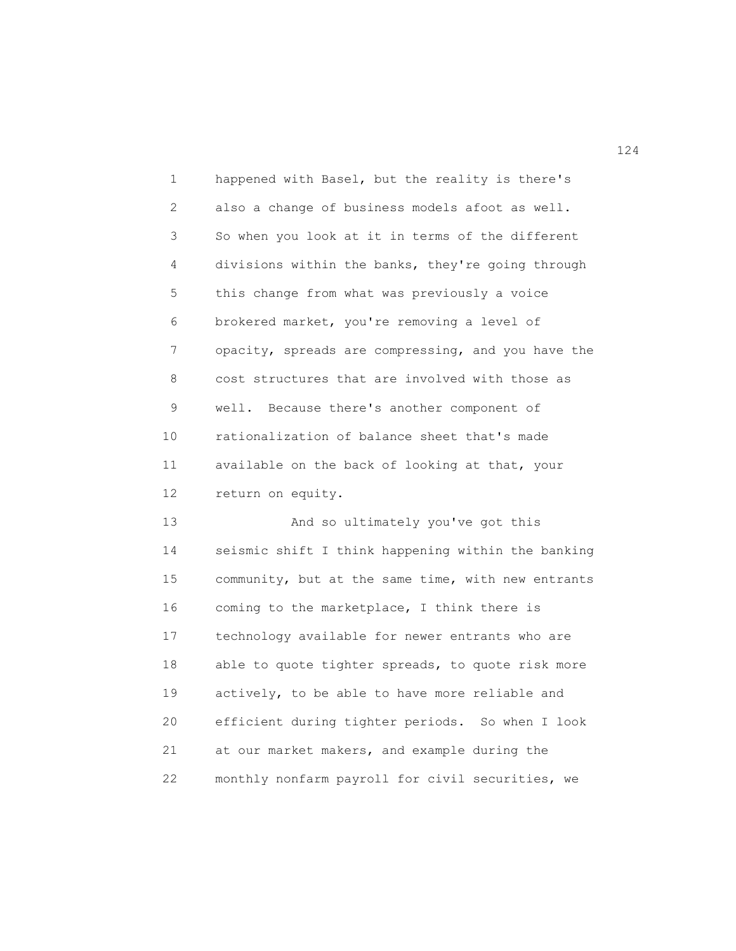1 happened with Basel, but the reality is there's 2 also a change of business models afoot as well. 3 So when you look at it in terms of the different 4 divisions within the banks, they're going through 5 this change from what was previously a voice 6 brokered market, you're removing a level of 7 opacity, spreads are compressing, and you have the 8 cost structures that are involved with those as 9 well. Because there's another component of 10 rationalization of balance sheet that's made 11 available on the back of looking at that, your 12 return on equity.

13 And so ultimately you've got this 14 seismic shift I think happening within the banking 15 community, but at the same time, with new entrants 16 coming to the marketplace, I think there is 17 technology available for newer entrants who are 18 able to quote tighter spreads, to quote risk more 19 actively, to be able to have more reliable and 20 efficient during tighter periods. So when I look 21 at our market makers, and example during the 22 monthly nonfarm payroll for civil securities, we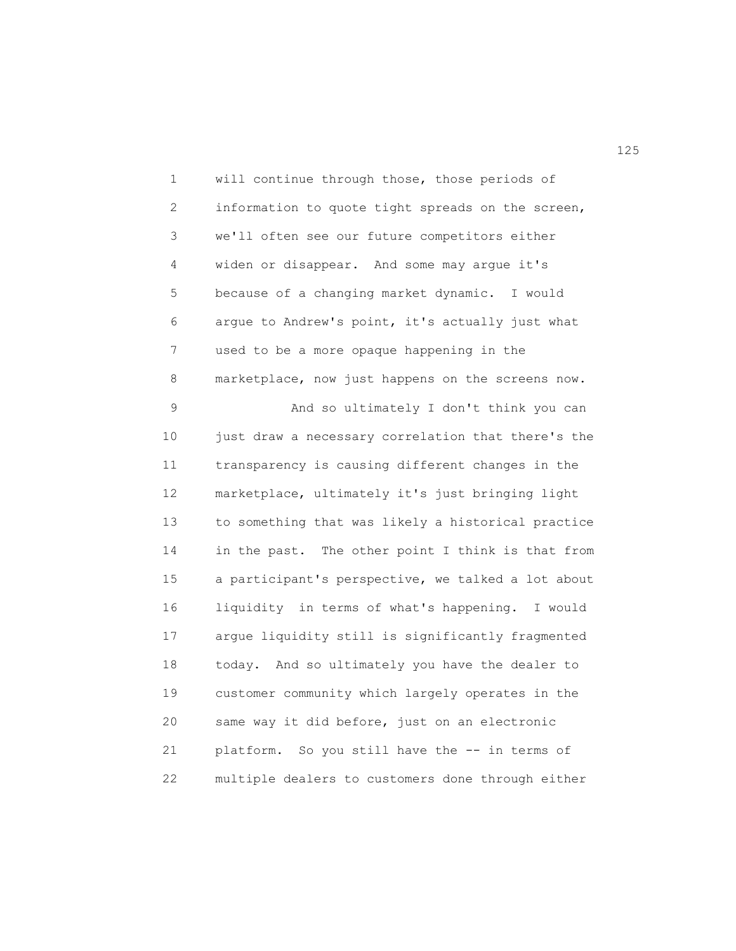1 will continue through those, those periods of 2 information to quote tight spreads on the screen, 3 we'll often see our future competitors either 4 widen or disappear. And some may argue it's 5 because of a changing market dynamic. I would 6 argue to Andrew's point, it's actually just what 7 used to be a more opaque happening in the 8 marketplace, now just happens on the screens now. 9 And so ultimately I don't think you can 10 just draw a necessary correlation that there's the 11 transparency is causing different changes in the 12 marketplace, ultimately it's just bringing light 13 to something that was likely a historical practice 14 in the past. The other point I think is that from 15 a participant's perspective, we talked a lot about 16 liquidity in terms of what's happening. I would 17 argue liquidity still is significantly fragmented 18 today. And so ultimately you have the dealer to 19 customer community which largely operates in the 20 same way it did before, just on an electronic 21 platform. So you still have the -- in terms of 22 multiple dealers to customers done through either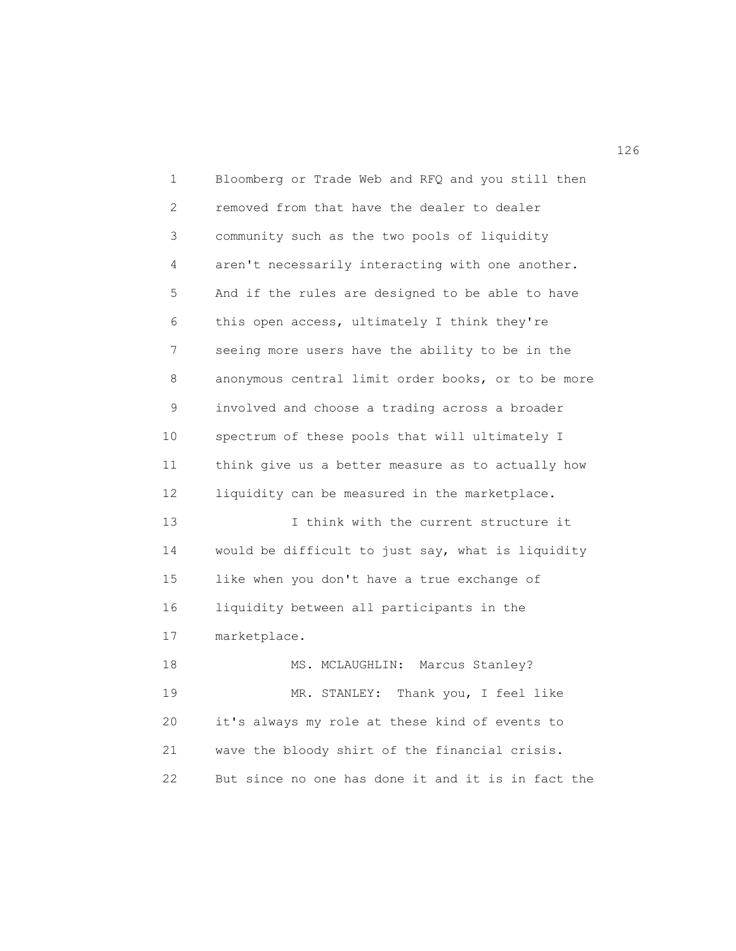1 Bloomberg or Trade Web and RFQ and you still then 2 removed from that have the dealer to dealer 3 community such as the two pools of liquidity 4 aren't necessarily interacting with one another. 5 And if the rules are designed to be able to have 6 this open access, ultimately I think they're 7 seeing more users have the ability to be in the 8 anonymous central limit order books, or to be more 9 involved and choose a trading across a broader 10 spectrum of these pools that will ultimately I 11 think give us a better measure as to actually how 12 liquidity can be measured in the marketplace. 13 I think with the current structure it 14 would be difficult to just say, what is liquidity 15 like when you don't have a true exchange of 16 liquidity between all participants in the 17 marketplace. 18 MS. MCLAUGHLIN: Marcus Stanley? 19 MR. STANLEY: Thank you, I feel like 20 it's always my role at these kind of events to 21 wave the bloody shirt of the financial crisis. 22 But since no one has done it and it is in fact the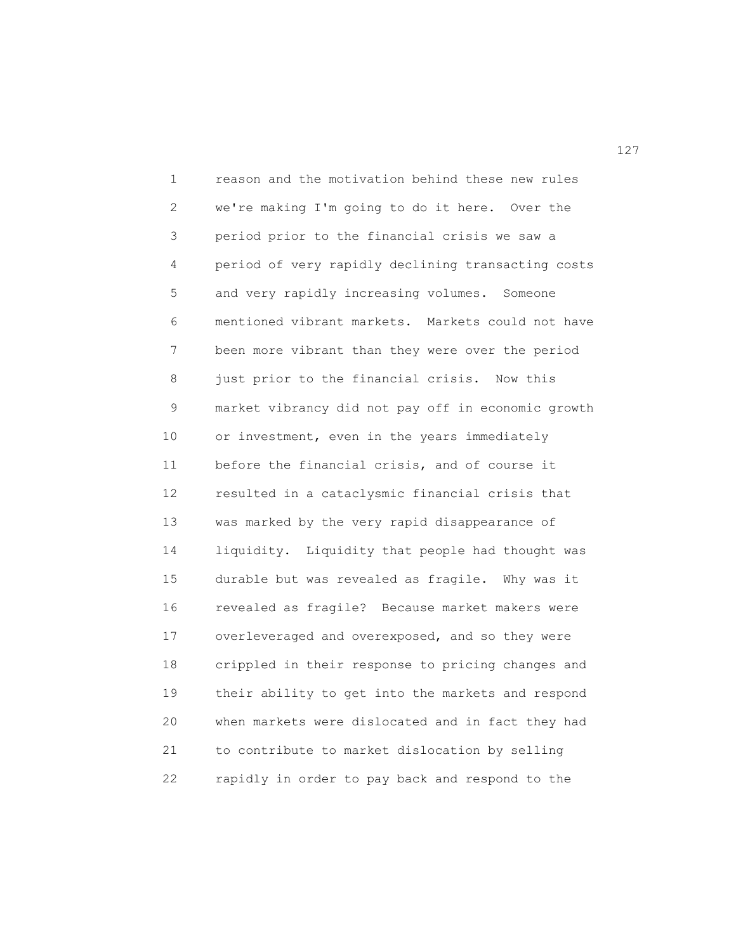1 reason and the motivation behind these new rules 2 we're making I'm going to do it here. Over the 3 period prior to the financial crisis we saw a 4 period of very rapidly declining transacting costs 5 and very rapidly increasing volumes. Someone 6 mentioned vibrant markets. Markets could not have 7 been more vibrant than they were over the period 8 just prior to the financial crisis. Now this 9 market vibrancy did not pay off in economic growth 10 or investment, even in the years immediately 11 before the financial crisis, and of course it 12 resulted in a cataclysmic financial crisis that 13 was marked by the very rapid disappearance of 14 liquidity. Liquidity that people had thought was 15 durable but was revealed as fragile. Why was it 16 revealed as fragile? Because market makers were 17 overleveraged and overexposed, and so they were 18 crippled in their response to pricing changes and 19 their ability to get into the markets and respond 20 when markets were dislocated and in fact they had 21 to contribute to market dislocation by selling 22 rapidly in order to pay back and respond to the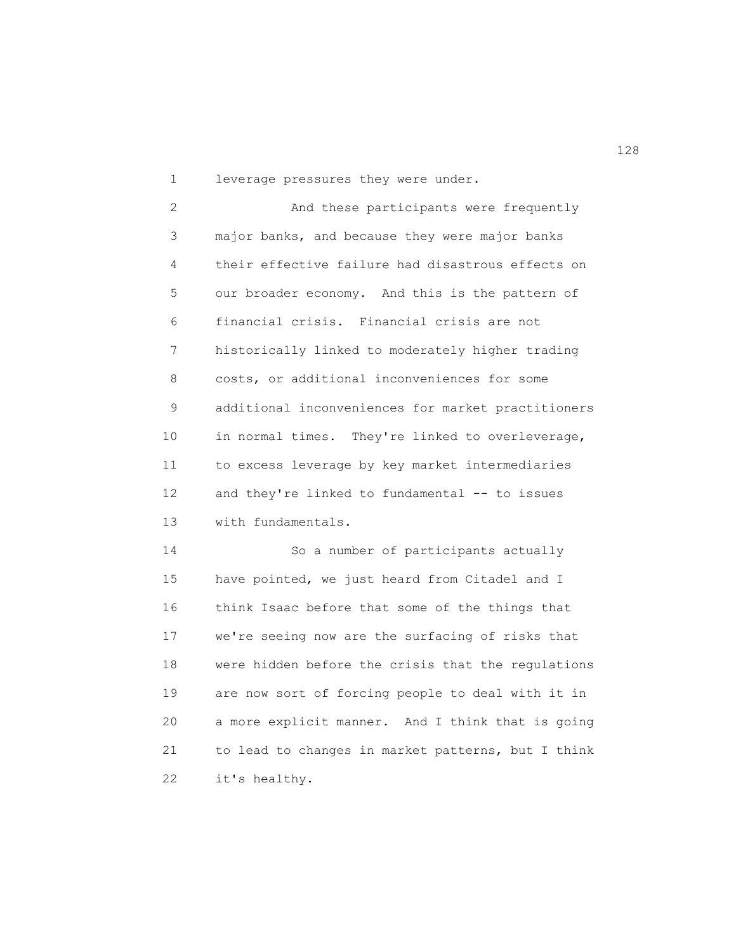1 leverage pressures they were under.

2 And these participants were frequently 3 major banks, and because they were major banks 4 their effective failure had disastrous effects on 5 our broader economy. And this is the pattern of 6 financial crisis. Financial crisis are not 7 historically linked to moderately higher trading 8 costs, or additional inconveniences for some 9 additional inconveniences for market practitioners 10 in normal times. They're linked to overleverage, 11 to excess leverage by key market intermediaries 12 and they're linked to fundamental -- to issues 13 with fundamentals.

14 So a number of participants actually 15 have pointed, we just heard from Citadel and I 16 think Isaac before that some of the things that 17 we're seeing now are the surfacing of risks that 18 were hidden before the crisis that the regulations 19 are now sort of forcing people to deal with it in 20 a more explicit manner. And I think that is going 21 to lead to changes in market patterns, but I think 22 it's healthy.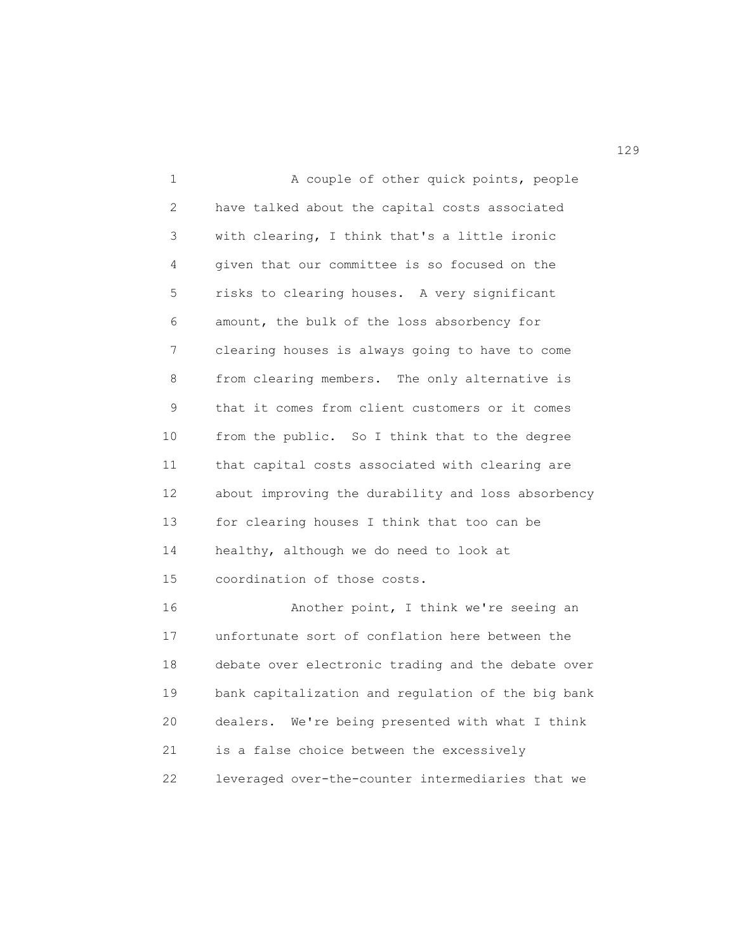1 A couple of other quick points, people 2 have talked about the capital costs associated 3 with clearing, I think that's a little ironic 4 given that our committee is so focused on the 5 risks to clearing houses. A very significant 6 amount, the bulk of the loss absorbency for 7 clearing houses is always going to have to come 8 from clearing members. The only alternative is 9 that it comes from client customers or it comes 10 from the public. So I think that to the degree 11 that capital costs associated with clearing are 12 about improving the durability and loss absorbency 13 for clearing houses I think that too can be 14 healthy, although we do need to look at 15 coordination of those costs. 16 Another point, I think we're seeing an 17 unfortunate sort of conflation here between the 18 debate over electronic trading and the debate over 19 bank capitalization and regulation of the big bank 20 dealers. We're being presented with what I think

21 is a false choice between the excessively

22 leveraged over-the-counter intermediaries that we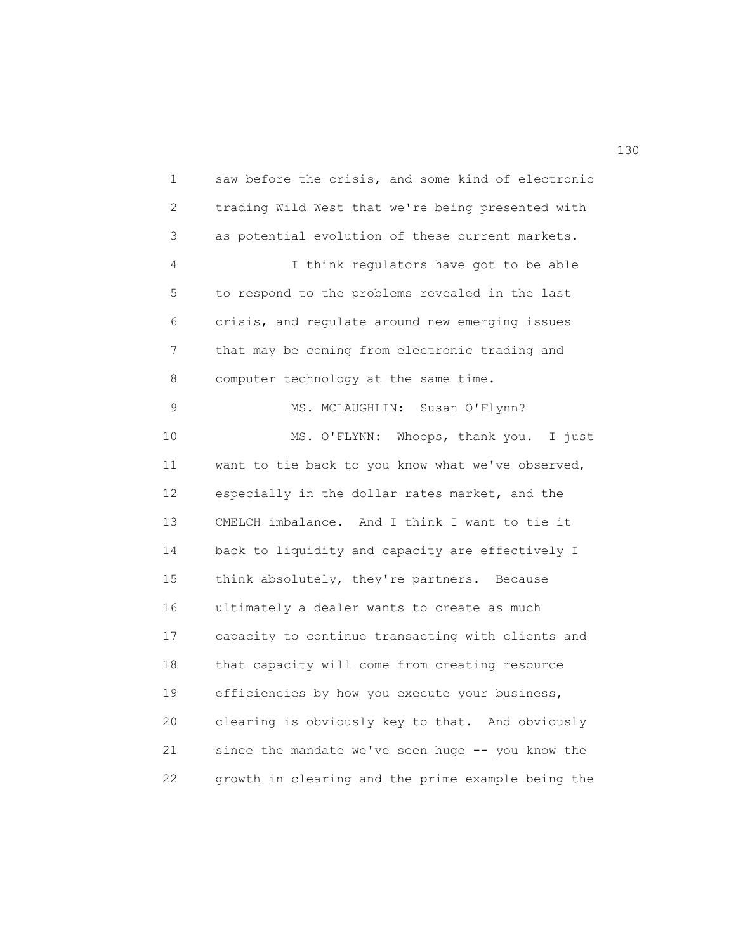1 saw before the crisis, and some kind of electronic 2 trading Wild West that we're being presented with 3 as potential evolution of these current markets. 4 I think regulators have got to be able 5 to respond to the problems revealed in the last 6 crisis, and regulate around new emerging issues 7 that may be coming from electronic trading and 8 computer technology at the same time. 9 MS. MCLAUGHLIN: Susan O'Flynn? 10 MS. O'FLYNN: Whoops, thank you. I just 11 want to tie back to you know what we've observed, 12 especially in the dollar rates market, and the 13 CMELCH imbalance. And I think I want to tie it 14 back to liquidity and capacity are effectively I 15 think absolutely, they're partners. Because 16 ultimately a dealer wants to create as much 17 capacity to continue transacting with clients and 18 that capacity will come from creating resource 19 efficiencies by how you execute your business, 20 clearing is obviously key to that. And obviously 21 since the mandate we've seen huge -- you know the 22 growth in clearing and the prime example being the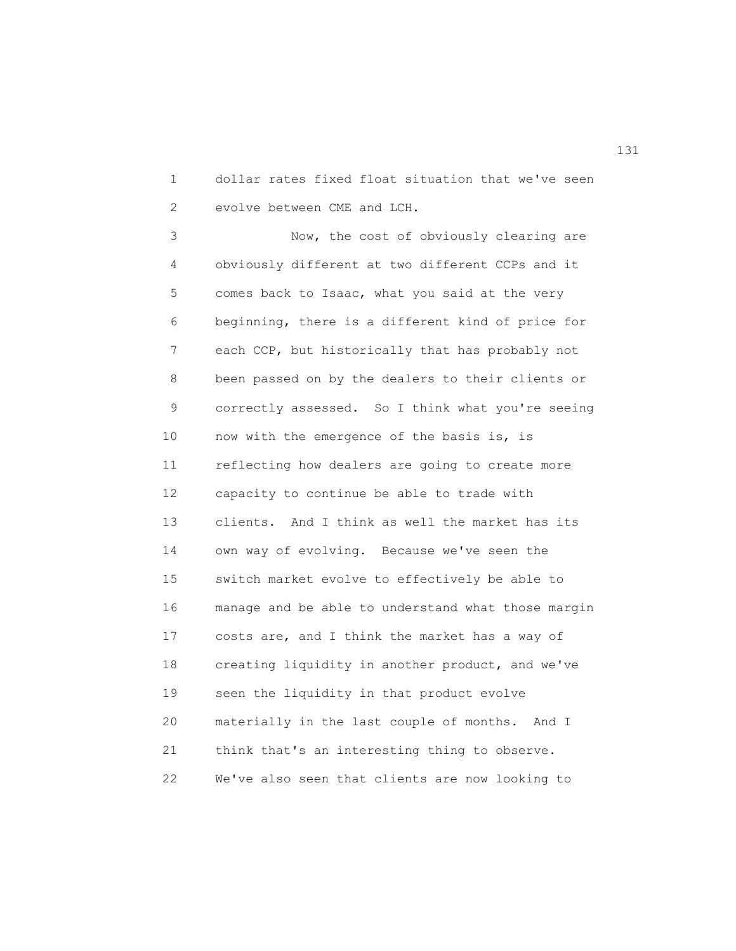1 dollar rates fixed float situation that we've seen 2 evolve between CME and LCH.

3 Now, the cost of obviously clearing are 4 obviously different at two different CCPs and it 5 comes back to Isaac, what you said at the very 6 beginning, there is a different kind of price for 7 each CCP, but historically that has probably not 8 been passed on by the dealers to their clients or 9 correctly assessed. So I think what you're seeing 10 now with the emergence of the basis is, is 11 reflecting how dealers are going to create more 12 capacity to continue be able to trade with 13 clients. And I think as well the market has its 14 own way of evolving. Because we've seen the 15 switch market evolve to effectively be able to 16 manage and be able to understand what those margin 17 costs are, and I think the market has a way of 18 creating liquidity in another product, and we've 19 seen the liquidity in that product evolve 20 materially in the last couple of months. And I 21 think that's an interesting thing to observe. 22 We've also seen that clients are now looking to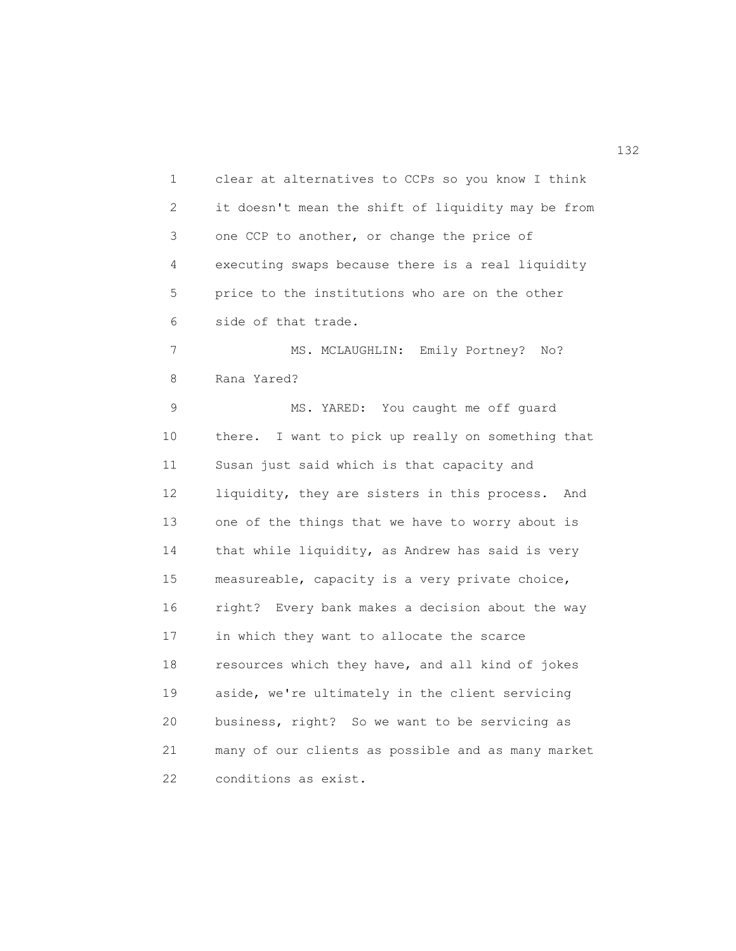1 clear at alternatives to CCPs so you know I think 2 it doesn't mean the shift of liquidity may be from 3 one CCP to another, or change the price of 4 executing swaps because there is a real liquidity 5 price to the institutions who are on the other 6 side of that trade. 7 MS. MCLAUGHLIN: Emily Portney? No? 8 Rana Yared? 9 MS. YARED: You caught me off guard 10 there. I want to pick up really on something that 11 Susan just said which is that capacity and 12 liquidity, they are sisters in this process. And 13 one of the things that we have to worry about is 14 that while liquidity, as Andrew has said is very 15 measureable, capacity is a very private choice, 16 right? Every bank makes a decision about the way 17 in which they want to allocate the scarce 18 resources which they have, and all kind of jokes 19 aside, we're ultimately in the client servicing 20 business, right? So we want to be servicing as 21 many of our clients as possible and as many market 22 conditions as exist.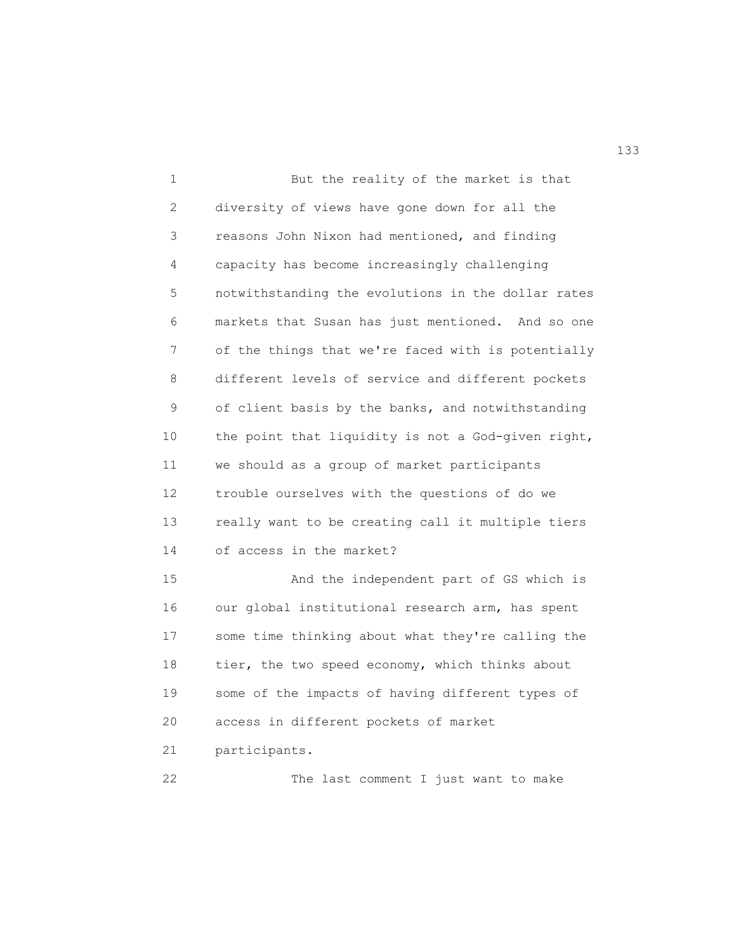1 But the reality of the market is that 2 diversity of views have gone down for all the 3 reasons John Nixon had mentioned, and finding 4 capacity has become increasingly challenging 5 notwithstanding the evolutions in the dollar rates 6 markets that Susan has just mentioned. And so one 7 of the things that we're faced with is potentially 8 different levels of service and different pockets 9 of client basis by the banks, and notwithstanding 10 the point that liquidity is not a God-given right, 11 we should as a group of market participants 12 trouble ourselves with the questions of do we 13 really want to be creating call it multiple tiers 14 of access in the market? 15 And the independent part of GS which is 16 our global institutional research arm, has spent 17 some time thinking about what they're calling the 18 tier, the two speed economy, which thinks about 19 some of the impacts of having different types of 20 access in different pockets of market 21 participants. 22 The last comment I just want to make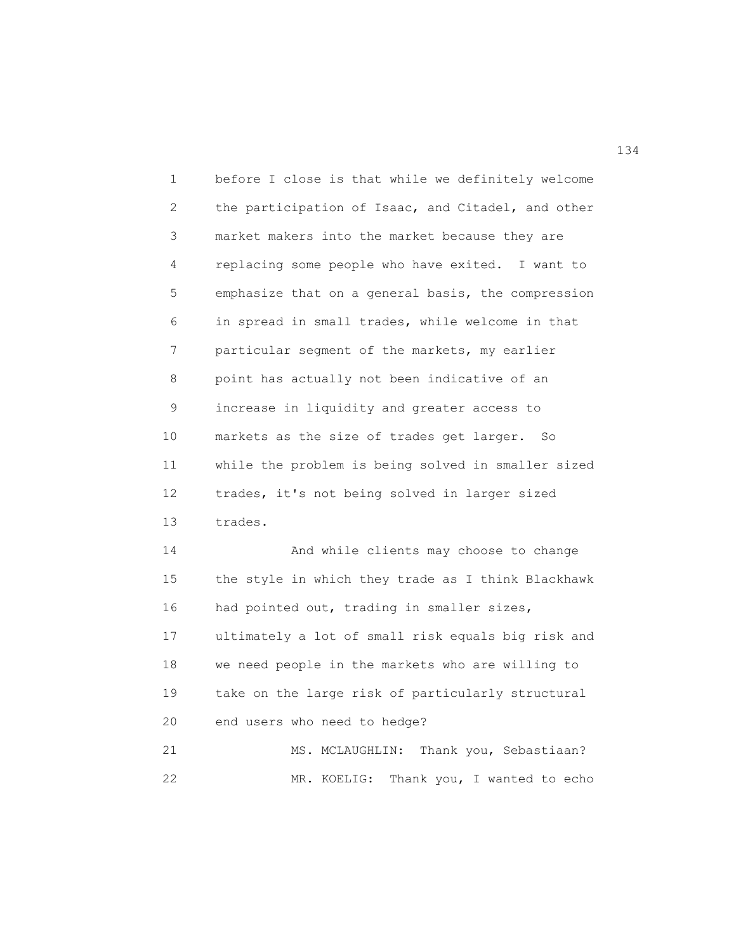1 before I close is that while we definitely welcome 2 the participation of Isaac, and Citadel, and other 3 market makers into the market because they are 4 replacing some people who have exited. I want to 5 emphasize that on a general basis, the compression 6 in spread in small trades, while welcome in that 7 particular segment of the markets, my earlier 8 point has actually not been indicative of an 9 increase in liquidity and greater access to 10 markets as the size of trades get larger. So 11 while the problem is being solved in smaller sized 12 trades, it's not being solved in larger sized 13 trades.

14 And while clients may choose to change 15 the style in which they trade as I think Blackhawk 16 had pointed out, trading in smaller sizes, 17 ultimately a lot of small risk equals big risk and 18 we need people in the markets who are willing to 19 take on the large risk of particularly structural 20 end users who need to hedge?

21 MS. MCLAUGHLIN: Thank you, Sebastiaan? 22 MR. KOELIG: Thank you, I wanted to echo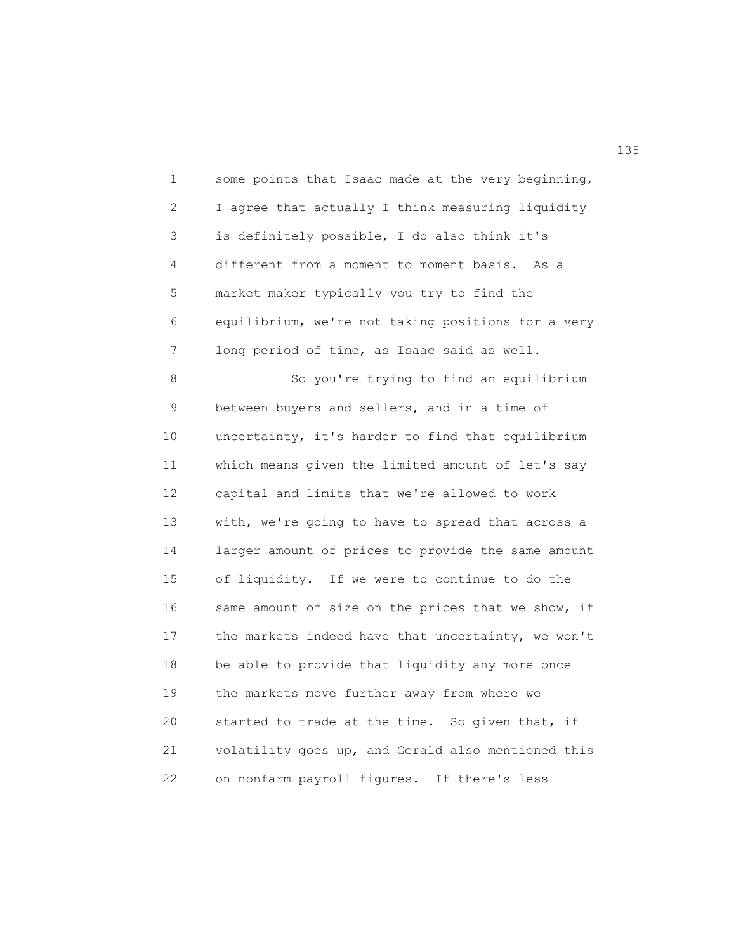1 some points that Isaac made at the very beginning, 2 I agree that actually I think measuring liquidity 3 is definitely possible, I do also think it's 4 different from a moment to moment basis. As a 5 market maker typically you try to find the 6 equilibrium, we're not taking positions for a very 7 long period of time, as Isaac said as well. 8 So you're trying to find an equilibrium 9 between buyers and sellers, and in a time of 10 uncertainty, it's harder to find that equilibrium 11 which means given the limited amount of let's say 12 capital and limits that we're allowed to work 13 with, we're going to have to spread that across a 14 larger amount of prices to provide the same amount 15 of liquidity. If we were to continue to do the 16 same amount of size on the prices that we show, if

17 the markets indeed have that uncertainty, we won't 18 be able to provide that liquidity any more once 19 the markets move further away from where we 20 started to trade at the time. So given that, if 21 volatility goes up, and Gerald also mentioned this 22 on nonfarm payroll figures. If there's less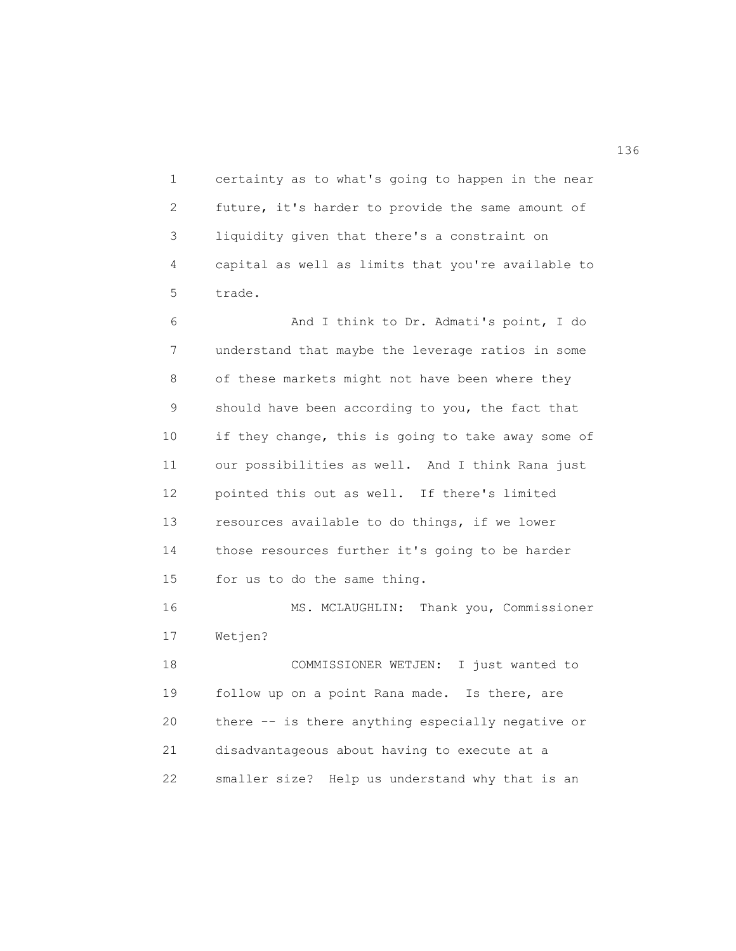1 certainty as to what's going to happen in the near 2 future, it's harder to provide the same amount of 3 liquidity given that there's a constraint on 4 capital as well as limits that you're available to 5 trade.

6 And I think to Dr. Admati's point, I do 7 understand that maybe the leverage ratios in some 8 of these markets might not have been where they 9 should have been according to you, the fact that 10 if they change, this is going to take away some of 11 our possibilities as well. And I think Rana just 12 pointed this out as well. If there's limited 13 resources available to do things, if we lower 14 those resources further it's going to be harder 15 for us to do the same thing.

16 MS. MCLAUGHLIN: Thank you, Commissioner 17 Wetjen?

18 COMMISSIONER WETJEN: I just wanted to 19 follow up on a point Rana made. Is there, are 20 there -- is there anything especially negative or 21 disadvantageous about having to execute at a 22 smaller size? Help us understand why that is an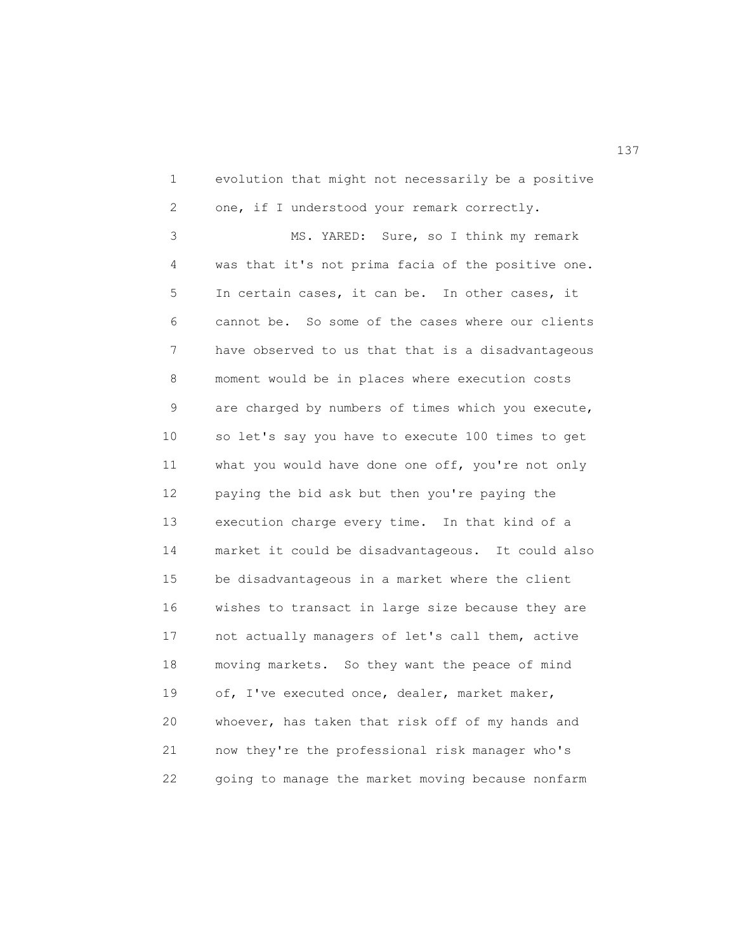1 evolution that might not necessarily be a positive 2 one, if I understood your remark correctly.

3 MS. YARED: Sure, so I think my remark 4 was that it's not prima facia of the positive one. 5 In certain cases, it can be. In other cases, it 6 cannot be. So some of the cases where our clients 7 have observed to us that that is a disadvantageous 8 moment would be in places where execution costs 9 are charged by numbers of times which you execute, 10 so let's say you have to execute 100 times to get 11 what you would have done one off, you're not only 12 paying the bid ask but then you're paying the 13 execution charge every time. In that kind of a 14 market it could be disadvantageous. It could also 15 be disadvantageous in a market where the client 16 wishes to transact in large size because they are 17 not actually managers of let's call them, active 18 moving markets. So they want the peace of mind 19 of, I've executed once, dealer, market maker, 20 whoever, has taken that risk off of my hands and 21 now they're the professional risk manager who's 22 going to manage the market moving because nonfarm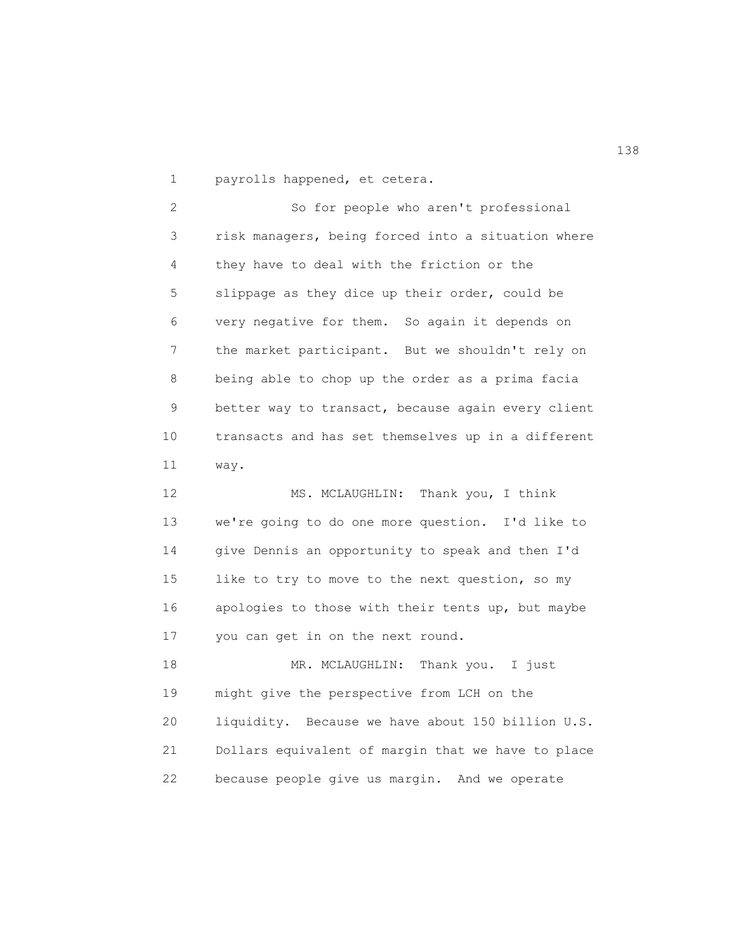1 payrolls happened, et cetera.

2 So for people who aren't professional 3 risk managers, being forced into a situation where 4 they have to deal with the friction or the 5 slippage as they dice up their order, could be 6 very negative for them. So again it depends on 7 the market participant. But we shouldn't rely on 8 being able to chop up the order as a prima facia 9 better way to transact, because again every client 10 transacts and has set themselves up in a different 11 way.

12 MS. MCLAUGHLIN: Thank you, I think 13 we're going to do one more question. I'd like to 14 give Dennis an opportunity to speak and then I'd 15 like to try to move to the next question, so my 16 apologies to those with their tents up, but maybe 17 you can get in on the next round.

18 MR. MCLAUGHLIN: Thank you. I just 19 might give the perspective from LCH on the 20 liquidity. Because we have about 150 billion U.S. 21 Dollars equivalent of margin that we have to place 22 because people give us margin. And we operate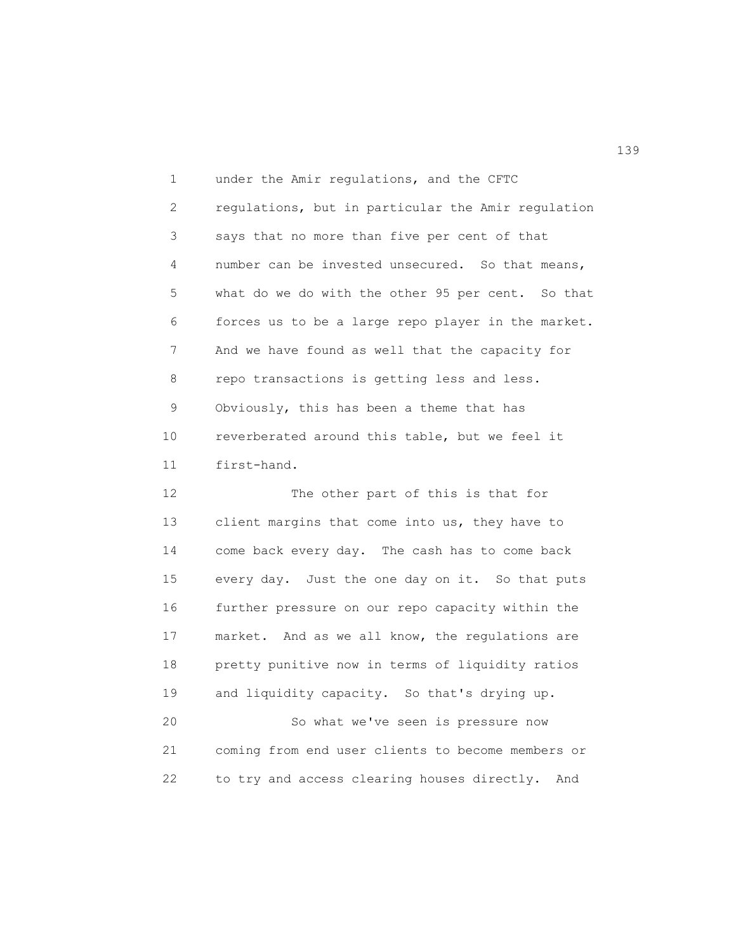1 under the Amir regulations, and the CFTC 2 regulations, but in particular the Amir regulation 3 says that no more than five per cent of that 4 number can be invested unsecured. So that means, 5 what do we do with the other 95 per cent. So that 6 forces us to be a large repo player in the market. 7 And we have found as well that the capacity for 8 repo transactions is getting less and less. 9 Obviously, this has been a theme that has 10 reverberated around this table, but we feel it 11 first-hand.

12 The other part of this is that for 13 client margins that come into us, they have to 14 come back every day. The cash has to come back 15 every day. Just the one day on it. So that puts 16 further pressure on our repo capacity within the 17 market. And as we all know, the regulations are 18 pretty punitive now in terms of liquidity ratios 19 and liquidity capacity. So that's drying up. 20 So what we've seen is pressure now 21 coming from end user clients to become members or 22 to try and access clearing houses directly. And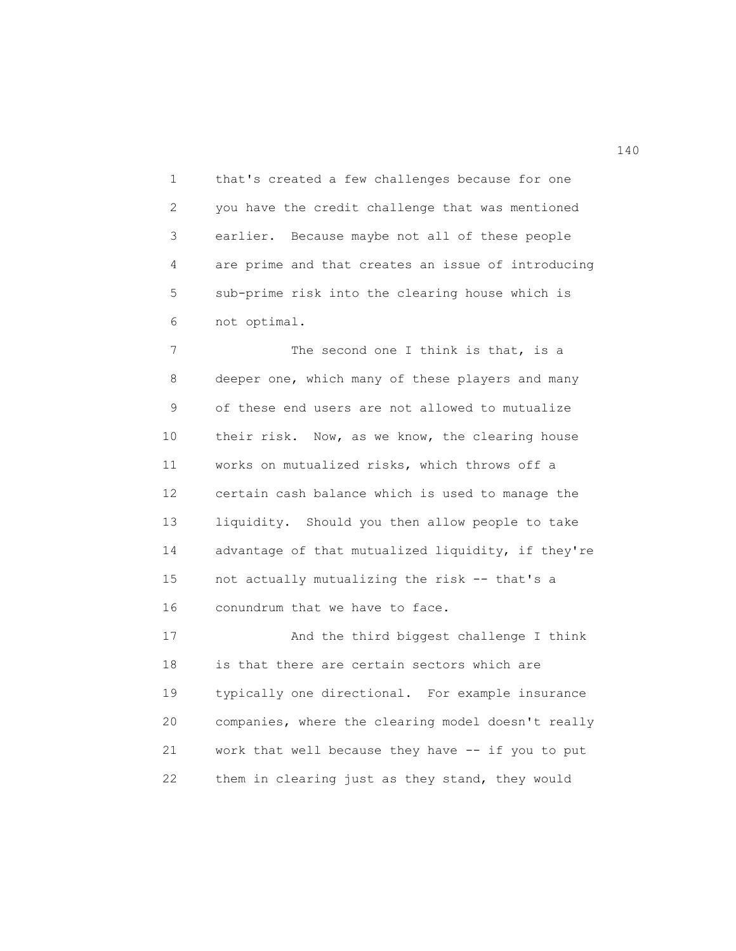1 that's created a few challenges because for one 2 you have the credit challenge that was mentioned 3 earlier. Because maybe not all of these people 4 are prime and that creates an issue of introducing 5 sub-prime risk into the clearing house which is 6 not optimal.

7 The second one I think is that, is a 8 deeper one, which many of these players and many 9 of these end users are not allowed to mutualize 10 their risk. Now, as we know, the clearing house 11 works on mutualized risks, which throws off a 12 certain cash balance which is used to manage the 13 liquidity. Should you then allow people to take 14 advantage of that mutualized liquidity, if they're 15 not actually mutualizing the risk -- that's a 16 conundrum that we have to face.

17 And the third biggest challenge I think 18 is that there are certain sectors which are 19 typically one directional. For example insurance 20 companies, where the clearing model doesn't really 21 work that well because they have -- if you to put 22 them in clearing just as they stand, they would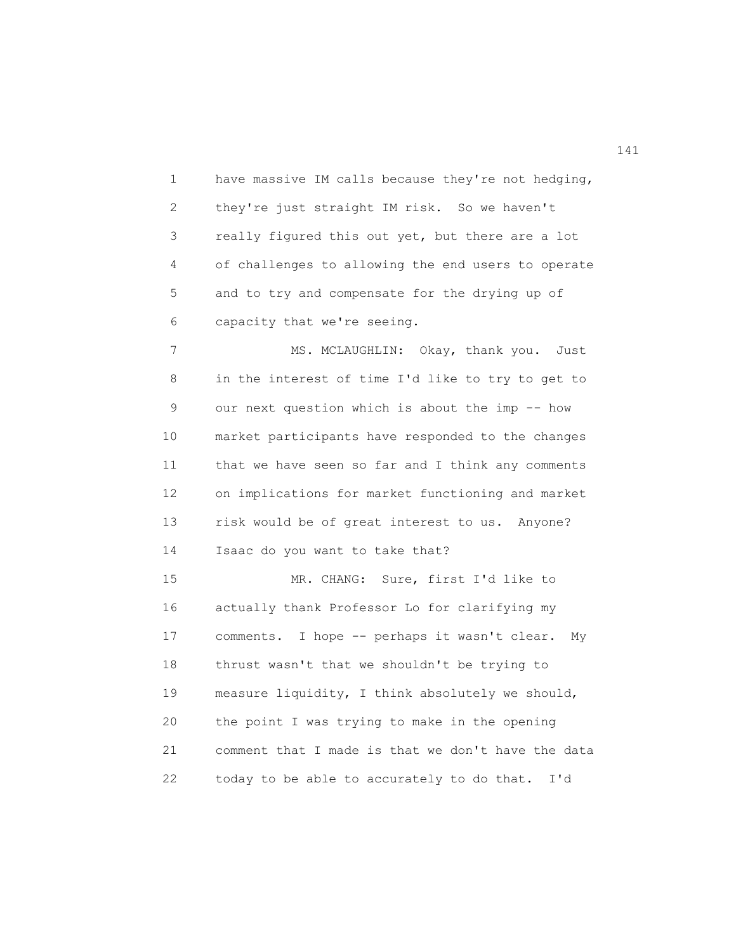1 have massive IM calls because they're not hedging, 2 they're just straight IM risk. So we haven't 3 really figured this out yet, but there are a lot 4 of challenges to allowing the end users to operate 5 and to try and compensate for the drying up of 6 capacity that we're seeing.

7 MS. MCLAUGHLIN: Okay, thank you. Just 8 in the interest of time I'd like to try to get to 9 our next question which is about the imp -- how 10 market participants have responded to the changes 11 that we have seen so far and I think any comments 12 on implications for market functioning and market 13 risk would be of great interest to us. Anyone? 14 Isaac do you want to take that?

15 MR. CHANG: Sure, first I'd like to 16 actually thank Professor Lo for clarifying my 17 comments. I hope -- perhaps it wasn't clear. My 18 thrust wasn't that we shouldn't be trying to 19 measure liquidity, I think absolutely we should, 20 the point I was trying to make in the opening 21 comment that I made is that we don't have the data 22 today to be able to accurately to do that. I'd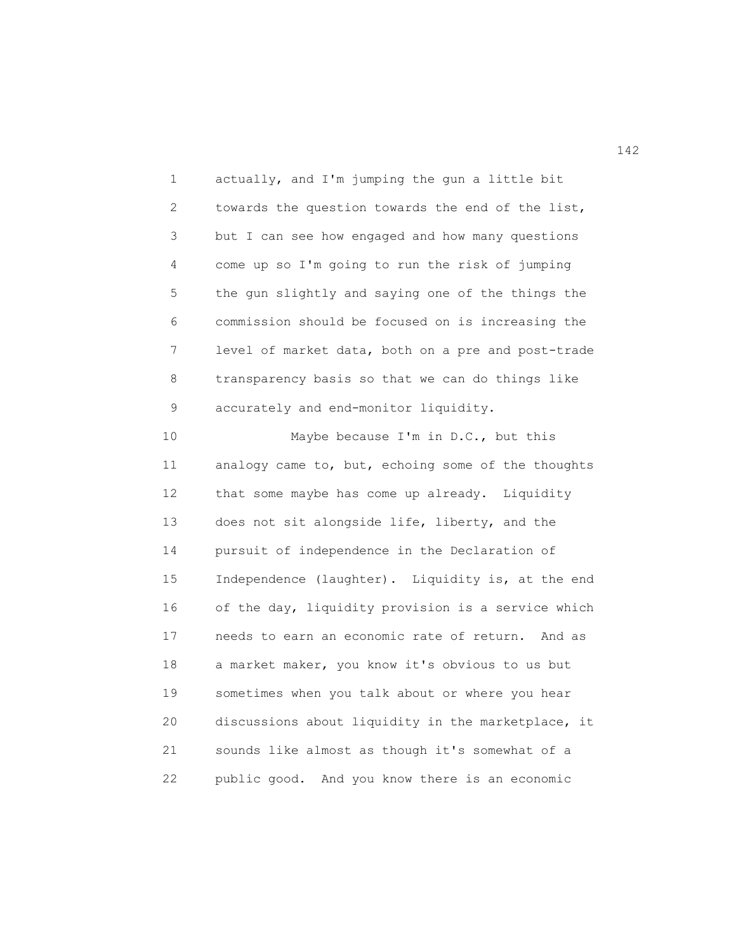1 actually, and I'm jumping the gun a little bit 2 towards the question towards the end of the list, 3 but I can see how engaged and how many questions 4 come up so I'm going to run the risk of jumping 5 the gun slightly and saying one of the things the 6 commission should be focused on is increasing the 7 level of market data, both on a pre and post-trade 8 transparency basis so that we can do things like 9 accurately and end-monitor liquidity.

10 Maybe because I'm in D.C., but this 11 analogy came to, but, echoing some of the thoughts 12 that some maybe has come up already. Liquidity 13 does not sit alongside life, liberty, and the 14 pursuit of independence in the Declaration of 15 Independence (laughter). Liquidity is, at the end 16 of the day, liquidity provision is a service which 17 needs to earn an economic rate of return. And as 18 a market maker, you know it's obvious to us but 19 sometimes when you talk about or where you hear 20 discussions about liquidity in the marketplace, it 21 sounds like almost as though it's somewhat of a 22 public good. And you know there is an economic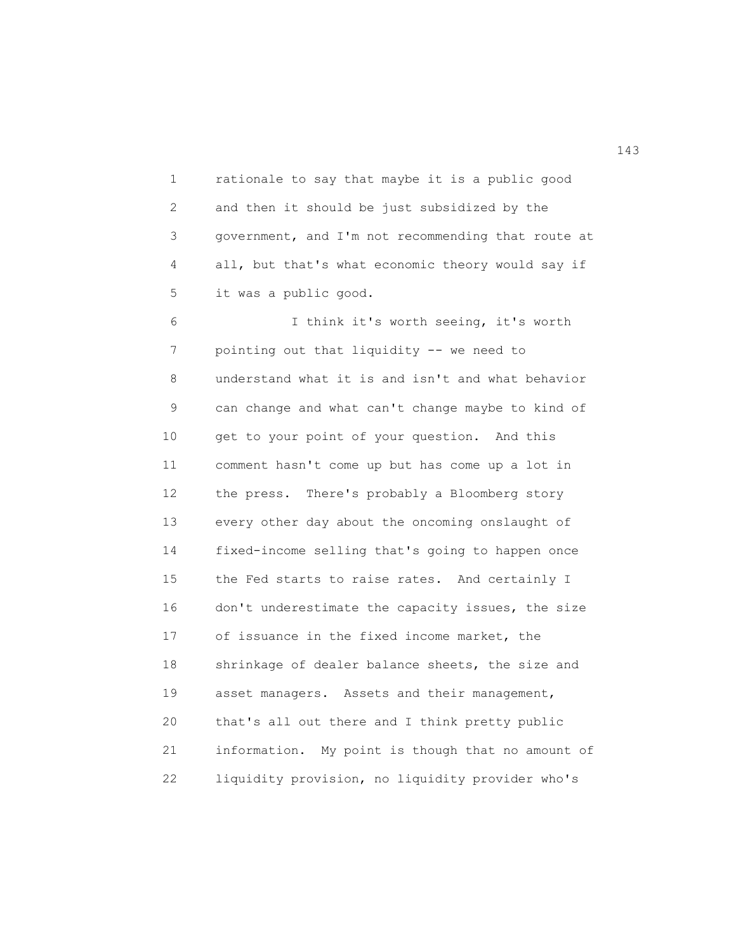1 rationale to say that maybe it is a public good 2 and then it should be just subsidized by the 3 government, and I'm not recommending that route at 4 all, but that's what economic theory would say if 5 it was a public good.

6 I think it's worth seeing, it's worth 7 pointing out that liquidity -- we need to 8 understand what it is and isn't and what behavior 9 can change and what can't change maybe to kind of 10 get to your point of your question. And this 11 comment hasn't come up but has come up a lot in 12 the press. There's probably a Bloomberg story 13 every other day about the oncoming onslaught of 14 fixed-income selling that's going to happen once 15 the Fed starts to raise rates. And certainly I 16 don't underestimate the capacity issues, the size 17 of issuance in the fixed income market, the 18 shrinkage of dealer balance sheets, the size and 19 asset managers. Assets and their management, 20 that's all out there and I think pretty public 21 information. My point is though that no amount of 22 liquidity provision, no liquidity provider who's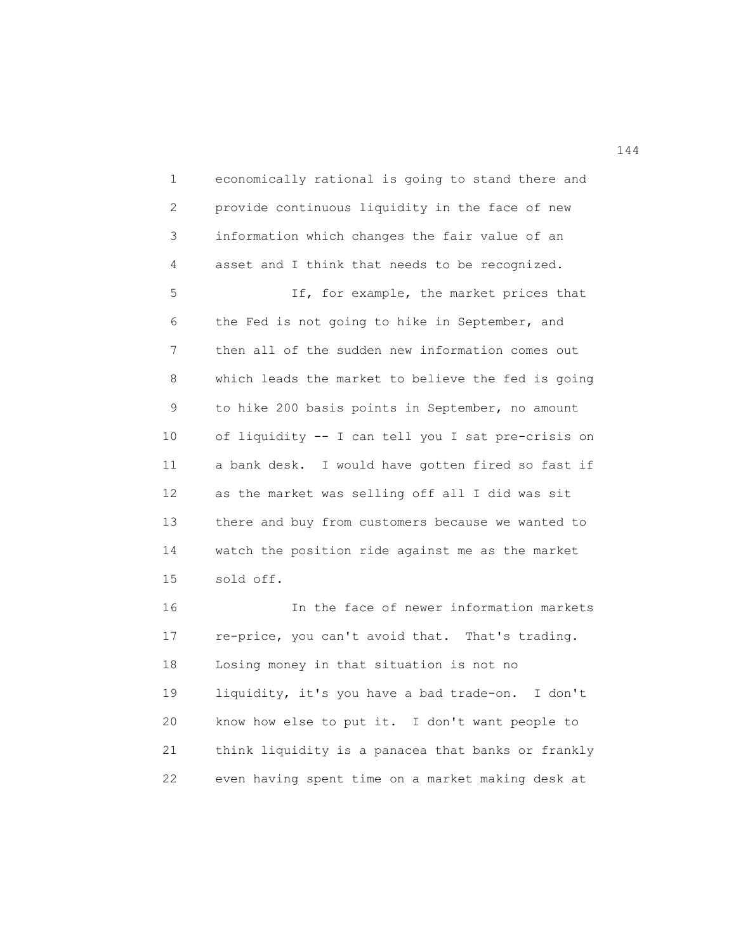1 economically rational is going to stand there and 2 provide continuous liquidity in the face of new 3 information which changes the fair value of an 4 asset and I think that needs to be recognized. 5 If, for example, the market prices that 6 the Fed is not going to hike in September, and 7 then all of the sudden new information comes out 8 which leads the market to believe the fed is going 9 to hike 200 basis points in September, no amount 10 of liquidity -- I can tell you I sat pre-crisis on 11 a bank desk. I would have gotten fired so fast if 12 as the market was selling off all I did was sit 13 there and buy from customers because we wanted to 14 watch the position ride against me as the market 15 sold off. 16 In the face of newer information markets 17 re-price, you can't avoid that. That's trading. 18 Losing money in that situation is not no

19 liquidity, it's you have a bad trade-on. I don't 20 know how else to put it. I don't want people to 21 think liquidity is a panacea that banks or frankly 22 even having spent time on a market making desk at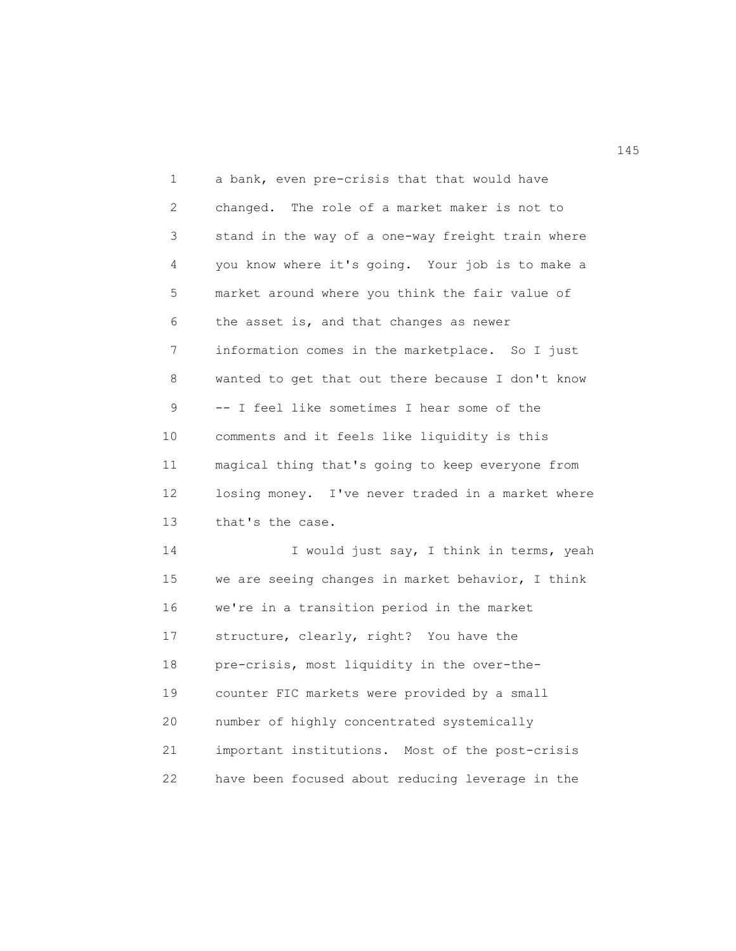1 a bank, even pre-crisis that that would have 2 changed. The role of a market maker is not to 3 stand in the way of a one-way freight train where 4 you know where it's going. Your job is to make a 5 market around where you think the fair value of 6 the asset is, and that changes as newer 7 information comes in the marketplace. So I just 8 wanted to get that out there because I don't know 9 -- I feel like sometimes I hear some of the 10 comments and it feels like liquidity is this 11 magical thing that's going to keep everyone from 12 losing money. I've never traded in a market where 13 that's the case. 14 I would just say, I think in terms, yeah 15 we are seeing changes in market behavior, I think 16 we're in a transition period in the market 17 structure, clearly, right? You have the 18 pre-crisis, most liquidity in the over-the-19 counter FIC markets were provided by a small 20 number of highly concentrated systemically 21 important institutions. Most of the post-crisis

22 have been focused about reducing leverage in the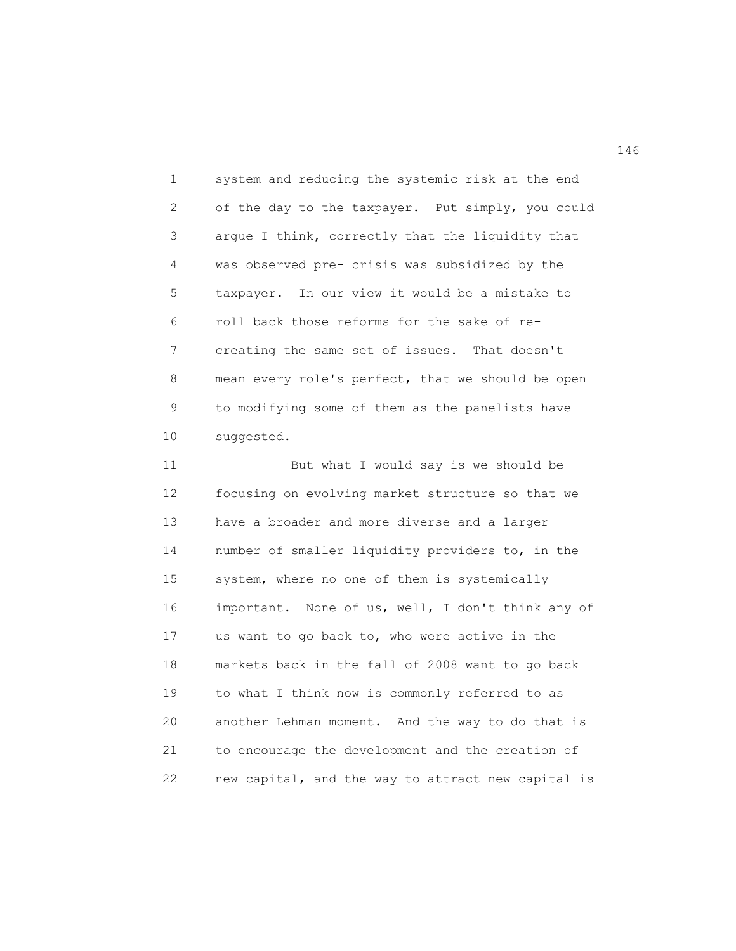1 system and reducing the systemic risk at the end 2 of the day to the taxpayer. Put simply, you could 3 argue I think, correctly that the liquidity that 4 was observed pre- crisis was subsidized by the 5 taxpayer. In our view it would be a mistake to 6 roll back those reforms for the sake of re-7 creating the same set of issues. That doesn't 8 mean every role's perfect, that we should be open 9 to modifying some of them as the panelists have 10 suggested.

11 But what I would say is we should be 12 focusing on evolving market structure so that we 13 have a broader and more diverse and a larger 14 number of smaller liquidity providers to, in the 15 system, where no one of them is systemically 16 important. None of us, well, I don't think any of 17 us want to go back to, who were active in the 18 markets back in the fall of 2008 want to go back 19 to what I think now is commonly referred to as 20 another Lehman moment. And the way to do that is 21 to encourage the development and the creation of 22 new capital, and the way to attract new capital is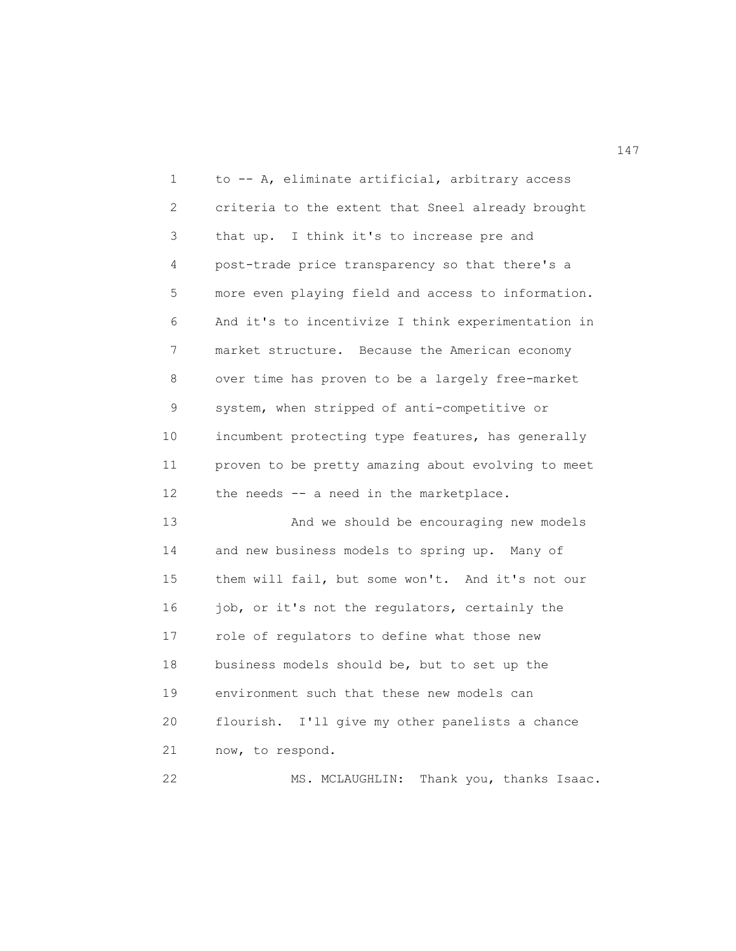1 to -- A, eliminate artificial, arbitrary access 2 criteria to the extent that Sneel already brought 3 that up. I think it's to increase pre and 4 post-trade price transparency so that there's a 5 more even playing field and access to information. 6 And it's to incentivize I think experimentation in 7 market structure. Because the American economy 8 over time has proven to be a largely free-market 9 system, when stripped of anti-competitive or 10 incumbent protecting type features, has generally 11 proven to be pretty amazing about evolving to meet 12 the needs -- a need in the marketplace. 13 And we should be encouraging new models 14 and new business models to spring up. Many of 15 them will fail, but some won't. And it's not our 16 job, or it's not the regulators, certainly the 17 role of regulators to define what those new 18 business models should be, but to set up the 19 environment such that these new models can 20 flourish. I'll give my other panelists a chance 21 now, to respond.

22 MS. MCLAUGHLIN: Thank you, thanks Isaac.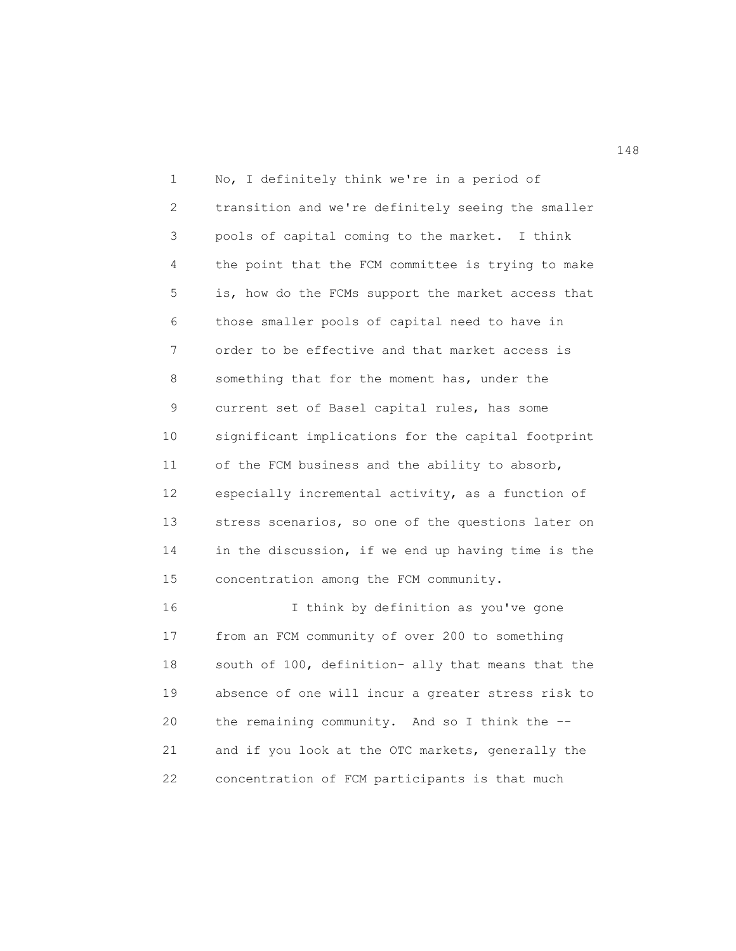1 No, I definitely think we're in a period of 2 transition and we're definitely seeing the smaller 3 pools of capital coming to the market. I think 4 the point that the FCM committee is trying to make 5 is, how do the FCMs support the market access that 6 those smaller pools of capital need to have in 7 order to be effective and that market access is 8 something that for the moment has, under the 9 current set of Basel capital rules, has some 10 significant implications for the capital footprint 11 of the FCM business and the ability to absorb, 12 especially incremental activity, as a function of 13 stress scenarios, so one of the questions later on 14 in the discussion, if we end up having time is the 15 concentration among the FCM community. 16 I think by definition as you've gone

17 from an FCM community of over 200 to something 18 south of 100, definition- ally that means that the 19 absence of one will incur a greater stress risk to 20 the remaining community. And so I think the -- 21 and if you look at the OTC markets, generally the 22 concentration of FCM participants is that much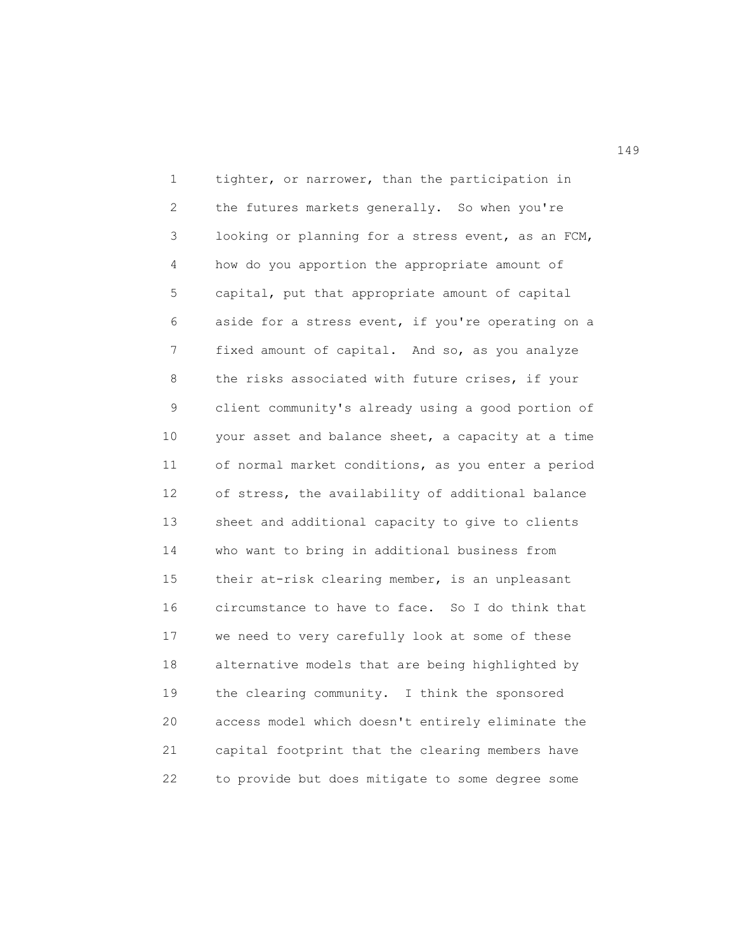1 tighter, or narrower, than the participation in 2 the futures markets generally. So when you're 3 looking or planning for a stress event, as an FCM, 4 how do you apportion the appropriate amount of 5 capital, put that appropriate amount of capital 6 aside for a stress event, if you're operating on a 7 fixed amount of capital. And so, as you analyze 8 the risks associated with future crises, if your 9 client community's already using a good portion of 10 your asset and balance sheet, a capacity at a time 11 of normal market conditions, as you enter a period 12 of stress, the availability of additional balance 13 sheet and additional capacity to give to clients 14 who want to bring in additional business from 15 their at-risk clearing member, is an unpleasant 16 circumstance to have to face. So I do think that 17 we need to very carefully look at some of these 18 alternative models that are being highlighted by 19 the clearing community. I think the sponsored 20 access model which doesn't entirely eliminate the 21 capital footprint that the clearing members have 22 to provide but does mitigate to some degree some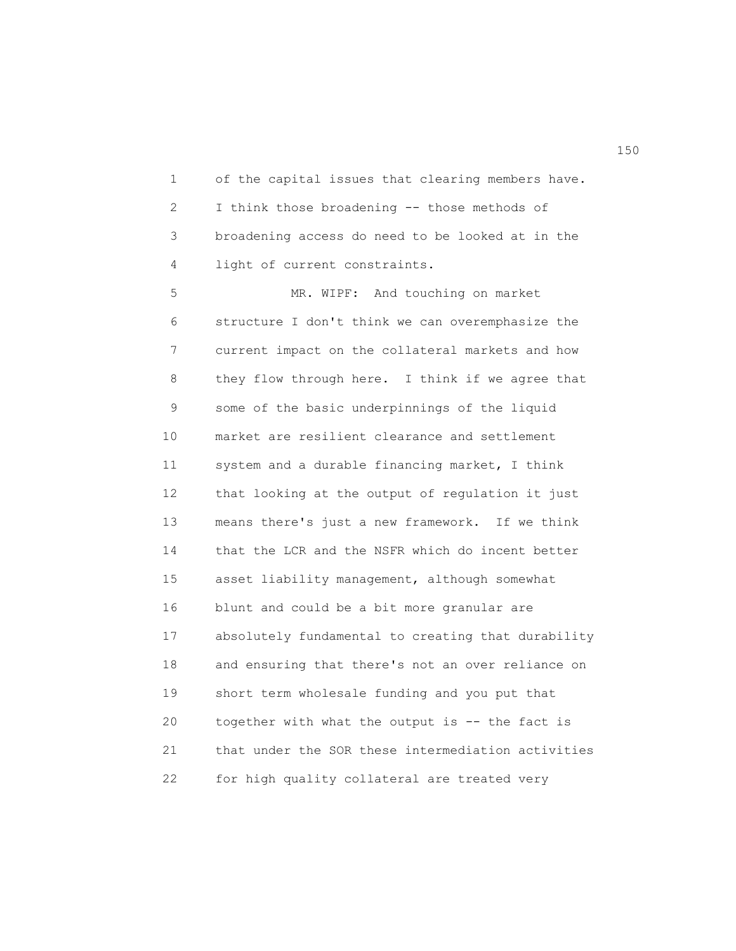1 of the capital issues that clearing members have. 2 I think those broadening -- those methods of 3 broadening access do need to be looked at in the 4 light of current constraints.

5 MR. WIPF: And touching on market 6 structure I don't think we can overemphasize the 7 current impact on the collateral markets and how 8 they flow through here. I think if we agree that 9 some of the basic underpinnings of the liquid 10 market are resilient clearance and settlement 11 system and a durable financing market, I think 12 that looking at the output of regulation it just 13 means there's just a new framework. If we think 14 that the LCR and the NSFR which do incent better 15 asset liability management, although somewhat 16 blunt and could be a bit more granular are 17 absolutely fundamental to creating that durability 18 and ensuring that there's not an over reliance on 19 short term wholesale funding and you put that 20 together with what the output is -- the fact is 21 that under the SOR these intermediation activities 22 for high quality collateral are treated very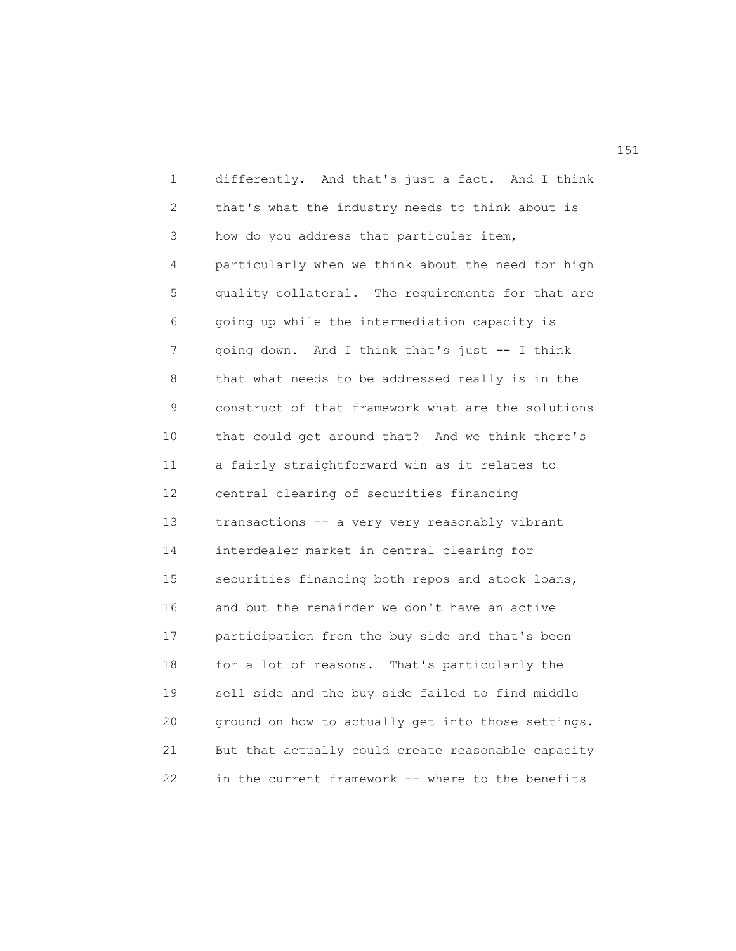1 differently. And that's just a fact. And I think 2 that's what the industry needs to think about is 3 how do you address that particular item, 4 particularly when we think about the need for high 5 quality collateral. The requirements for that are 6 going up while the intermediation capacity is 7 going down. And I think that's just -- I think 8 that what needs to be addressed really is in the 9 construct of that framework what are the solutions 10 that could get around that? And we think there's 11 a fairly straightforward win as it relates to 12 central clearing of securities financing 13 transactions -- a very very reasonably vibrant 14 interdealer market in central clearing for 15 securities financing both repos and stock loans, 16 and but the remainder we don't have an active 17 participation from the buy side and that's been 18 for a lot of reasons. That's particularly the 19 sell side and the buy side failed to find middle 20 ground on how to actually get into those settings. 21 But that actually could create reasonable capacity 22 in the current framework -- where to the benefits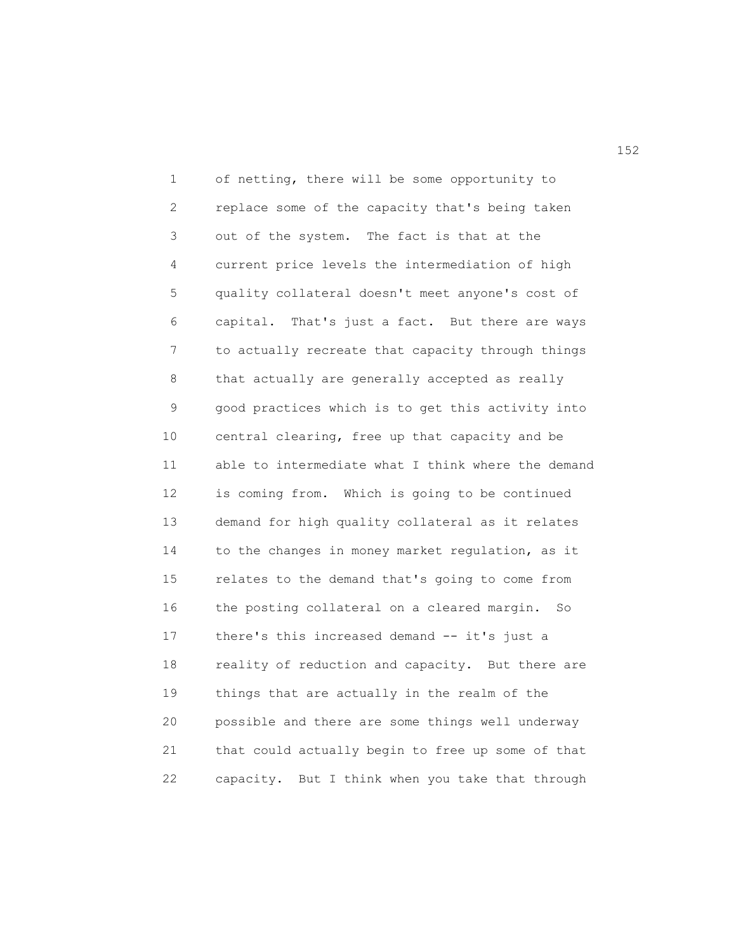1 of netting, there will be some opportunity to 2 replace some of the capacity that's being taken 3 out of the system. The fact is that at the 4 current price levels the intermediation of high 5 quality collateral doesn't meet anyone's cost of 6 capital. That's just a fact. But there are ways 7 to actually recreate that capacity through things 8 that actually are generally accepted as really 9 good practices which is to get this activity into 10 central clearing, free up that capacity and be 11 able to intermediate what I think where the demand 12 is coming from. Which is going to be continued 13 demand for high quality collateral as it relates 14 to the changes in money market regulation, as it 15 relates to the demand that's going to come from 16 the posting collateral on a cleared margin. So 17 there's this increased demand -- it's just a 18 reality of reduction and capacity. But there are 19 things that are actually in the realm of the 20 possible and there are some things well underway 21 that could actually begin to free up some of that 22 capacity. But I think when you take that through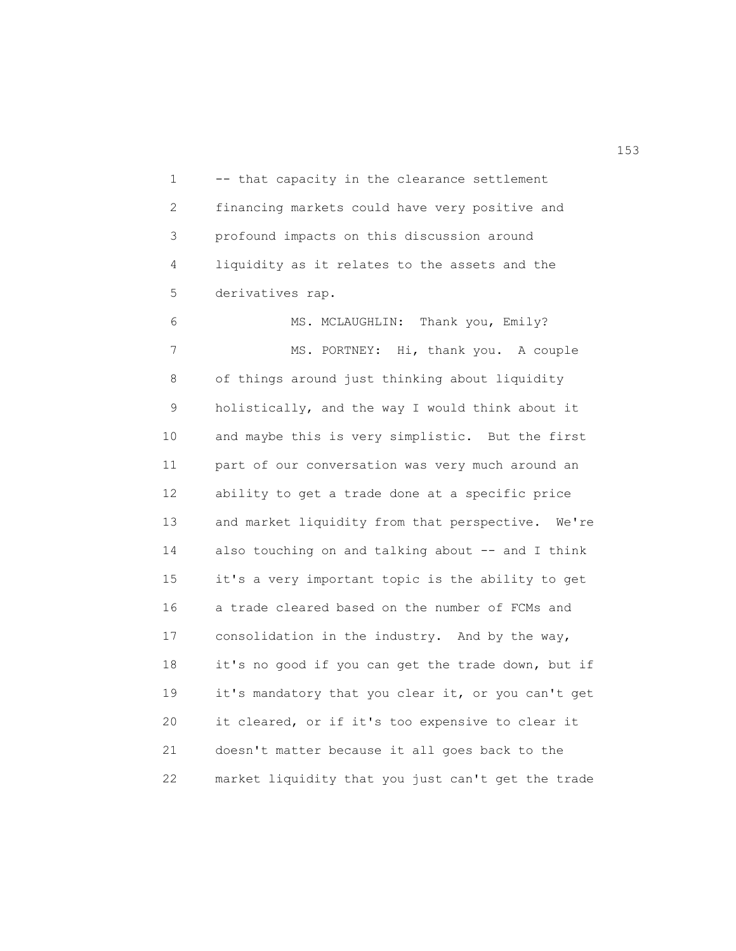1 -- that capacity in the clearance settlement 2 financing markets could have very positive and 3 profound impacts on this discussion around 4 liquidity as it relates to the assets and the 5 derivatives rap.

6 MS. MCLAUGHLIN: Thank you, Emily? 7 MS. PORTNEY: Hi, thank you. A couple 8 of things around just thinking about liquidity 9 holistically, and the way I would think about it 10 and maybe this is very simplistic. But the first 11 part of our conversation was very much around an 12 ability to get a trade done at a specific price 13 and market liquidity from that perspective. We're 14 also touching on and talking about -- and I think 15 it's a very important topic is the ability to get 16 a trade cleared based on the number of FCMs and 17 consolidation in the industry. And by the way, 18 it's no good if you can get the trade down, but if 19 it's mandatory that you clear it, or you can't get 20 it cleared, or if it's too expensive to clear it 21 doesn't matter because it all goes back to the 22 market liquidity that you just can't get the trade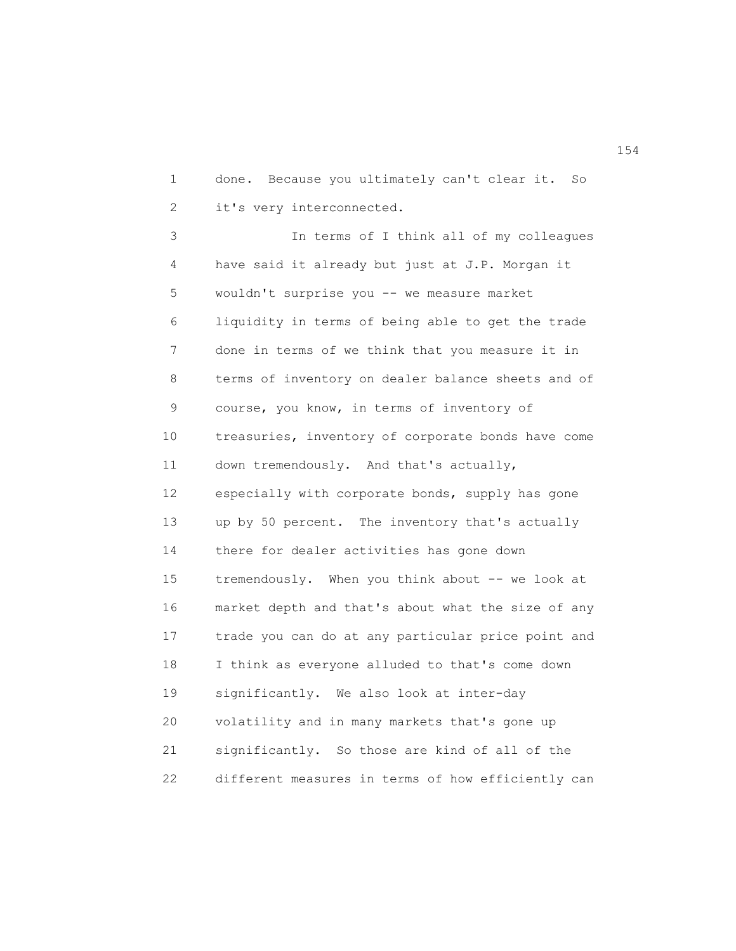1 done. Because you ultimately can't clear it. So 2 it's very interconnected.

3 In terms of I think all of my colleagues 4 have said it already but just at J.P. Morgan it 5 wouldn't surprise you -- we measure market 6 liquidity in terms of being able to get the trade 7 done in terms of we think that you measure it in 8 terms of inventory on dealer balance sheets and of 9 course, you know, in terms of inventory of 10 treasuries, inventory of corporate bonds have come 11 down tremendously. And that's actually, 12 especially with corporate bonds, supply has gone 13 up by 50 percent. The inventory that's actually 14 there for dealer activities has gone down 15 tremendously. When you think about -- we look at 16 market depth and that's about what the size of any 17 trade you can do at any particular price point and 18 I think as everyone alluded to that's come down 19 significantly. We also look at inter-day 20 volatility and in many markets that's gone up 21 significantly. So those are kind of all of the 22 different measures in terms of how efficiently can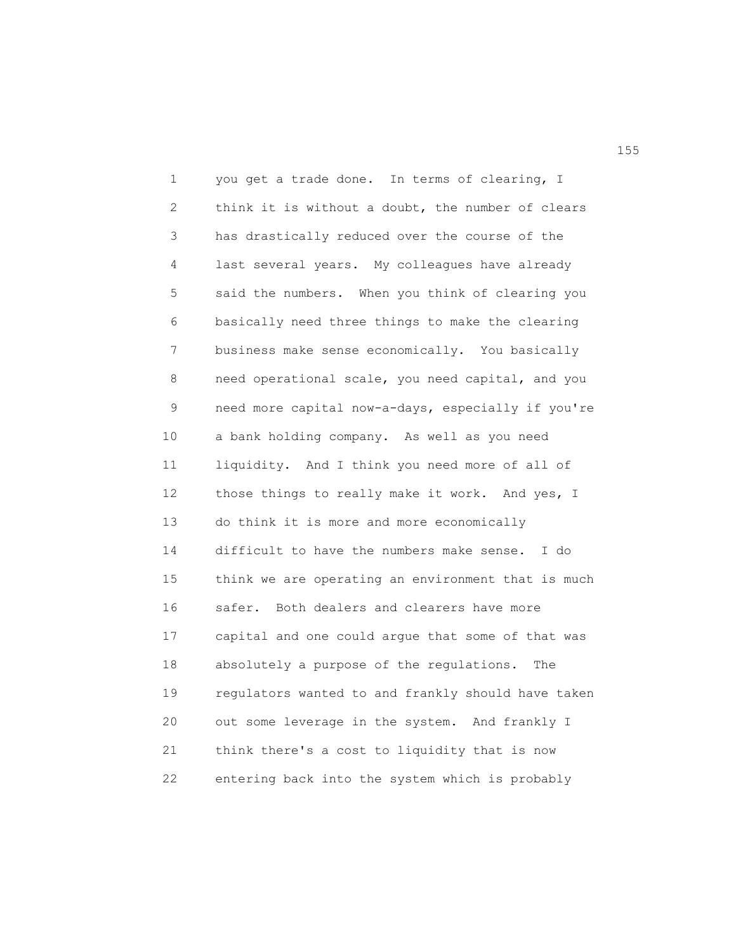1 you get a trade done. In terms of clearing, I 2 think it is without a doubt, the number of clears 3 has drastically reduced over the course of the 4 last several years. My colleagues have already 5 said the numbers. When you think of clearing you 6 basically need three things to make the clearing 7 business make sense economically. You basically 8 need operational scale, you need capital, and you 9 need more capital now-a-days, especially if you're 10 a bank holding company. As well as you need 11 liquidity. And I think you need more of all of 12 those things to really make it work. And yes, I 13 do think it is more and more economically 14 difficult to have the numbers make sense. I do 15 think we are operating an environment that is much 16 safer. Both dealers and clearers have more 17 capital and one could argue that some of that was 18 absolutely a purpose of the regulations. The 19 regulators wanted to and frankly should have taken 20 out some leverage in the system. And frankly I 21 think there's a cost to liquidity that is now 22 entering back into the system which is probably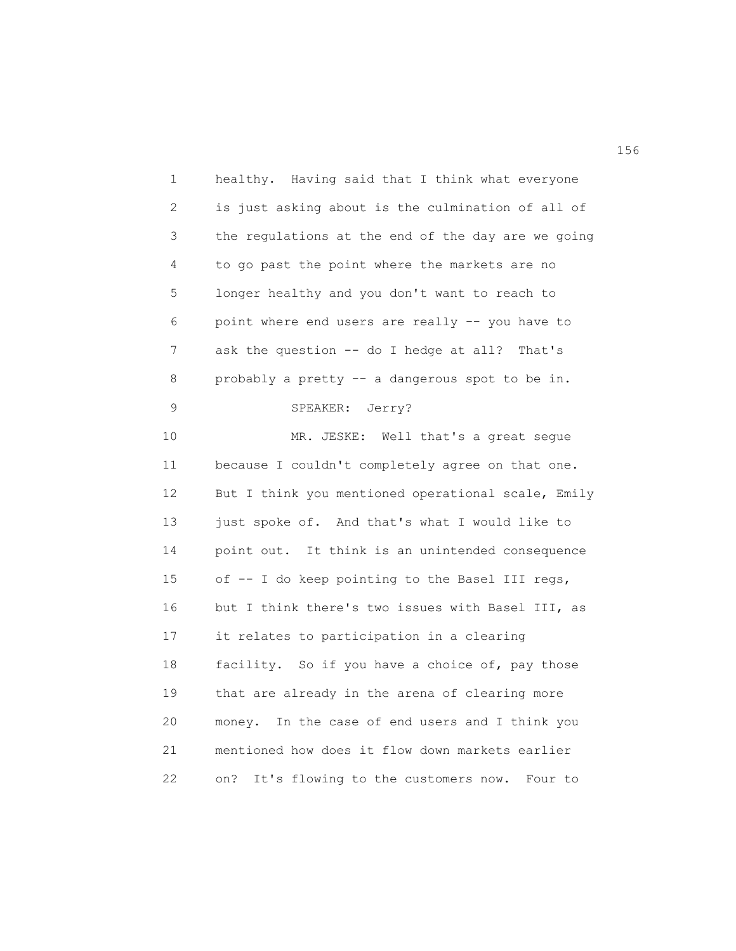| 1            | healthy. Having said that I think what everyone      |
|--------------|------------------------------------------------------|
| $\mathbf{2}$ | is just asking about is the culmination of all of    |
| 3            | the regulations at the end of the day are we going   |
| 4            | to go past the point where the markets are no        |
| 5            | longer healthy and you don't want to reach to        |
| 6            | point where end users are really -- you have to      |
| 7            | ask the question -- do I hedge at all? That's        |
| 8            | probably a pretty -- a dangerous spot to be in.      |
| 9            | SPEAKER: Jerry?                                      |
| 10           | MR. JESKE: Well that's a great seque                 |
| 11           | because I couldn't completely agree on that one.     |
| 12           | But I think you mentioned operational scale, Emily   |
| 13           | just spoke of. And that's what I would like to       |
| 14           | point out. It think is an unintended consequence     |
| 15           | of -- I do keep pointing to the Basel III regs,      |
| 16           | but I think there's two issues with Basel III, as    |
| 17           | it relates to participation in a clearing            |
| 18           | facility. So if you have a choice of, pay those      |
| 19           | that are already in the arena of clearing more       |
| 20           | money. In the case of end users and I think you      |
| 21           | mentioned how does it flow down markets earlier      |
| 22           | It's flowing to the customers now.<br>on?<br>Four to |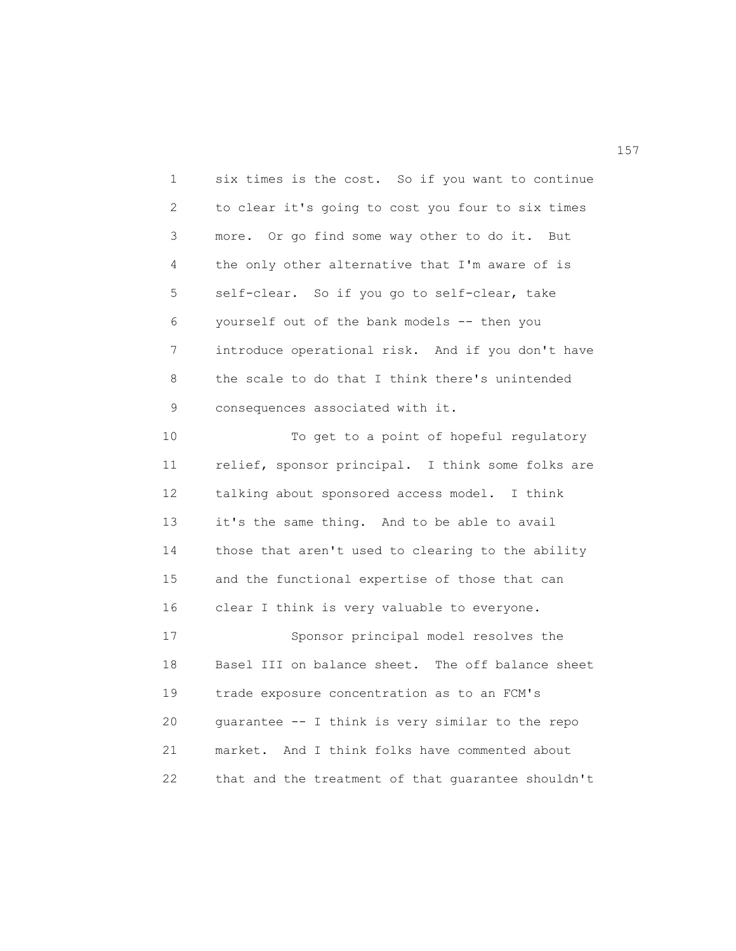1 six times is the cost. So if you want to continue 2 to clear it's going to cost you four to six times 3 more. Or go find some way other to do it. But 4 the only other alternative that I'm aware of is 5 self-clear. So if you go to self-clear, take 6 yourself out of the bank models -- then you 7 introduce operational risk. And if you don't have 8 the scale to do that I think there's unintended 9 consequences associated with it.

10 To get to a point of hopeful regulatory 11 relief, sponsor principal. I think some folks are 12 talking about sponsored access model. I think 13 it's the same thing. And to be able to avail 14 those that aren't used to clearing to the ability 15 and the functional expertise of those that can 16 clear I think is very valuable to everyone. 17 Sponsor principal model resolves the 18 Basel III on balance sheet. The off balance sheet 19 trade exposure concentration as to an FCM's 20 guarantee -- I think is very similar to the repo 21 market. And I think folks have commented about 22 that and the treatment of that guarantee shouldn't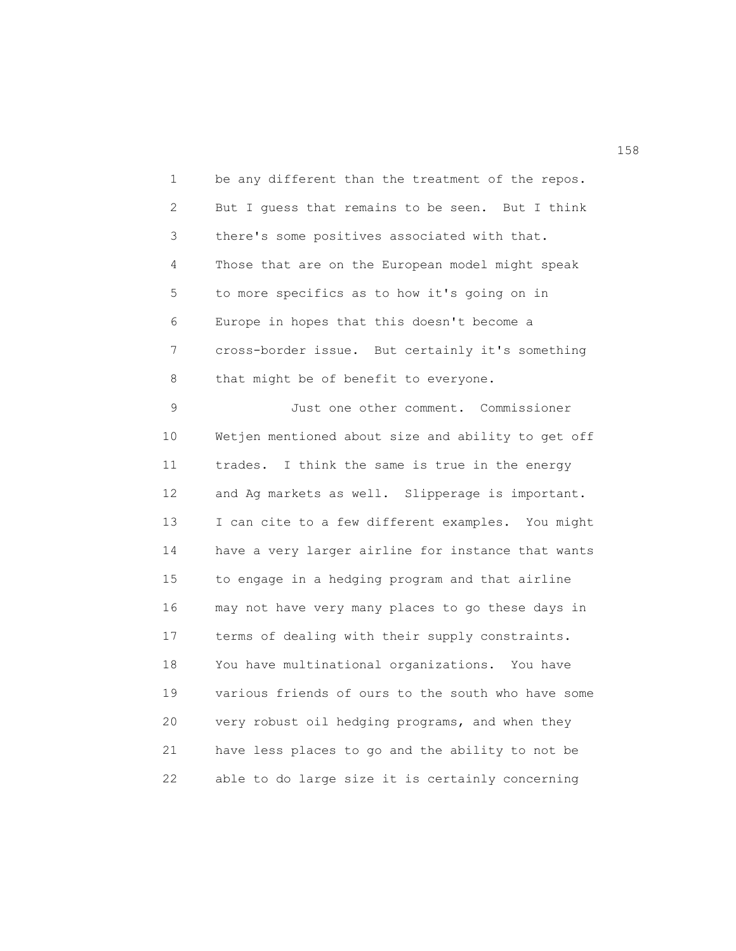1 be any different than the treatment of the repos. 2 But I guess that remains to be seen. But I think 3 there's some positives associated with that. 4 Those that are on the European model might speak 5 to more specifics as to how it's going on in 6 Europe in hopes that this doesn't become a 7 cross-border issue. But certainly it's something 8 that might be of benefit to everyone.

9 Just one other comment. Commissioner 10 Wetjen mentioned about size and ability to get off 11 trades. I think the same is true in the energy 12 and Ag markets as well. Slipperage is important. 13 I can cite to a few different examples. You might 14 have a very larger airline for instance that wants 15 to engage in a hedging program and that airline 16 may not have very many places to go these days in 17 terms of dealing with their supply constraints. 18 You have multinational organizations. You have 19 various friends of ours to the south who have some 20 very robust oil hedging programs, and when they 21 have less places to go and the ability to not be 22 able to do large size it is certainly concerning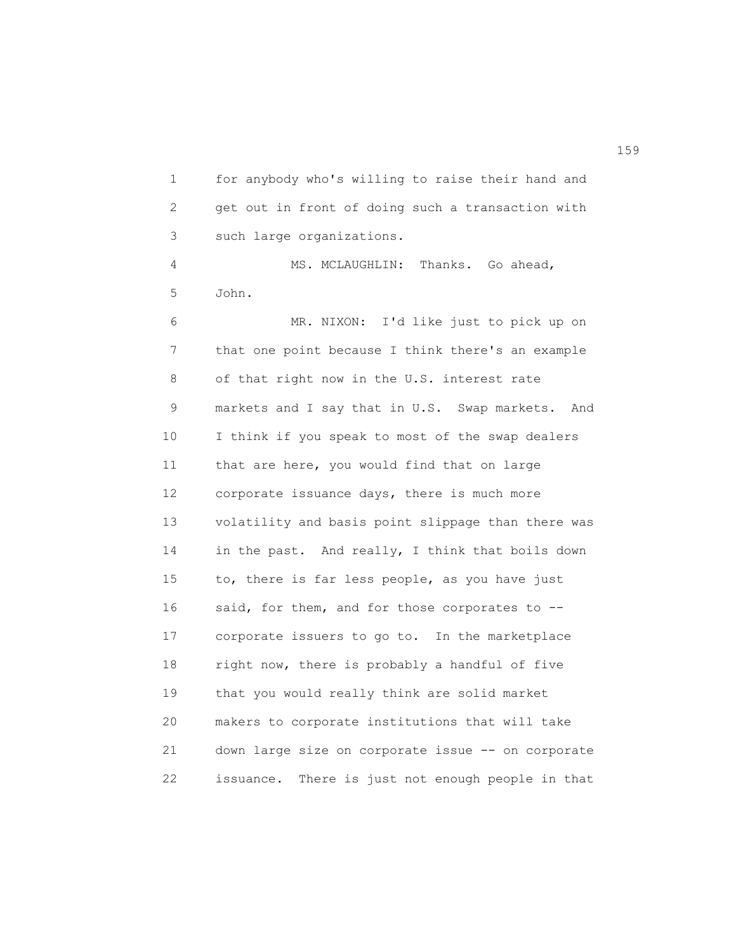1 for anybody who's willing to raise their hand and 2 get out in front of doing such a transaction with 3 such large organizations. 4 MS. MCLAUGHLIN: Thanks. Go ahead,

5 John.

6 MR. NIXON: I'd like just to pick up on 7 that one point because I think there's an example 8 of that right now in the U.S. interest rate 9 markets and I say that in U.S. Swap markets. And 10 I think if you speak to most of the swap dealers 11 that are here, you would find that on large 12 corporate issuance days, there is much more 13 volatility and basis point slippage than there was 14 in the past. And really, I think that boils down 15 to, there is far less people, as you have just 16 said, for them, and for those corporates to --17 corporate issuers to go to. In the marketplace 18 right now, there is probably a handful of five 19 that you would really think are solid market 20 makers to corporate institutions that will take 21 down large size on corporate issue -- on corporate 22 issuance. There is just not enough people in that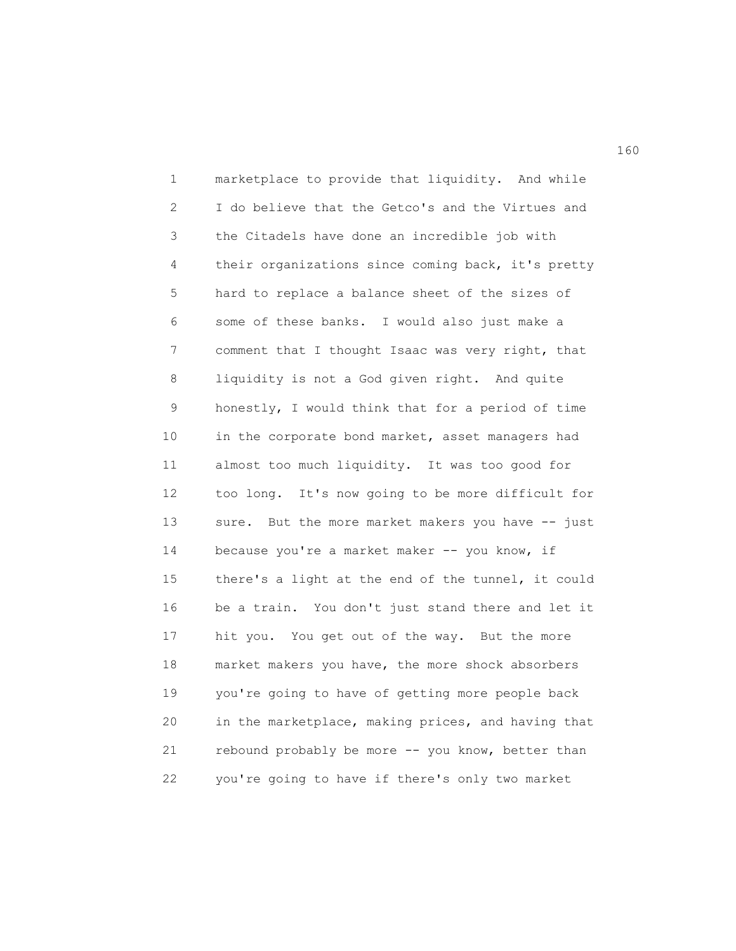1 marketplace to provide that liquidity. And while 2 I do believe that the Getco's and the Virtues and 3 the Citadels have done an incredible job with 4 their organizations since coming back, it's pretty 5 hard to replace a balance sheet of the sizes of 6 some of these banks. I would also just make a 7 comment that I thought Isaac was very right, that 8 liquidity is not a God given right. And quite 9 honestly, I would think that for a period of time 10 in the corporate bond market, asset managers had 11 almost too much liquidity. It was too good for 12 too long. It's now going to be more difficult for 13 sure. But the more market makers you have -- just 14 because you're a market maker -- you know, if 15 there's a light at the end of the tunnel, it could 16 be a train. You don't just stand there and let it 17 hit you. You get out of the way. But the more 18 market makers you have, the more shock absorbers 19 you're going to have of getting more people back 20 in the marketplace, making prices, and having that 21 rebound probably be more -- you know, better than 22 you're going to have if there's only two market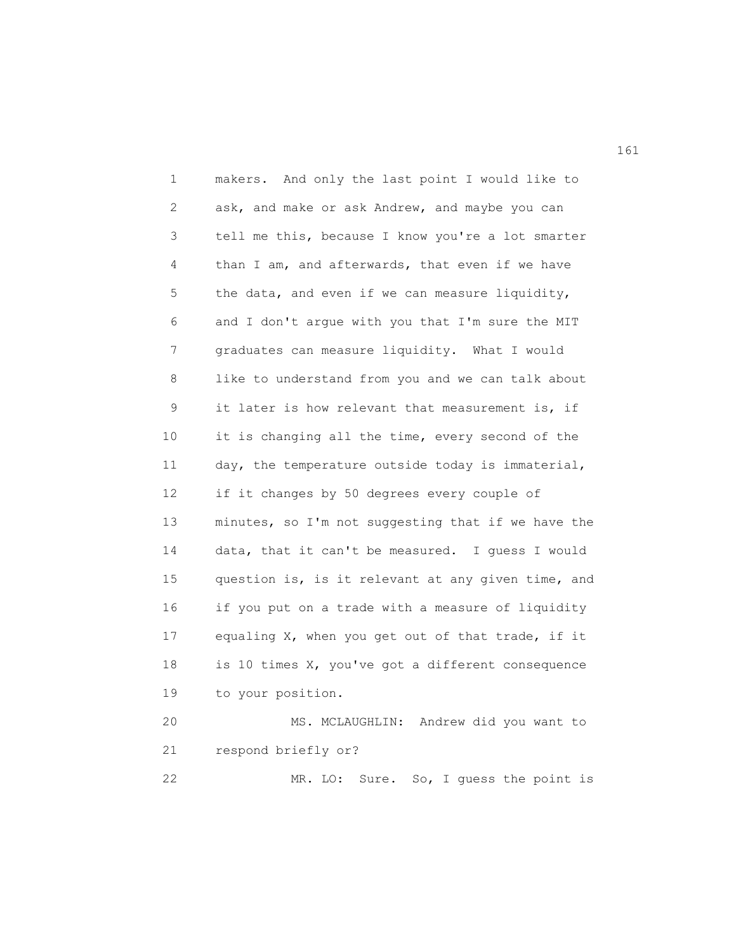1 makers. And only the last point I would like to 2 ask, and make or ask Andrew, and maybe you can 3 tell me this, because I know you're a lot smarter 4 than I am, and afterwards, that even if we have 5 the data, and even if we can measure liquidity, 6 and I don't argue with you that I'm sure the MIT 7 graduates can measure liquidity. What I would 8 like to understand from you and we can talk about 9 it later is how relevant that measurement is, if 10 it is changing all the time, every second of the 11 day, the temperature outside today is immaterial, 12 if it changes by 50 degrees every couple of 13 minutes, so I'm not suggesting that if we have the 14 data, that it can't be measured. I guess I would 15 question is, is it relevant at any given time, and 16 if you put on a trade with a measure of liquidity 17 equaling X, when you get out of that trade, if it 18 is 10 times X, you've got a different consequence 19 to your position. 20 MS. MCLAUGHLIN: Andrew did you want to 21 respond briefly or?

22 MR. LO: Sure. So, I guess the point is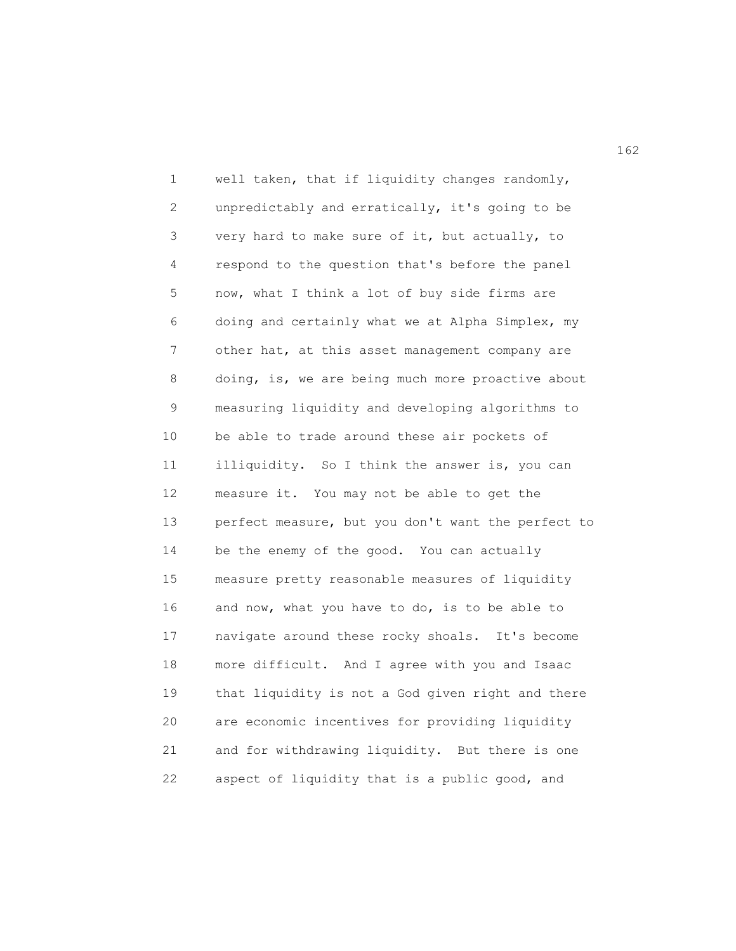1 well taken, that if liquidity changes randomly, 2 unpredictably and erratically, it's going to be 3 very hard to make sure of it, but actually, to 4 respond to the question that's before the panel 5 now, what I think a lot of buy side firms are 6 doing and certainly what we at Alpha Simplex, my 7 other hat, at this asset management company are 8 doing, is, we are being much more proactive about 9 measuring liquidity and developing algorithms to 10 be able to trade around these air pockets of 11 illiquidity. So I think the answer is, you can 12 measure it. You may not be able to get the 13 perfect measure, but you don't want the perfect to 14 be the enemy of the good. You can actually 15 measure pretty reasonable measures of liquidity 16 and now, what you have to do, is to be able to 17 navigate around these rocky shoals. It's become 18 more difficult. And I agree with you and Isaac 19 that liquidity is not a God given right and there 20 are economic incentives for providing liquidity 21 and for withdrawing liquidity. But there is one 22 aspect of liquidity that is a public good, and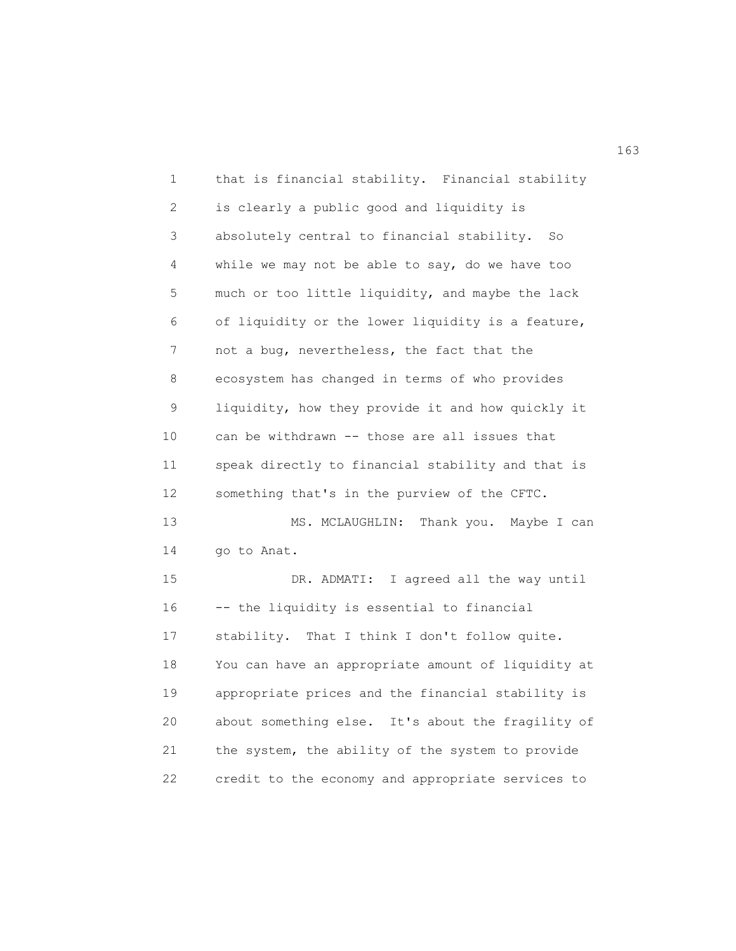1 that is financial stability. Financial stability 2 is clearly a public good and liquidity is 3 absolutely central to financial stability. So 4 while we may not be able to say, do we have too 5 much or too little liquidity, and maybe the lack 6 of liquidity or the lower liquidity is a feature, 7 not a bug, nevertheless, the fact that the 8 ecosystem has changed in terms of who provides 9 liquidity, how they provide it and how quickly it 10 can be withdrawn -- those are all issues that 11 speak directly to financial stability and that is 12 something that's in the purview of the CFTC. 13 MS. MCLAUGHLIN: Thank you. Maybe I can 14 go to Anat. 15 DR. ADMATI: I agreed all the way until 16 -- the liquidity is essential to financial 17 stability. That I think I don't follow quite. 18 You can have an appropriate amount of liquidity at 19 appropriate prices and the financial stability is 20 about something else. It's about the fragility of 21 the system, the ability of the system to provide 22 credit to the economy and appropriate services to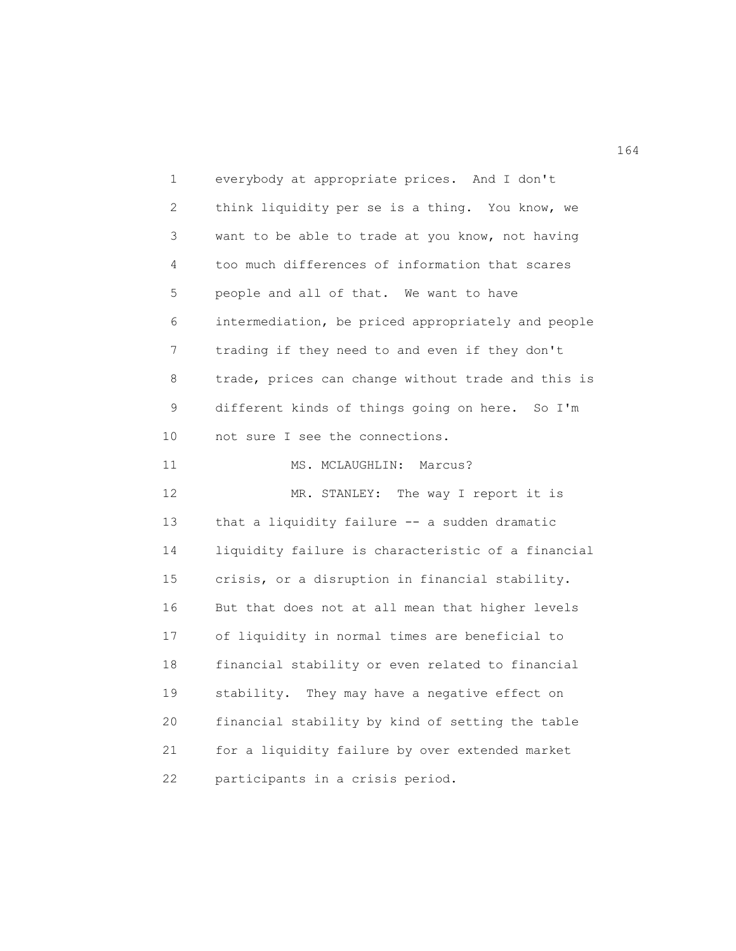1 everybody at appropriate prices. And I don't 2 think liquidity per se is a thing. You know, we 3 want to be able to trade at you know, not having 4 too much differences of information that scares 5 people and all of that. We want to have 6 intermediation, be priced appropriately and people 7 trading if they need to and even if they don't 8 trade, prices can change without trade and this is 9 different kinds of things going on here. So I'm 10 not sure I see the connections. 11 MS. MCLAUGHLIN: Marcus? 12 MR. STANLEY: The way I report it is 13 that a liquidity failure -- a sudden dramatic 14 liquidity failure is characteristic of a financial 15 crisis, or a disruption in financial stability. 16 But that does not at all mean that higher levels 17 of liquidity in normal times are beneficial to 18 financial stability or even related to financial 19 stability. They may have a negative effect on 20 financial stability by kind of setting the table 21 for a liquidity failure by over extended market 22 participants in a crisis period.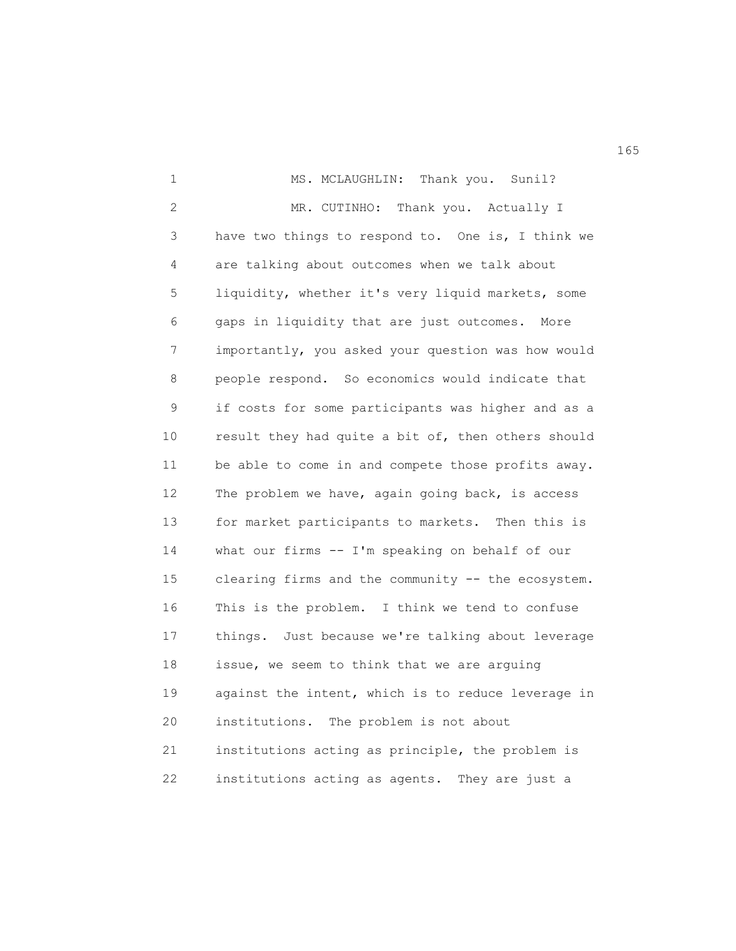1 MS. MCLAUGHLIN: Thank you. Sunil? 2 MR. CUTINHO: Thank you. Actually I 3 have two things to respond to. One is, I think we 4 are talking about outcomes when we talk about 5 liquidity, whether it's very liquid markets, some 6 gaps in liquidity that are just outcomes. More 7 importantly, you asked your question was how would 8 people respond. So economics would indicate that 9 if costs for some participants was higher and as a 10 result they had quite a bit of, then others should 11 be able to come in and compete those profits away. 12 The problem we have, again going back, is access 13 for market participants to markets. Then this is 14 what our firms -- I'm speaking on behalf of our 15 clearing firms and the community -- the ecosystem. 16 This is the problem. I think we tend to confuse 17 things. Just because we're talking about leverage 18 issue, we seem to think that we are arguing 19 against the intent, which is to reduce leverage in 20 institutions. The problem is not about 21 institutions acting as principle, the problem is 22 institutions acting as agents. They are just a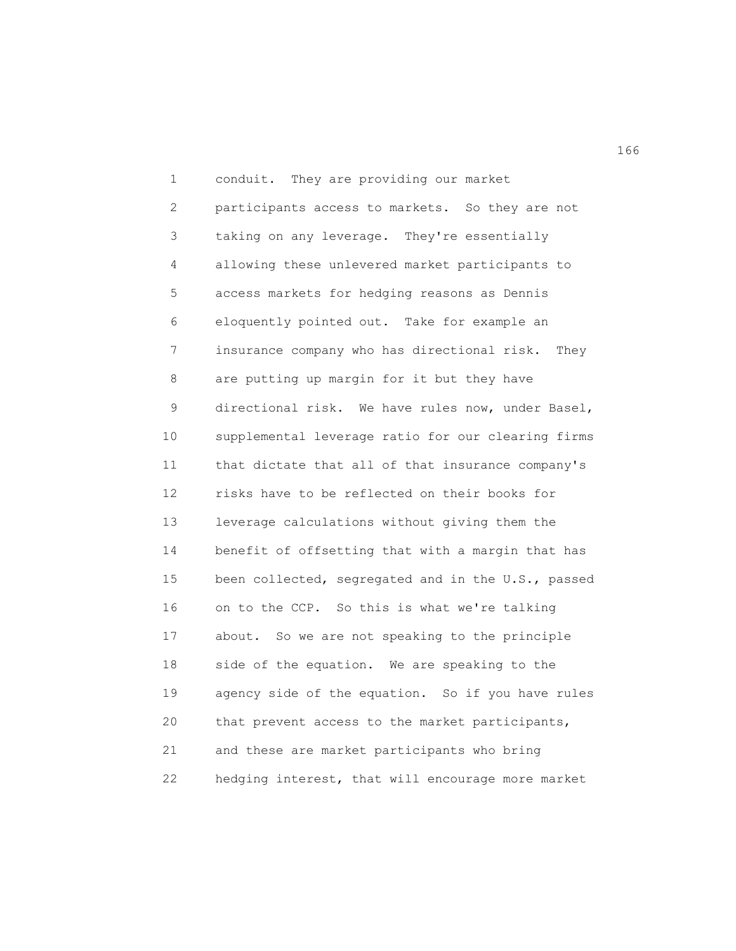1 conduit. They are providing our market 2 participants access to markets. So they are not 3 taking on any leverage. They're essentially 4 allowing these unlevered market participants to 5 access markets for hedging reasons as Dennis 6 eloquently pointed out. Take for example an 7 insurance company who has directional risk. They 8 are putting up margin for it but they have 9 directional risk. We have rules now, under Basel, 10 supplemental leverage ratio for our clearing firms 11 that dictate that all of that insurance company's 12 risks have to be reflected on their books for 13 leverage calculations without giving them the 14 benefit of offsetting that with a margin that has 15 been collected, segregated and in the U.S., passed 16 on to the CCP. So this is what we're talking 17 about. So we are not speaking to the principle 18 side of the equation. We are speaking to the 19 agency side of the equation. So if you have rules 20 that prevent access to the market participants, 21 and these are market participants who bring 22 hedging interest, that will encourage more market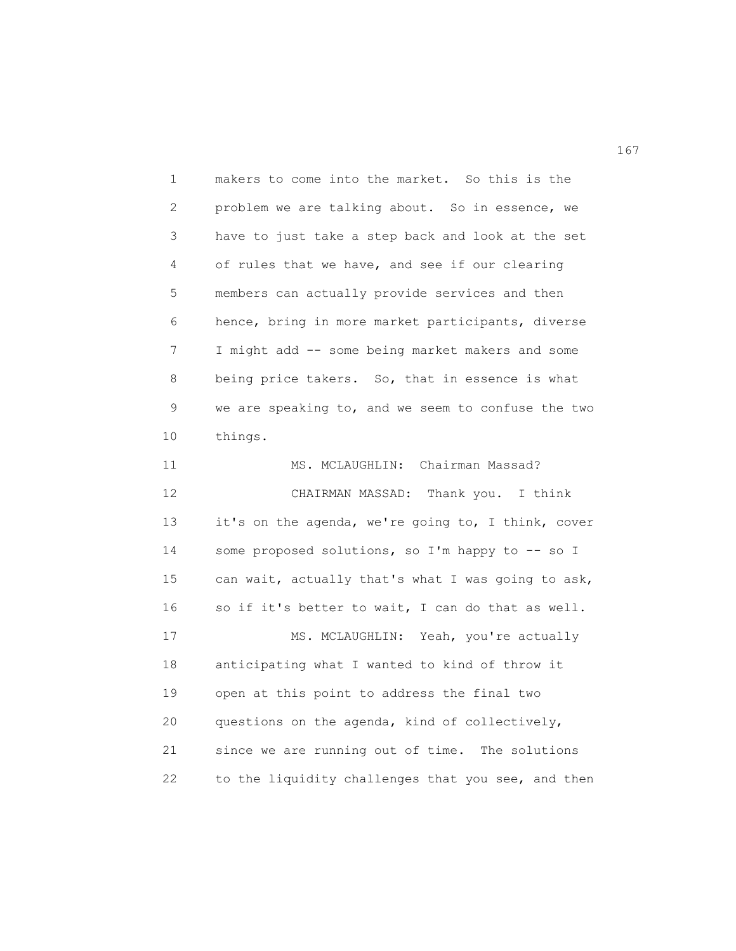| 1  | makers to come into the market. So this is the     |
|----|----------------------------------------------------|
| 2  | problem we are talking about. So in essence, we    |
| 3  | have to just take a step back and look at the set  |
| 4  | of rules that we have, and see if our clearing     |
| 5  | members can actually provide services and then     |
| 6  | hence, bring in more market participants, diverse  |
| 7  | I might add -- some being market makers and some   |
| 8  | being price takers. So, that in essence is what    |
| 9  | we are speaking to, and we seem to confuse the two |
| 10 | things.                                            |
| 11 | MS. MCLAUGHLIN: Chairman Massad?                   |
| 12 | CHAIRMAN MASSAD: Thank you. I think                |
| 13 | it's on the agenda, we're going to, I think, cover |
| 14 | some proposed solutions, so I'm happy to -- so I   |
| 15 | can wait, actually that's what I was going to ask, |
| 16 | so if it's better to wait, I can do that as well.  |
| 17 | MS. MCLAUGHLIN: Yeah, you're actually              |
| 18 | anticipating what I wanted to kind of throw it     |
| 19 | open at this point to address the final two        |
| 20 | questions on the agenda, kind of collectively,     |
| 21 |                                                    |
|    | since we are running out of time. The solutions    |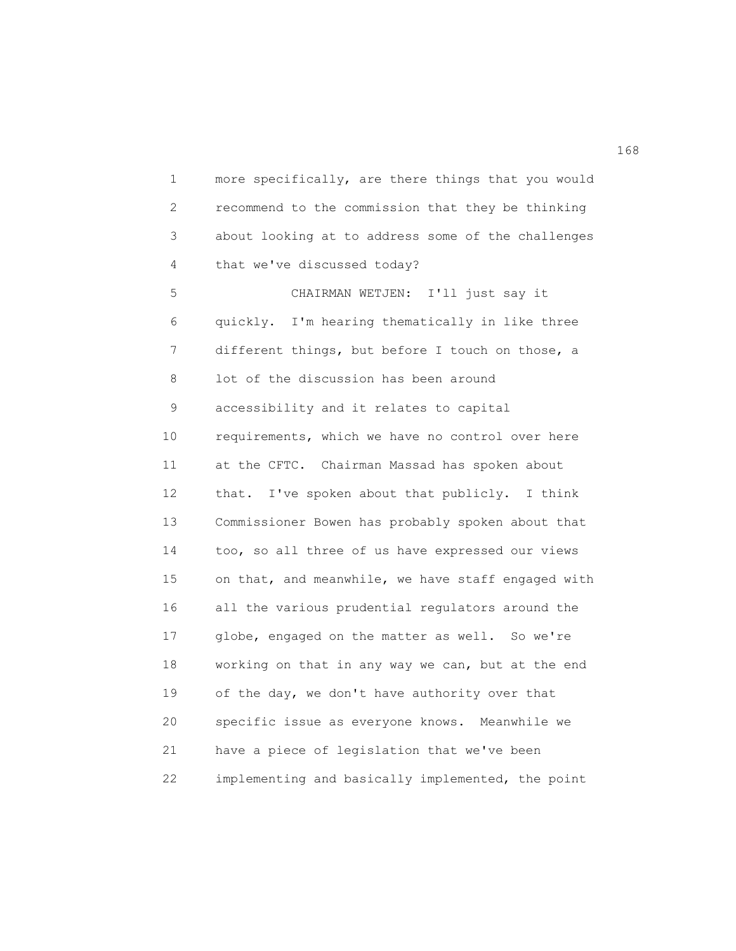1 more specifically, are there things that you would 2 recommend to the commission that they be thinking 3 about looking at to address some of the challenges 4 that we've discussed today? 5 CHAIRMAN WETJEN: I'll just say it

6 quickly. I'm hearing thematically in like three 7 different things, but before I touch on those, a 8 lot of the discussion has been around 9 accessibility and it relates to capital 10 requirements, which we have no control over here 11 at the CFTC. Chairman Massad has spoken about 12 that. I've spoken about that publicly. I think 13 Commissioner Bowen has probably spoken about that 14 too, so all three of us have expressed our views 15 on that, and meanwhile, we have staff engaged with 16 all the various prudential regulators around the 17 globe, engaged on the matter as well. So we're 18 working on that in any way we can, but at the end 19 of the day, we don't have authority over that 20 specific issue as everyone knows. Meanwhile we 21 have a piece of legislation that we've been 22 implementing and basically implemented, the point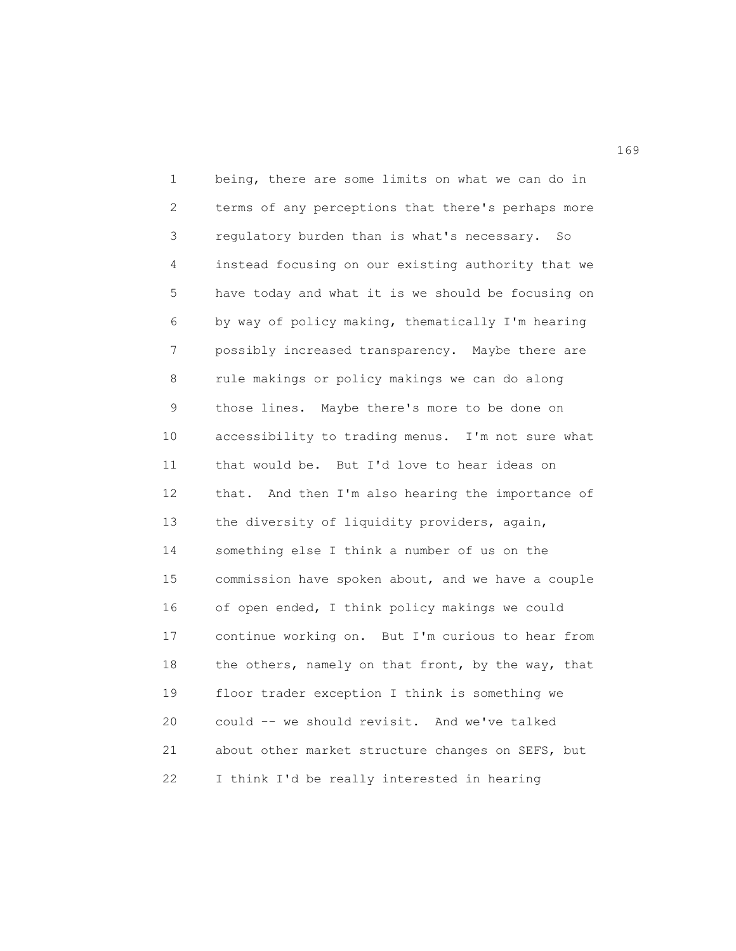1 being, there are some limits on what we can do in 2 terms of any perceptions that there's perhaps more 3 regulatory burden than is what's necessary. So 4 instead focusing on our existing authority that we 5 have today and what it is we should be focusing on 6 by way of policy making, thematically I'm hearing 7 possibly increased transparency. Maybe there are 8 rule makings or policy makings we can do along 9 those lines. Maybe there's more to be done on 10 accessibility to trading menus. I'm not sure what 11 that would be. But I'd love to hear ideas on 12 that. And then I'm also hearing the importance of 13 the diversity of liquidity providers, again, 14 something else I think a number of us on the 15 commission have spoken about, and we have a couple 16 of open ended, I think policy makings we could 17 continue working on. But I'm curious to hear from 18 the others, namely on that front, by the way, that 19 floor trader exception I think is something we 20 could -- we should revisit. And we've talked 21 about other market structure changes on SEFS, but 22 I think I'd be really interested in hearing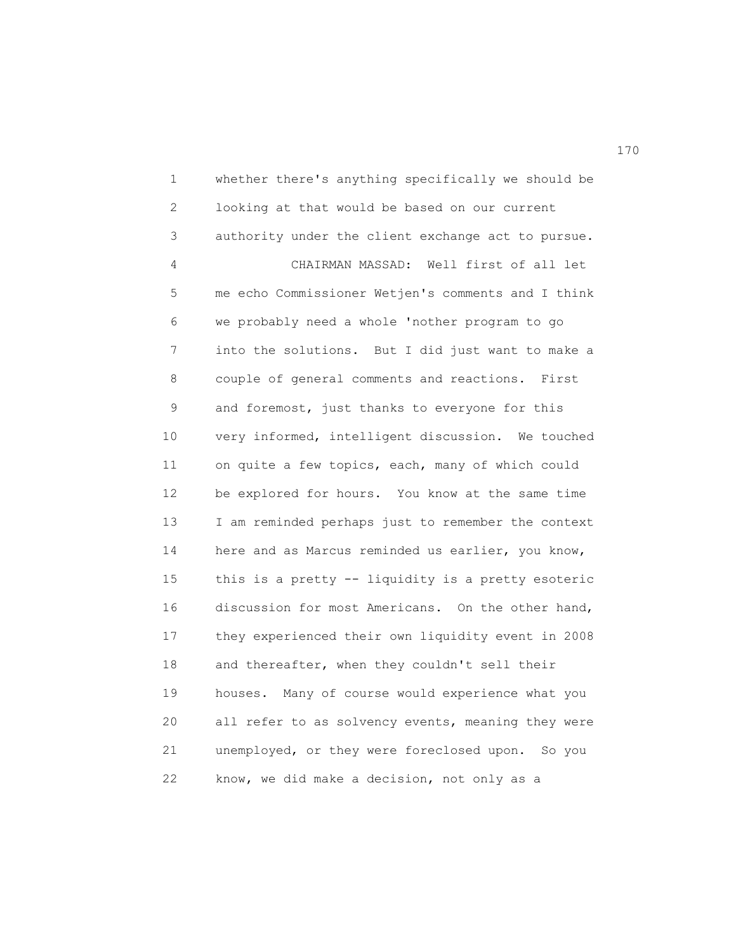1 whether there's anything specifically we should be 2 looking at that would be based on our current 3 authority under the client exchange act to pursue. 4 CHAIRMAN MASSAD: Well first of all let 5 me echo Commissioner Wetjen's comments and I think 6 we probably need a whole 'nother program to go 7 into the solutions. But I did just want to make a 8 couple of general comments and reactions. First 9 and foremost, just thanks to everyone for this 10 very informed, intelligent discussion. We touched 11 on quite a few topics, each, many of which could 12 be explored for hours. You know at the same time 13 I am reminded perhaps just to remember the context 14 here and as Marcus reminded us earlier, you know, 15 this is a pretty -- liquidity is a pretty esoteric 16 discussion for most Americans. On the other hand, 17 they experienced their own liquidity event in 2008 18 and thereafter, when they couldn't sell their 19 houses. Many of course would experience what you 20 all refer to as solvency events, meaning they were 21 unemployed, or they were foreclosed upon. So you 22 know, we did make a decision, not only as a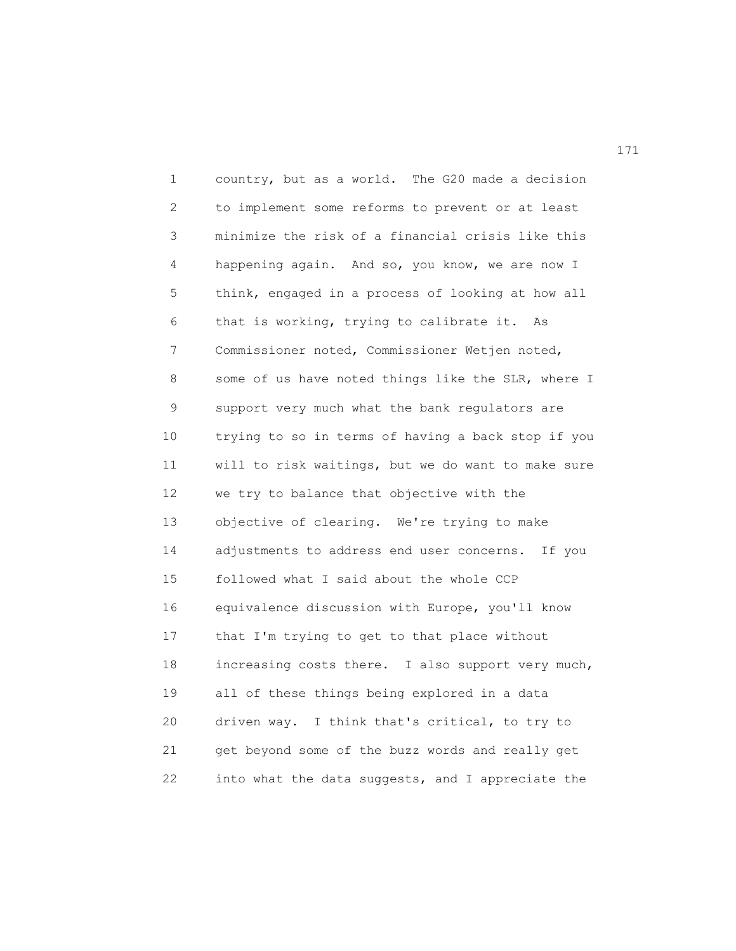1 country, but as a world. The G20 made a decision 2 to implement some reforms to prevent or at least 3 minimize the risk of a financial crisis like this 4 happening again. And so, you know, we are now I 5 think, engaged in a process of looking at how all 6 that is working, trying to calibrate it. As 7 Commissioner noted, Commissioner Wetjen noted, 8 some of us have noted things like the SLR, where I 9 support very much what the bank regulators are 10 trying to so in terms of having a back stop if you 11 will to risk waitings, but we do want to make sure 12 we try to balance that objective with the 13 objective of clearing. We're trying to make 14 adjustments to address end user concerns. If you 15 followed what I said about the whole CCP 16 equivalence discussion with Europe, you'll know 17 that I'm trying to get to that place without 18 increasing costs there. I also support very much, 19 all of these things being explored in a data 20 driven way. I think that's critical, to try to 21 get beyond some of the buzz words and really get 22 into what the data suggests, and I appreciate the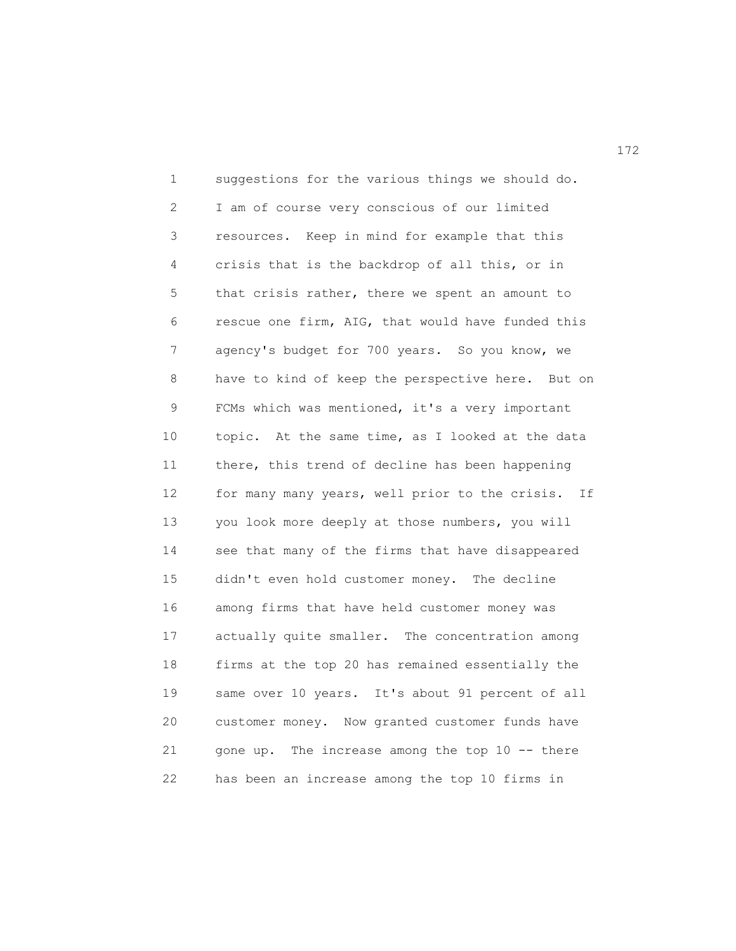1 suggestions for the various things we should do. 2 I am of course very conscious of our limited 3 resources. Keep in mind for example that this 4 crisis that is the backdrop of all this, or in 5 that crisis rather, there we spent an amount to 6 rescue one firm, AIG, that would have funded this 7 agency's budget for 700 years. So you know, we 8 have to kind of keep the perspective here. But on 9 FCMs which was mentioned, it's a very important 10 topic. At the same time, as I looked at the data 11 there, this trend of decline has been happening 12 for many many years, well prior to the crisis. If 13 you look more deeply at those numbers, you will 14 see that many of the firms that have disappeared 15 didn't even hold customer money. The decline 16 among firms that have held customer money was 17 actually quite smaller. The concentration among 18 firms at the top 20 has remained essentially the 19 same over 10 years. It's about 91 percent of all 20 customer money. Now granted customer funds have 21 gone up. The increase among the top 10 -- there 22 has been an increase among the top 10 firms in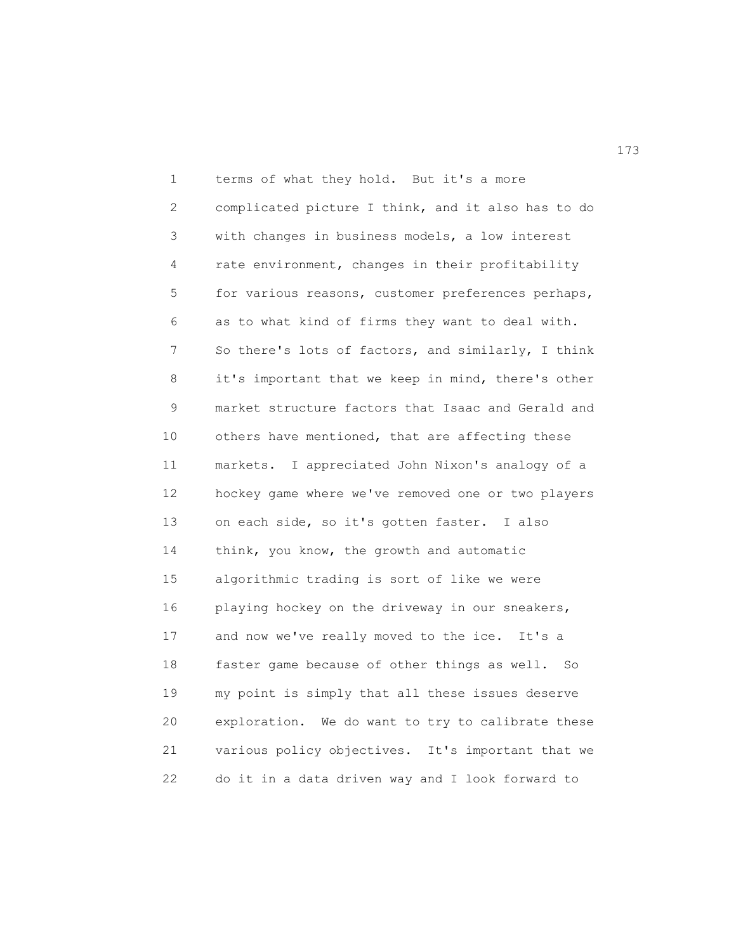1 terms of what they hold. But it's a more 2 complicated picture I think, and it also has to do 3 with changes in business models, a low interest 4 rate environment, changes in their profitability 5 for various reasons, customer preferences perhaps, 6 as to what kind of firms they want to deal with. 7 So there's lots of factors, and similarly, I think 8 it's important that we keep in mind, there's other 9 market structure factors that Isaac and Gerald and 10 others have mentioned, that are affecting these 11 markets. I appreciated John Nixon's analogy of a 12 hockey game where we've removed one or two players 13 on each side, so it's gotten faster. I also 14 think, you know, the growth and automatic 15 algorithmic trading is sort of like we were 16 playing hockey on the driveway in our sneakers, 17 and now we've really moved to the ice. It's a 18 faster game because of other things as well. So 19 my point is simply that all these issues deserve 20 exploration. We do want to try to calibrate these 21 various policy objectives. It's important that we 22 do it in a data driven way and I look forward to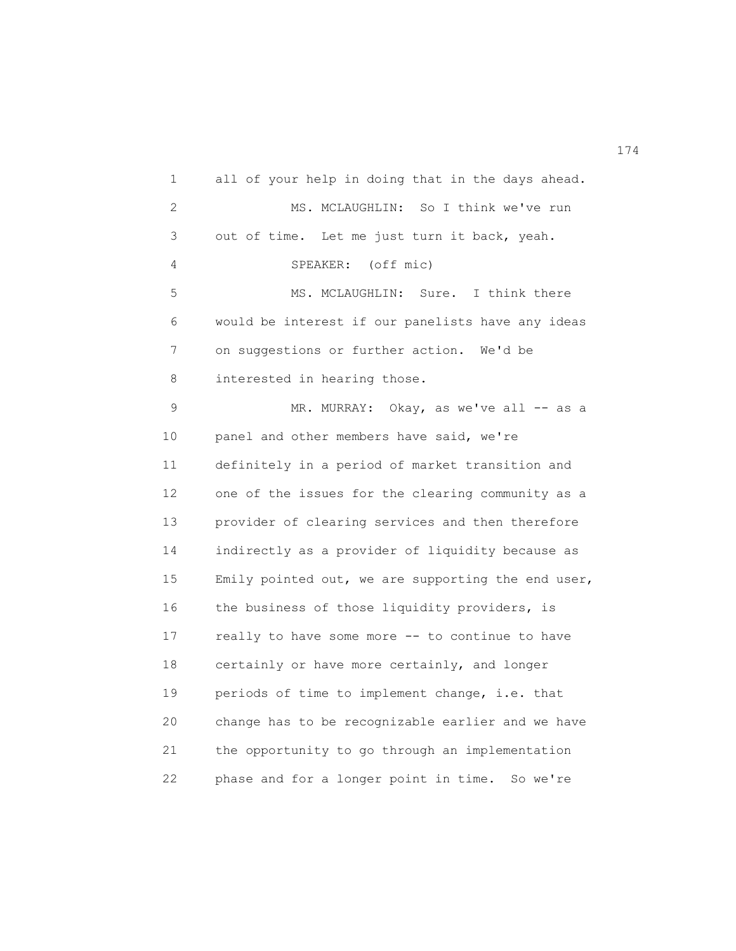1 all of your help in doing that in the days ahead. 2 MS. MCLAUGHLIN: So I think we've run 3 out of time. Let me just turn it back, yeah. 4 SPEAKER: (off mic) 5 MS. MCLAUGHLIN: Sure. I think there 6 would be interest if our panelists have any ideas 7 on suggestions or further action. We'd be 8 interested in hearing those. 9 MR. MURRAY: Okay, as we've all -- as a 10 panel and other members have said, we're 11 definitely in a period of market transition and 12 one of the issues for the clearing community as a 13 provider of clearing services and then therefore 14 indirectly as a provider of liquidity because as 15 Emily pointed out, we are supporting the end user, 16 the business of those liquidity providers, is 17 really to have some more -- to continue to have 18 certainly or have more certainly, and longer 19 periods of time to implement change, i.e. that 20 change has to be recognizable earlier and we have 21 the opportunity to go through an implementation 22 phase and for a longer point in time. So we're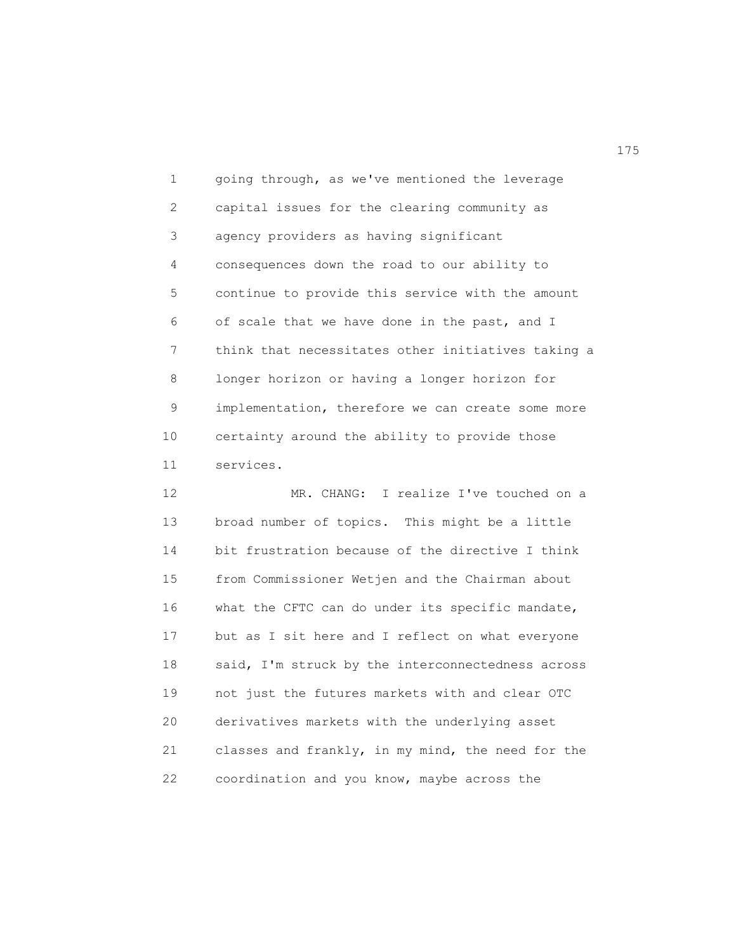1 going through, as we've mentioned the leverage 2 capital issues for the clearing community as 3 agency providers as having significant 4 consequences down the road to our ability to 5 continue to provide this service with the amount 6 of scale that we have done in the past, and I 7 think that necessitates other initiatives taking a 8 longer horizon or having a longer horizon for 9 implementation, therefore we can create some more 10 certainty around the ability to provide those 11 services.

12 MR. CHANG: I realize I've touched on a 13 broad number of topics. This might be a little 14 bit frustration because of the directive I think 15 from Commissioner Wetjen and the Chairman about 16 what the CFTC can do under its specific mandate, 17 but as I sit here and I reflect on what everyone 18 said, I'm struck by the interconnectedness across 19 not just the futures markets with and clear OTC 20 derivatives markets with the underlying asset 21 classes and frankly, in my mind, the need for the 22 coordination and you know, maybe across the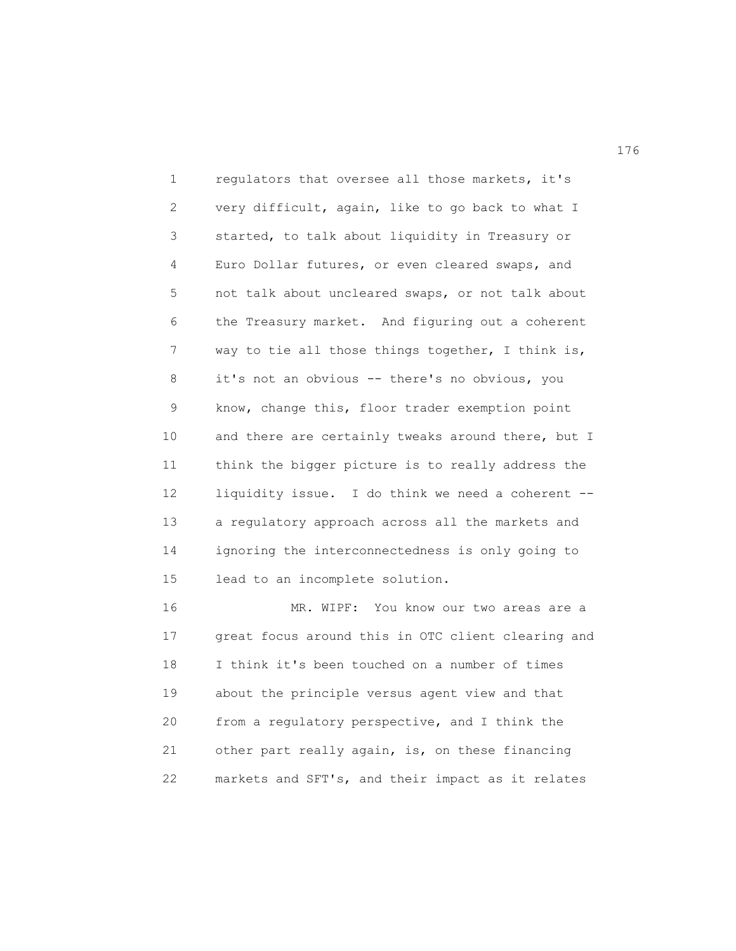1 regulators that oversee all those markets, it's 2 very difficult, again, like to go back to what I 3 started, to talk about liquidity in Treasury or 4 Euro Dollar futures, or even cleared swaps, and 5 not talk about uncleared swaps, or not talk about 6 the Treasury market. And figuring out a coherent 7 way to tie all those things together, I think is, 8 it's not an obvious -- there's no obvious, you 9 know, change this, floor trader exemption point 10 and there are certainly tweaks around there, but I 11 think the bigger picture is to really address the 12 liquidity issue. I do think we need a coherent -- 13 a regulatory approach across all the markets and 14 ignoring the interconnectedness is only going to 15 lead to an incomplete solution.

16 MR. WIPF: You know our two areas are a 17 great focus around this in OTC client clearing and 18 I think it's been touched on a number of times 19 about the principle versus agent view and that 20 from a regulatory perspective, and I think the 21 other part really again, is, on these financing 22 markets and SFT's, and their impact as it relates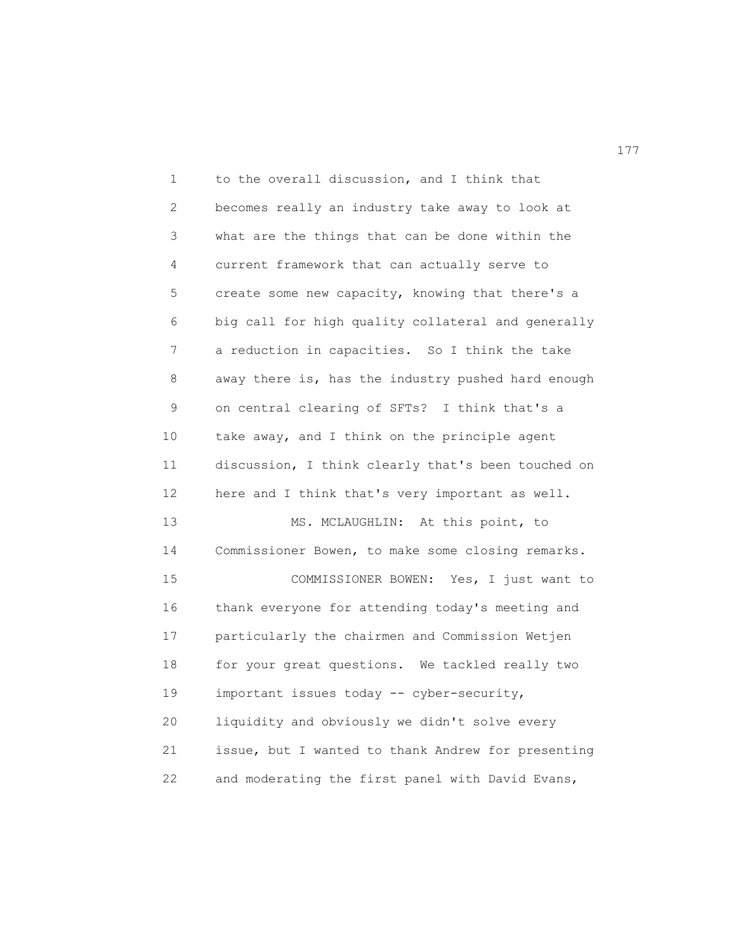1 to the overall discussion, and I think that 2 becomes really an industry take away to look at 3 what are the things that can be done within the 4 current framework that can actually serve to 5 create some new capacity, knowing that there's a 6 big call for high quality collateral and generally 7 a reduction in capacities. So I think the take 8 away there is, has the industry pushed hard enough 9 on central clearing of SFTs? I think that's a 10 take away, and I think on the principle agent 11 discussion, I think clearly that's been touched on 12 here and I think that's very important as well. 13 MS. MCLAUGHLIN: At this point, to 14 Commissioner Bowen, to make some closing remarks. 15 COMMISSIONER BOWEN: Yes, I just want to 16 thank everyone for attending today's meeting and 17 particularly the chairmen and Commission Wetjen 18 for your great questions. We tackled really two 19 important issues today -- cyber-security, 20 liquidity and obviously we didn't solve every 21 issue, but I wanted to thank Andrew for presenting 22 and moderating the first panel with David Evans,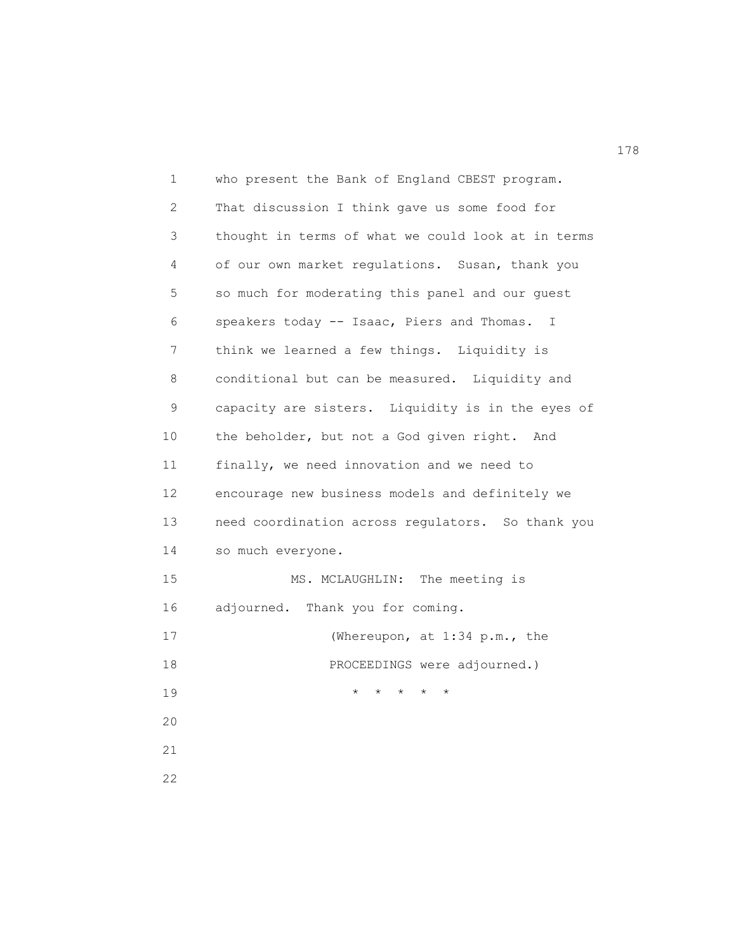| 1            | who present the Bank of England CBEST program.            |
|--------------|-----------------------------------------------------------|
| $\mathbf{2}$ | That discussion I think gave us some food for             |
| 3            | thought in terms of what we could look at in terms        |
| 4            | of our own market regulations. Susan, thank you           |
| 5            | so much for moderating this panel and our guest           |
| 6            | speakers today -- Isaac, Piers and Thomas. I              |
| 7            | think we learned a few things. Liquidity is               |
| 8            | conditional but can be measured. Liquidity and            |
| 9            | capacity are sisters. Liquidity is in the eyes of         |
| 10           | the beholder, but not a God given right. And              |
| 11           | finally, we need innovation and we need to                |
| 12           | encourage new business models and definitely we           |
| 13           | need coordination across regulators. So thank you         |
| 14           | so much everyone.                                         |
| 15           | MS. MCLAUGHLIN: The meeting is                            |
| 16           | adjourned. Thank you for coming.                          |
| 17           | (Whereupon, at 1:34 p.m., the                             |
| 18           | PROCEEDINGS were adjourned.)                              |
| 19           | $^{\star}$<br>$\star$<br>$^{\star}$<br>$\star$<br>$\star$ |
| 20           |                                                           |
| 21           |                                                           |
| 22           |                                                           |